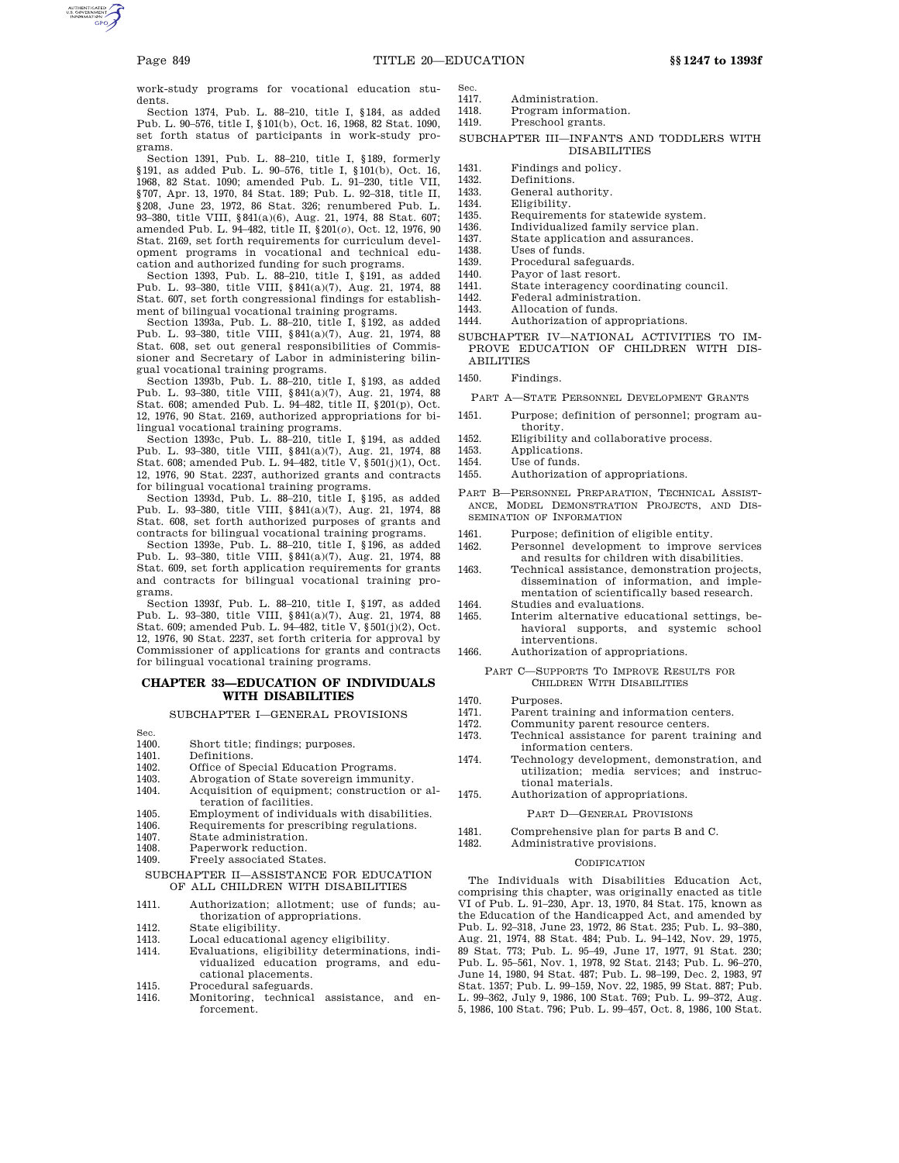work-study programs for vocational education students.

Section 1374, Pub. L. 88–210, title I, §184, as added Pub. L. 90–576, title I, §101(b), Oct. 16, 1968, 82 Stat. 1090, set forth status of participants in work-study programs.

Section 1391, Pub. L. 88–210, title I, §189, formerly §191, as added Pub. L. 90–576, title I, §101(b), Oct. 16, 1968, 82 Stat. 1090; amended Pub. L. 91–230, title VII, §707, Apr. 13, 1970, 84 Stat. 189; Pub. L. 92–318, title II, §208, June 23, 1972, 86 Stat. 326; renumbered Pub. L. 93–380, title VIII, §841(a)(6), Aug. 21, 1974, 88 Stat. 607; amended Pub. L. 94–482, title II, §201(*o*), Oct. 12, 1976, 90 Stat. 2169, set forth requirements for curriculum development programs in vocational and technical education and authorized funding for such programs.

Section 1393, Pub. L. 88–210, title I, §191, as added Pub. L. 93–380, title VIII, §841(a)(7), Aug. 21, 1974, 88 Stat. 607, set forth congressional findings for establishment of bilingual vocational training programs.

Section 1393a, Pub. L. 88–210, title I, §192, as added Pub. L. 93–380, title VIII, §841(a)(7), Aug. 21, 1974, 88 Stat. 608, set out general responsibilities of Commissioner and Secretary of Labor in administering bilin-

gual vocational training programs. Section 1393b, Pub. L. 88–210, title I, §193, as added Pub. L. 93–380, title VIII, §841(a)(7), Aug. 21, 1974, 88 Stat. 608; amended Pub. L. 94–482, title II, §201(p), Oct. 12, 1976, 90 Stat. 2169, authorized appropriations for bi-

lingual vocational training programs. Section 1393c, Pub. L. 88–210, title I, §194, as added Pub. L. 93–380, title VIII, §841(a)(7), Aug. 21, 1974, 88 Stat. 608; amended Pub. L. 94–482, title V,  $\S\,501(\mathrm{j})(1),$  Oct. 12, 1976, 90 Stat. 2237, authorized grants and contracts for bilingual vocational training programs.

Section 1393d, Pub. L. 88–210, title I, §195, as added Pub. L. 93–380, title VIII, §841(a)(7), Aug. 21, 1974, 88 Stat. 608, set forth authorized purposes of grants and contracts for bilingual vocational training programs.

Section 1393e, Pub. L. 88–210, title I, §196, as added Pub. L. 93–380, title VIII, §841(a)(7), Aug. 21, 1974, 88 Stat. 609, set forth application requirements for grants and contracts for bilingual vocational training programs.

Section 1393f, Pub. L. 88–210, title I, §197, as added Pub. L. 93–380, title VIII, §841(a)(7), Aug. 21, 1974, 88 Stat. 609; amended Pub. L. 94–482, title V, §501(j)(2), Oct. 12, 1976, 90 Stat. 2237, set forth criteria for approval by Commissioner of applications for grants and contracts for bilingual vocational training programs.

## **CHAPTER 33—EDUCATION OF INDIVIDUALS WITH DISABILITIES**

SUBCHAPTER I—GENERAL PROVISIONS

- Sec.
- 1400. Short title; findings; purposes.<br>1401. Definitions.
- 1401. Definitions.<br>1402. Office of Spe
- 1402. Office of Special Education Programs.<br>1403. Abrogation of State sovereign immuni
- 1403. Abrogation of State sovereign immunity.<br>1404. Acquisition of equipment; construction o Acquisition of equipment; construction or al-
- teration of facilities. 1405. Employment of individuals with disabilities.
- 
- 1406. Requirements for prescribing regulations.<br>1407. State administration. State administration.
- 1408. Paperwork reduction.
- 1409. Freely associated States.

#### SUBCHAPTER II—ASSISTANCE FOR EDUCATION OF ALL CHILDREN WITH DISABILITIES

- 1411. Authorization; allotment; use of funds; authorization of appropriations.
- 1412. State eligibility.<br>1413. Local educations
- 1413. Local educational agency eligibility.<br>1414 Evaluations, eligibility determinatio
- Evaluations, eligibility determinations, individualized education programs, and educational placements.
- 1415. Procedural safeguards.
- 1416. Monitoring, technical assistance, and enforcement.
- Sec.<br>1417
- 1417. Administration.<br>1418 Program inform Program information.
- 1419. Preschool grants.
- SUBCHAPTER III—INFANTS AND TODDLERS WITH DISABILITIES
- 1431. Findings and policy.
- 
- 1432. Definitions.<br>1433 General aut 1433. General authority.<br>1434 Eligibility
- Eligibility.
- 1435. Requirements for statewide system.
- 1436. Individualized family service plan.<br>1437. State application and assurances.
- State application and assurances.
- 1438. Uses of funds.
- 1439. Procedural safeguards.<br>1440. Pavor of last resort.
- Payor of last resort.
- 1441. State interagency coordinating council.<br>1442. Federal administration.
- 1442. Federal administration.<br>1443. Allocation of funds.
- Allocation of funds.
- 1444. Authorization of appropriations.
- SUBCHAPTER IV—NATIONAL ACTIVITIES TO IM-PROVE EDUCATION OF CHILDREN WITH DIS-ABILITIES
- 1450. Findings.

PART A—STATE PERSONNEL DEVELOPMENT GRANTS

- 1451. Purpose; definition of personnel; program authority.
- 1452. Eligibility and collaborative process.<br>1453 Applications
- 1453. Applications.<br>1454. Use of funds.
- 1454. Use of funds.<br>1455. Authorizatio
- Authorization of appropriations.
- PART B—PERSONNEL PREPARATION, TECHNICAL ASSIST-ANCE, MODEL DEMONSTRATION PROJECTS, AND DIS-SEMINATION OF INFORMATION
- 1461. Purpose; definition of eligible entity.<br>1462. Personnel development to improve
- Personnel development to improve services and results for children with disabilities.
- 1463. Technical assistance, demonstration projects, dissemination of information, and implementation of scientifically based research.
- 1464. Studies and evaluations.<br>1465. Interim alternative educ Interim alternative educational settings, be
	- havioral supports, and systemic school interventions.
- 1466. Authorization of appropriations.
	- PART C—SUPPORTS TO IMPROVE RESULTS FOR CHILDREN WITH DISABILITIES
- 1470. Purposes.<br>1471. Parent tra
	-
- 1471. Parent training and information centers.<br>1472. Community parent resource centers.
- 1472. Community parent resource centers.<br>1473. Technical assistance for parent tra Technical assistance for parent training and information centers.
- 1474. Technology development, demonstration, and utilization; media services; and instructional materials.
- 1475. Authorization of appropriations.

#### ART D-GENERAL PROVISIONS

- 1481. Comprehensive plan for parts B and C.
- 1482. Administrative provisions.

#### CODIFICATION

The Individuals with Disabilities Education Act, comprising this chapter, was originally enacted as title VI of Pub. L. 91–230, Apr. 13, 1970, 84 Stat. 175, known as the Education of the Handicapped Act, and amended by Pub. L. 92–318, June 23, 1972, 86 Stat. 235; Pub. L. 93–380, Aug. 21, 1974, 88 Stat. 484; Pub. L. 94–142, Nov. 29, 1975, 89 Stat. 773; Pub. L. 95–49, June 17, 1977, 91 Stat. 230; Pub. L. 95–561, Nov. 1, 1978, 92 Stat. 2143; Pub. L. 96–270, June 14, 1980, 94 Stat. 487; Pub. L. 98–199, Dec. 2, 1983, 97 Stat. 1357; Pub. L. 99–159, Nov. 22, 1985, 99 Stat. 887; Pub. L. 99–362, July 9, 1986, 100 Stat. 769; Pub. L. 99–372, Aug. 5, 1986, 100 Stat. 796; Pub. L. 99–457, Oct. 8, 1986, 100 Stat.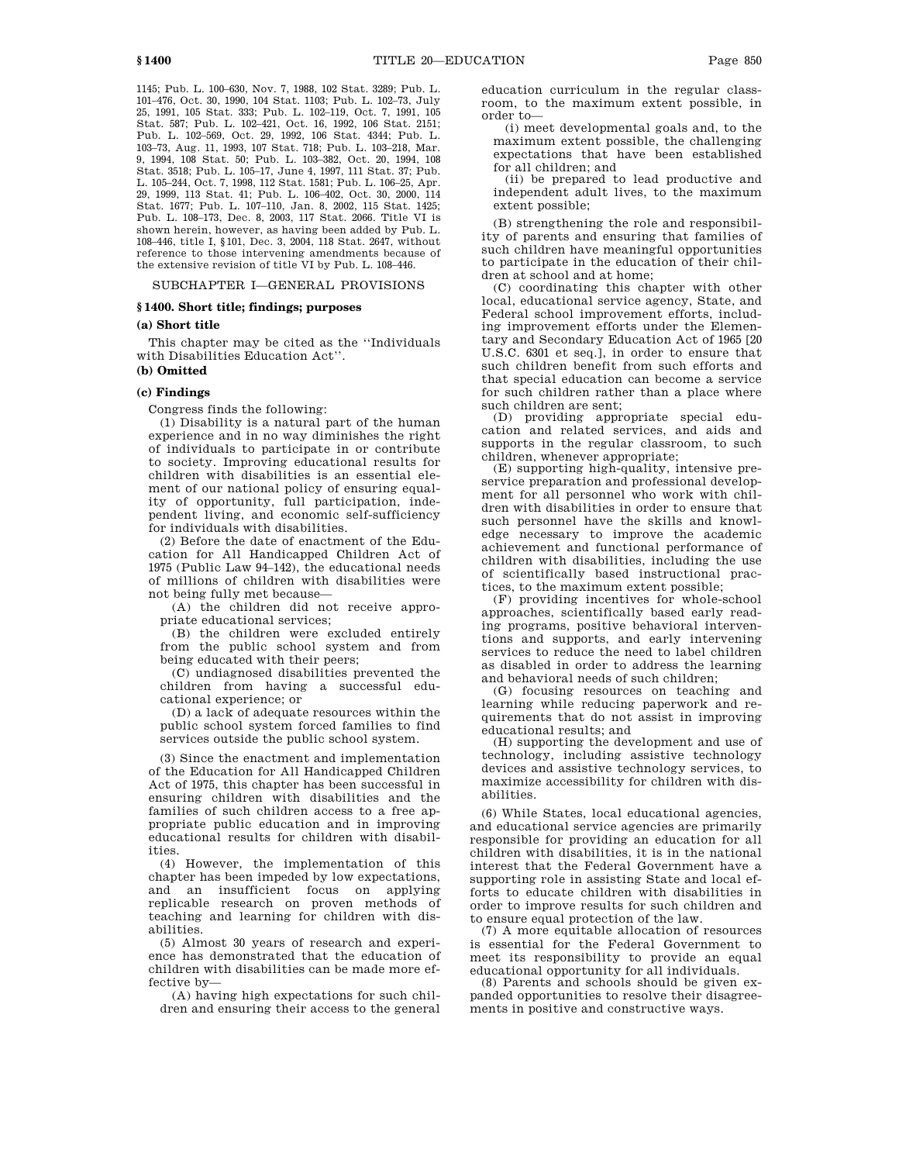1145; Pub. L. 100–630, Nov. 7, 1988, 102 Stat. 3289; Pub. L. 101–476, Oct. 30, 1990, 104 Stat. 1103; Pub. L. 102–73, July 25, 1991, 105 Stat. 333; Pub. L. 102–119, Oct. 7, 1991, 105 Stat. 587; Pub. L. 102–421, Oct. 16, 1992, 106 Stat. 2151; Pub. L. 102–569, Oct. 29, 1992, 106 Stat. 4344; Pub. L. 103–73, Aug. 11, 1993, 107 Stat. 718; Pub. L. 103–218, Mar. 9, 1994, 108 Stat. 50; Pub. L. 103–382, Oct. 20, 1994, 108 Stat. 3518; Pub. L. 105–17, June 4, 1997, 111 Stat. 37; Pub. L. 105–244, Oct. 7, 1998, 112 Stat. 1581; Pub. L. 106–25, Apr. 29, 1999, 113 Stat. 41; Pub. L. 106–402, Oct. 30, 2000, 114 Stat. 1677; Pub. L. 107–110, Jan. 8, 2002, 115 Stat. 1425; Pub. L. 108–173, Dec. 8, 2003, 117 Stat. 2066. Title VI is shown herein, however, as having been added by Pub. L. 108–446, title I, §101, Dec. 3, 2004, 118 Stat. 2647, without reference to those intervening amendments because of the extensive revision of title VI by Pub. L. 108–446.

SUBCHAPTER I—GENERAL PROVISIONS

#### **§ 1400. Short title; findings; purposes**

#### **(a) Short title**

This chapter may be cited as the ''Individuals with Disabilities Education Act''.

# **(b) Omitted**

## **(c) Findings**

Congress finds the following:

(1) Disability is a natural part of the human experience and in no way diminishes the right of individuals to participate in or contribute to society. Improving educational results for children with disabilities is an essential element of our national policy of ensuring equality of opportunity, full participation, independent living, and economic self-sufficiency for individuals with disabilities.

(2) Before the date of enactment of the Education for All Handicapped Children Act of 1975 (Public Law 94–142), the educational needs of millions of children with disabilities were not being fully met because—

(A) the children did not receive appropriate educational services;

(B) the children were excluded entirely from the public school system and from being educated with their peers;

(C) undiagnosed disabilities prevented the children from having a successful educational experience; or

(D) a lack of adequate resources within the public school system forced families to find services outside the public school system.

(3) Since the enactment and implementation of the Education for All Handicapped Children Act of 1975, this chapter has been successful in ensuring children with disabilities and the families of such children access to a free appropriate public education and in improving educational results for children with disabilities.

(4) However, the implementation of this chapter has been impeded by low expectations, and an insufficient focus on applying replicable research on proven methods of teaching and learning for children with disabilities.

(5) Almost 30 years of research and experience has demonstrated that the education of children with disabilities can be made more effective by—

(A) having high expectations for such children and ensuring their access to the general education curriculum in the regular classroom, to the maximum extent possible, in order to—

(i) meet developmental goals and, to the maximum extent possible, the challenging expectations that have been established for all children; and

(ii) be prepared to lead productive and independent adult lives, to the maximum extent possible;

(B) strengthening the role and responsibility of parents and ensuring that families of such children have meaningful opportunities to participate in the education of their children at school and at home;

(C) coordinating this chapter with other local, educational service agency, State, and Federal school improvement efforts, including improvement efforts under the Elementary and Secondary Education Act of 1965 [20 U.S.C. 6301 et seq.], in order to ensure that such children benefit from such efforts and that special education can become a service for such children rather than a place where such children are sent;

(D) providing appropriate special education and related services, and aids and supports in the regular classroom, to such children, whenever appropriate;

(E) supporting high-quality, intensive preservice preparation and professional development for all personnel who work with children with disabilities in order to ensure that such personnel have the skills and knowledge necessary to improve the academic achievement and functional performance of children with disabilities, including the use of scientifically based instructional practices, to the maximum extent possible;

(F) providing incentives for whole-school approaches, scientifically based early reading programs, positive behavioral interventions and supports, and early intervening services to reduce the need to label children as disabled in order to address the learning and behavioral needs of such children;

(G) focusing resources on teaching and learning while reducing paperwork and requirements that do not assist in improving educational results; and

(H) supporting the development and use of technology, including assistive technology devices and assistive technology services, to maximize accessibility for children with disabilities.

(6) While States, local educational agencies, and educational service agencies are primarily responsible for providing an education for all children with disabilities, it is in the national interest that the Federal Government have a supporting role in assisting State and local efforts to educate children with disabilities in order to improve results for such children and to ensure equal protection of the law.

(7) A more equitable allocation of resources is essential for the Federal Government to meet its responsibility to provide an equal educational opportunity for all individuals.

(8) Parents and schools should be given expanded opportunities to resolve their disagreements in positive and constructive ways.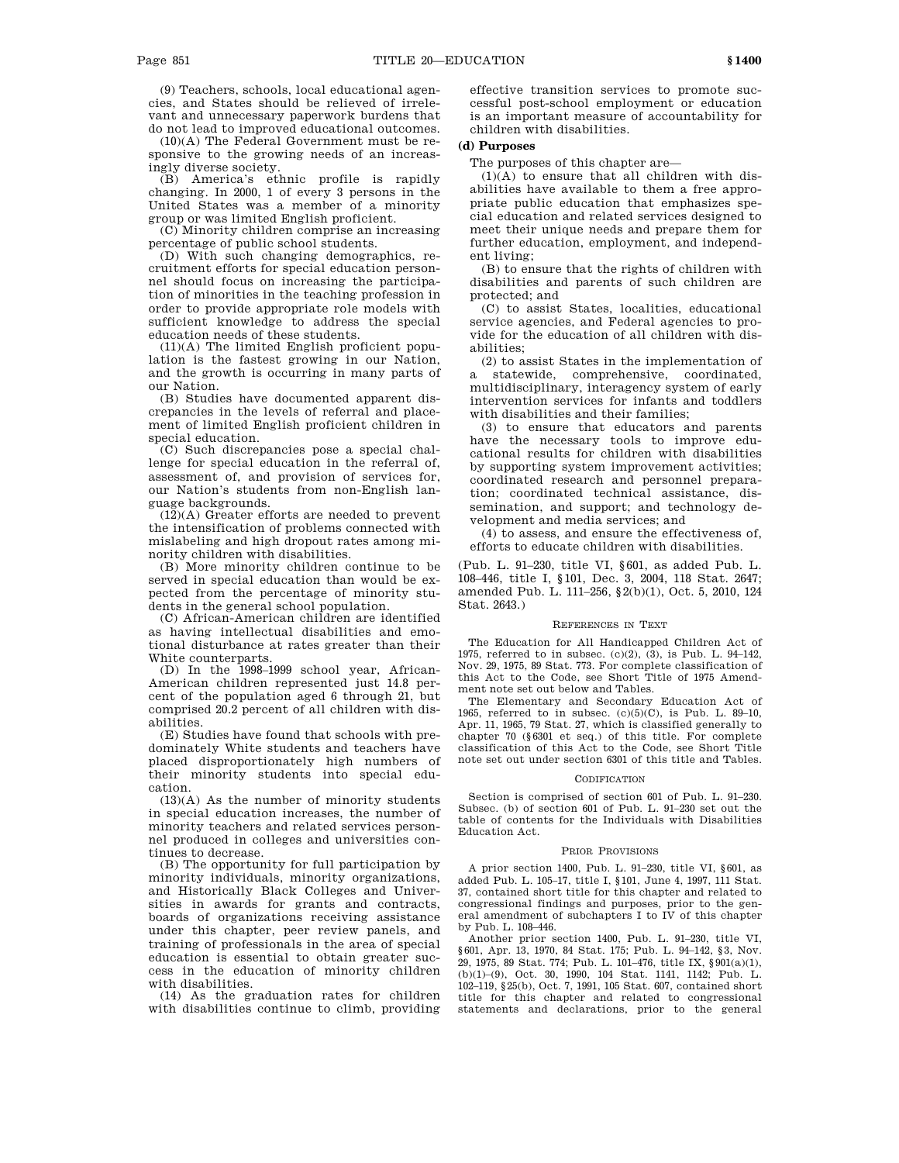(9) Teachers, schools, local educational agencies, and States should be relieved of irrelevant and unnecessary paperwork burdens that do not lead to improved educational outcomes.

(10)(A) The Federal Government must be responsive to the growing needs of an increasingly diverse society.

(B) America's ethnic profile is rapidly changing. In 2000, 1 of every 3 persons in the United States was a member of a minority group or was limited English proficient.

(C) Minority children comprise an increasing percentage of public school students.

(D) With such changing demographics, recruitment efforts for special education personnel should focus on increasing the participation of minorities in the teaching profession in order to provide appropriate role models with sufficient knowledge to address the special education needs of these students.

(11)(A) The limited English proficient population is the fastest growing in our Nation, and the growth is occurring in many parts of our Nation.

(B) Studies have documented apparent discrepancies in the levels of referral and placement of limited English proficient children in special education.

(C) Such discrepancies pose a special challenge for special education in the referral of, assessment of, and provision of services for, our Nation's students from non-English language backgrounds.

 $(12)(A)$  Greater efforts are needed to prevent the intensification of problems connected with mislabeling and high dropout rates among minority children with disabilities.

(B) More minority children continue to be served in special education than would be expected from the percentage of minority students in the general school population.

(C) African-American children are identified as having intellectual disabilities and emotional disturbance at rates greater than their White counterparts.

(D) In the 1998–1999 school year, African-American children represented just 14.8 percent of the population aged 6 through 21, but comprised 20.2 percent of all children with disabilities.

(E) Studies have found that schools with predominately White students and teachers have placed disproportionately high numbers of their minority students into special education.

(13)(A) As the number of minority students in special education increases, the number of minority teachers and related services personnel produced in colleges and universities continues to decrease.

(B) The opportunity for full participation by minority individuals, minority organizations, and Historically Black Colleges and Universities in awards for grants and contracts, boards of organizations receiving assistance under this chapter, peer review panels, and training of professionals in the area of special education is essential to obtain greater success in the education of minority children with disabilities.

(14) As the graduation rates for children with disabilities continue to climb, providing effective transition services to promote successful post-school employment or education is an important measure of accountability for children with disabilities.

# **(d) Purposes**

The purposes of this chapter are—

(1)(A) to ensure that all children with disabilities have available to them a free appropriate public education that emphasizes special education and related services designed to meet their unique needs and prepare them for further education, employment, and independent living;

(B) to ensure that the rights of children with disabilities and parents of such children are protected; and

(C) to assist States, localities, educational service agencies, and Federal agencies to provide for the education of all children with disabilities;

(2) to assist States in the implementation of a statewide, comprehensive, coordinated, multidisciplinary, interagency system of early intervention services for infants and toddlers with disabilities and their families;

(3) to ensure that educators and parents have the necessary tools to improve educational results for children with disabilities by supporting system improvement activities; coordinated research and personnel preparation; coordinated technical assistance, dissemination, and support; and technology development and media services; and

(4) to assess, and ensure the effectiveness of, efforts to educate children with disabilities.

(Pub. L. 91–230, title VI, §601, as added Pub. L. 108–446, title I, §101, Dec. 3, 2004, 118 Stat. 2647; amended Pub. L. 111–256, §2(b)(1), Oct. 5, 2010, 124 Stat. 2643.)

#### REFERENCES IN TEXT

The Education for All Handicapped Children Act of 1975, referred to in subsec. (c)(2), (3), is Pub. L. 94–142, Nov. 29, 1975, 89 Stat. 773. For complete classification of this Act to the Code, see Short Title of 1975 Amendment note set out below and Tables.

The Elementary and Secondary Education Act of 1965, referred to in subsec.  $(c)(5)(C)$ , is Pub. L. 89-10, Apr. 11, 1965, 79 Stat. 27, which is classified generally to chapter 70 (§6301 et seq.) of this title. For complete classification of this Act to the Code, see Short Title note set out under section 6301 of this title and Tables.

#### CODIFICATION

Section is comprised of section 601 of Pub. L. 91–230. Subsec. (b) of section 601 of Pub. L. 91–230 set out the table of contents for the Individuals with Disabilities Education Act.

#### PRIOR PROVISIONS

A prior section 1400, Pub. L. 91–230, title VI, §601, as added Pub. L. 105–17, title I, §101, June 4, 1997, 111 Stat. 37, contained short title for this chapter and related to congressional findings and purposes, prior to the general amendment of subchapters I to IV of this chapter by Pub. L. 108–446.

Another prior section 1400, Pub. L. 91–230, title VI, §601, Apr. 13, 1970, 84 Stat. 175; Pub. L. 94–142, §3, Nov. 29, 1975, 89 Stat. 774; Pub. L. 101–476, title IX, §901(a)(1), (b)(1)–(9), Oct. 30, 1990, 104 Stat. 1141, 1142; Pub. L. 102–119, §25(b), Oct. 7, 1991, 105 Stat. 607, contained short title for this chapter and related to congressional statements and declarations, prior to the general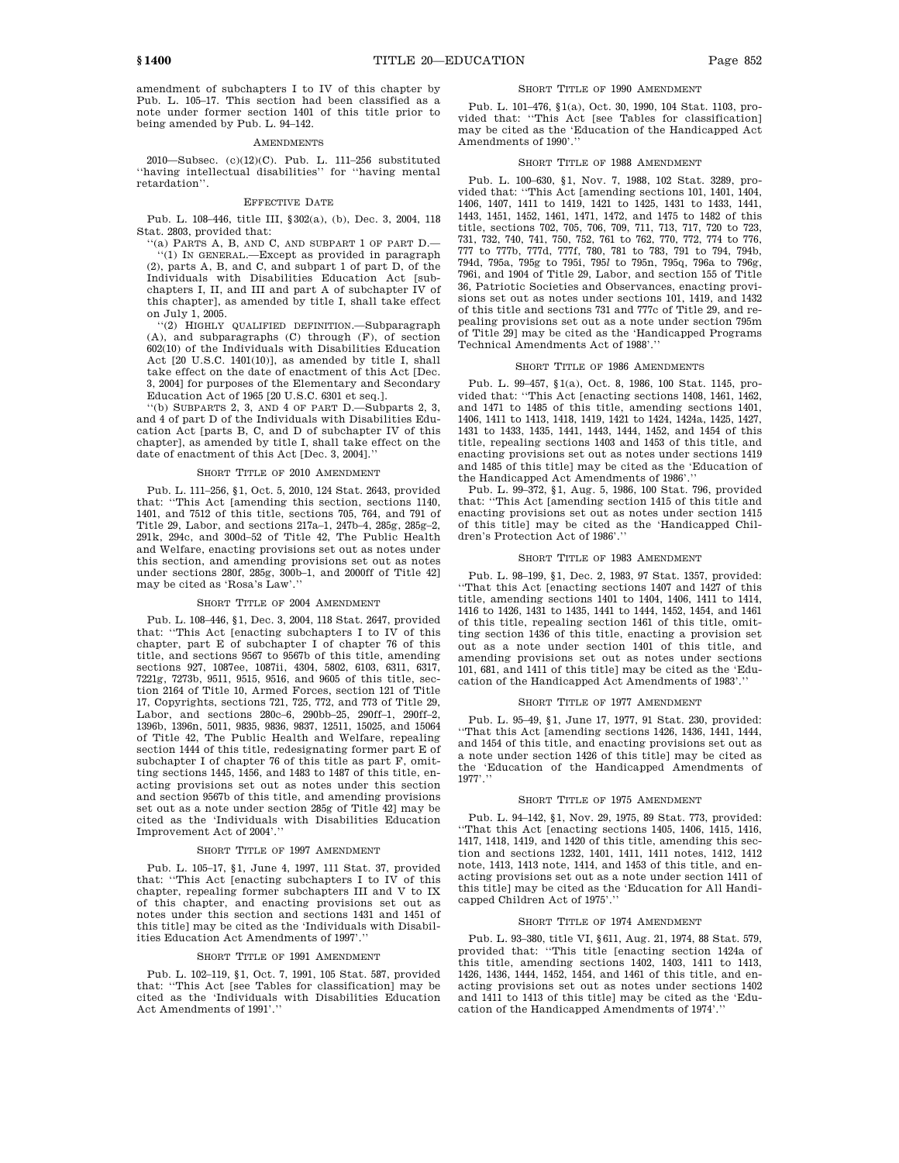amendment of subchapters I to IV of this chapter by Pub. L. 105–17. This section had been classified as a note under former section 1401 of this title prior to being amended by Pub. L. 94–142.

#### **AMENDMENTS**

2010—Subsec. (c)(12)(C). Pub. L. 111–256 substituted ''having intellectual disabilities'' for ''having mental retardation''.

## EFFECTIVE DATE

Pub. L. 108–446, title III, §302(a), (b), Dec. 3, 2004, 118 Stat. 2803, provided that:

''(a) PARTS A, B, AND C, AND SUBPART 1 OF PART D.—

''(1) IN GENERAL.—Except as provided in paragraph (2), parts A, B, and C, and subpart 1 of part D, of the Individuals with Disabilities Education Act [subchapters I, II, and III and part A of subchapter IV of this chapter], as amended by title I, shall take effect on July 1, 2005.

''(2) HIGHLY QUALIFIED DEFINITION.—Subparagraph (A), and subparagraphs (C) through (F), of section 602(10) of the Individuals with Disabilities Education Act [20 U.S.C. 1401(10)], as amended by title I, shall take effect on the date of enactment of this Act [Dec. 3, 2004] for purposes of the Elementary and Secondary Education Act of 1965 [20 U.S.C. 6301 et seq.].

''(b) SUBPARTS 2, 3, AND 4 OF PART D.—Subparts 2, 3, and 4 of part D of the Individuals with Disabilities Education Act [parts B, C, and D of subchapter IV of this chapter], as amended by title I, shall take effect on the date of enactment of this Act [Dec. 3, 2004].'

#### SHORT TITLE OF 2010 AMENDMENT

Pub. L. 111–256, §1, Oct. 5, 2010, 124 Stat. 2643, provided that: ''This Act [amending this section, sections 1140, 1401, and 7512 of this title, sections 705, 764, and 791 of Title 29, Labor, and sections 217a–1, 247b–4, 285g, 285g–2, 291k, 294c, and 300d–52 of Title 42, The Public Health and Welfare, enacting provisions set out as notes under this section, and amending provisions set out as notes under sections 280f, 285g, 300b–1, and 2000ff of Title 42] may be cited as 'Rosa's Law'.''

#### SHORT TITLE OF 2004 AMENDMENT

Pub. L. 108–446, §1, Dec. 3, 2004, 118 Stat. 2647, provided that: ''This Act [enacting subchapters I to IV of this chapter, part E of subchapter I of chapter 76 of this title, and sections 9567 to 9567b of this title, amending sections 927, 1087ee, 1087ii, 4304, 5802, 6103, 6311, 6317, 7221g, 7273b, 9511, 9515, 9516, and 9605 of this title, section 2164 of Title 10, Armed Forces, section 121 of Title 17, Copyrights, sections 721, 725, 772, and 773 of Title 29, Labor, and sections 280c–6, 290bb–25, 290ff–1, 290ff–2, 1396b, 1396n, 5011, 9835, 9836, 9837, 12511, 15025, and 15064 of Title 42, The Public Health and Welfare, repealing section 1444 of this title, redesignating former part E of subchapter I of chapter 76 of this title as part F, omitting sections 1445, 1456, and 1483 to 1487 of this title, enacting provisions set out as notes under this section and section 9567b of this title, and amending provisions set out as a note under section 285g of Title 42] may be cited as the 'Individuals with Disabilities Education Improvement Act of 2004'.''

#### SHORT TITLE OF 1997 AMENDMENT

Pub. L. 105–17, §1, June 4, 1997, 111 Stat. 37, provided that: ''This Act [enacting subchapters I to IV of this chapter, repealing former subchapters III and V to IX of this chapter, and enacting provisions set out as notes under this section and sections 1431 and 1451 of this title] may be cited as the 'Individuals with Disabilities Education Act Amendments of 1997'.

#### SHORT TITLE OF 1991 AMENDMENT

Pub. L. 102–119, §1, Oct. 7, 1991, 105 Stat. 587, provided that: ''This Act [see Tables for classification] may be cited as the 'Individuals with Disabilities Education Act Amendments of 1991'.''

#### SHORT TITLE OF 1990 AMENDMENT

Pub. L. 101–476, §1(a), Oct. 30, 1990, 104 Stat. 1103, provided that: ''This Act [see Tables for classification] may be cited as the 'Education of the Handicapped Act Amendments of 1990'.''

#### SHORT TITLE OF 1988 AMENDMENT

Pub. L. 100–630, §1, Nov. 7, 1988, 102 Stat. 3289, provided that: ''This Act [amending sections 101, 1401, 1404, 1406, 1407, 1411 to 1419, 1421 to 1425, 1431 to 1433, 1441, 1443, 1451, 1452, 1461, 1471, 1472, and 1475 to 1482 of this title, sections 702, 705, 706, 709, 711, 713, 717, 720 to 723, 731, 732, 740, 741, 750, 752, 761 to 762, 770, 772, 774 to 776, 777 to 777b, 777d, 777f, 780, 781 to 783, 791 to 794, 794b, 794d, 795a, 795g to 795i, 795*l* to 795n, 795q, 796a to 796g, 796i, and 1904 of Title 29, Labor, and section 155 of Title 36, Patriotic Societies and Observances, enacting provisions set out as notes under sections 101, 1419, and 1432 of this title and sections 731 and 777c of Title 29, and repealing provisions set out as a note under section 795m of Title 29] may be cited as the 'Handicapped Programs Technical Amendments Act of 1988'.''

#### SHORT TITLE OF 1986 AMENDMENTS

Pub. L. 99–457, §1(a), Oct. 8, 1986, 100 Stat. 1145, provided that: ''This Act [enacting sections 1408, 1461, 1462, and 1471 to 1485 of this title, amending sections 1401, 1406, 1411 to 1413, 1418, 1419, 1421 to 1424, 1424a, 1425, 1427, 1431 to 1433, 1435, 1441, 1443, 1444, 1452, and 1454 of this title, repealing sections 1403 and 1453 of this title, and enacting provisions set out as notes under sections 1419 and 1485 of this title] may be cited as the 'Education of the Handicapped Act Amendments of 1986'.''

Pub. L. 99–372, §1, Aug. 5, 1986, 100 Stat. 796, provided that: ''This Act [amending section 1415 of this title and enacting provisions set out as notes under section 1415 of this title] may be cited as the 'Handicapped Children's Protection Act of 1986'.''

#### SHORT TITLE OF 1983 AMENDMENT

Pub. L. 98–199, §1, Dec. 2, 1983, 97 Stat. 1357, provided: ''That this Act [enacting sections 1407 and 1427 of this title, amending sections 1401 to 1404, 1406, 1411 to 1414, 1416 to 1426, 1431 to 1435, 1441 to 1444, 1452, 1454, and 1461 of this title, repealing section 1461 of this title, omitting section 1436 of this title, enacting a provision set out as a note under section 1401 of this title, and amending provisions set out as notes under sections 101, 681, and 1411 of this title] may be cited as the 'Education of the Handicapped Act Amendments of 1983'.''

#### SHORT TITLE OF 1977 AMENDMENT

Pub. L. 95–49, §1, June 17, 1977, 91 Stat. 230, provided: ''That this Act [amending sections 1426, 1436, 1441, 1444, and 1454 of this title, and enacting provisions set out as a note under section 1426 of this title] may be cited as the 'Education of the Handicapped Amendments of 1977'.''

#### SHORT TITLE OF 1975 AMENDMENT

Pub. L. 94–142, §1, Nov. 29, 1975, 89 Stat. 773, provided: ''That this Act [enacting sections 1405, 1406, 1415, 1416, 1417, 1418, 1419, and 1420 of this title, amending this section and sections 1232, 1401, 1411, 1411 notes, 1412, 1412 note, 1413, 1413 note, 1414, and 1453 of this title, and enacting provisions set out as a note under section 1411 of this title] may be cited as the 'Education for All Handicapped Children Act of 1975'.

#### SHORT TITLE OF 1974 AMENDMENT

Pub. L. 93–380, title VI, §611, Aug. 21, 1974, 88 Stat. 579, provided that: ''This title [enacting section 1424a of this title, amending sections 1402, 1403, 1411 to 1413, 1426, 1436, 1444, 1452, 1454, and 1461 of this title, and enacting provisions set out as notes under sections 1402 and 1411 to 1413 of this title] may be cited as the 'Education of the Handicapped Amendments of 1974'.''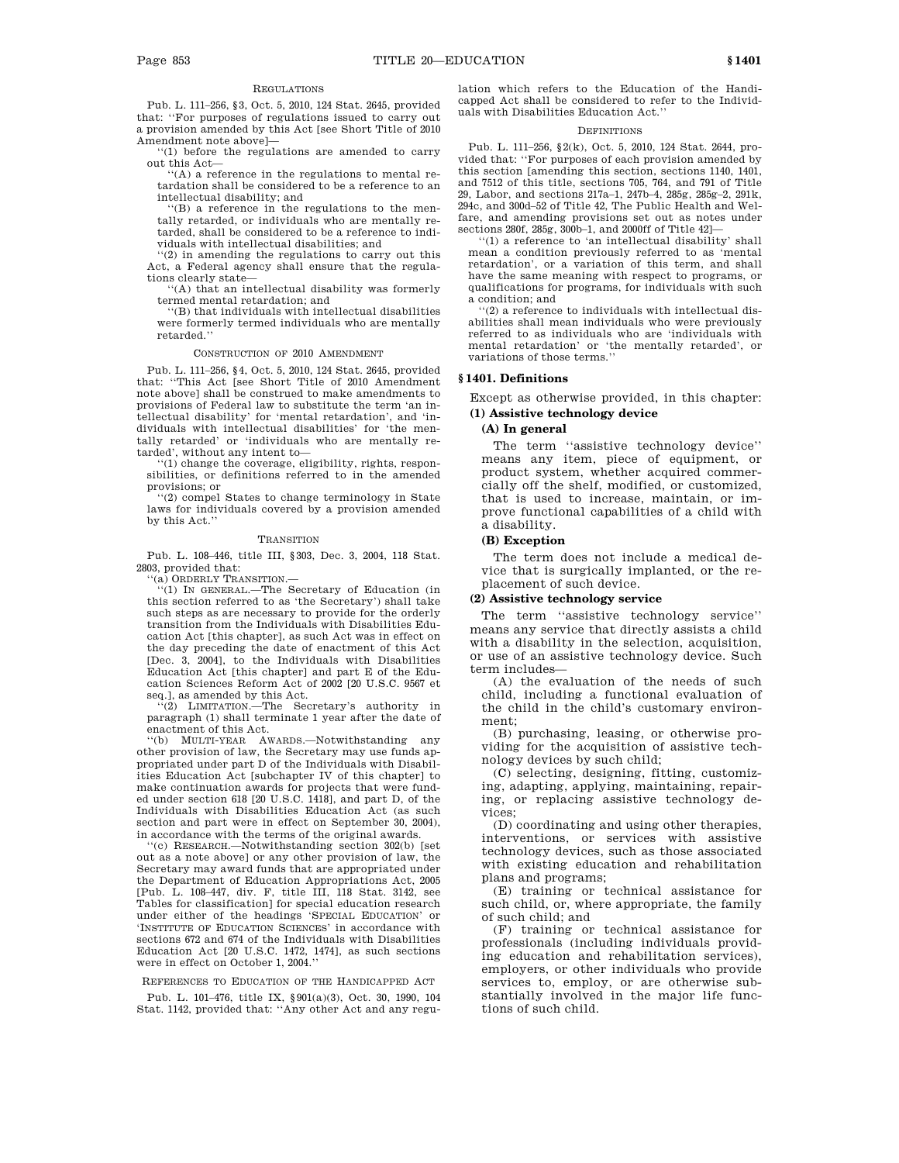#### REGULATIONS

Pub. L. 111–256, §3, Oct. 5, 2010, 124 Stat. 2645, provided that: ''For purposes of regulations issued to carry out a provision amended by this Act [see Short Title of 2010 Amendment note above]—

 $(1)$  before the regulations are amended to carry out this Act—

''(A) a reference in the regulations to mental retardation shall be considered to be a reference to an intellectual disability; and

(B) a reference in the regulations to the mentally retarded, or individuals who are mentally retarded, shall be considered to be a reference to individuals with intellectual disabilities; and

''(2) in amending the regulations to carry out this Act, a Federal agency shall ensure that the regulations clearly state—

''(A) that an intellectual disability was formerly termed mental retardation; and

'(B) that individuals with intellectual disabilities were formerly termed individuals who are mentally retarded.''

#### CONSTRUCTION OF 2010 AMENDMENT

Pub. L. 111–256, §4, Oct. 5, 2010, 124 Stat. 2645, provided that: ''This Act [see Short Title of 2010 Amendment note above] shall be construed to make amendments to provisions of Federal law to substitute the term 'an intellectual disability' for 'mental retardation', and 'individuals with intellectual disabilities' for 'the mentally retarded' or 'individuals who are mentally retarded', without any intent to—

''(1) change the coverage, eligibility, rights, responsibilities, or definitions referred to in the amended provisions; or

''(2) compel States to change terminology in State laws for individuals covered by a provision amended by this Act.''

#### TRANSITION

Pub. L. 108–446, title III, §303, Dec. 3, 2004, 118 Stat. 2803, provided that:

'(a) ORDERLY TRANSITION.

''(1) IN GENERAL.—The Secretary of Education (in this section referred to as 'the Secretary') shall take such steps as are necessary to provide for the orderly transition from the Individuals with Disabilities Education Act [this chapter], as such Act was in effect on the day preceding the date of enactment of this Act [Dec. 3, 2004], to the Individuals with Disabilities Education Act [this chapter] and part E of the Education Sciences Reform Act of 2002 [20 U.S.C. 9567 et seq.], as amended by this Act.

''(2) LIMITATION.—The Secretary's authority in paragraph (1) shall terminate 1 year after the date of enactment of this Act.

''(b) MULTI-YEAR AWARDS.—Notwithstanding any other provision of law, the Secretary may use funds appropriated under part D of the Individuals with Disabilities Education Act [subchapter IV of this chapter] to make continuation awards for projects that were funded under section 618 [20 U.S.C. 1418], and part D, of the Individuals with Disabilities Education Act (as such section and part were in effect on September 30, 2004), in accordance with the terms of the original awards.

''(c) RESEARCH.—Notwithstanding section 302(b) [set out as a note above] or any other provision of law, the Secretary may award funds that are appropriated under the Department of Education Appropriations Act, 2005 [Pub. L. 108–447, div. F, title III, 118 Stat. 3142, see Tables for classification] for special education research under either of the headings 'SPECIAL EDUCATION' or 'INSTITUTE OF EDUCATION SCIENCES' in accordance with sections 672 and 674 of the Individuals with Disabilities Education Act [20 U.S.C. 1472, 1474], as such sections were in effect on October 1, 2004.''

#### REFERENCES TO EDUCATION OF THE HANDICAPPED ACT

Pub. L. 101–476, title IX, §901(a)(3), Oct. 30, 1990, 104 Stat. 1142, provided that: ''Any other Act and any regulation which refers to the Education of the Handicapped Act shall be considered to refer to the Individuals with Disabilities Education Act.''

#### **DEFINITIONS**

Pub. L. 111–256, §2(k), Oct. 5, 2010, 124 Stat. 2644, provided that: ''For purposes of each provision amended by this section [amending this section, sections 1140, 1401, and 7512 of this title, sections 705, 764, and 791 of Title 29, Labor, and sections 217a–1, 247b–4, 285g, 285g–2, 291k, 294c, and 300d–52 of Title 42, The Public Health and Welfare, and amending provisions set out as notes under sections 280f, 285g, 300b–1, and 2000ff of Title 42]—

'(1) a reference to 'an intellectual disability' shall mean a condition previously referred to as 'mental retardation', or a variation of this term, and shall have the same meaning with respect to programs, or qualifications for programs, for individuals with such a condition; and

 $'(2)$  a reference to individuals with intellectual disabilities shall mean individuals who were previously referred to as individuals who are 'individuals with mental retardation' or 'the mentally retarded', or variations of those terms.''

#### **§ 1401. Definitions**

Except as otherwise provided, in this chapter: **(1) Assistive technology device**

# **(A) In general**

The term "assistive technology device" means any item, piece of equipment, or product system, whether acquired commercially off the shelf, modified, or customized, that is used to increase, maintain, or improve functional capabilities of a child with a disability.

## **(B) Exception**

The term does not include a medical device that is surgically implanted, or the replacement of such device.

#### **(2) Assistive technology service**

The term ''assistive technology service'' means any service that directly assists a child with a disability in the selection, acquisition, or use of an assistive technology device. Such term includes—

(A) the evaluation of the needs of such child, including a functional evaluation of the child in the child's customary environment;

(B) purchasing, leasing, or otherwise providing for the acquisition of assistive technology devices by such child;

(C) selecting, designing, fitting, customizing, adapting, applying, maintaining, repairing, or replacing assistive technology devices;

(D) coordinating and using other therapies, interventions, or services with assistive technology devices, such as those associated with existing education and rehabilitation plans and programs;

(E) training or technical assistance for such child, or, where appropriate, the family of such child; and

(F) training or technical assistance for professionals (including individuals providing education and rehabilitation services), employers, or other individuals who provide services to, employ, or are otherwise substantially involved in the major life functions of such child.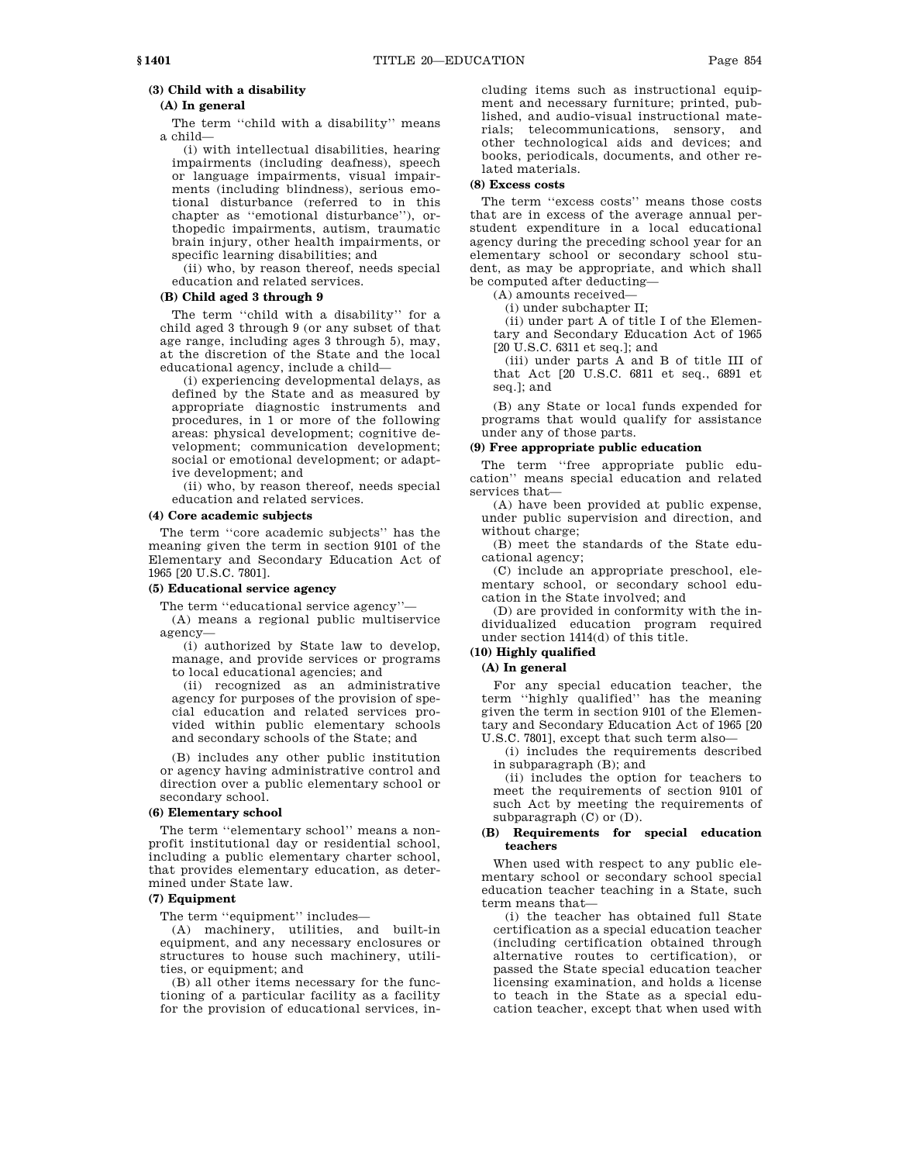# **(3) Child with a disability**

# **(A) In general**

The term ''child with a disability'' means a child—

(i) with intellectual disabilities, hearing impairments (including deafness), speech or language impairments, visual impairments (including blindness), serious emotional disturbance (referred to in this chapter as ''emotional disturbance''), orthopedic impairments, autism, traumatic brain injury, other health impairments, or specific learning disabilities; and

(ii) who, by reason thereof, needs special education and related services.

# **(B) Child aged 3 through 9**

The term ''child with a disability'' for a child aged 3 through 9 (or any subset of that age range, including ages 3 through 5), may, at the discretion of the State and the local educational agency, include a child—

(i) experiencing developmental delays, as defined by the State and as measured by appropriate diagnostic instruments and procedures, in 1 or more of the following areas: physical development; cognitive development; communication development; social or emotional development; or adaptive development; and

(ii) who, by reason thereof, needs special education and related services.

#### **(4) Core academic subjects**

The term ''core academic subjects'' has the meaning given the term in section 9101 of the Elementary and Secondary Education Act of 1965 [20 U.S.C. 7801].

#### **(5) Educational service agency**

The term ''educational service agency''—

(A) means a regional public multiservice agency—

(i) authorized by State law to develop, manage, and provide services or programs to local educational agencies; and

(ii) recognized as an administrative agency for purposes of the provision of special education and related services provided within public elementary schools and secondary schools of the State; and

(B) includes any other public institution or agency having administrative control and direction over a public elementary school or secondary school.

# **(6) Elementary school**

The term ''elementary school'' means a nonprofit institutional day or residential school, including a public elementary charter school, that provides elementary education, as determined under State law.

#### **(7) Equipment**

The term "equipment" includes—

(A) machinery, utilities, and built-in equipment, and any necessary enclosures or structures to house such machinery, utilities, or equipment; and

(B) all other items necessary for the functioning of a particular facility as a facility for the provision of educational services, including items such as instructional equipment and necessary furniture; printed, published, and audio-visual instructional materials; telecommunications, sensory, and other technological aids and devices; and books, periodicals, documents, and other related materials.

#### **(8) Excess costs**

The term ''excess costs'' means those costs that are in excess of the average annual perstudent expenditure in a local educational agency during the preceding school year for an elementary school or secondary school student, as may be appropriate, and which shall be computed after deducting—

(A) amounts received—

(i) under subchapter II;

(ii) under part A of title I of the Elementary and Secondary Education Act of 1965 [20 U.S.C. 6311 et seq.]; and

(iii) under parts A and B of title III of that Act [20 U.S.C. 6811 et seq., 6891 et seq.]; and

(B) any State or local funds expended for programs that would qualify for assistance under any of those parts.

# **(9) Free appropriate public education**

The term ''free appropriate public education'' means special education and related services that—

(A) have been provided at public expense, under public supervision and direction, and without charge;

(B) meet the standards of the State educational agency;

(C) include an appropriate preschool, elementary school, or secondary school education in the State involved; and

(D) are provided in conformity with the individualized education program required under section 1414(d) of this title.

# **(10) Highly qualified**

#### **(A) In general**

For any special education teacher, the term ''highly qualified'' has the meaning given the term in section 9101 of the Elementary and Secondary Education Act of 1965 [20 U.S.C. 7801], except that such term also—

(i) includes the requirements described in subparagraph (B); and

(ii) includes the option for teachers to meet the requirements of section 9101 of such Act by meeting the requirements of subparagraph (C) or (D).

## **(B) Requirements for special education teachers**

When used with respect to any public elementary school or secondary school special education teacher teaching in a State, such term means that—

(i) the teacher has obtained full State certification as a special education teacher (including certification obtained through alternative routes to certification), or passed the State special education teacher licensing examination, and holds a license to teach in the State as a special education teacher, except that when used with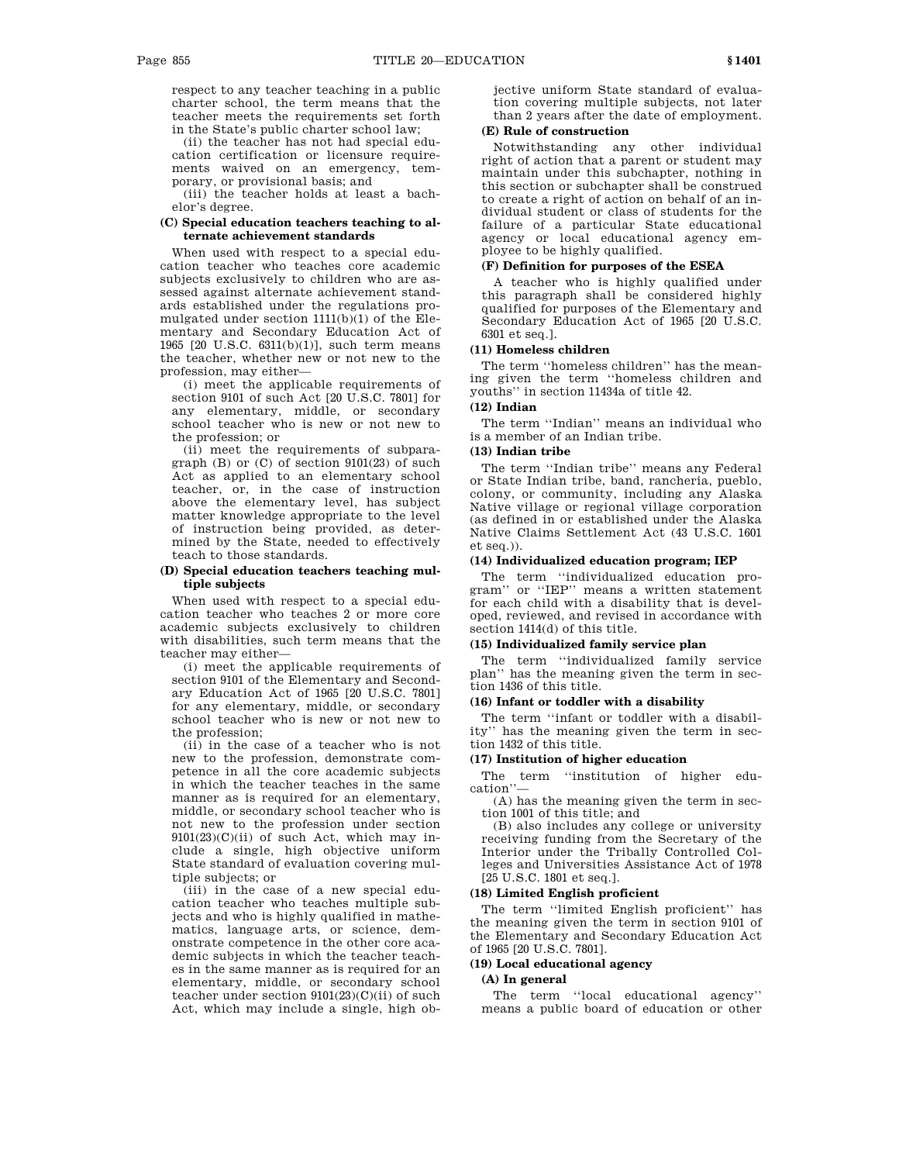respect to any teacher teaching in a public charter school, the term means that the teacher meets the requirements set forth in the State's public charter school law;

(ii) the teacher has not had special education certification or licensure requirements waived on an emergency, temporary, or provisional basis; and

(iii) the teacher holds at least a bachelor's degree.

#### **(C) Special education teachers teaching to alternate achievement standards**

When used with respect to a special education teacher who teaches core academic subjects exclusively to children who are assessed against alternate achievement standards established under the regulations promulgated under section 1111(b)(1) of the Elementary and Secondary Education Act of 1965 [20 U.S.C. 6311(b)(1)], such term means the teacher, whether new or not new to the profession, may either—

(i) meet the applicable requirements of section 9101 of such Act [20 U.S.C. 7801] for any elementary, middle, or secondary school teacher who is new or not new to the profession; or

(ii) meet the requirements of subparagraph  $(B)$  or  $(C)$  of section 9101 $(23)$  of such Act as applied to an elementary school teacher, or, in the case of instruction above the elementary level, has subject matter knowledge appropriate to the level of instruction being provided, as determined by the State, needed to effectively teach to those standards.

# **(D) Special education teachers teaching multiple subjects**

When used with respect to a special education teacher who teaches 2 or more core academic subjects exclusively to children with disabilities, such term means that the teacher may either—

(i) meet the applicable requirements of section 9101 of the Elementary and Secondary Education Act of 1965 [20 U.S.C. 7801] for any elementary, middle, or secondary school teacher who is new or not new to the profession;

(ii) in the case of a teacher who is not new to the profession, demonstrate competence in all the core academic subjects in which the teacher teaches in the same manner as is required for an elementary, middle, or secondary school teacher who is not new to the profession under section  $9101(23)(C)(ii)$  of such Act, which may include a single, high objective uniform State standard of evaluation covering multiple subjects; or

(iii) in the case of a new special education teacher who teaches multiple subjects and who is highly qualified in mathematics, language arts, or science, demonstrate competence in the other core academic subjects in which the teacher teaches in the same manner as is required for an elementary, middle, or secondary school teacher under section  $9101(23)(C)(ii)$  of such Act, which may include a single, high objective uniform State standard of evaluation covering multiple subjects, not later than 2 years after the date of employment.

# **(E) Rule of construction**

Notwithstanding any other individual right of action that a parent or student may maintain under this subchapter, nothing in this section or subchapter shall be construed to create a right of action on behalf of an individual student or class of students for the failure of a particular State educational agency or local educational agency employee to be highly qualified.

#### **(F) Definition for purposes of the ESEA**

A teacher who is highly qualified under this paragraph shall be considered highly qualified for purposes of the Elementary and Secondary Education Act of 1965 [20 U.S.C. 6301 et seq.].

## **(11) Homeless children**

The term ''homeless children'' has the meaning given the term ''homeless children and youths'' in section 11434a of title 42.

# **(12) Indian**

The term ''Indian'' means an individual who is a member of an Indian tribe.

# **(13) Indian tribe**

The term ''Indian tribe'' means any Federal or State Indian tribe, band, rancheria, pueblo, colony, or community, including any Alaska Native village or regional village corporation (as defined in or established under the Alaska Native Claims Settlement Act (43 U.S.C. 1601 et seq.)).

#### **(14) Individualized education program; IEP**

The term ''individualized education program'' or ''IEP'' means a written statement for each child with a disability that is developed, reviewed, and revised in accordance with section 1414(d) of this title.

# **(15) Individualized family service plan**

The term ''individualized family service plan'' has the meaning given the term in section 1436 of this title.

## **(16) Infant or toddler with a disability**

The term ''infant or toddler with a disability'' has the meaning given the term in section 1432 of this title.

## **(17) Institution of higher education**

The term "institution of higher education''—

(A) has the meaning given the term in section 1001 of this title; and

(B) also includes any college or university receiving funding from the Secretary of the Interior under the Tribally Controlled Colleges and Universities Assistance Act of 1978 [25 U.S.C. 1801 et seq.].

## **(18) Limited English proficient**

The term ''limited English proficient'' has the meaning given the term in section 9101 of the Elementary and Secondary Education Act of 1965 [20 U.S.C. 7801].

#### **(19) Local educational agency**

# **(A) In general**

The term "local educational agency" means a public board of education or other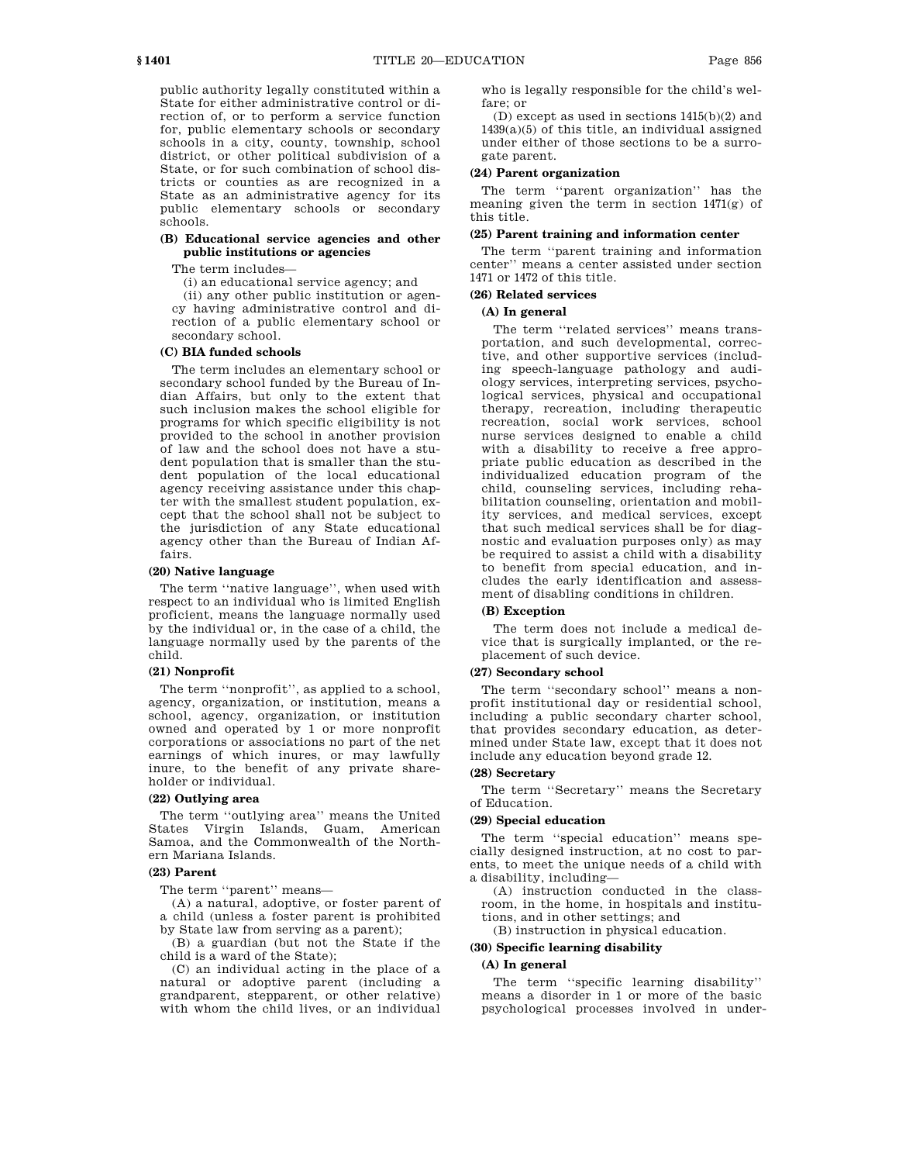public authority legally constituted within a State for either administrative control or direction of, or to perform a service function for, public elementary schools or secondary schools in a city, county, township, school district, or other political subdivision of a State, or for such combination of school districts or counties as are recognized in a State as an administrative agency for its public elementary schools or secondary schools.

## **(B) Educational service agencies and other public institutions or agencies**

The term includes—

(i) an educational service agency; and

(ii) any other public institution or agency having administrative control and direction of a public elementary school or secondary school.

#### **(C) BIA funded schools**

The term includes an elementary school or secondary school funded by the Bureau of Indian Affairs, but only to the extent that such inclusion makes the school eligible for programs for which specific eligibility is not provided to the school in another provision of law and the school does not have a student population that is smaller than the student population of the local educational agency receiving assistance under this chapter with the smallest student population, except that the school shall not be subject to the jurisdiction of any State educational agency other than the Bureau of Indian Affairs.

# **(20) Native language**

The term ''native language'', when used with respect to an individual who is limited English proficient, means the language normally used by the individual or, in the case of a child, the language normally used by the parents of the child.

# **(21) Nonprofit**

The term ''nonprofit'', as applied to a school, agency, organization, or institution, means a school, agency, organization, or institution owned and operated by 1 or more nonprofit corporations or associations no part of the net earnings of which inures, or may lawfully inure, to the benefit of any private shareholder or individual.

# **(22) Outlying area**

The term ''outlying area'' means the United States Virgin Islands, Guam, American Samoa, and the Commonwealth of the Northern Mariana Islands.

# **(23) Parent**

The term ''parent'' means—

(A) a natural, adoptive, or foster parent of a child (unless a foster parent is prohibited by State law from serving as a parent);

(B) a guardian (but not the State if the child is a ward of the State);

(C) an individual acting in the place of a natural or adoptive parent (including a grandparent, stepparent, or other relative) with whom the child lives, or an individual

who is legally responsible for the child's welfare; or

(D) except as used in sections 1415(b)(2) and  $1439(a)(5)$  of this title, an individual assigned under either of those sections to be a surrogate parent.

#### **(24) Parent organization**

The term ''parent organization'' has the meaning given the term in section 1471(g) of this title.

# **(25) Parent training and information center**

The term ''parent training and information center'' means a center assisted under section 1471 or 1472 of this title.

# **(26) Related services**

# **(A) In general**

The term ''related services'' means transportation, and such developmental, corrective, and other supportive services (including speech-language pathology and audiology services, interpreting services, psychological services, physical and occupational therapy, recreation, including therapeutic recreation, social work services, school nurse services designed to enable a child with a disability to receive a free appropriate public education as described in the individualized education program of the child, counseling services, including rehabilitation counseling, orientation and mobility services, and medical services, except that such medical services shall be for diagnostic and evaluation purposes only) as may be required to assist a child with a disability to benefit from special education, and includes the early identification and assessment of disabling conditions in children.

#### **(B) Exception**

The term does not include a medical device that is surgically implanted, or the replacement of such device.

# **(27) Secondary school**

The term ''secondary school'' means a nonprofit institutional day or residential school, including a public secondary charter school, that provides secondary education, as determined under State law, except that it does not include any education beyond grade 12.

## **(28) Secretary**

The term ''Secretary'' means the Secretary of Education.

# **(29) Special education**

The term ''special education'' means specially designed instruction, at no cost to parents, to meet the unique needs of a child with a disability, including—

(A) instruction conducted in the classroom, in the home, in hospitals and institutions, and in other settings; and

(B) instruction in physical education.

# **(30) Specific learning disability**

#### **(A) In general**

The term ''specific learning disability'' means a disorder in 1 or more of the basic psychological processes involved in under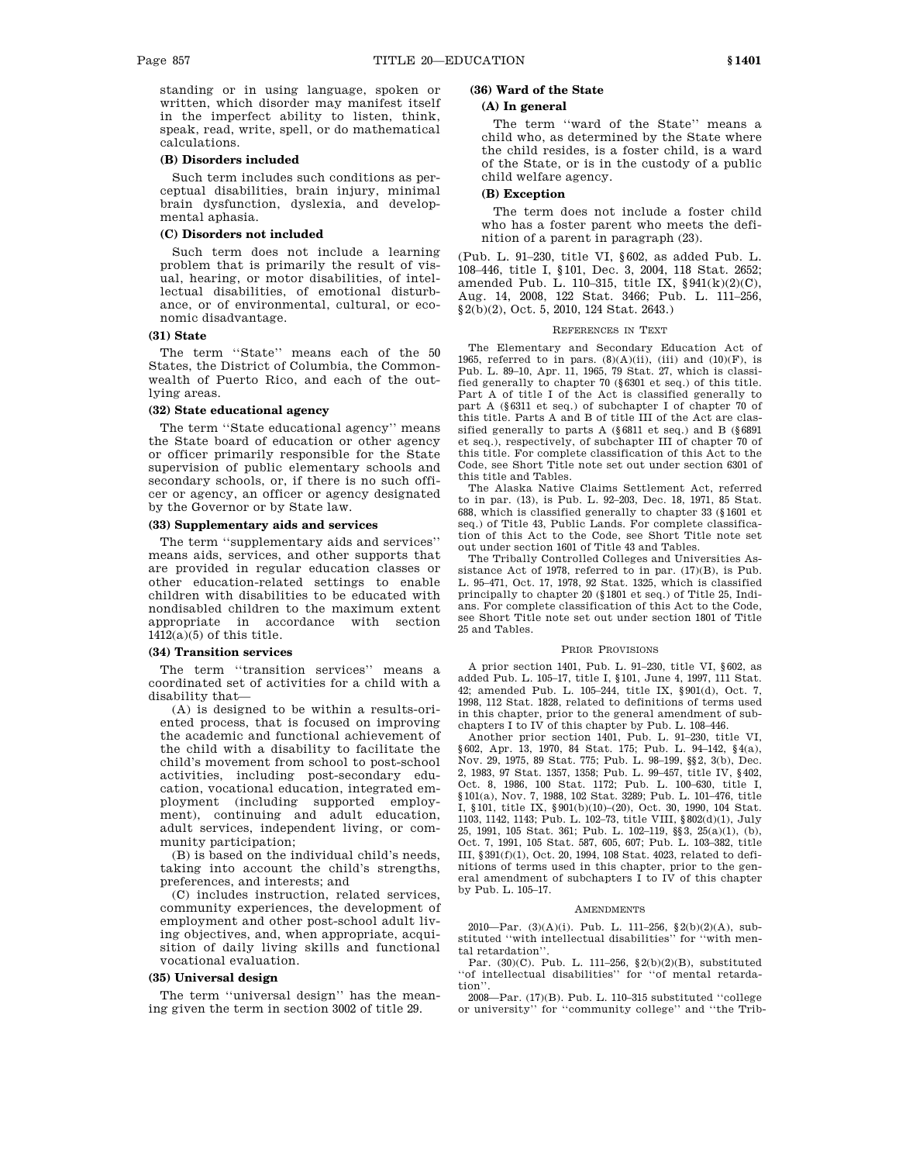standing or in using language, spoken or written, which disorder may manifest itself in the imperfect ability to listen, think, speak, read, write, spell, or do mathematical calculations.

#### **(B) Disorders included**

Such term includes such conditions as perceptual disabilities, brain injury, minimal brain dysfunction, dyslexia, and developmental aphasia.

#### **(C) Disorders not included**

Such term does not include a learning problem that is primarily the result of visual, hearing, or motor disabilities, of intellectual disabilities, of emotional disturbance, or of environmental, cultural, or economic disadvantage.

## **(31) State**

The term ''State'' means each of the 50 States, the District of Columbia, the Commonwealth of Puerto Rico, and each of the outlying areas.

## **(32) State educational agency**

The term ''State educational agency'' means the State board of education or other agency or officer primarily responsible for the State supervision of public elementary schools and secondary schools, or, if there is no such officer or agency, an officer or agency designated by the Governor or by State law.

# **(33) Supplementary aids and services**

The term ''supplementary aids and services'' means aids, services, and other supports that are provided in regular education classes or other education-related settings to enable children with disabilities to be educated with nondisabled children to the maximum extent appropriate in accordance with section  $1412(a)(5)$  of this title.

## **(34) Transition services**

The term ''transition services'' means a coordinated set of activities for a child with a disability that—

(A) is designed to be within a results-oriented process, that is focused on improving the academic and functional achievement of the child with a disability to facilitate the child's movement from school to post-school activities, including post-secondary education, vocational education, integrated employment (including supported employment), continuing and adult education, adult services, independent living, or community participation;

(B) is based on the individual child's needs, taking into account the child's strengths, preferences, and interests; and

(C) includes instruction, related services, community experiences, the development of employment and other post-school adult living objectives, and, when appropriate, acquisition of daily living skills and functional vocational evaluation.

#### **(35) Universal design**

The term ''universal design'' has the meaning given the term in section 3002 of title 29.

## **(36) Ward of the State**

## **(A) In general**

The term ''ward of the State'' means a child who, as determined by the State where the child resides, is a foster child, is a ward of the State, or is in the custody of a public child welfare agency.

# **(B) Exception**

The term does not include a foster child who has a foster parent who meets the definition of a parent in paragraph (23).

(Pub. L. 91–230, title VI, §602, as added Pub. L. 108–446, title I, §101, Dec. 3, 2004, 118 Stat. 2652; amended Pub. L. 110–315, title IX, §941(k)(2)(C), Aug. 14, 2008, 122 Stat. 3466; Pub. L. 111–256, §2(b)(2), Oct. 5, 2010, 124 Stat. 2643.)

## REFERENCES IN TEXT

The Elementary and Secondary Education Act of 1965, referred to in pars.  $(8)(A)(ii)$ ,  $(iii)$  and  $(10)(F)$ , is Pub. L. 89–10, Apr. 11, 1965, 79 Stat. 27, which is classified generally to chapter 70 (§6301 et seq.) of this title. Part A of title I of the Act is classified generally to part A (§6311 et seq.) of subchapter I of chapter 70 of this title. Parts A and B of title III of the Act are classified generally to parts A (§6811 et seq.) and B (§6891 et seq.), respectively, of subchapter III of chapter 70 of this title. For complete classification of this Act to the Code, see Short Title note set out under section 6301 of this title and Tables.

The Alaska Native Claims Settlement Act, referred to in par. (13), is Pub. L. 92–203, Dec. 18, 1971, 85 Stat. 688, which is classified generally to chapter 33 (§1601 et seq.) of Title 43, Public Lands. For complete classification of this Act to the Code, see Short Title note set out under section 1601 of Title 43 and Tables.

The Tribally Controlled Colleges and Universities Assistance Act of 1978, referred to in par. (17)(B), is Pub. L. 95–471, Oct. 17, 1978, 92 Stat. 1325, which is classified principally to chapter 20 (§1801 et seq.) of Title 25, Indians. For complete classification of this Act to the Code, see Short Title note set out under section 1801 of Title 25 and Tables.

#### PRIOR PROVISIONS

A prior section 1401, Pub. L. 91–230, title VI, §602, as added Pub. L. 105–17, title I, §101, June 4, 1997, 111 Stat. 42; amended Pub. L. 105–244, title IX, §901(d), Oct. 7, 1998, 112 Stat. 1828, related to definitions of terms used in this chapter, prior to the general amendment of subchapters I to IV of this chapter by Pub. L. 108–446.

Another prior section 1401, Pub. L. 91–230, title VI, §602, Apr. 13, 1970, 84 Stat. 175; Pub. L. 94–142, §4(a), Nov. 29, 1975, 89 Stat. 775; Pub. L. 98–199, §§2, 3(b), Dec. 2, 1983, 97 Stat. 1357, 1358; Pub. L. 99–457, title IV, §402, Oct. 8, 1986, 100 Stat. 1172; Pub. L. 100–630, title I, §101(a), Nov. 7, 1988, 102 Stat. 3289; Pub. L. 101–476, title I, §101, title IX, §901(b)(10)–(20), Oct. 30, 1990, 104 Stat. 1103, 1142, 1143; Pub. L. 102–73, title VIII, §802(d)(1), July 25, 1991, 105 Stat. 361; Pub. L. 102–119, §§3, 25(a)(1), (b), Oct. 7, 1991, 105 Stat. 587, 605, 607; Pub. L. 103–382, title III, §391(f)(1), Oct. 20, 1994, 108 Stat. 4023, related to definitions of terms used in this chapter, prior to the general amendment of subchapters I to IV of this chapter by Pub. L. 105–17.

#### AMENDMENTS

2010—Par.  $(3)(A)(i)$ . Pub. L. 111–256, §2(b)(2)(A), substituted ''with intellectual disabilities'' for ''with mental retardation''.

Par. (30)(C). Pub. L. 111–256, §2(b)(2)(B), substituted ''of intellectual disabilities'' for ''of mental retardation'

2008—Par. (17)(B). Pub. L. 110–315 substituted ''college or university'' for ''community college'' and ''the Trib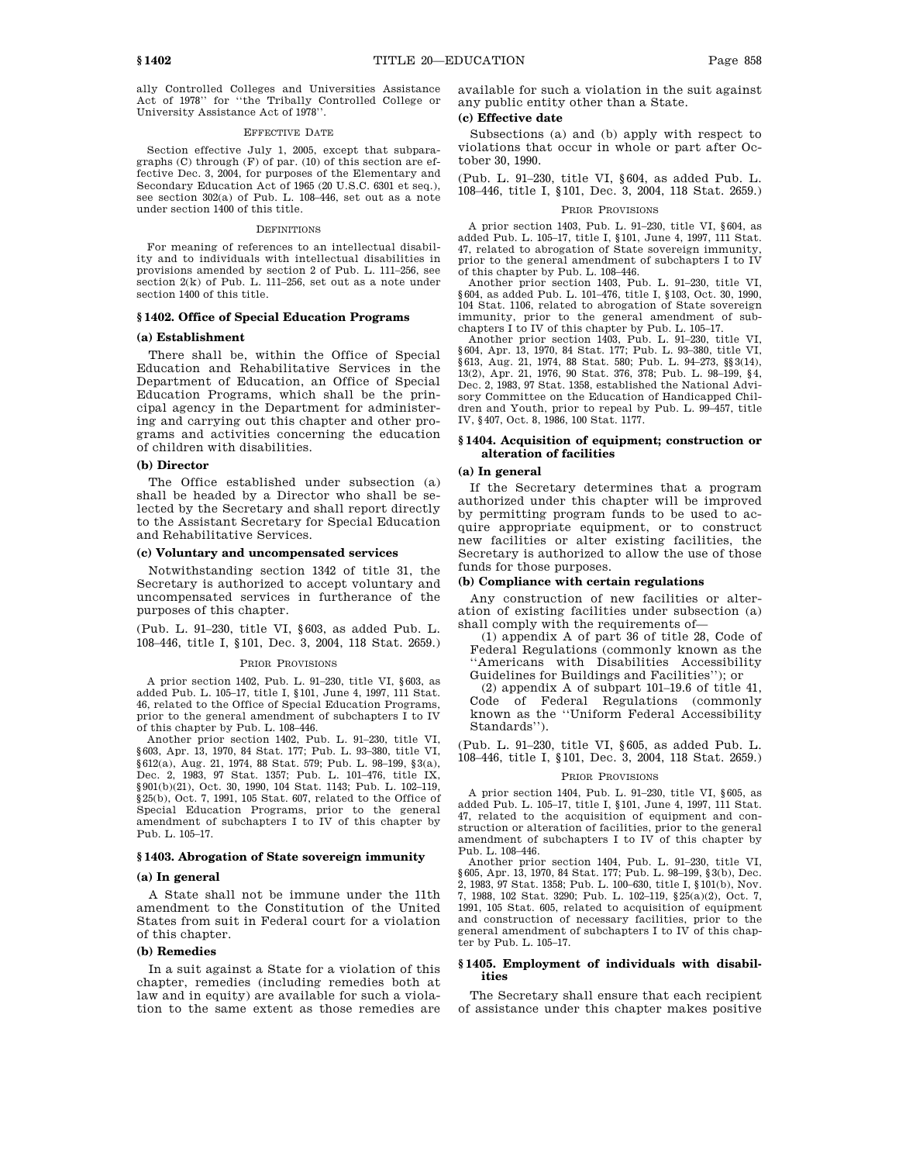ally Controlled Colleges and Universities Assistance Act of 1978'' for ''the Tribally Controlled College or University Assistance Act of 1978''.

#### EFFECTIVE DATE

Section effective July 1, 2005, except that subparagraphs (C) through (F) of par. (10) of this section are effective Dec. 3, 2004, for purposes of the Elementary and Secondary Education Act of 1965 (20 U.S.C. 6301 et seq.), see section 302(a) of Pub. L. 108–446, set out as a note under section 1400 of this title.

#### DEFINITIONS

For meaning of references to an intellectual disability and to individuals with intellectual disabilities in provisions amended by section 2 of Pub. L. 111–256, see section 2(k) of Pub. L. 111–256, set out as a note under section 1400 of this title.

#### **§ 1402. Office of Special Education Programs**

## **(a) Establishment**

There shall be, within the Office of Special Education and Rehabilitative Services in the Department of Education, an Office of Special Education Programs, which shall be the principal agency in the Department for administering and carrying out this chapter and other programs and activities concerning the education of children with disabilities.

#### **(b) Director**

The Office established under subsection (a) shall be headed by a Director who shall be selected by the Secretary and shall report directly to the Assistant Secretary for Special Education and Rehabilitative Services.

#### **(c) Voluntary and uncompensated services**

Notwithstanding section 1342 of title 31, the Secretary is authorized to accept voluntary and uncompensated services in furtherance of the purposes of this chapter.

(Pub. L. 91–230, title VI, §603, as added Pub. L. 108–446, title I, §101, Dec. 3, 2004, 118 Stat. 2659.)

#### PRIOR PROVISIONS

A prior section 1402, Pub. L. 91–230, title VI, §603, as added Pub. L. 105–17, title I, §101, June 4, 1997, 111 Stat. 46, related to the Office of Special Education Programs, prior to the general amendment of subchapters I to IV of this chapter by Pub. L. 108–446.

Another prior section 1402, Pub. L. 91–230, title VI, §603, Apr. 13, 1970, 84 Stat. 177; Pub. L. 93–380, title VI, §612(a), Aug. 21, 1974, 88 Stat. 579; Pub. L. 98–199, §3(a), Dec. 2, 1983, 97 Stat. 1357; Pub. L. 101–476, title IX, §901(b)(21), Oct. 30, 1990, 104 Stat. 1143; Pub. L. 102–119, §25(b), Oct. 7, 1991, 105 Stat. 607, related to the Office of Special Education Programs, prior to the general amendment of subchapters I to IV of this chapter by Pub. L. 105–17.

# **§ 1403. Abrogation of State sovereign immunity**

#### **(a) In general**

A State shall not be immune under the 11th amendment to the Constitution of the United States from suit in Federal court for a violation of this chapter.

#### **(b) Remedies**

In a suit against a State for a violation of this chapter, remedies (including remedies both at law and in equity) are available for such a violation to the same extent as those remedies are available for such a violation in the suit against any public entity other than a State.

#### **(c) Effective date**

Subsections (a) and (b) apply with respect to violations that occur in whole or part after October 30, 1990.

(Pub. L. 91–230, title VI, §604, as added Pub. L. 108–446, title I, §101, Dec. 3, 2004, 118 Stat. 2659.)

#### PRIOR PROVISIONS

A prior section 1403, Pub. L. 91–230, title VI, §604, as added Pub. L. 105–17, title I, §101, June 4, 1997, 111 Stat. 47, related to abrogation of State sovereign immunity, prior to the general amendment of subchapters I to IV of this chapter by Pub. L. 108–446.

Another prior section 1403, Pub. L. 91–230, title VI, §604, as added Pub. L. 101–476, title I, §103, Oct. 30, 1990, 104 Stat. 1106, related to abrogation of State sovereign immunity, prior to the general amendment of subchapters I to IV of this chapter by Pub. L. 105–17.

Another prior section 1403, Pub. L. 91–230, title VI, §604, Apr. 13, 1970, 84 Stat. 177; Pub. L. 93–380, title VI, §613, Aug. 21, 1974, 88 Stat. 580; Pub. L. 94–273, §§3(14), 13(2), Apr. 21, 1976, 90 Stat. 376, 378; Pub. L. 98–199, §4, Dec. 2, 1983, 97 Stat. 1358, established the National Advisory Committee on the Education of Handicapped Children and Youth, prior to repeal by Pub. L. 99–457, title IV, §407, Oct. 8, 1986, 100 Stat. 1177.

#### **§ 1404. Acquisition of equipment; construction or alteration of facilities**

#### **(a) In general**

If the Secretary determines that a program authorized under this chapter will be improved by permitting program funds to be used to acquire appropriate equipment, or to construct new facilities or alter existing facilities, the Secretary is authorized to allow the use of those funds for those purposes.

#### **(b) Compliance with certain regulations**

Any construction of new facilities or alteration of existing facilities under subsection (a) shall comply with the requirements of—

(1) appendix A of part 36 of title 28, Code of Federal Regulations (commonly known as the ''Americans with Disabilities Accessibility Guidelines for Buildings and Facilities''); or

(2) appendix A of subpart 101–19.6 of title 41, Code of Federal Regulations (commonly known as the ''Uniform Federal Accessibility Standards'').

(Pub. L. 91–230, title VI, §605, as added Pub. L. 108–446, title I, §101, Dec. 3, 2004, 118 Stat. 2659.)

#### PRIOR PROVISIONS

A prior section 1404, Pub. L. 91–230, title VI, §605, as added Pub. L. 105–17, title I, §101, June 4, 1997, 111 Stat. 47, related to the acquisition of equipment and construction or alteration of facilities, prior to the general amendment of subchapters I to IV of this chapter by Pub. L. 108–446.

Another prior section 1404, Pub. L. 91–230, title VI, §605, Apr. 13, 1970, 84 Stat. 177; Pub. L. 98–199, §3(b), Dec. 2, 1983, 97 Stat. 1358; Pub. L. 100–630, title I, §101(b), Nov. 7, 1988, 102 Stat. 3290; Pub. L. 102–119, §25(a)(2), Oct. 7, 1991, 105 Stat. 605, related to acquisition of equipment and construction of necessary facilities, prior to the general amendment of subchapters I to IV of this chapter by Pub. L. 105–17.

#### **§ 1405. Employment of individuals with disabilities**

The Secretary shall ensure that each recipient of assistance under this chapter makes positive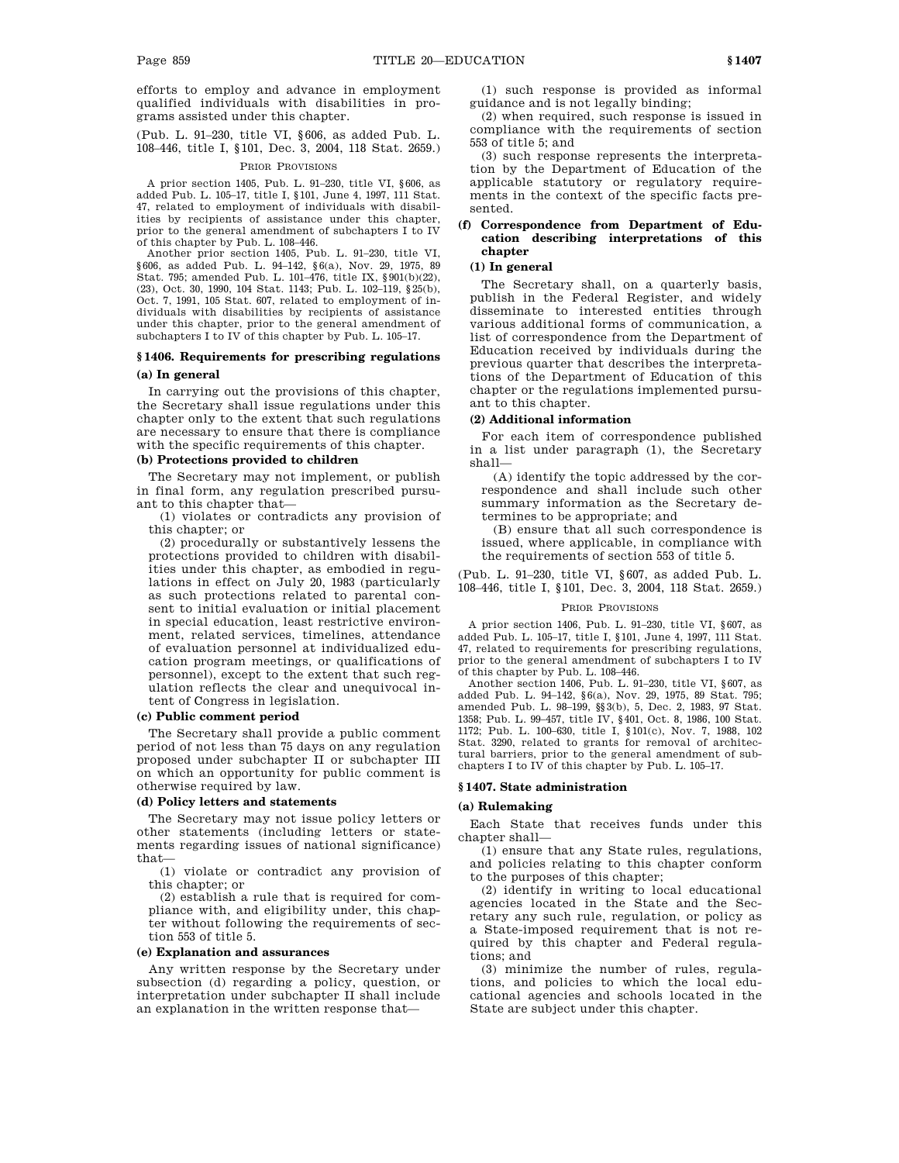efforts to employ and advance in employment qualified individuals with disabilities in programs assisted under this chapter.

(Pub. L. 91–230, title VI, §606, as added Pub. L. 108–446, title I, §101, Dec. 3, 2004, 118 Stat. 2659.)

# PRIOR PROVISIONS

A prior section 1405, Pub. L. 91–230, title VI, §606, as added Pub. L. 105–17, title I, §101, June 4, 1997, 111 Stat. 47, related to employment of individuals with disabilities by recipients of assistance under this chapter, prior to the general amendment of subchapters I to IV of this chapter by Pub. L. 108–446.

Another prior section 1405, Pub. L. 91–230, title VI, §606, as added Pub. L. 94–142, §6(a), Nov. 29, 1975, 89 Stat. 795; amended Pub. L. 101–476, title IX, §901(b)(22), (23), Oct. 30, 1990, 104 Stat. 1143; Pub. L. 102–119, §25(b), Oct. 7, 1991, 105 Stat. 607, related to employment of individuals with disabilities by recipients of assistance under this chapter, prior to the general amendment of subchapters I to IV of this chapter by Pub. L. 105–17.

# **§ 1406. Requirements for prescribing regulations (a) In general**

In carrying out the provisions of this chapter, the Secretary shall issue regulations under this chapter only to the extent that such regulations are necessary to ensure that there is compliance with the specific requirements of this chapter.

## **(b) Protections provided to children**

The Secretary may not implement, or publish in final form, any regulation prescribed pursuant to this chapter that—

(1) violates or contradicts any provision of this chapter; or

(2) procedurally or substantively lessens the protections provided to children with disabilities under this chapter, as embodied in regulations in effect on July 20, 1983 (particularly as such protections related to parental consent to initial evaluation or initial placement in special education, least restrictive environment, related services, timelines, attendance of evaluation personnel at individualized education program meetings, or qualifications of personnel), except to the extent that such regulation reflects the clear and unequivocal intent of Congress in legislation.

#### **(c) Public comment period**

The Secretary shall provide a public comment period of not less than 75 days on any regulation proposed under subchapter II or subchapter III on which an opportunity for public comment is otherwise required by law.

#### **(d) Policy letters and statements**

The Secretary may not issue policy letters or other statements (including letters or statements regarding issues of national significance) that—

(1) violate or contradict any provision of this chapter; or

(2) establish a rule that is required for compliance with, and eligibility under, this chapter without following the requirements of section 553 of title 5.

#### **(e) Explanation and assurances**

Any written response by the Secretary under subsection (d) regarding a policy, question, or interpretation under subchapter II shall include an explanation in the written response that—

(1) such response is provided as informal guidance and is not legally binding;

(2) when required, such response is issued in compliance with the requirements of section 553 of title 5; and

(3) such response represents the interpretation by the Department of Education of the applicable statutory or regulatory requirements in the context of the specific facts presented.

## **(f) Correspondence from Department of Education describing interpretations of this chapter**

## **(1) In general**

The Secretary shall, on a quarterly basis, publish in the Federal Register, and widely disseminate to interested entities through various additional forms of communication, a list of correspondence from the Department of Education received by individuals during the previous quarter that describes the interpretations of the Department of Education of this chapter or the regulations implemented pursuant to this chapter.

#### **(2) Additional information**

For each item of correspondence published in a list under paragraph (1), the Secretary shall—

(A) identify the topic addressed by the correspondence and shall include such other summary information as the Secretary determines to be appropriate; and

(B) ensure that all such correspondence is issued, where applicable, in compliance with the requirements of section 553 of title 5.

(Pub. L. 91–230, title VI, §607, as added Pub. L. 108–446, title I, §101, Dec. 3, 2004, 118 Stat. 2659.)

#### PRIOR PROVISIONS

A prior section 1406, Pub. L. 91–230, title VI, §607, as added Pub. L. 105–17, title I, §101, June 4, 1997, 111 Stat. 47, related to requirements for prescribing regulations, prior to the general amendment of subchapters I to IV of this chapter by Pub. L. 108–446.

Another section 1406, Pub. L. 91–230, title VI, §607, as added Pub. L. 94–142, §6(a), Nov. 29, 1975, 89 Stat. 795; amended Pub. L. 98–199, §§3(b), 5, Dec. 2, 1983, 97 Stat. 1358; Pub. L. 99–457, title IV, §401, Oct. 8, 1986, 100 Stat. 1172; Pub. L. 100–630, title I, §101(c), Nov. 7, 1988, 102 Stat. 3290, related to grants for removal of architectural barriers, prior to the general amendment of subchapters I to IV of this chapter by Pub. L. 105–17.

#### **§ 1407. State administration**

#### **(a) Rulemaking**

Each State that receives funds under this chapter shall—

(1) ensure that any State rules, regulations, and policies relating to this chapter conform to the purposes of this chapter;

(2) identify in writing to local educational agencies located in the State and the Secretary any such rule, regulation, or policy as a State-imposed requirement that is not required by this chapter and Federal regulations; and

(3) minimize the number of rules, regulations, and policies to which the local educational agencies and schools located in the State are subject under this chapter.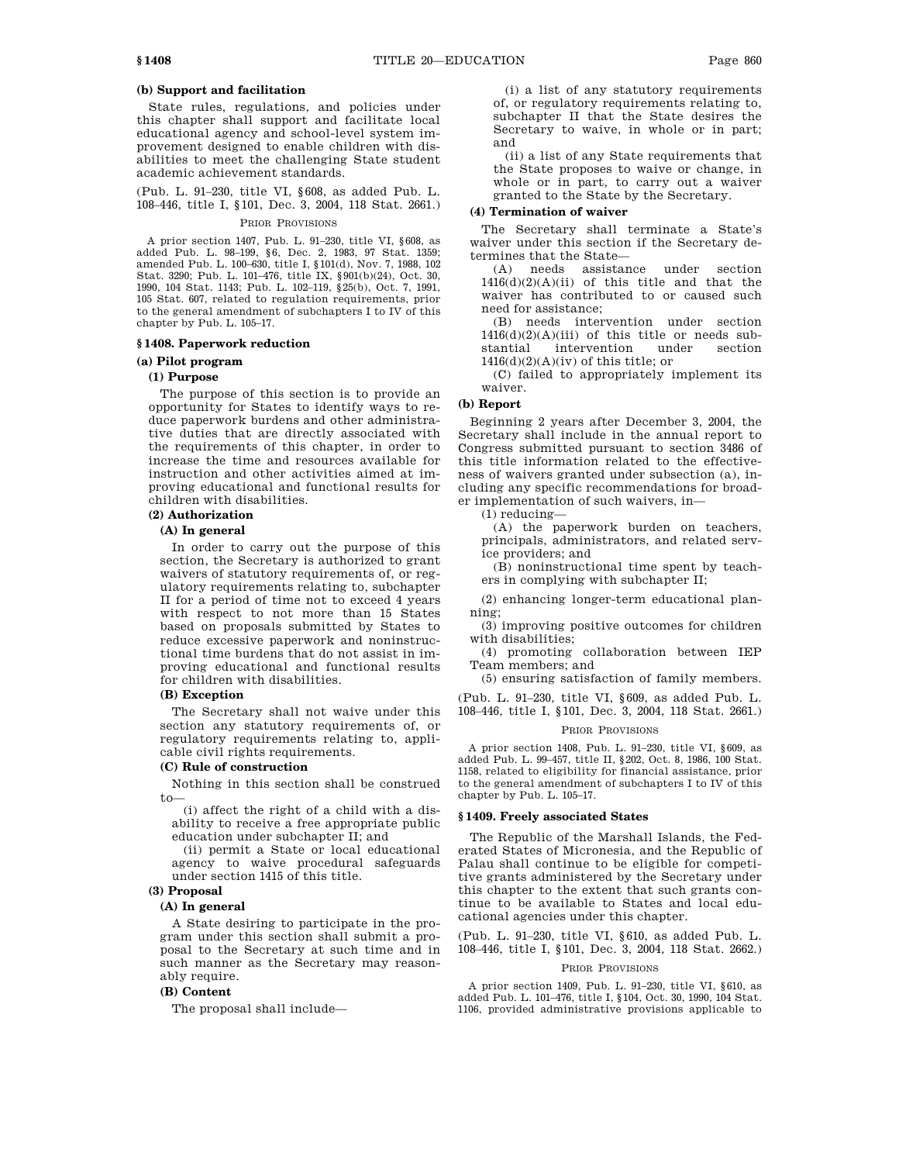# **(b) Support and facilitation**

State rules, regulations, and policies under this chapter shall support and facilitate local educational agency and school-level system improvement designed to enable children with disabilities to meet the challenging State student academic achievement standards.

(Pub. L. 91–230, title VI, §608, as added Pub. L. 108–446, title I, §101, Dec. 3, 2004, 118 Stat. 2661.)

#### PRIOR PROVISIONS

A prior section 1407, Pub. L. 91–230, title VI, §608, as added Pub. L. 98–199, §6, Dec. 2, 1983, 97 Stat. 1359; amended Pub. L. 100–630, title I, §101(d), Nov. 7, 1988, 102 Stat. 3290; Pub. L. 101–476, title IX, §901(b)(24), Oct. 30, 1990, 104 Stat. 1143; Pub. L. 102–119, §25(b), Oct. 7, 1991, 105 Stat. 607, related to regulation requirements, prior to the general amendment of subchapters I to IV of this chapter by Pub. L. 105–17.

#### **§ 1408. Paperwork reduction**

#### **(a) Pilot program**

#### **(1) Purpose**

The purpose of this section is to provide an opportunity for States to identify ways to reduce paperwork burdens and other administrative duties that are directly associated with the requirements of this chapter, in order to increase the time and resources available for instruction and other activities aimed at improving educational and functional results for children with disabilities.

# **(2) Authorization**

# **(A) In general**

In order to carry out the purpose of this section, the Secretary is authorized to grant waivers of statutory requirements of, or regulatory requirements relating to, subchapter II for a period of time not to exceed 4 years with respect to not more than 15 States based on proposals submitted by States to reduce excessive paperwork and noninstructional time burdens that do not assist in improving educational and functional results for children with disabilities.

#### **(B) Exception**

The Secretary shall not waive under this section any statutory requirements of, or regulatory requirements relating to, applicable civil rights requirements.

#### **(C) Rule of construction**

Nothing in this section shall be construed to—

(i) affect the right of a child with a disability to receive a free appropriate public education under subchapter II; and

(ii) permit a State or local educational agency to waive procedural safeguards under section 1415 of this title.

# **(3) Proposal**

# **(A) In general**

A State desiring to participate in the program under this section shall submit a proposal to the Secretary at such time and in such manner as the Secretary may reasonably require.

## **(B) Content**

The proposal shall include—

(i) a list of any statutory requirements of, or regulatory requirements relating to, subchapter II that the State desires the Secretary to waive, in whole or in part; and

(ii) a list of any State requirements that the State proposes to waive or change, in whole or in part, to carry out a waiver granted to the State by the Secretary.

#### **(4) Termination of waiver**

The Secretary shall terminate a State's waiver under this section if the Secretary determines that the State—

(A) needs assistance under section  $1416(d)(2)(A)(ii)$  of this title and that the waiver has contributed to or caused such need for assistance;

(B) needs intervention under section  $1416(d)(2)(A)(iii)$  of this title or needs substantial intervention under section  $1416(d)(2)(A)(iv)$  of this title; or

(C) failed to appropriately implement its waiver.

#### **(b) Report**

Beginning 2 years after December 3, 2004, the Secretary shall include in the annual report to Congress submitted pursuant to section 3486 of this title information related to the effectiveness of waivers granted under subsection (a), including any specific recommendations for broader implementation of such waivers, in—

(1) reducing—

(A) the paperwork burden on teachers, principals, administrators, and related service providers; and

(B) noninstructional time spent by teachers in complying with subchapter II;

(2) enhancing longer-term educational planning;

(3) improving positive outcomes for children with disabilities;

(4) promoting collaboration between IEP Team members; and

(5) ensuring satisfaction of family members.

(Pub. L. 91–230, title VI, §609, as added Pub. L. 108–446, title I, §101, Dec. 3, 2004, 118 Stat. 2661.)

#### PRIOR PROVISIONS

A prior section 1408, Pub. L. 91–230, title VI, §609, as added Pub. L. 99–457, title II, §202, Oct. 8, 1986, 100 Stat. 1158, related to eligibility for financial assistance, prior to the general amendment of subchapters I to IV of this chapter by Pub. L. 105–17.

#### **§ 1409. Freely associated States**

The Republic of the Marshall Islands, the Federated States of Micronesia, and the Republic of Palau shall continue to be eligible for competitive grants administered by the Secretary under this chapter to the extent that such grants continue to be available to States and local educational agencies under this chapter.

(Pub. L. 91–230, title VI, §610, as added Pub. L. 108–446, title I, §101, Dec. 3, 2004, 118 Stat. 2662.)

#### PRIOR PROVISIONS

A prior section 1409, Pub. L. 91–230, title VI, §610, as added Pub. L. 101–476, title I, §104, Oct. 30, 1990, 104 Stat. 1106, provided administrative provisions applicable to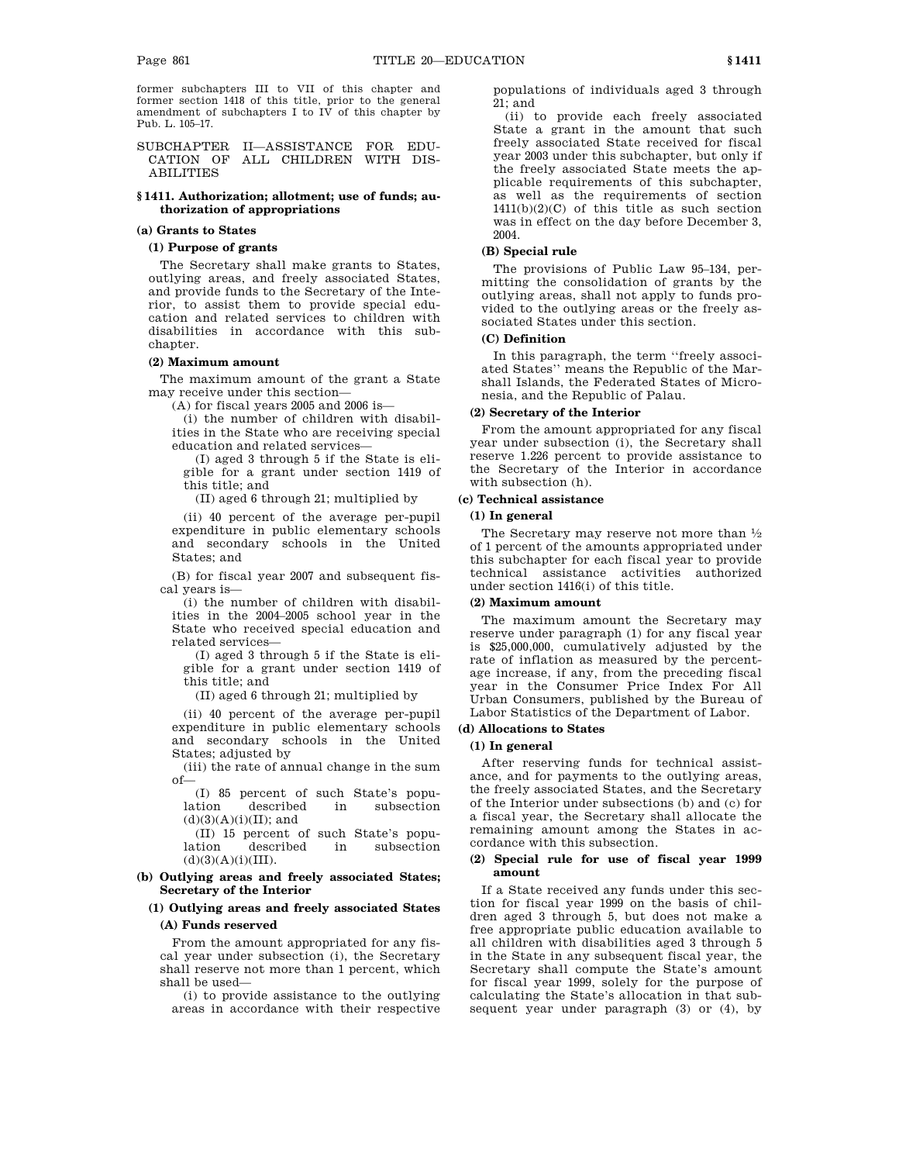former subchapters III to VII of this chapter and former section 1418 of this title, prior to the general amendment of subchapters I to IV of this chapter by Pub. L. 105–17.

## SUBCHAPTER II—ASSISTANCE FOR EDU-CATION OF ALL CHILDREN WITH DIS-ABILITIES

#### **§ 1411. Authorization; allotment; use of funds; authorization of appropriations**

#### **(a) Grants to States**

# **(1) Purpose of grants**

The Secretary shall make grants to States, outlying areas, and freely associated States, and provide funds to the Secretary of the Interior, to assist them to provide special education and related services to children with disabilities in accordance with this subchapter.

## **(2) Maximum amount**

The maximum amount of the grant a State may receive under this section—

(A) for fiscal years 2005 and 2006 is—

(i) the number of children with disabilities in the State who are receiving special education and related services—

(I) aged 3 through 5 if the State is eligible for a grant under section 1419 of this title; and

(II) aged 6 through 21; multiplied by

(ii) 40 percent of the average per-pupil expenditure in public elementary schools and secondary schools in the United States; and

(B) for fiscal year 2007 and subsequent fiscal years is—

(i) the number of children with disabilities in the 2004–2005 school year in the State who received special education and related services—

(I) aged 3 through 5 if the State is eligible for a grant under section 1419 of this title; and

(II) aged 6 through 21; multiplied by

(ii) 40 percent of the average per-pupil expenditure in public elementary schools and secondary schools in the United States; adjusted by

(iii) the rate of annual change in the sum of—

(I) 85 percent of such State's popusubsection  $(d)(3)(A)(i)(II);$  and

(II) 15 percent of such State's population<br>described in subsection described  $(d)(3)(A)(i)(III).$ 

## **(b) Outlying areas and freely associated States; Secretary of the Interior**

# **(1) Outlying areas and freely associated States**

#### **(A) Funds reserved**

From the amount appropriated for any fiscal year under subsection (i), the Secretary shall reserve not more than 1 percent, which shall be used—

(i) to provide assistance to the outlying areas in accordance with their respective

populations of individuals aged 3 through  $21:$  and

(ii) to provide each freely associated State a grant in the amount that such freely associated State received for fiscal year 2003 under this subchapter, but only if the freely associated State meets the applicable requirements of this subchapter, as well as the requirements of section  $1411(b)(2)(C)$  of this title as such section was in effect on the day before December 3, 2004.

## **(B) Special rule**

The provisions of Public Law 95–134, permitting the consolidation of grants by the outlying areas, shall not apply to funds provided to the outlying areas or the freely associated States under this section.

# **(C) Definition**

In this paragraph, the term ''freely associated States'' means the Republic of the Marshall Islands, the Federated States of Micronesia, and the Republic of Palau.

#### **(2) Secretary of the Interior**

From the amount appropriated for any fiscal year under subsection (i), the Secretary shall reserve 1.226 percent to provide assistance to the Secretary of the Interior in accordance with subsection (h).

# **(c) Technical assistance**

# **(1) In general**

The Secretary may reserve not more than 1/2 of 1 percent of the amounts appropriated under this subchapter for each fiscal year to provide technical assistance activities authorized under section 1416(i) of this title.

# **(2) Maximum amount**

The maximum amount the Secretary may reserve under paragraph (1) for any fiscal year is \$25,000,000, cumulatively adjusted by the rate of inflation as measured by the percentage increase, if any, from the preceding fiscal year in the Consumer Price Index For All Urban Consumers, published by the Bureau of Labor Statistics of the Department of Labor.

## **(d) Allocations to States**

#### **(1) In general**

After reserving funds for technical assistance, and for payments to the outlying areas, the freely associated States, and the Secretary of the Interior under subsections (b) and (c) for a fiscal year, the Secretary shall allocate the remaining amount among the States in accordance with this subsection.

#### **(2) Special rule for use of fiscal year 1999 amount**

If a State received any funds under this section for fiscal year 1999 on the basis of children aged 3 through 5, but does not make a free appropriate public education available to all children with disabilities aged 3 through 5 in the State in any subsequent fiscal year, the Secretary shall compute the State's amount for fiscal year 1999, solely for the purpose of calculating the State's allocation in that subsequent year under paragraph (3) or (4), by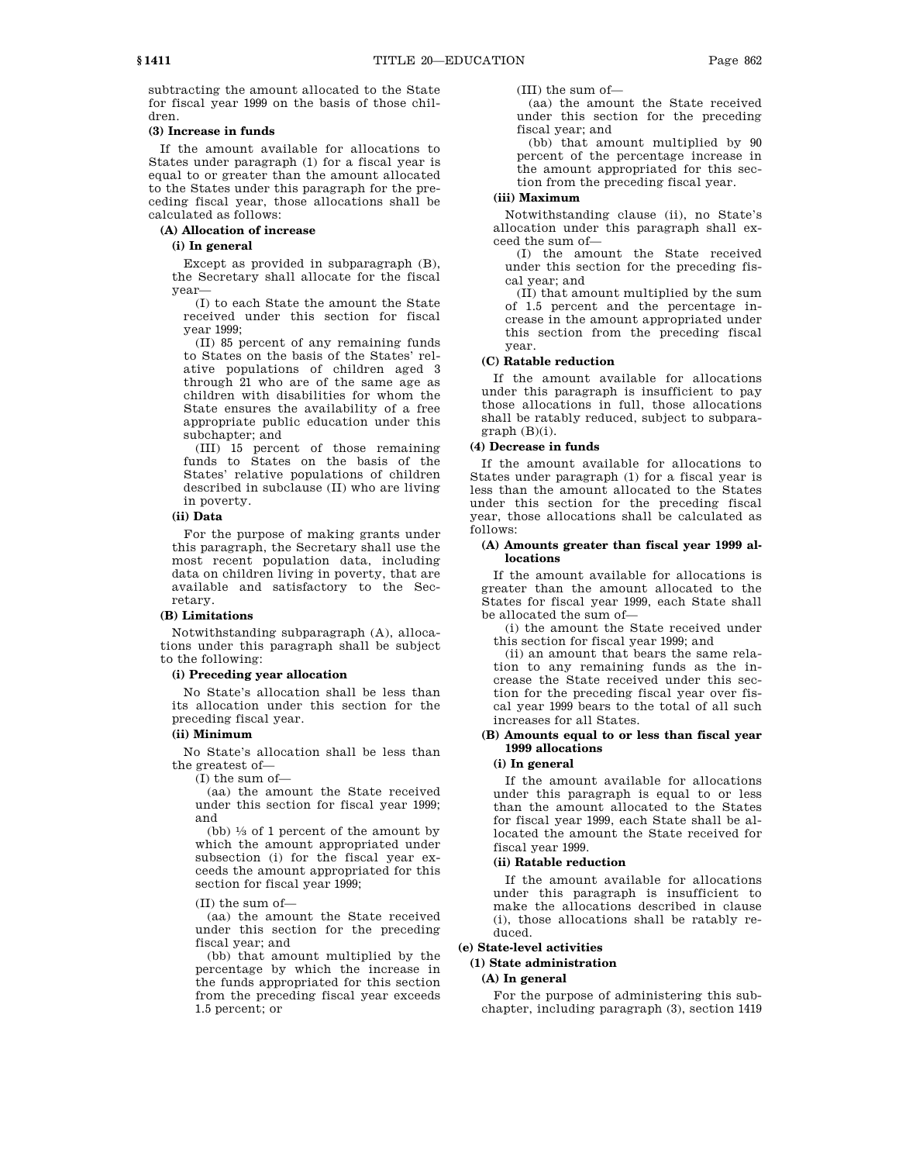subtracting the amount allocated to the State for fiscal year 1999 on the basis of those children.

#### **(3) Increase in funds**

If the amount available for allocations to States under paragraph (1) for a fiscal year is equal to or greater than the amount allocated to the States under this paragraph for the preceding fiscal year, those allocations shall be calculated as follows:

#### **(A) Allocation of increase**

#### **(i) In general**

Except as provided in subparagraph (B), the Secretary shall allocate for the fiscal year—

(I) to each State the amount the State received under this section for fiscal year 1999;

(II) 85 percent of any remaining funds to States on the basis of the States' relative populations of children aged 3 through 21 who are of the same age as children with disabilities for whom the State ensures the availability of a free appropriate public education under this subchapter; and

(III) 15 percent of those remaining funds to States on the basis of the States' relative populations of children described in subclause (II) who are living in poverty.

# **(ii) Data**

For the purpose of making grants under this paragraph, the Secretary shall use the most recent population data, including data on children living in poverty, that are available and satisfactory to the Secretary.

# **(B) Limitations**

Notwithstanding subparagraph (A), allocations under this paragraph shall be subject to the following:

# **(i) Preceding year allocation**

No State's allocation shall be less than its allocation under this section for the preceding fiscal year.

#### **(ii) Minimum**

No State's allocation shall be less than the greatest of—

(I) the sum of—

(aa) the amount the State received under this section for fiscal year 1999; and

(bb) 1 ⁄3 of 1 percent of the amount by which the amount appropriated under subsection (i) for the fiscal year exceeds the amount appropriated for this section for fiscal year 1999;

(II) the sum of—

(aa) the amount the State received under this section for the preceding fiscal year; and

(bb) that amount multiplied by the percentage by which the increase in the funds appropriated for this section from the preceding fiscal year exceeds 1.5 percent; or

(III) the sum of—

(aa) the amount the State received under this section for the preceding fiscal year; and

(bb) that amount multiplied by 90 percent of the percentage increase in the amount appropriated for this section from the preceding fiscal year.

## **(iii) Maximum**

Notwithstanding clause (ii), no State's allocation under this paragraph shall exceed the sum of—

(I) the amount the State received under this section for the preceding fiscal year; and

(II) that amount multiplied by the sum of 1.5 percent and the percentage increase in the amount appropriated under this section from the preceding fiscal year.

# **(C) Ratable reduction**

If the amount available for allocations under this paragraph is insufficient to pay those allocations in full, those allocations shall be ratably reduced, subject to subparagraph (B)(i).

## **(4) Decrease in funds**

If the amount available for allocations to States under paragraph (1) for a fiscal year is less than the amount allocated to the States under this section for the preceding fiscal year, those allocations shall be calculated as follows:

## **(A) Amounts greater than fiscal year 1999 allocations**

If the amount available for allocations is greater than the amount allocated to the States for fiscal year 1999, each State shall be allocated the sum of—

(i) the amount the State received under this section for fiscal year 1999; and

(ii) an amount that bears the same relation to any remaining funds as the increase the State received under this section for the preceding fiscal year over fiscal year 1999 bears to the total of all such increases for all States.

# **(B) Amounts equal to or less than fiscal year 1999 allocations**

#### **(i) In general**

If the amount available for allocations under this paragraph is equal to or less than the amount allocated to the States for fiscal year 1999, each State shall be allocated the amount the State received for fiscal year 1999.

#### **(ii) Ratable reduction**

If the amount available for allocations under this paragraph is insufficient to make the allocations described in clause (i), those allocations shall be ratably reduced.

# **(e) State-level activities**

# **(1) State administration**

# **(A) In general**

For the purpose of administering this subchapter, including paragraph (3), section 1419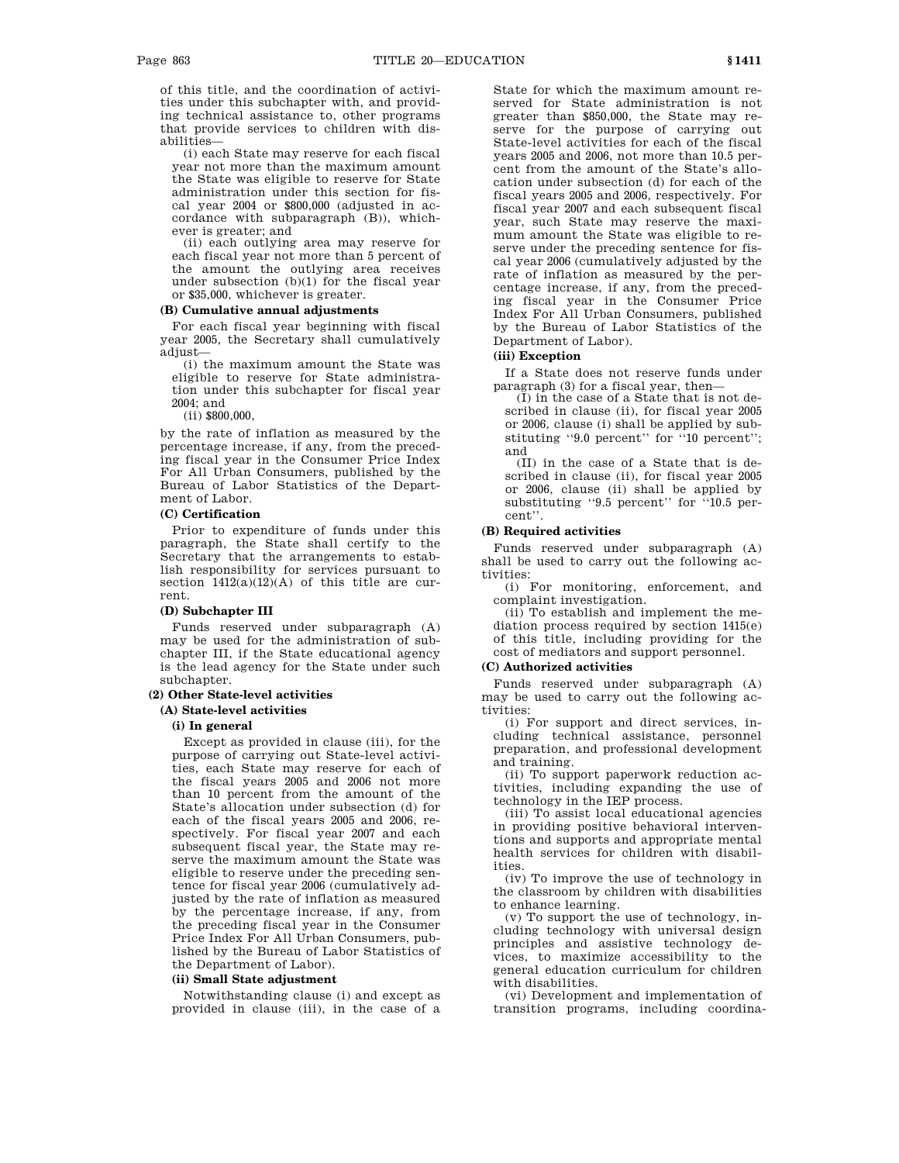of this title, and the coordination of activities under this subchapter with, and providing technical assistance to, other programs that provide services to children with disabilities—

(i) each State may reserve for each fiscal year not more than the maximum amount the State was eligible to reserve for State administration under this section for fiscal year 2004 or \$800,000 (adjusted in accordance with subparagraph (B)), whichever is greater; and

(ii) each outlying area may reserve for each fiscal year not more than 5 percent of the amount the outlying area receives under subsection (b)(1) for the fiscal year or \$35,000, whichever is greater.

#### **(B) Cumulative annual adjustments**

For each fiscal year beginning with fiscal year 2005, the Secretary shall cumulatively adjust—

(i) the maximum amount the State was eligible to reserve for State administration under this subchapter for fiscal year 2004; and

(ii) \$800,000,

by the rate of inflation as measured by the percentage increase, if any, from the preceding fiscal year in the Consumer Price Index For All Urban Consumers, published by the Bureau of Labor Statistics of the Department of Labor.

# **(C) Certification**

Prior to expenditure of funds under this paragraph, the State shall certify to the Secretary that the arrangements to establish responsibility for services pursuant to section  $1412(a)(12)(A)$  of this title are current.

## **(D) Subchapter III**

Funds reserved under subparagraph (A) may be used for the administration of subchapter III, if the State educational agency is the lead agency for the State under such subchapter.

# **(2) Other State-level activities**

# **(A) State-level activities**

# **(i) In general**

Except as provided in clause (iii), for the purpose of carrying out State-level activities, each State may reserve for each of the fiscal years 2005 and 2006 not more than 10 percent from the amount of the State's allocation under subsection (d) for each of the fiscal years 2005 and 2006, respectively. For fiscal year 2007 and each subsequent fiscal year, the State may reserve the maximum amount the State was eligible to reserve under the preceding sentence for fiscal year 2006 (cumulatively adjusted by the rate of inflation as measured by the percentage increase, if any, from the preceding fiscal year in the Consumer Price Index For All Urban Consumers, published by the Bureau of Labor Statistics of the Department of Labor).

#### **(ii) Small State adjustment**

Notwithstanding clause (i) and except as provided in clause (iii), in the case of a

State for which the maximum amount reserved for State administration is not greater than \$850,000, the State may reserve for the purpose of carrying out State-level activities for each of the fiscal years 2005 and 2006, not more than 10.5 percent from the amount of the State's allocation under subsection (d) for each of the fiscal years 2005 and 2006, respectively. For fiscal year 2007 and each subsequent fiscal year, such State may reserve the maximum amount the State was eligible to reserve under the preceding sentence for fiscal year 2006 (cumulatively adjusted by the rate of inflation as measured by the percentage increase, if any, from the preceding fiscal year in the Consumer Price Index For All Urban Consumers, published by the Bureau of Labor Statistics of the Department of Labor).

# **(iii) Exception**

If a State does not reserve funds under paragraph (3) for a fiscal year, then—

(I) in the case of a State that is not described in clause (ii), for fiscal year 2005 or 2006, clause (i) shall be applied by substituting ''9.0 percent'' for ''10 percent''; and

(II) in the case of a State that is described in clause (ii), for fiscal year 2005 or 2006, clause (ii) shall be applied by substituting ''9.5 percent'' for ''10.5 percent''.

#### **(B) Required activities**

Funds reserved under subparagraph (A) shall be used to carry out the following activities:

(i) For monitoring, enforcement, and complaint investigation.

(ii) To establish and implement the mediation process required by section 1415(e) of this title, including providing for the cost of mediators and support personnel.

# **(C) Authorized activities**

Funds reserved under subparagraph (A) may be used to carry out the following activities:

(i) For support and direct services, including technical assistance, personnel preparation, and professional development and training.

(ii) To support paperwork reduction activities, including expanding the use of technology in the IEP process.

(iii) To assist local educational agencies in providing positive behavioral interventions and supports and appropriate mental health services for children with disabilities.

(iv) To improve the use of technology in the classroom by children with disabilities to enhance learning.

(v) To support the use of technology, including technology with universal design principles and assistive technology devices, to maximize accessibility to the general education curriculum for children with disabilities.

(vi) Development and implementation of transition programs, including coordina-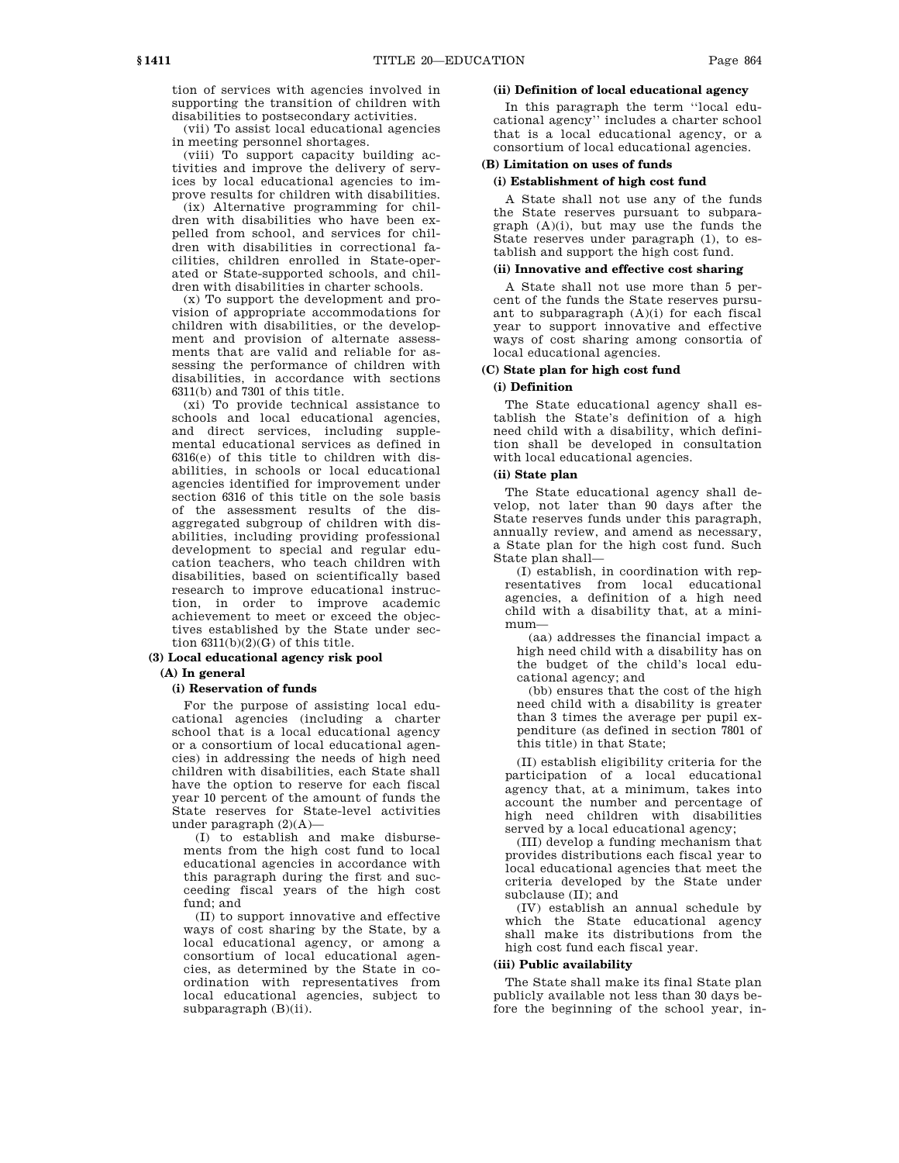tion of services with agencies involved in supporting the transition of children with disabilities to postsecondary activities.

(vii) To assist local educational agencies in meeting personnel shortages.

(viii) To support capacity building activities and improve the delivery of services by local educational agencies to improve results for children with disabilities.

(ix) Alternative programming for children with disabilities who have been expelled from school, and services for children with disabilities in correctional facilities, children enrolled in State-operated or State-supported schools, and children with disabilities in charter schools.

(x) To support the development and provision of appropriate accommodations for children with disabilities, or the development and provision of alternate assessments that are valid and reliable for assessing the performance of children with disabilities, in accordance with sections 6311(b) and 7301 of this title.

(xi) To provide technical assistance to schools and local educational agencies, and direct services, including supplemental educational services as defined in 6316(e) of this title to children with disabilities, in schools or local educational agencies identified for improvement under section 6316 of this title on the sole basis of the assessment results of the disaggregated subgroup of children with disabilities, including providing professional development to special and regular education teachers, who teach children with disabilities, based on scientifically based research to improve educational instruction, in order to improve academic achievement to meet or exceed the objectives established by the State under section  $6311(b)(2)(G)$  of this title.

#### **(3) Local educational agency risk pool**

#### **(A) In general**

#### **(i) Reservation of funds**

For the purpose of assisting local educational agencies (including a charter school that is a local educational agency or a consortium of local educational agencies) in addressing the needs of high need children with disabilities, each State shall have the option to reserve for each fiscal year 10 percent of the amount of funds the State reserves for State-level activities under paragraph  $(2)(A)$ —

(I) to establish and make disbursements from the high cost fund to local educational agencies in accordance with this paragraph during the first and succeeding fiscal years of the high cost fund; and

(II) to support innovative and effective ways of cost sharing by the State, by a local educational agency, or among a consortium of local educational agencies, as determined by the State in coordination with representatives from local educational agencies, subject to subparagraph (B)(ii).

# **(ii) Definition of local educational agency**

In this paragraph the term ''local educational agency'' includes a charter school that is a local educational agency, or a consortium of local educational agencies.

#### **(B) Limitation on uses of funds**

#### **(i) Establishment of high cost fund**

A State shall not use any of the funds the State reserves pursuant to subparagraph (A)(i), but may use the funds the State reserves under paragraph (1), to establish and support the high cost fund.

# **(ii) Innovative and effective cost sharing**

A State shall not use more than 5 percent of the funds the State reserves pursuant to subparagraph (A)(i) for each fiscal year to support innovative and effective ways of cost sharing among consortia of local educational agencies.

# **(C) State plan for high cost fund**

# **(i) Definition**

The State educational agency shall establish the State's definition of a high need child with a disability, which definition shall be developed in consultation with local educational agencies.

# **(ii) State plan**

The State educational agency shall develop, not later than 90 days after the State reserves funds under this paragraph, annually review, and amend as necessary, a State plan for the high cost fund. Such State plan shall—

(I) establish, in coordination with representatives from local educational agencies, a definition of a high need child with a disability that, at a minimum—

(aa) addresses the financial impact a high need child with a disability has on the budget of the child's local educational agency; and

(bb) ensures that the cost of the high need child with a disability is greater than 3 times the average per pupil expenditure (as defined in section 7801 of this title) in that State;

(II) establish eligibility criteria for the participation of a local educational agency that, at a minimum, takes into account the number and percentage of high need children with disabilities served by a local educational agency;

(III) develop a funding mechanism that provides distributions each fiscal year to local educational agencies that meet the criteria developed by the State under subclause (II); and

(IV) establish an annual schedule by which the State educational agency shall make its distributions from the high cost fund each fiscal year.

#### **(iii) Public availability**

The State shall make its final State plan publicly available not less than 30 days before the beginning of the school year, in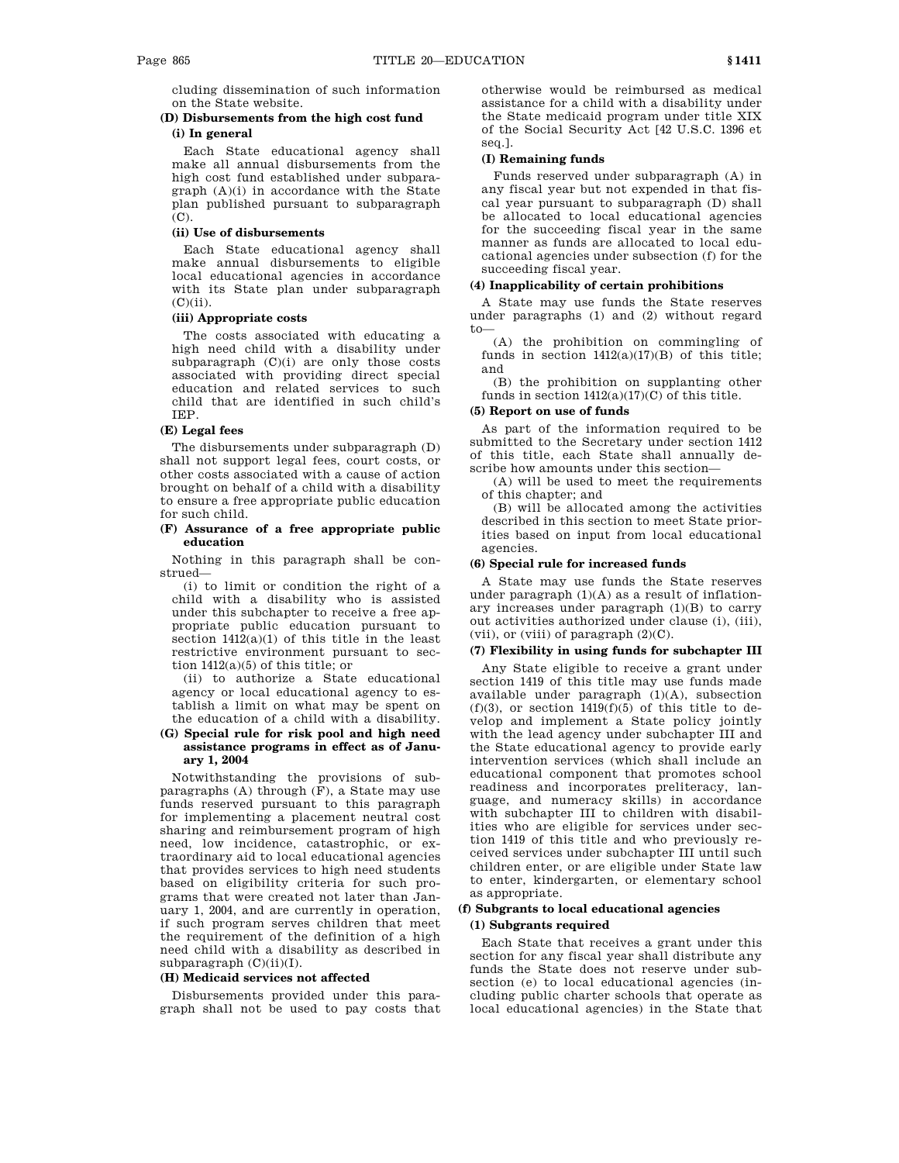cluding dissemination of such information on the State website.

# **(D) Disbursements from the high cost fund (i) In general**

Each State educational agency shall make all annual disbursements from the high cost fund established under subparagraph (A)(i) in accordance with the State plan published pursuant to subparagraph  $(C)$ .

## **(ii) Use of disbursements**

Each State educational agency shall make annual disbursements to eligible local educational agencies in accordance with its State plan under subparagraph  $(C)(ii)$ .

#### **(iii) Appropriate costs**

The costs associated with educating a high need child with a disability under subparagraph  $(C)(i)$  are only those costs associated with providing direct special education and related services to such child that are identified in such child's IEP.

## **(E) Legal fees**

The disbursements under subparagraph (D) shall not support legal fees, court costs, or other costs associated with a cause of action brought on behalf of a child with a disability to ensure a free appropriate public education for such child.

#### **(F) Assurance of a free appropriate public education**

Nothing in this paragraph shall be construed—

(i) to limit or condition the right of a child with a disability who is assisted under this subchapter to receive a free appropriate public education pursuant to section 1412(a)(1) of this title in the least restrictive environment pursuant to section 1412(a)(5) of this title; or

(ii) to authorize a State educational agency or local educational agency to establish a limit on what may be spent on the education of a child with a disability.

## **(G) Special rule for risk pool and high need assistance programs in effect as of January 1, 2004**

Notwithstanding the provisions of subparagraphs (A) through (F), a State may use funds reserved pursuant to this paragraph for implementing a placement neutral cost sharing and reimbursement program of high need, low incidence, catastrophic, or extraordinary aid to local educational agencies that provides services to high need students based on eligibility criteria for such programs that were created not later than January 1, 2004, and are currently in operation, if such program serves children that meet the requirement of the definition of a high need child with a disability as described in subparagraph (C)(ii)(I).

# **(H) Medicaid services not affected**

Disbursements provided under this paragraph shall not be used to pay costs that otherwise would be reimbursed as medical assistance for a child with a disability under the State medicaid program under title XIX of the Social Security Act [42 U.S.C. 1396 et seq.1.

#### **(I) Remaining funds**

Funds reserved under subparagraph (A) in any fiscal year but not expended in that fiscal year pursuant to subparagraph (D) shall be allocated to local educational agencies for the succeeding fiscal year in the same manner as funds are allocated to local educational agencies under subsection (f) for the succeeding fiscal year.

#### **(4) Inapplicability of certain prohibitions**

A State may use funds the State reserves under paragraphs (1) and (2) without regard to—

(A) the prohibition on commingling of funds in section 1412(a)(17)(B) of this title; and

(B) the prohibition on supplanting other funds in section  $1412(a)(17)(C)$  of this title.

# **(5) Report on use of funds**

As part of the information required to be submitted to the Secretary under section 1412 of this title, each State shall annually describe how amounts under this section—

(A) will be used to meet the requirements of this chapter; and

(B) will be allocated among the activities described in this section to meet State priorities based on input from local educational agencies.

#### **(6) Special rule for increased funds**

A State may use funds the State reserves under paragraph  $(1)(A)$  as a result of inflationary increases under paragraph  $(1)(B)$  to carry out activities authorized under clause (i), (iii), (vii), or (viii) of paragraph  $(2)(C)$ .

#### **(7) Flexibility in using funds for subchapter III**

Any State eligible to receive a grant under section 1419 of this title may use funds made available under paragraph  $(1)(A)$ , subsection  $(f)(3)$ , or section  $1419(f)(5)$  of this title to develop and implement a State policy jointly with the lead agency under subchapter III and the State educational agency to provide early intervention services (which shall include an educational component that promotes school readiness and incorporates preliteracy, language, and numeracy skills) in accordance with subchapter III to children with disabilities who are eligible for services under section 1419 of this title and who previously received services under subchapter III until such children enter, or are eligible under State law to enter, kindergarten, or elementary school as appropriate.

#### **(f) Subgrants to local educational agencies**

#### **(1) Subgrants required**

Each State that receives a grant under this section for any fiscal year shall distribute any funds the State does not reserve under subsection (e) to local educational agencies (including public charter schools that operate as local educational agencies) in the State that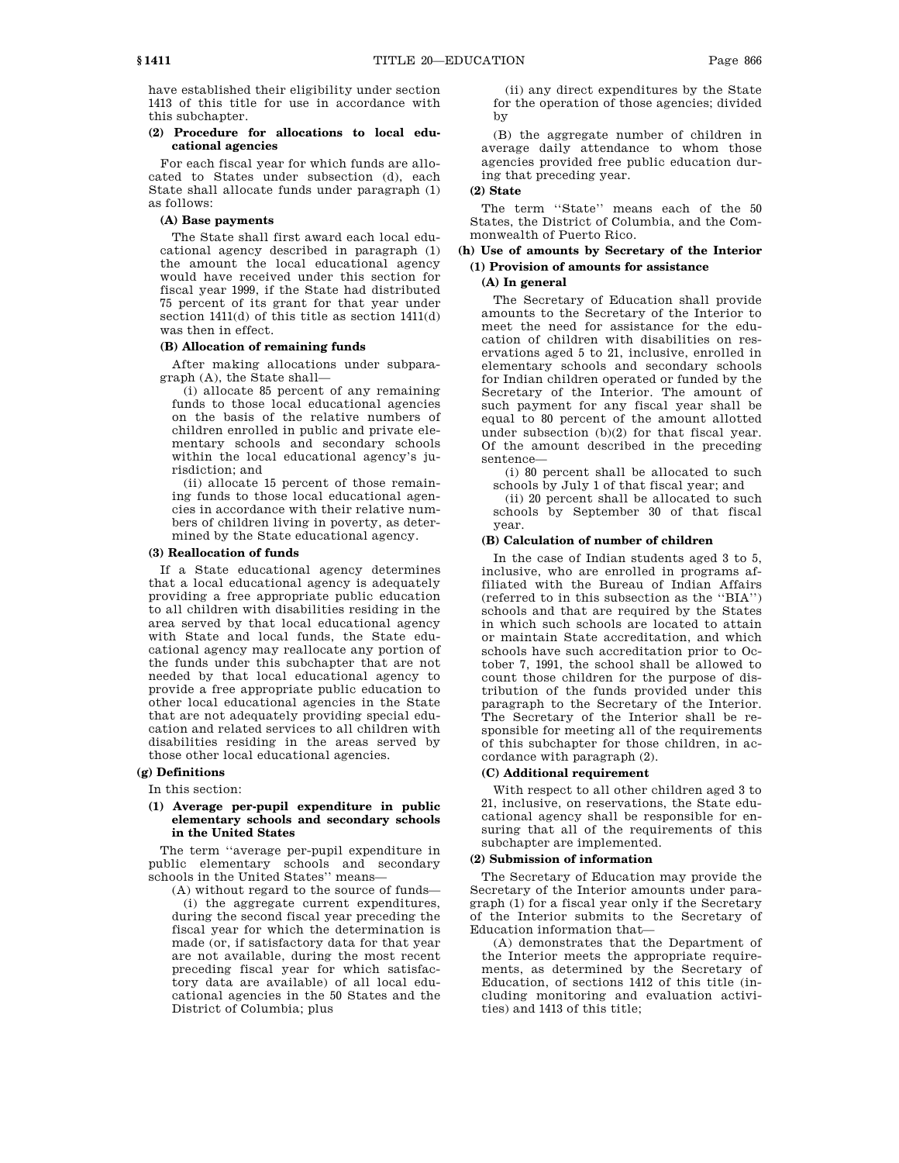have established their eligibility under section 1413 of this title for use in accordance with this subchapter.

## **(2) Procedure for allocations to local educational agencies**

For each fiscal year for which funds are allocated to States under subsection (d), each State shall allocate funds under paragraph (1) as follows:

## **(A) Base payments**

The State shall first award each local educational agency described in paragraph (1) the amount the local educational agency would have received under this section for fiscal year 1999, if the State had distributed 75 percent of its grant for that year under section 1411(d) of this title as section 1411(d) was then in effect.

#### **(B) Allocation of remaining funds**

After making allocations under subparagraph (A), the State shall—

(i) allocate 85 percent of any remaining funds to those local educational agencies on the basis of the relative numbers of children enrolled in public and private elementary schools and secondary schools within the local educational agency's jurisdiction; and

(ii) allocate 15 percent of those remaining funds to those local educational agencies in accordance with their relative numbers of children living in poverty, as determined by the State educational agency.

#### **(3) Reallocation of funds**

If a State educational agency determines that a local educational agency is adequately providing a free appropriate public education to all children with disabilities residing in the area served by that local educational agency with State and local funds, the State educational agency may reallocate any portion of the funds under this subchapter that are not needed by that local educational agency to provide a free appropriate public education to other local educational agencies in the State that are not adequately providing special education and related services to all children with disabilities residing in the areas served by those other local educational agencies.

# **(g) Definitions**

In this section:

## **(1) Average per-pupil expenditure in public elementary schools and secondary schools in the United States**

The term ''average per-pupil expenditure in public elementary schools and secondary schools in the United States'' means—

(A) without regard to the source of funds— (i) the aggregate current expenditures, during the second fiscal year preceding the fiscal year for which the determination is made (or, if satisfactory data for that year are not available, during the most recent preceding fiscal year for which satisfactory data are available) of all local educational agencies in the 50 States and the District of Columbia; plus

(ii) any direct expenditures by the State for the operation of those agencies; divided by

(B) the aggregate number of children in average daily attendance to whom those agencies provided free public education during that preceding year.

# **(2) State**

The term ''State'' means each of the 50 States, the District of Columbia, and the Commonwealth of Puerto Rico.

# **(h) Use of amounts by Secretary of the Interior (1) Provision of amounts for assistance**

#### **(A) In general**

The Secretary of Education shall provide amounts to the Secretary of the Interior to meet the need for assistance for the education of children with disabilities on reservations aged 5 to 21, inclusive, enrolled in elementary schools and secondary schools for Indian children operated or funded by the Secretary of the Interior. The amount of such payment for any fiscal year shall be equal to 80 percent of the amount allotted under subsection (b)(2) for that fiscal year. Of the amount described in the preceding sentence—

(i) 80 percent shall be allocated to such schools by July 1 of that fiscal year; and

(ii) 20 percent shall be allocated to such schools by September 30 of that fiscal year.

#### **(B) Calculation of number of children**

In the case of Indian students aged 3 to 5, inclusive, who are enrolled in programs affiliated with the Bureau of Indian Affairs (referred to in this subsection as the ''BIA'') schools and that are required by the States in which such schools are located to attain or maintain State accreditation, and which schools have such accreditation prior to October 7, 1991, the school shall be allowed to count those children for the purpose of distribution of the funds provided under this paragraph to the Secretary of the Interior. The Secretary of the Interior shall be responsible for meeting all of the requirements of this subchapter for those children, in accordance with paragraph (2).

### **(C) Additional requirement**

With respect to all other children aged 3 to 21, inclusive, on reservations, the State educational agency shall be responsible for ensuring that all of the requirements of this subchapter are implemented.

#### **(2) Submission of information**

The Secretary of Education may provide the Secretary of the Interior amounts under paragraph (1) for a fiscal year only if the Secretary of the Interior submits to the Secretary of Education information that—

(A) demonstrates that the Department of the Interior meets the appropriate requirements, as determined by the Secretary of Education, of sections 1412 of this title (including monitoring and evaluation activities) and 1413 of this title;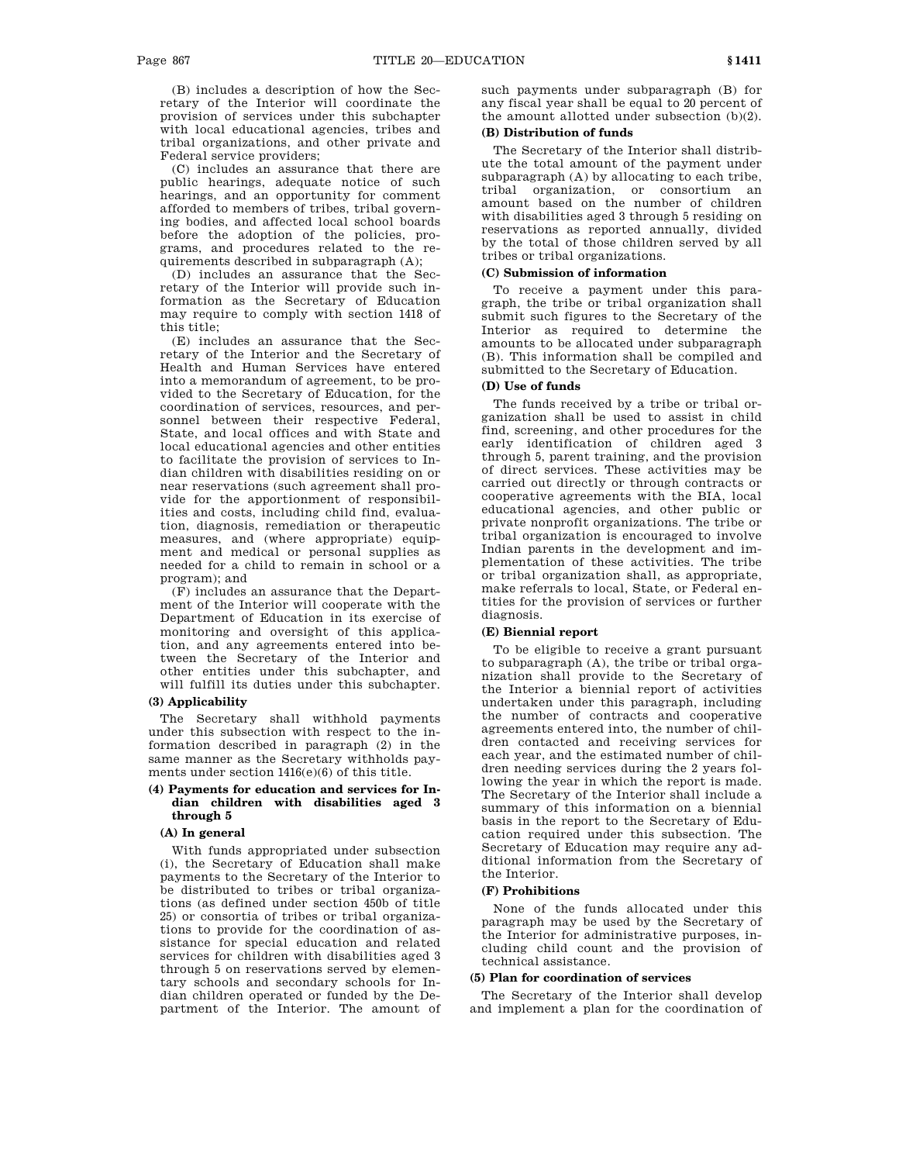(B) includes a description of how the Secretary of the Interior will coordinate the provision of services under this subchapter with local educational agencies, tribes and tribal organizations, and other private and Federal service providers;

(C) includes an assurance that there are public hearings, adequate notice of such hearings, and an opportunity for comment afforded to members of tribes, tribal governing bodies, and affected local school boards before the adoption of the policies, programs, and procedures related to the requirements described in subparagraph (A);

(D) includes an assurance that the Secretary of the Interior will provide such information as the Secretary of Education may require to comply with section 1418 of this title;

(E) includes an assurance that the Secretary of the Interior and the Secretary of Health and Human Services have entered into a memorandum of agreement, to be provided to the Secretary of Education, for the coordination of services, resources, and personnel between their respective Federal, State, and local offices and with State and local educational agencies and other entities to facilitate the provision of services to Indian children with disabilities residing on or near reservations (such agreement shall provide for the apportionment of responsibilities and costs, including child find, evaluation, diagnosis, remediation or therapeutic measures, and (where appropriate) equipment and medical or personal supplies as needed for a child to remain in school or a program); and

(F) includes an assurance that the Department of the Interior will cooperate with the Department of Education in its exercise of monitoring and oversight of this application, and any agreements entered into between the Secretary of the Interior and other entities under this subchapter, and will fulfill its duties under this subchapter.

#### **(3) Applicability**

The Secretary shall withhold payments under this subsection with respect to the information described in paragraph (2) in the same manner as the Secretary withholds payments under section 1416(e)(6) of this title.

## **(4) Payments for education and services for Indian children with disabilities aged 3 through 5**

#### **(A) In general**

With funds appropriated under subsection (i), the Secretary of Education shall make payments to the Secretary of the Interior to be distributed to tribes or tribal organizations (as defined under section 450b of title 25) or consortia of tribes or tribal organizations to provide for the coordination of assistance for special education and related services for children with disabilities aged 3 through 5 on reservations served by elementary schools and secondary schools for Indian children operated or funded by the Department of the Interior. The amount of such payments under subparagraph (B) for any fiscal year shall be equal to 20 percent of the amount allotted under subsection (b)(2).

#### **(B) Distribution of funds**

The Secretary of the Interior shall distribute the total amount of the payment under subparagraph (A) by allocating to each tribe, tribal organization, or consortium an amount based on the number of children with disabilities aged 3 through 5 residing on reservations as reported annually, divided by the total of those children served by all tribes or tribal organizations.

# **(C) Submission of information**

To receive a payment under this paragraph, the tribe or tribal organization shall submit such figures to the Secretary of the Interior as required to determine the amounts to be allocated under subparagraph (B). This information shall be compiled and submitted to the Secretary of Education.

# **(D) Use of funds**

The funds received by a tribe or tribal organization shall be used to assist in child find, screening, and other procedures for the early identification of children aged 3 through 5, parent training, and the provision of direct services. These activities may be carried out directly or through contracts or cooperative agreements with the BIA, local educational agencies, and other public or private nonprofit organizations. The tribe or tribal organization is encouraged to involve Indian parents in the development and implementation of these activities. The tribe or tribal organization shall, as appropriate, make referrals to local, State, or Federal entities for the provision of services or further diagnosis.

# **(E) Biennial report**

To be eligible to receive a grant pursuant to subparagraph (A), the tribe or tribal organization shall provide to the Secretary of the Interior a biennial report of activities undertaken under this paragraph, including the number of contracts and cooperative agreements entered into, the number of children contacted and receiving services for each year, and the estimated number of children needing services during the 2 years following the year in which the report is made. The Secretary of the Interior shall include a summary of this information on a biennial basis in the report to the Secretary of Education required under this subsection. The Secretary of Education may require any additional information from the Secretary of the Interior.

#### **(F) Prohibitions**

None of the funds allocated under this paragraph may be used by the Secretary of the Interior for administrative purposes, including child count and the provision of technical assistance.

## **(5) Plan for coordination of services**

The Secretary of the Interior shall develop and implement a plan for the coordination of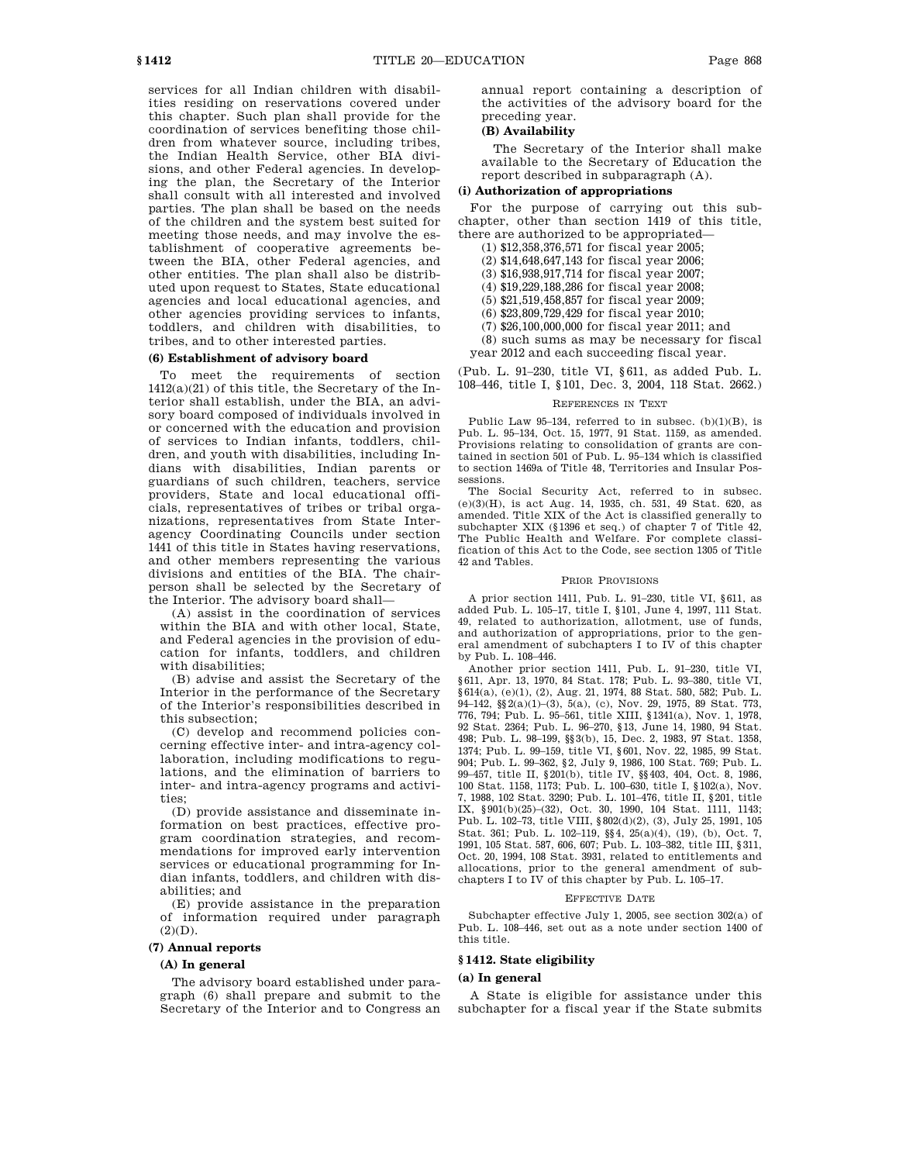services for all Indian children with disabilities residing on reservations covered under this chapter. Such plan shall provide for the coordination of services benefiting those children from whatever source, including tribes, the Indian Health Service, other BIA divisions, and other Federal agencies. In developing the plan, the Secretary of the Interior shall consult with all interested and involved parties. The plan shall be based on the needs of the children and the system best suited for meeting those needs, and may involve the establishment of cooperative agreements between the BIA, other Federal agencies, and other entities. The plan shall also be distributed upon request to States, State educational agencies and local educational agencies, and other agencies providing services to infants, toddlers, and children with disabilities, to tribes, and to other interested parties.

#### **(6) Establishment of advisory board**

To meet the requirements of section 1412(a)(21) of this title, the Secretary of the Interior shall establish, under the BIA, an advisory board composed of individuals involved in or concerned with the education and provision of services to Indian infants, toddlers, children, and youth with disabilities, including Indians with disabilities, Indian parents or guardians of such children, teachers, service providers, State and local educational officials, representatives of tribes or tribal organizations, representatives from State Interagency Coordinating Councils under section 1441 of this title in States having reservations, and other members representing the various divisions and entities of the BIA. The chairperson shall be selected by the Secretary of the Interior. The advisory board shall—

(A) assist in the coordination of services within the BIA and with other local, State, and Federal agencies in the provision of education for infants, toddlers, and children with disabilities;

(B) advise and assist the Secretary of the Interior in the performance of the Secretary of the Interior's responsibilities described in this subsection;

(C) develop and recommend policies concerning effective inter- and intra-agency collaboration, including modifications to regulations, and the elimination of barriers to inter- and intra-agency programs and activities;

(D) provide assistance and disseminate information on best practices, effective program coordination strategies, and recommendations for improved early intervention services or educational programming for Indian infants, toddlers, and children with disabilities; and

(E) provide assistance in the preparation of information required under paragraph  $(2)(D)$ .

# **(7) Annual reports**

#### **(A) In general**

The advisory board established under paragraph (6) shall prepare and submit to the Secretary of the Interior and to Congress an annual report containing a description of the activities of the advisory board for the preceding year.

#### **(B) Availability**

The Secretary of the Interior shall make available to the Secretary of Education the report described in subparagraph (A).

# **(i) Authorization of appropriations**

For the purpose of carrying out this subchapter, other than section 1419 of this title, there are authorized to be appropriated—

- (1) \$12,358,376,571 for fiscal year 2005;
- (2) \$14,648,647,143 for fiscal year 2006;
- (3) \$16,938,917,714 for fiscal year 2007;
- (4) \$19,229,188,286 for fiscal year 2008;
- (5) \$21,519,458,857 for fiscal year 2009;
- (6) \$23,809,729,429 for fiscal year 2010;
- (7) \$26,100,000,000 for fiscal year 2011; and
- (8) such sums as may be necessary for fiscal
- year 2012 and each succeeding fiscal year.

(Pub. L. 91–230, title VI, §611, as added Pub. L. 108–446, title I, §101, Dec. 3, 2004, 118 Stat. 2662.)

#### REFERENCES IN TEXT

Public Law 95–134, referred to in subsec. (b)(1)(B), is Pub. L. 95–134, Oct. 15, 1977, 91 Stat. 1159, as amended. Provisions relating to consolidation of grants are contained in section 501 of Pub. L. 95–134 which is classified to section 1469a of Title 48, Territories and Insular Possessions.

The Social Security Act, referred to in subsec. (e)(3)(H), is act Aug. 14, 1935, ch. 531, 49 Stat. 620, as amended. Title XIX of the Act is classified generally to subchapter XIX (§1396 et seq.) of chapter 7 of Title 42, The Public Health and Welfare. For complete classification of this Act to the Code, see section 1305 of Title 42 and Tables.

#### PRIOR PROVISIONS

A prior section 1411, Pub. L. 91–230, title VI, §611, as added Pub. L. 105–17, title I, §101, June 4, 1997, 111 Stat. 49, related to authorization, allotment, use of funds, and authorization of appropriations, prior to the general amendment of subchapters I to IV of this chapter by Pub. L. 108–446.

Another prior section 1411, Pub. L. 91–230, title VI, §611, Apr. 13, 1970, 84 Stat. 178; Pub. L. 93–380, title VI, §614(a), (e)(1), (2), Aug. 21, 1974, 88 Stat. 580, 582; Pub. L. 94–142, §§2(a)(1)–(3), 5(a), (c), Nov. 29, 1975, 89 Stat. 773, 776, 794; Pub. L. 95–561, title XIII, §1341(a), Nov. 1, 1978, 92 Stat. 2364; Pub. L. 96–270, §13, June 14, 1980, 94 Stat. 498; Pub. L. 98–199, §§3(b), 15, Dec. 2, 1983, 97 Stat. 1358, 1374; Pub. L. 99–159, title VI, §601, Nov. 22, 1985, 99 Stat. 904; Pub. L. 99–362, §2, July 9, 1986, 100 Stat. 769; Pub. L. 99–457, title II, §201(b), title IV, §§403, 404, Oct. 8, 1986, 100 Stat. 1158, 1173; Pub. L. 100–630, title I, §102(a), Nov. 7, 1988, 102 Stat. 3290; Pub. L. 101–476, title II, §201, title IX, §901(b)(25)–(32), Oct. 30, 1990, 104 Stat. 1111, 1143; Pub. L. 102–73, title VIII, §802(d)(2), (3), July 25, 1991, 105 Stat. 361; Pub. L. 102–119, §§4, 25(a)(4), (19), (b), Oct. 7, 1991, 105 Stat. 587, 606, 607; Pub. L. 103–382, title III, §311, Oct. 20, 1994, 108 Stat. 3931, related to entitlements and allocations, prior to the general amendment of subchapters I to IV of this chapter by Pub. L. 105–17.

#### EFFECTIVE DATE

Subchapter effective July 1, 2005, see section 302(a) of Pub. L. 108–446, set out as a note under section 1400 of this title.

## **§ 1412. State eligibility**

#### **(a) In general**

A State is eligible for assistance under this subchapter for a fiscal year if the State submits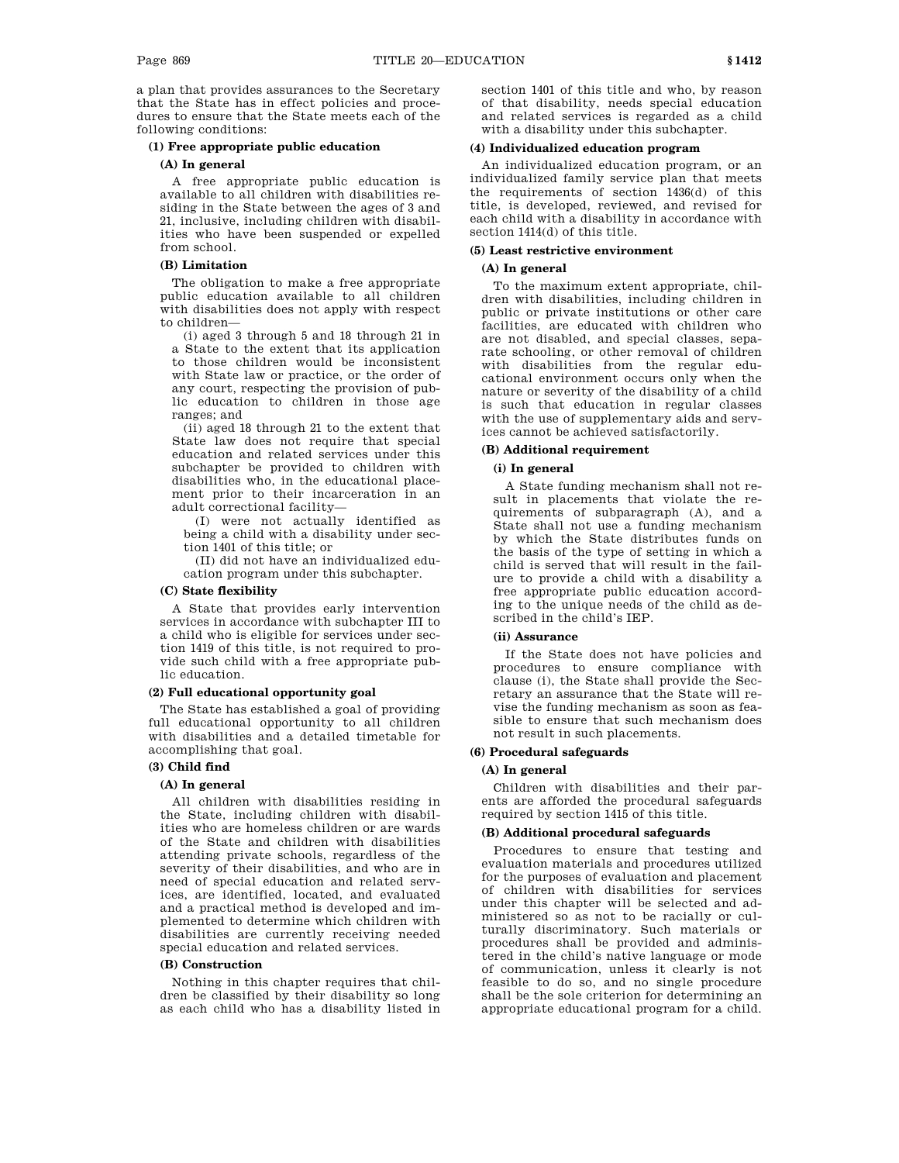a plan that provides assurances to the Secretary that the State has in effect policies and procedures to ensure that the State meets each of the following conditions:

# **(1) Free appropriate public education**

#### **(A) In general**

A free appropriate public education is available to all children with disabilities residing in the State between the ages of 3 and 21, inclusive, including children with disabilities who have been suspended or expelled from school.

## **(B) Limitation**

The obligation to make a free appropriate public education available to all children with disabilities does not apply with respect to children—

(i) aged 3 through 5 and 18 through 21 in a State to the extent that its application to those children would be inconsistent with State law or practice, or the order of any court, respecting the provision of public education to children in those age ranges; and

(ii) aged 18 through 21 to the extent that State law does not require that special education and related services under this subchapter be provided to children with disabilities who, in the educational placement prior to their incarceration in an adult correctional facility—

(I) were not actually identified as being a child with a disability under section 1401 of this title; or

(II) did not have an individualized education program under this subchapter.

### **(C) State flexibility**

A State that provides early intervention services in accordance with subchapter III to a child who is eligible for services under section 1419 of this title, is not required to provide such child with a free appropriate public education.

#### **(2) Full educational opportunity goal**

The State has established a goal of providing full educational opportunity to all children with disabilities and a detailed timetable for accomplishing that goal.

# **(3) Child find**

#### **(A) In general**

All children with disabilities residing in the State, including children with disabilities who are homeless children or are wards of the State and children with disabilities attending private schools, regardless of the severity of their disabilities, and who are in need of special education and related services, are identified, located, and evaluated and a practical method is developed and implemented to determine which children with disabilities are currently receiving needed special education and related services.

# **(B) Construction**

Nothing in this chapter requires that children be classified by their disability so long as each child who has a disability listed in section 1401 of this title and who, by reason of that disability, needs special education and related services is regarded as a child with a disability under this subchapter.

## **(4) Individualized education program**

An individualized education program, or an individualized family service plan that meets the requirements of section 1436(d) of this title, is developed, reviewed, and revised for each child with a disability in accordance with section 1414(d) of this title.

#### **(5) Least restrictive environment**

## **(A) In general**

To the maximum extent appropriate, children with disabilities, including children in public or private institutions or other care facilities, are educated with children who are not disabled, and special classes, separate schooling, or other removal of children with disabilities from the regular educational environment occurs only when the nature or severity of the disability of a child is such that education in regular classes with the use of supplementary aids and services cannot be achieved satisfactorily.

## **(B) Additional requirement**

#### **(i) In general**

A State funding mechanism shall not result in placements that violate the requirements of subparagraph (A), and a State shall not use a funding mechanism by which the State distributes funds on the basis of the type of setting in which a child is served that will result in the failure to provide a child with a disability a free appropriate public education according to the unique needs of the child as described in the child's IEP.

#### **(ii) Assurance**

If the State does not have policies and procedures to ensure compliance with clause (i), the State shall provide the Secretary an assurance that the State will revise the funding mechanism as soon as feasible to ensure that such mechanism does not result in such placements.

#### **(6) Procedural safeguards**

# **(A) In general**

Children with disabilities and their parents are afforded the procedural safeguards required by section 1415 of this title.

## **(B) Additional procedural safeguards**

Procedures to ensure that testing and evaluation materials and procedures utilized for the purposes of evaluation and placement of children with disabilities for services under this chapter will be selected and administered so as not to be racially or culturally discriminatory. Such materials or procedures shall be provided and administered in the child's native language or mode of communication, unless it clearly is not feasible to do so, and no single procedure shall be the sole criterion for determining an appropriate educational program for a child.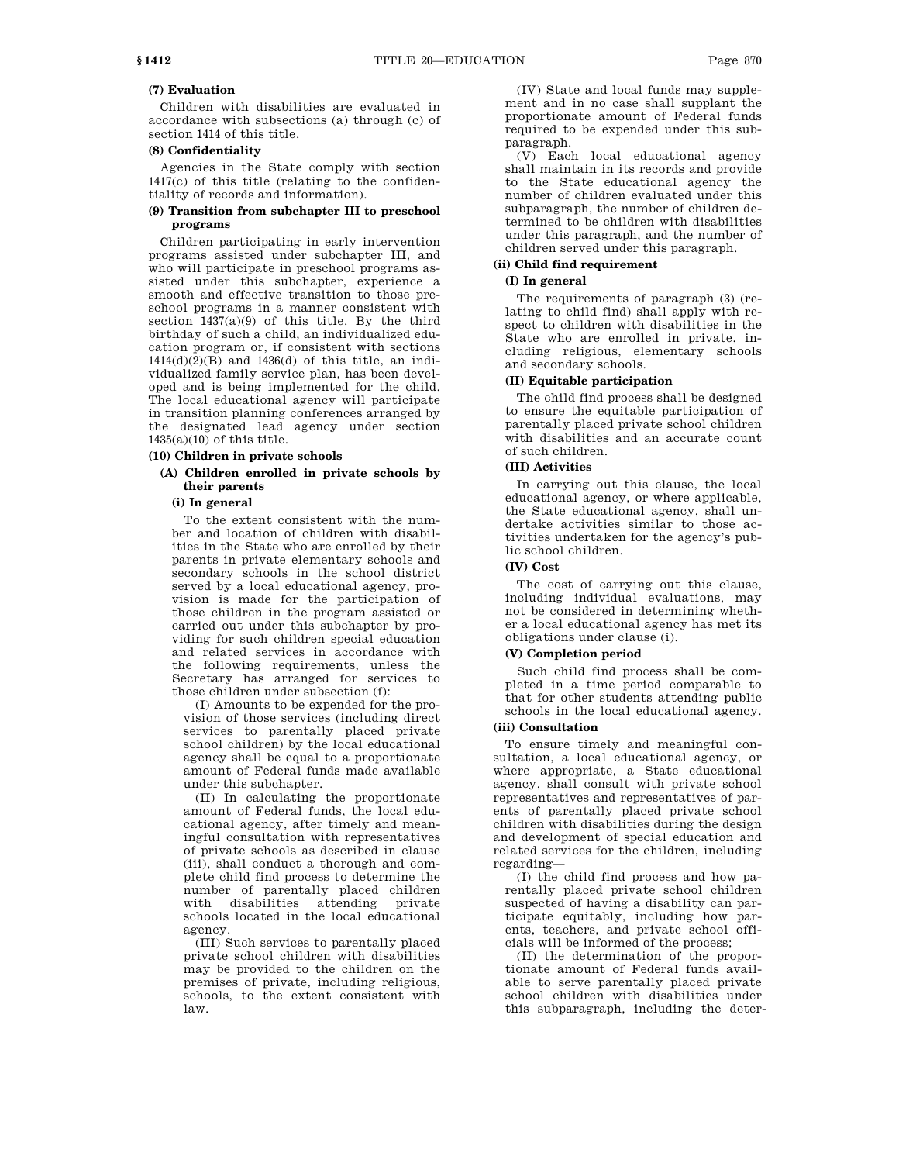## **(7) Evaluation**

Children with disabilities are evaluated in accordance with subsections (a) through (c) of section 1414 of this title.

#### **(8) Confidentiality**

Agencies in the State comply with section 1417(c) of this title (relating to the confidentiality of records and information).

# **(9) Transition from subchapter III to preschool programs**

Children participating in early intervention programs assisted under subchapter III, and who will participate in preschool programs assisted under this subchapter, experience a smooth and effective transition to those preschool programs in a manner consistent with section  $1437(a)(9)$  of this title. By the third birthday of such a child, an individualized education program or, if consistent with sections  $1414(d)(2)(B)$  and  $1436(d)$  of this title, an individualized family service plan, has been developed and is being implemented for the child. The local educational agency will participate in transition planning conferences arranged by the designated lead agency under section 1435(a)(10) of this title.

#### **(10) Children in private schools**

**(A) Children enrolled in private schools by their parents**

# **(i) In general**

To the extent consistent with the number and location of children with disabilities in the State who are enrolled by their parents in private elementary schools and secondary schools in the school district served by a local educational agency, provision is made for the participation of those children in the program assisted or carried out under this subchapter by providing for such children special education and related services in accordance with the following requirements, unless the Secretary has arranged for services to those children under subsection (f):

(I) Amounts to be expended for the provision of those services (including direct services to parentally placed private school children) by the local educational agency shall be equal to a proportionate amount of Federal funds made available under this subchapter.

(II) In calculating the proportionate amount of Federal funds, the local educational agency, after timely and meaningful consultation with representatives of private schools as described in clause (iii), shall conduct a thorough and complete child find process to determine the number of parentally placed children with disabilities attending private schools located in the local educational agency.

(III) Such services to parentally placed private school children with disabilities may be provided to the children on the premises of private, including religious, schools, to the extent consistent with law.

(IV) State and local funds may supplement and in no case shall supplant the proportionate amount of Federal funds required to be expended under this subparagraph.

(V) Each local educational agency shall maintain in its records and provide to the State educational agency the number of children evaluated under this subparagraph, the number of children determined to be children with disabilities under this paragraph, and the number of children served under this paragraph.

# **(ii) Child find requirement**

# **(I) In general**

The requirements of paragraph (3) (relating to child find) shall apply with respect to children with disabilities in the State who are enrolled in private, including religious, elementary schools and secondary schools.

# **(II) Equitable participation**

The child find process shall be designed to ensure the equitable participation of parentally placed private school children with disabilities and an accurate count of such children.

# **(III) Activities**

In carrying out this clause, the local educational agency, or where applicable, the State educational agency, shall undertake activities similar to those activities undertaken for the agency's public school children.

# **(IV) Cost**

The cost of carrying out this clause, including individual evaluations, may not be considered in determining whether a local educational agency has met its obligations under clause (i).

#### **(V) Completion period**

Such child find process shall be completed in a time period comparable to that for other students attending public schools in the local educational agency.

#### **(iii) Consultation**

To ensure timely and meaningful consultation, a local educational agency, or where appropriate, a State educational agency, shall consult with private school representatives and representatives of parents of parentally placed private school children with disabilities during the design and development of special education and related services for the children, including regarding—

(I) the child find process and how parentally placed private school children suspected of having a disability can participate equitably, including how parents, teachers, and private school officials will be informed of the process;

(II) the determination of the proportionate amount of Federal funds available to serve parentally placed private school children with disabilities under this subparagraph, including the deter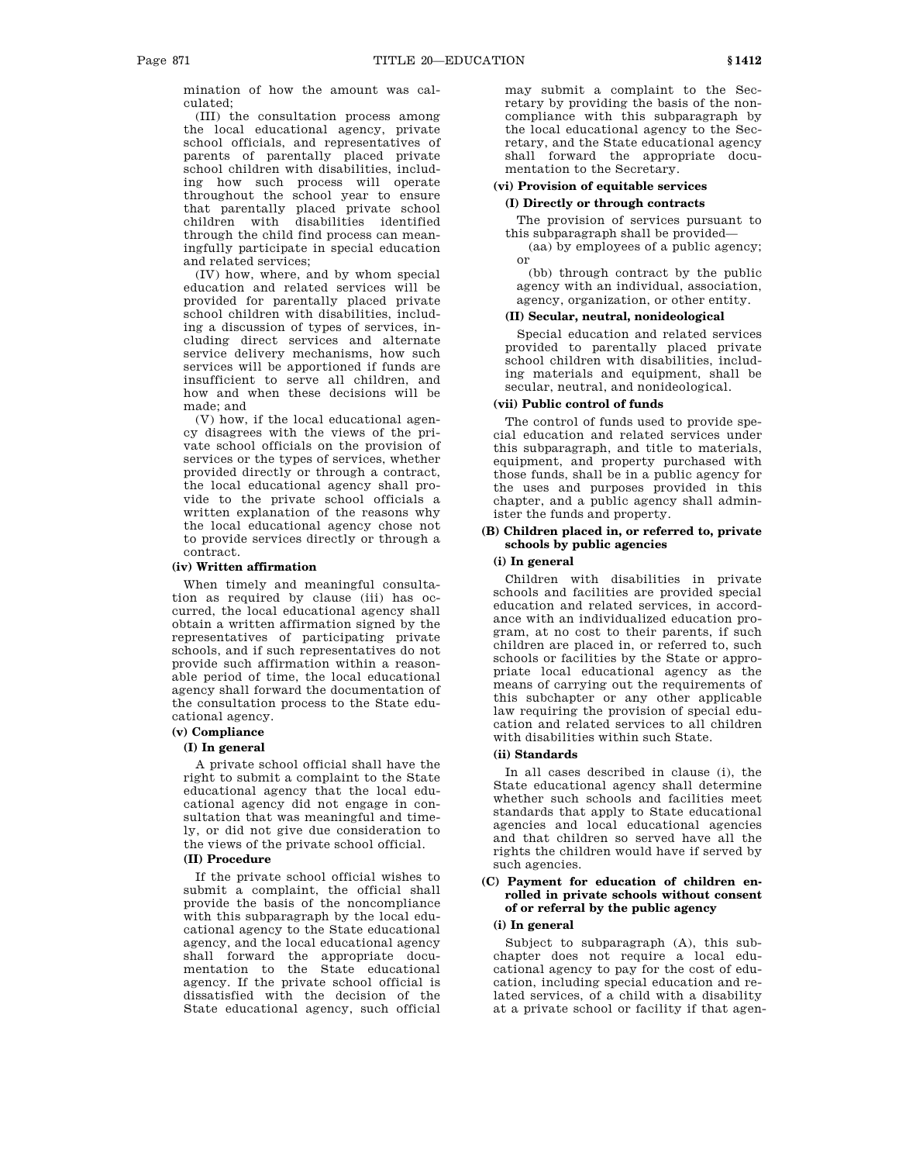mination of how the amount was calculated;

(III) the consultation process among the local educational agency, private school officials, and representatives of parents of parentally placed private school children with disabilities, including how such process will operate throughout the school year to ensure that parentally placed private school children with disabilities identified through the child find process can meaningfully participate in special education and related services;

(IV) how, where, and by whom special education and related services will be provided for parentally placed private school children with disabilities, including a discussion of types of services, including direct services and alternate service delivery mechanisms, how such services will be apportioned if funds are insufficient to serve all children, and how and when these decisions will be made; and

(V) how, if the local educational agency disagrees with the views of the private school officials on the provision of services or the types of services, whether provided directly or through a contract, the local educational agency shall provide to the private school officials a written explanation of the reasons why the local educational agency chose not to provide services directly or through a contract.

# **(iv) Written affirmation**

When timely and meaningful consultation as required by clause (iii) has occurred, the local educational agency shall obtain a written affirmation signed by the representatives of participating private schools, and if such representatives do not provide such affirmation within a reasonable period of time, the local educational agency shall forward the documentation of the consultation process to the State educational agency.

# **(v) Compliance**

# **(I) In general**

A private school official shall have the right to submit a complaint to the State educational agency that the local educational agency did not engage in consultation that was meaningful and timely, or did not give due consideration to the views of the private school official.

#### **(II) Procedure**

If the private school official wishes to submit a complaint, the official shall provide the basis of the noncompliance with this subparagraph by the local educational agency to the State educational agency, and the local educational agency shall forward the appropriate documentation to the State educational agency. If the private school official is dissatisfied with the decision of the State educational agency, such official

may submit a complaint to the Secretary by providing the basis of the noncompliance with this subparagraph by the local educational agency to the Secretary, and the State educational agency shall forward the appropriate documentation to the Secretary.

# **(vi) Provision of equitable services (I) Directly or through contracts**

The provision of services pursuant to this subparagraph shall be provided—

(aa) by employees of a public agency; or

(bb) through contract by the public agency with an individual, association, agency, organization, or other entity.

#### **(II) Secular, neutral, nonideological**

Special education and related services provided to parentally placed private school children with disabilities, including materials and equipment, shall be secular, neutral, and nonideological.

# **(vii) Public control of funds**

The control of funds used to provide special education and related services under this subparagraph, and title to materials, equipment, and property purchased with those funds, shall be in a public agency for the uses and purposes provided in this chapter, and a public agency shall administer the funds and property.

# **(B) Children placed in, or referred to, private schools by public agencies**

## **(i) In general**

Children with disabilities in private schools and facilities are provided special education and related services, in accordance with an individualized education program, at no cost to their parents, if such children are placed in, or referred to, such schools or facilities by the State or appropriate local educational agency as the means of carrying out the requirements of this subchapter or any other applicable law requiring the provision of special education and related services to all children with disabilities within such State.

#### **(ii) Standards**

In all cases described in clause (i), the State educational agency shall determine whether such schools and facilities meet standards that apply to State educational agencies and local educational agencies and that children so served have all the rights the children would have if served by such agencies.

# **(C) Payment for education of children enrolled in private schools without consent of or referral by the public agency**

#### **(i) In general**

Subject to subparagraph (A), this subchapter does not require a local educational agency to pay for the cost of education, including special education and related services, of a child with a disability at a private school or facility if that agen-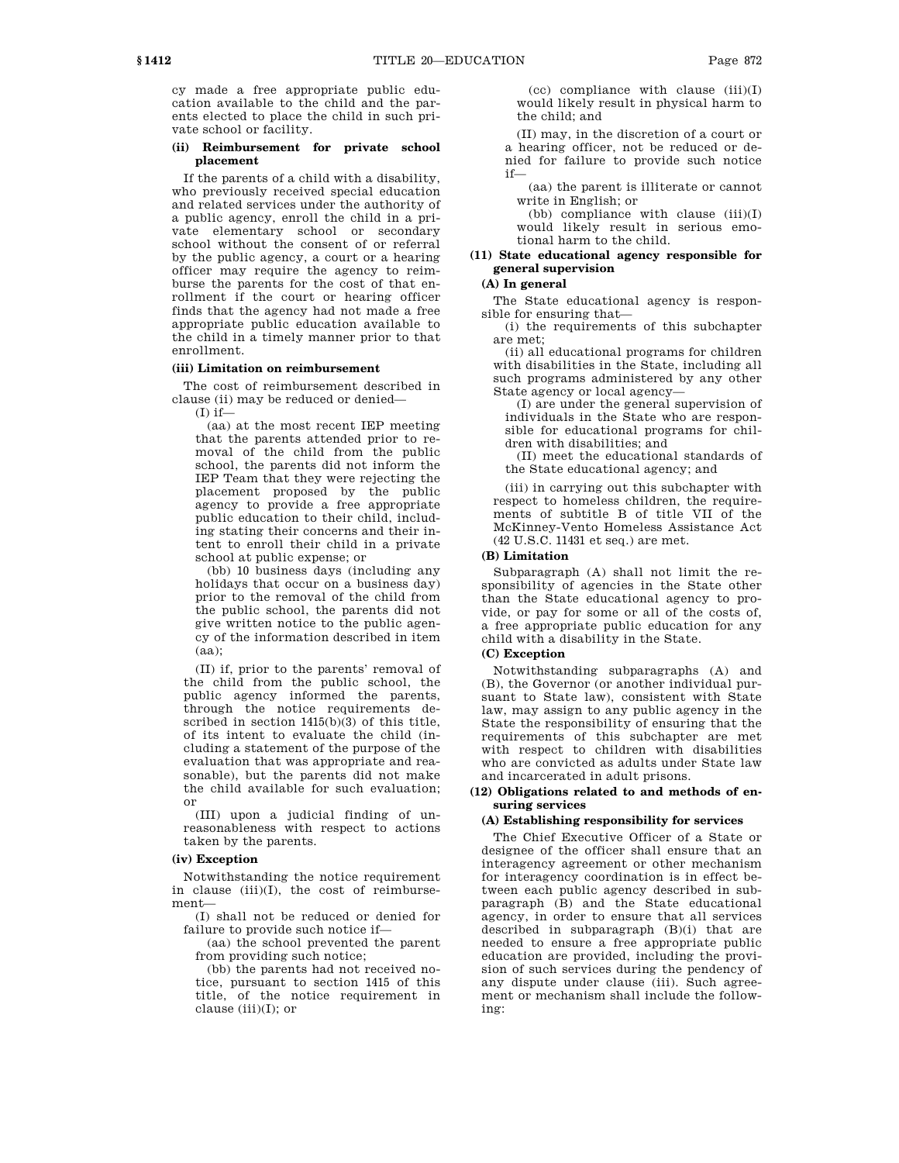cy made a free appropriate public education available to the child and the parents elected to place the child in such private school or facility.

## **(ii) Reimbursement for private school placement**

If the parents of a child with a disability, who previously received special education and related services under the authority of a public agency, enroll the child in a private elementary school or secondary school without the consent of or referral by the public agency, a court or a hearing officer may require the agency to reimburse the parents for the cost of that enrollment if the court or hearing officer finds that the agency had not made a free appropriate public education available to the child in a timely manner prior to that enrollment.

# **(iii) Limitation on reimbursement**

The cost of reimbursement described in clause (ii) may be reduced or denied—

 $(I)$  if—

(aa) at the most recent IEP meeting that the parents attended prior to removal of the child from the public school, the parents did not inform the IEP Team that they were rejecting the placement proposed by the public agency to provide a free appropriate public education to their child, including stating their concerns and their intent to enroll their child in a private school at public expense; or

(bb) 10 business days (including any holidays that occur on a business day) prior to the removal of the child from the public school, the parents did not give written notice to the public agency of the information described in item (aa);

(II) if, prior to the parents' removal of the child from the public school, the public agency informed the parents, through the notice requirements described in section 1415(b)(3) of this title, of its intent to evaluate the child (including a statement of the purpose of the evaluation that was appropriate and reasonable), but the parents did not make the child available for such evaluation; or

(III) upon a judicial finding of unreasonableness with respect to actions taken by the parents.

#### **(iv) Exception**

Notwithstanding the notice requirement in clause (iii)(I), the cost of reimbursement—

(I) shall not be reduced or denied for failure to provide such notice if—

(aa) the school prevented the parent from providing such notice;

(bb) the parents had not received notice, pursuant to section 1415 of this title, of the notice requirement in clause (iii) $(I)$ ; or

 $(cc)$  compliance with clause  $(iii)(I)$ would likely result in physical harm to the child; and

(II) may, in the discretion of a court or a hearing officer, not be reduced or denied for failure to provide such notice if—

(aa) the parent is illiterate or cannot write in English; or

 $(bb)$  compliance with clause  $(iii)(I)$ would likely result in serious emotional harm to the child.

# **(11) State educational agency responsible for general supervision**

#### **(A) In general**

The State educational agency is responsible for ensuring that—

(i) the requirements of this subchapter are met;

(ii) all educational programs for children with disabilities in the State, including all such programs administered by any other State agency or local agency—

(I) are under the general supervision of individuals in the State who are responsible for educational programs for children with disabilities; and

(II) meet the educational standards of the State educational agency; and

(iii) in carrying out this subchapter with respect to homeless children, the requirements of subtitle B of title VII of the McKinney-Vento Homeless Assistance Act (42 U.S.C. 11431 et seq.) are met.

## **(B) Limitation**

Subparagraph (A) shall not limit the responsibility of agencies in the State other than the State educational agency to provide, or pay for some or all of the costs of, a free appropriate public education for any child with a disability in the State.

# **(C) Exception**

Notwithstanding subparagraphs (A) and (B), the Governor (or another individual pursuant to State law), consistent with State law, may assign to any public agency in the State the responsibility of ensuring that the requirements of this subchapter are met with respect to children with disabilities who are convicted as adults under State law and incarcerated in adult prisons.

## **(12) Obligations related to and methods of ensuring services**

# **(A) Establishing responsibility for services**

The Chief Executive Officer of a State or designee of the officer shall ensure that an interagency agreement or other mechanism for interagency coordination is in effect between each public agency described in subparagraph (B) and the State educational agency, in order to ensure that all services described in subparagraph (B)(i) that are needed to ensure a free appropriate public education are provided, including the provision of such services during the pendency of any dispute under clause (iii). Such agreement or mechanism shall include the following: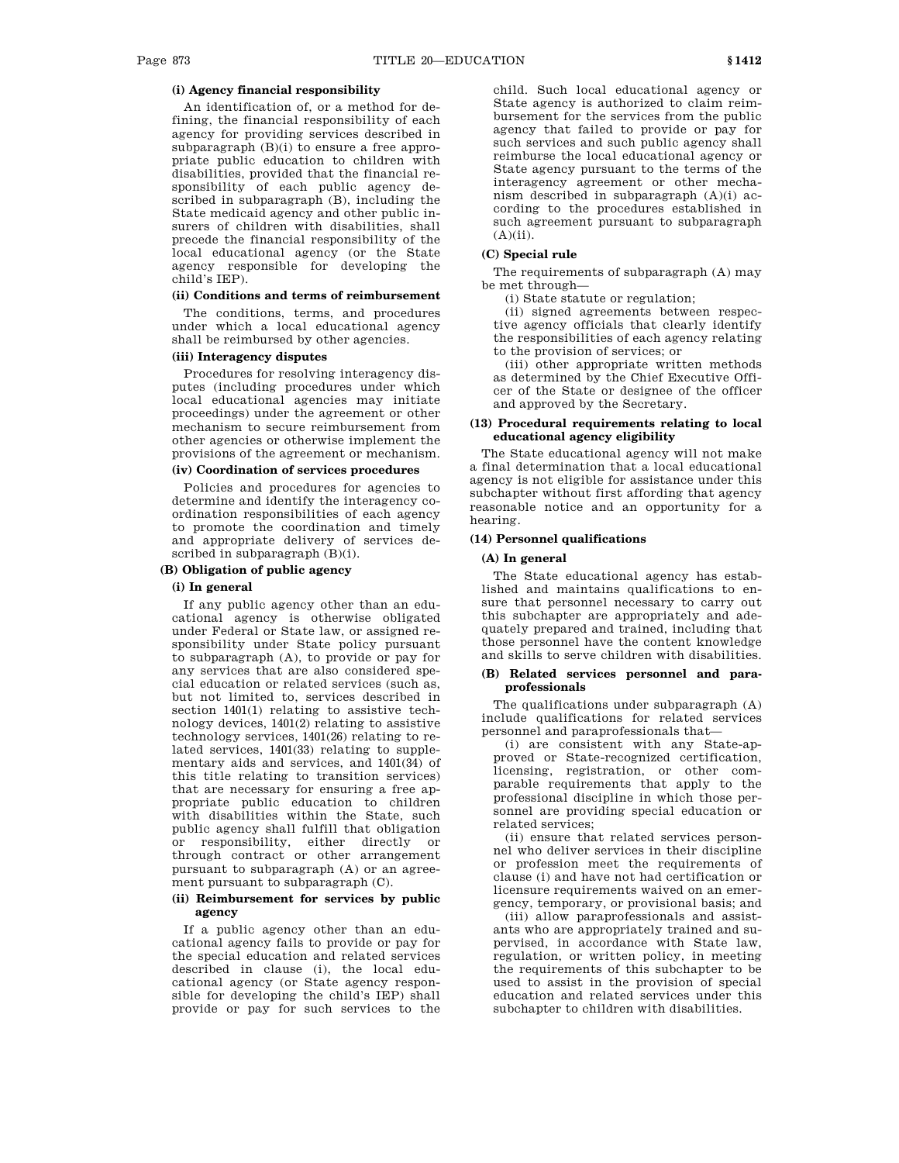# **(i) Agency financial responsibility**

An identification of, or a method for defining, the financial responsibility of each agency for providing services described in subparagraph (B)(i) to ensure a free appropriate public education to children with disabilities, provided that the financial responsibility of each public agency described in subparagraph (B), including the State medicaid agency and other public insurers of children with disabilities, shall precede the financial responsibility of the local educational agency (or the State agency responsible for developing the child's IEP).

# **(ii) Conditions and terms of reimbursement**

The conditions, terms, and procedures under which a local educational agency shall be reimbursed by other agencies.

# **(iii) Interagency disputes**

Procedures for resolving interagency disputes (including procedures under which local educational agencies may initiate proceedings) under the agreement or other mechanism to secure reimbursement from other agencies or otherwise implement the provisions of the agreement or mechanism.

# **(iv) Coordination of services procedures**

Policies and procedures for agencies to determine and identify the interagency coordination responsibilities of each agency to promote the coordination and timely and appropriate delivery of services described in subparagraph (B)(i).

# **(B) Obligation of public agency**

# **(i) In general**

If any public agency other than an educational agency is otherwise obligated under Federal or State law, or assigned responsibility under State policy pursuant to subparagraph (A), to provide or pay for any services that are also considered special education or related services (such as, but not limited to, services described in section 1401(1) relating to assistive technology devices, 1401(2) relating to assistive technology services, 1401(26) relating to related services, 1401(33) relating to supplementary aids and services, and 1401(34) of this title relating to transition services) that are necessary for ensuring a free appropriate public education to children with disabilities within the State, such public agency shall fulfill that obligation or responsibility, either directly or through contract or other arrangement pursuant to subparagraph (A) or an agreement pursuant to subparagraph (C).

# **(ii) Reimbursement for services by public agency**

If a public agency other than an educational agency fails to provide or pay for the special education and related services described in clause (i), the local educational agency (or State agency responsible for developing the child's IEP) shall provide or pay for such services to the

child. Such local educational agency or State agency is authorized to claim reimbursement for the services from the public agency that failed to provide or pay for such services and such public agency shall reimburse the local educational agency or State agency pursuant to the terms of the interagency agreement or other mechanism described in subparagraph (A)(i) according to the procedures established in such agreement pursuant to subparagraph  $(A)(ii)$ .

#### **(C) Special rule**

The requirements of subparagraph (A) may be met through—

(i) State statute or regulation;

(ii) signed agreements between respective agency officials that clearly identify the responsibilities of each agency relating to the provision of services; or

(iii) other appropriate written methods as determined by the Chief Executive Officer of the State or designee of the officer and approved by the Secretary.

## **(13) Procedural requirements relating to local educational agency eligibility**

The State educational agency will not make a final determination that a local educational agency is not eligible for assistance under this subchapter without first affording that agency reasonable notice and an opportunity for a hearing.

# **(14) Personnel qualifications**

# **(A) In general**

The State educational agency has established and maintains qualifications to ensure that personnel necessary to carry out this subchapter are appropriately and adequately prepared and trained, including that those personnel have the content knowledge and skills to serve children with disabilities.

#### **(B) Related services personnel and paraprofessionals**

The qualifications under subparagraph (A) include qualifications for related services personnel and paraprofessionals that—

(i) are consistent with any State-approved or State-recognized certification, licensing, registration, or other comparable requirements that apply to the professional discipline in which those personnel are providing special education or related services;

(ii) ensure that related services personnel who deliver services in their discipline or profession meet the requirements of clause (i) and have not had certification or licensure requirements waived on an emergency, temporary, or provisional basis; and

(iii) allow paraprofessionals and assistants who are appropriately trained and supervised, in accordance with State law, regulation, or written policy, in meeting the requirements of this subchapter to be used to assist in the provision of special education and related services under this subchapter to children with disabilities.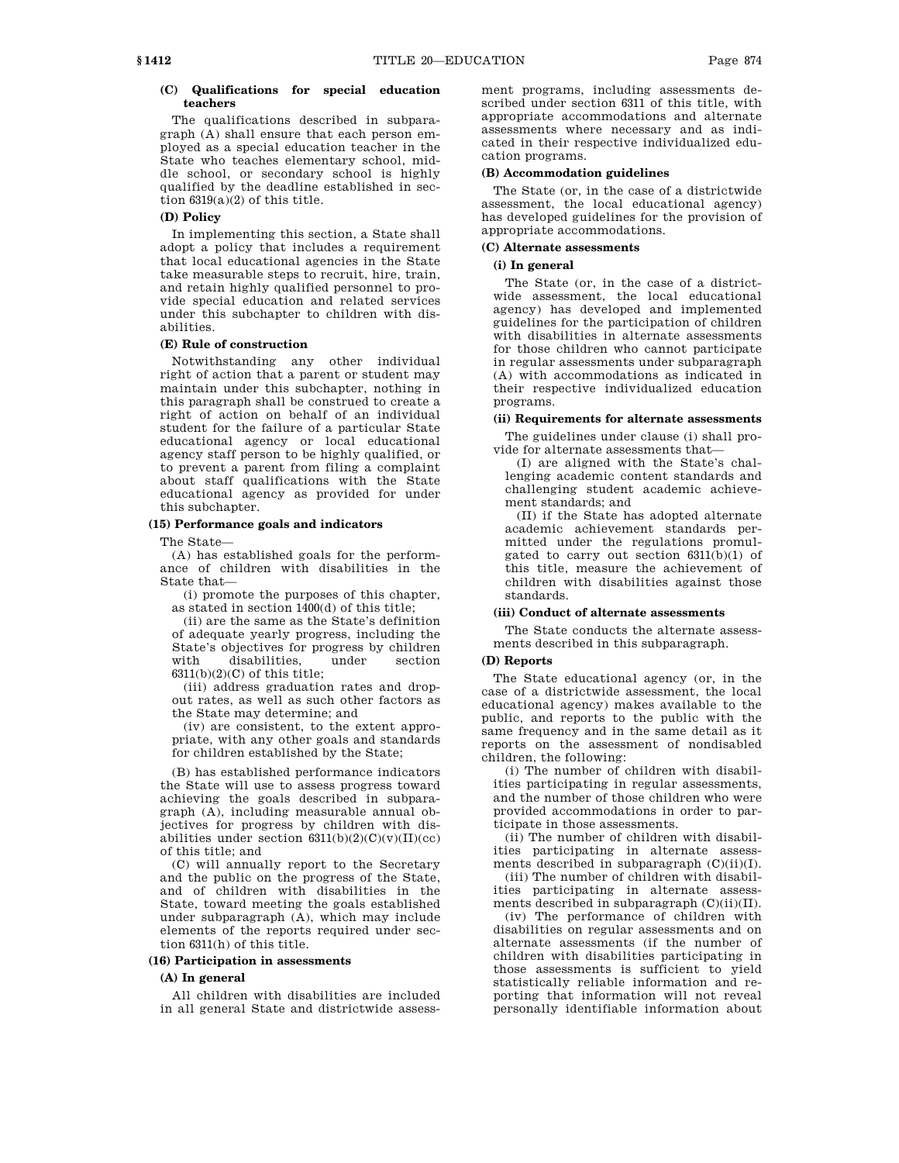# **(C) Qualifications for special education teachers**

The qualifications described in subparagraph (A) shall ensure that each person employed as a special education teacher in the State who teaches elementary school, middle school, or secondary school is highly qualified by the deadline established in section 6319(a)(2) of this title.

# **(D) Policy**

In implementing this section, a State shall adopt a policy that includes a requirement that local educational agencies in the State take measurable steps to recruit, hire, train, and retain highly qualified personnel to provide special education and related services under this subchapter to children with disabilities.

#### **(E) Rule of construction**

Notwithstanding any other individual right of action that a parent or student may maintain under this subchapter, nothing in this paragraph shall be construed to create a right of action on behalf of an individual student for the failure of a particular State educational agency or local educational agency staff person to be highly qualified, or to prevent a parent from filing a complaint about staff qualifications with the State educational agency as provided for under this subchapter.

## **(15) Performance goals and indicators**

The State—

(A) has established goals for the performance of children with disabilities in the State that—

(i) promote the purposes of this chapter, as stated in section 1400(d) of this title;

(ii) are the same as the State's definition of adequate yearly progress, including the State's objectives for progress by children with disabilities, under section  $6311(b)(2)(C)$  of this title;

(iii) address graduation rates and dropout rates, as well as such other factors as the State may determine; and

(iv) are consistent, to the extent appropriate, with any other goals and standards for children established by the State;

(B) has established performance indicators the State will use to assess progress toward achieving the goals described in subparagraph (A), including measurable annual objectives for progress by children with disabilities under section  $6311(b)(2)(C)(V)(II)(cc)$ of this title; and

(C) will annually report to the Secretary and the public on the progress of the State, and of children with disabilities in the State, toward meeting the goals established under subparagraph (A), which may include elements of the reports required under section 6311(h) of this title.

# **(16) Participation in assessments**

# **(A) In general**

All children with disabilities are included in all general State and districtwide assessment programs, including assessments described under section 6311 of this title, with appropriate accommodations and alternate assessments where necessary and as indicated in their respective individualized education programs.

#### **(B) Accommodation guidelines**

The State (or, in the case of a districtwide assessment, the local educational agency) has developed guidelines for the provision of appropriate accommodations.

# **(C) Alternate assessments**

#### **(i) In general**

The State (or, in the case of a districtwide assessment, the local educational agency) has developed and implemented guidelines for the participation of children with disabilities in alternate assessments for those children who cannot participate in regular assessments under subparagraph (A) with accommodations as indicated in their respective individualized education programs.

## **(ii) Requirements for alternate assessments**

The guidelines under clause (i) shall provide for alternate assessments that—

(I) are aligned with the State's challenging academic content standards and challenging student academic achievement standards; and

(II) if the State has adopted alternate academic achievement standards permitted under the regulations promulgated to carry out section 6311(b)(1) of this title, measure the achievement of children with disabilities against those standards.

## **(iii) Conduct of alternate assessments**

The State conducts the alternate assessments described in this subparagraph.

#### **(D) Reports**

The State educational agency (or, in the case of a districtwide assessment, the local educational agency) makes available to the public, and reports to the public with the same frequency and in the same detail as it reports on the assessment of nondisabled children, the following:

(i) The number of children with disabilities participating in regular assessments, and the number of those children who were provided accommodations in order to participate in those assessments.

(ii) The number of children with disabilities participating in alternate assessments described in subparagraph (C)(ii)(I).

(iii) The number of children with disabilities participating in alternate assessments described in subparagraph  $(C)(ii)(II)$ .

(iv) The performance of children with disabilities on regular assessments and on alternate assessments (if the number of children with disabilities participating in those assessments is sufficient to yield statistically reliable information and reporting that information will not reveal personally identifiable information about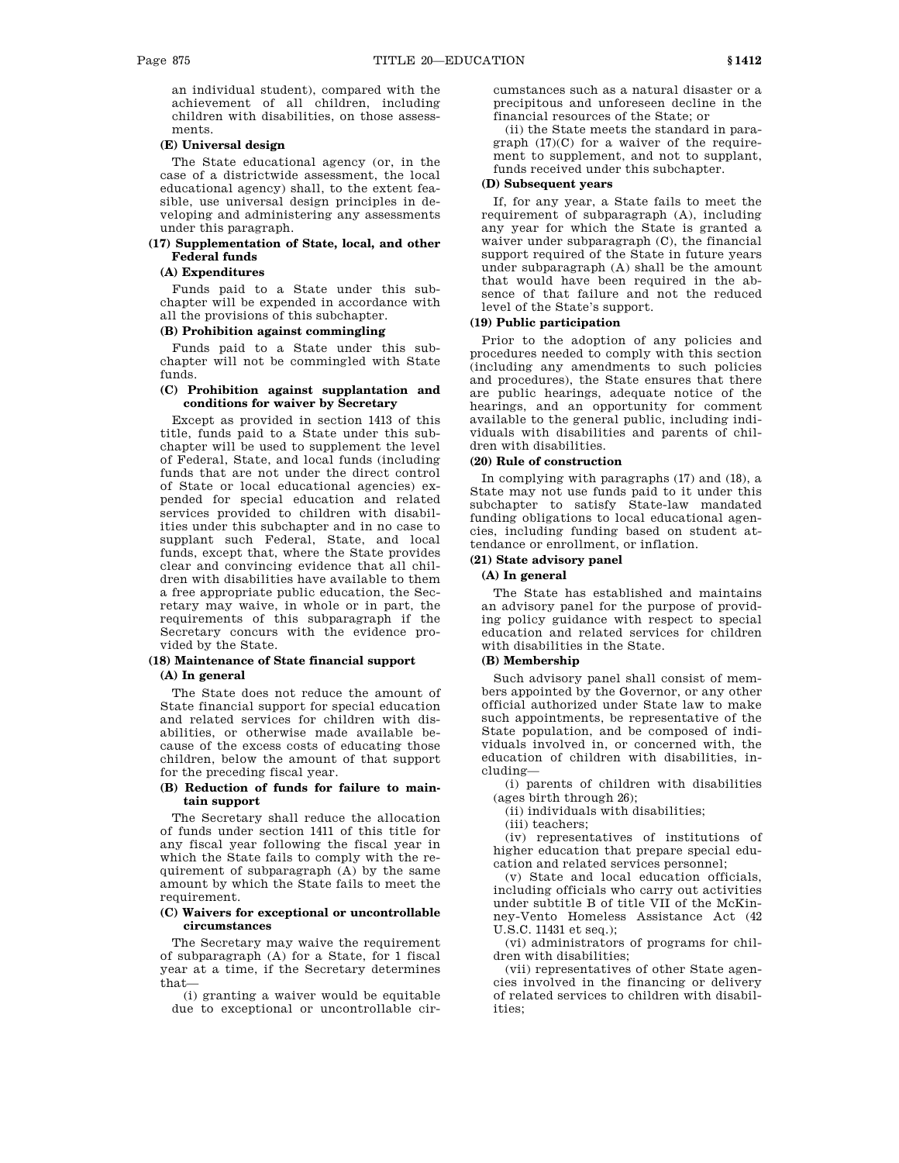an individual student), compared with the achievement of all children, including children with disabilities, on those assessments.

# **(E) Universal design**

The State educational agency (or, in the case of a districtwide assessment, the local educational agency) shall, to the extent feasible, use universal design principles in developing and administering any assessments under this paragraph.

## **(17) Supplementation of State, local, and other Federal funds**

# **(A) Expenditures**

Funds paid to a State under this subchapter will be expended in accordance with all the provisions of this subchapter.

## **(B) Prohibition against commingling**

Funds paid to a State under this subchapter will not be commingled with State funds.

#### **(C) Prohibition against supplantation and conditions for waiver by Secretary**

Except as provided in section 1413 of this title, funds paid to a State under this subchapter will be used to supplement the level of Federal, State, and local funds (including funds that are not under the direct control of State or local educational agencies) expended for special education and related services provided to children with disabilities under this subchapter and in no case to supplant such Federal, State, and local funds, except that, where the State provides clear and convincing evidence that all children with disabilities have available to them a free appropriate public education, the Secretary may waive, in whole or in part, the requirements of this subparagraph if the Secretary concurs with the evidence provided by the State.

# **(18) Maintenance of State financial support**

# **(A) In general**

The State does not reduce the amount of State financial support for special education and related services for children with disabilities, or otherwise made available because of the excess costs of educating those children, below the amount of that support for the preceding fiscal year.

## **(B) Reduction of funds for failure to maintain support**

The Secretary shall reduce the allocation of funds under section 1411 of this title for any fiscal year following the fiscal year in which the State fails to comply with the requirement of subparagraph (A) by the same amount by which the State fails to meet the requirement.

#### **(C) Waivers for exceptional or uncontrollable circumstances**

The Secretary may waive the requirement of subparagraph (A) for a State, for 1 fiscal year at a time, if the Secretary determines that—

(i) granting a waiver would be equitable due to exceptional or uncontrollable circumstances such as a natural disaster or a precipitous and unforeseen decline in the financial resources of the State; or

(ii) the State meets the standard in para $graph (17)(C)$  for a waiver of the requirement to supplement, and not to supplant, funds received under this subchapter.

#### **(D) Subsequent years**

If, for any year, a State fails to meet the requirement of subparagraph (A), including any year for which the State is granted a waiver under subparagraph (C), the financial support required of the State in future years under subparagraph (A) shall be the amount that would have been required in the absence of that failure and not the reduced level of the State's support.

# **(19) Public participation**

Prior to the adoption of any policies and procedures needed to comply with this section (including any amendments to such policies and procedures), the State ensures that there are public hearings, adequate notice of the hearings, and an opportunity for comment available to the general public, including individuals with disabilities and parents of children with disabilities.

# **(20) Rule of construction**

In complying with paragraphs (17) and (18), a State may not use funds paid to it under this subchapter to satisfy State-law mandated funding obligations to local educational agencies, including funding based on student attendance or enrollment, or inflation.

# **(21) State advisory panel**

# **(A) In general**

The State has established and maintains an advisory panel for the purpose of providing policy guidance with respect to special education and related services for children with disabilities in the State.

# **(B) Membership**

Such advisory panel shall consist of members appointed by the Governor, or any other official authorized under State law to make such appointments, be representative of the State population, and be composed of individuals involved in, or concerned with, the education of children with disabilities, including—

(i) parents of children with disabilities (ages birth through 26);

(ii) individuals with disabilities;

(iii) teachers;

(iv) representatives of institutions of higher education that prepare special education and related services personnel;

(v) State and local education officials, including officials who carry out activities under subtitle B of title VII of the McKinney-Vento Homeless Assistance Act (42 U.S.C. 11431 et seq.);

(vi) administrators of programs for children with disabilities;

(vii) representatives of other State agencies involved in the financing or delivery of related services to children with disabilities;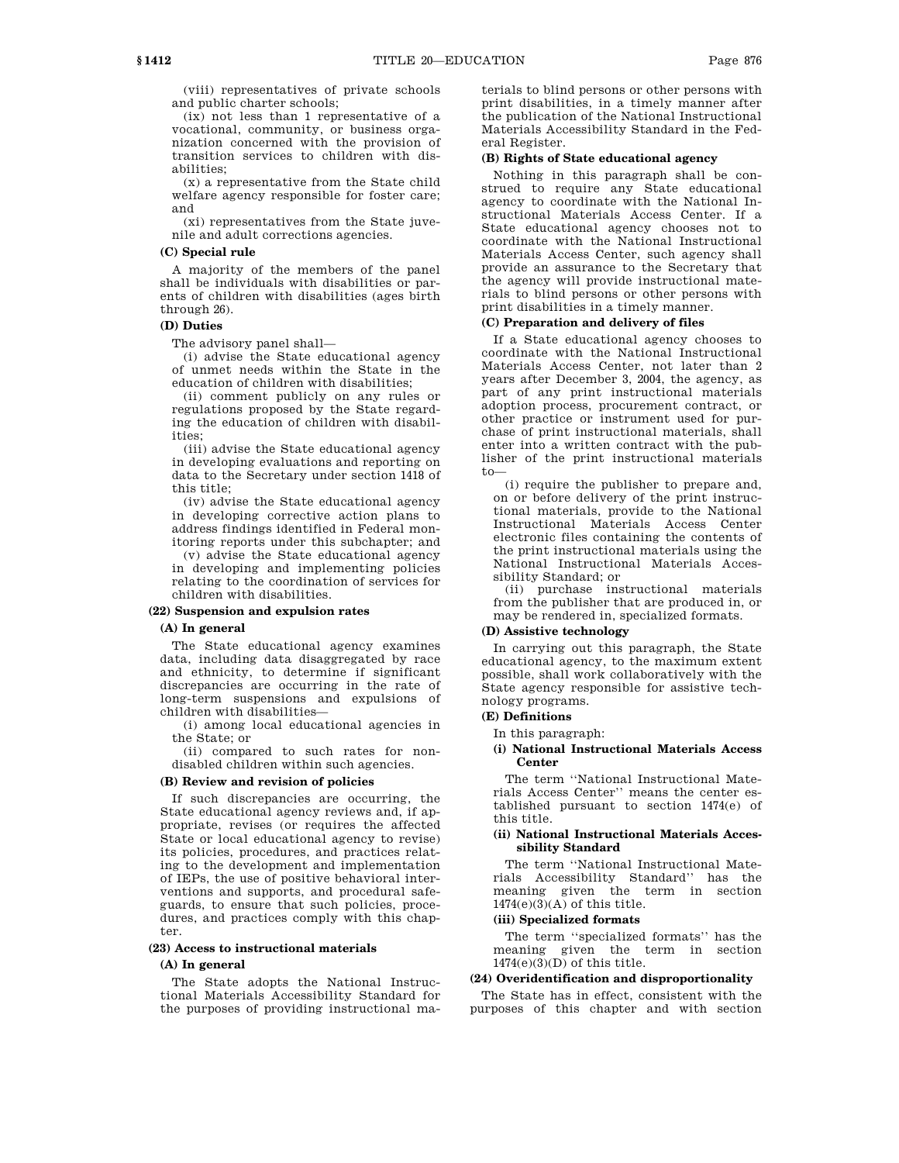(viii) representatives of private schools and public charter schools;

(ix) not less than 1 representative of a vocational, community, or business organization concerned with the provision of transition services to children with disabilities;

(x) a representative from the State child welfare agency responsible for foster care; and

(xi) representatives from the State juvenile and adult corrections agencies.

## **(C) Special rule**

A majority of the members of the panel shall be individuals with disabilities or parents of children with disabilities (ages birth through 26).

#### **(D) Duties**

The advisory panel shall—

(i) advise the State educational agency of unmet needs within the State in the education of children with disabilities;

(ii) comment publicly on any rules or regulations proposed by the State regarding the education of children with disabilities;

(iii) advise the State educational agency in developing evaluations and reporting on data to the Secretary under section 1418 of this title;

(iv) advise the State educational agency in developing corrective action plans to address findings identified in Federal monitoring reports under this subchapter; and

(v) advise the State educational agency in developing and implementing policies relating to the coordination of services for children with disabilities.

## **(22) Suspension and expulsion rates**

# **(A) In general**

The State educational agency examines data, including data disaggregated by race and ethnicity, to determine if significant discrepancies are occurring in the rate of long-term suspensions and expulsions of children with disabilities—

(i) among local educational agencies in the State; or

(ii) compared to such rates for nondisabled children within such agencies.

#### **(B) Review and revision of policies**

If such discrepancies are occurring, the State educational agency reviews and, if appropriate, revises (or requires the affected State or local educational agency to revise) its policies, procedures, and practices relating to the development and implementation of IEPs, the use of positive behavioral interventions and supports, and procedural safeguards, to ensure that such policies, procedures, and practices comply with this chapter.

#### **(23) Access to instructional materials**

#### **(A) In general**

The State adopts the National Instructional Materials Accessibility Standard for the purposes of providing instructional materials to blind persons or other persons with print disabilities, in a timely manner after the publication of the National Instructional Materials Accessibility Standard in the Federal Register.

#### **(B) Rights of State educational agency**

Nothing in this paragraph shall be construed to require any State educational agency to coordinate with the National Instructional Materials Access Center. If a State educational agency chooses not to coordinate with the National Instructional Materials Access Center, such agency shall provide an assurance to the Secretary that the agency will provide instructional materials to blind persons or other persons with print disabilities in a timely manner.

#### **(C) Preparation and delivery of files**

If a State educational agency chooses to coordinate with the National Instructional Materials Access Center, not later than 2 years after December 3, 2004, the agency, as part of any print instructional materials adoption process, procurement contract, or other practice or instrument used for purchase of print instructional materials, shall enter into a written contract with the publisher of the print instructional materials to—

(i) require the publisher to prepare and, on or before delivery of the print instructional materials, provide to the National Instructional Materials Access Center electronic files containing the contents of the print instructional materials using the National Instructional Materials Accessibility Standard; or

(ii) purchase instructional materials from the publisher that are produced in, or may be rendered in, specialized formats.

# **(D) Assistive technology**

In carrying out this paragraph, the State educational agency, to the maximum extent possible, shall work collaboratively with the State agency responsible for assistive technology programs.

#### **(E) Definitions**

In this paragraph:

#### **(i) National Instructional Materials Access Center**

The term ''National Instructional Materials Access Center'' means the center established pursuant to section 1474(e) of this title.

## **(ii) National Instructional Materials Accessibility Standard**

The term ''National Instructional Materials Accessibility Standard'' has the meaning given the term in section  $1474(e)(3)(A)$  of this title.

# **(iii) Specialized formats**

The term ''specialized formats'' has the meaning given the term in section  $1474(e)(3)(D)$  of this title.

# **(24) Overidentification and disproportionality**

The State has in effect, consistent with the purposes of this chapter and with section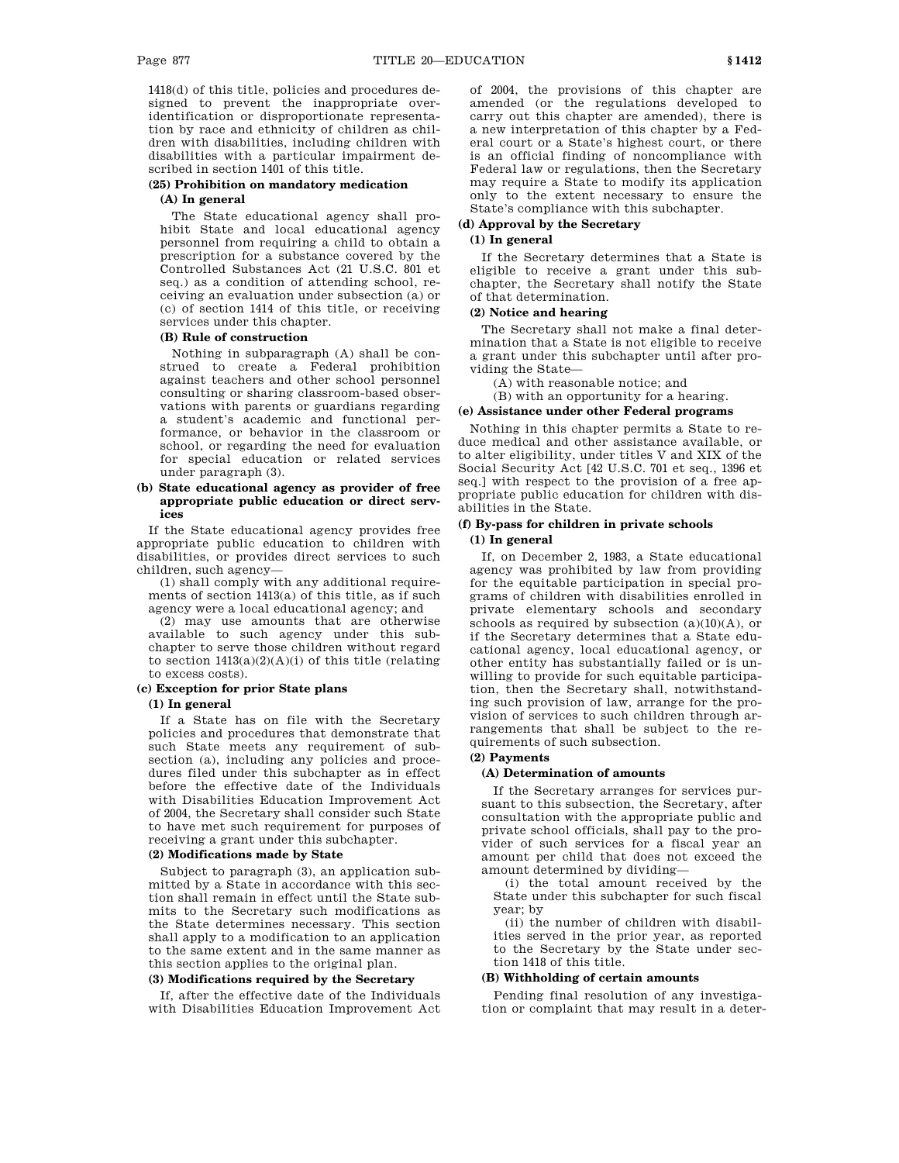1418(d) of this title, policies and procedures designed to prevent the inappropriate overidentification or disproportionate representation by race and ethnicity of children as children with disabilities, including children with disabilities with a particular impairment described in section 1401 of this title.

# **(25) Prohibition on mandatory medication**

## **(A) In general**

The State educational agency shall prohibit State and local educational agency personnel from requiring a child to obtain a prescription for a substance covered by the Controlled Substances Act (21 U.S.C. 801 et seq.) as a condition of attending school, receiving an evaluation under subsection (a) or (c) of section 1414 of this title, or receiving services under this chapter.

# **(B) Rule of construction**

Nothing in subparagraph (A) shall be construed to create a Federal prohibition against teachers and other school personnel consulting or sharing classroom-based observations with parents or guardians regarding a student's academic and functional performance, or behavior in the classroom or school, or regarding the need for evaluation for special education or related services under paragraph (3).

#### **(b) State educational agency as provider of free appropriate public education or direct services**

If the State educational agency provides free appropriate public education to children with disabilities, or provides direct services to such children, such agency—

(1) shall comply with any additional requirements of section 1413(a) of this title, as if such agency were a local educational agency; and

(2) may use amounts that are otherwise available to such agency under this subchapter to serve those children without regard to section  $1413(a)(2)(A)(i)$  of this title (relating to excess costs).

#### **(c) Exception for prior State plans**

#### **(1) In general**

If a State has on file with the Secretary policies and procedures that demonstrate that such State meets any requirement of subsection (a), including any policies and procedures filed under this subchapter as in effect before the effective date of the Individuals with Disabilities Education Improvement Act of 2004, the Secretary shall consider such State to have met such requirement for purposes of receiving a grant under this subchapter.

#### **(2) Modifications made by State**

Subject to paragraph (3), an application submitted by a State in accordance with this section shall remain in effect until the State submits to the Secretary such modifications as the State determines necessary. This section shall apply to a modification to an application to the same extent and in the same manner as this section applies to the original plan.

#### **(3) Modifications required by the Secretary**

If, after the effective date of the Individuals with Disabilities Education Improvement Act

of 2004, the provisions of this chapter are amended (or the regulations developed to carry out this chapter are amended), there is a new interpretation of this chapter by a Federal court or a State's highest court, or there is an official finding of noncompliance with Federal law or regulations, then the Secretary may require a State to modify its application only to the extent necessary to ensure the State's compliance with this subchapter.

# **(d) Approval by the Secretary**

# **(1) In general**

If the Secretary determines that a State is eligible to receive a grant under this subchapter, the Secretary shall notify the State of that determination.

# **(2) Notice and hearing**

The Secretary shall not make a final determination that a State is not eligible to receive a grant under this subchapter until after providing the State—

(A) with reasonable notice; and

(B) with an opportunity for a hearing.

#### **(e) Assistance under other Federal programs**

Nothing in this chapter permits a State to reduce medical and other assistance available, or to alter eligibility, under titles V and XIX of the Social Security Act [42 U.S.C. 701 et seq., 1396 et seq.] with respect to the provision of a free appropriate public education for children with disabilities in the State.

## **(f) By-pass for children in private schools**

# **(1) In general**

If, on December 2, 1983, a State educational agency was prohibited by law from providing for the equitable participation in special programs of children with disabilities enrolled in private elementary schools and secondary schools as required by subsection (a)(10)(A), or if the Secretary determines that a State educational agency, local educational agency, or other entity has substantially failed or is unwilling to provide for such equitable participation, then the Secretary shall, notwithstanding such provision of law, arrange for the provision of services to such children through arrangements that shall be subject to the requirements of such subsection.

# **(2) Payments**

## **(A) Determination of amounts**

If the Secretary arranges for services pursuant to this subsection, the Secretary, after consultation with the appropriate public and private school officials, shall pay to the provider of such services for a fiscal year an amount per child that does not exceed the amount determined by dividing—

(i) the total amount received by the State under this subchapter for such fiscal year; by

(ii) the number of children with disabilities served in the prior year, as reported to the Secretary by the State under section 1418 of this title.

# **(B) Withholding of certain amounts**

Pending final resolution of any investigation or complaint that may result in a deter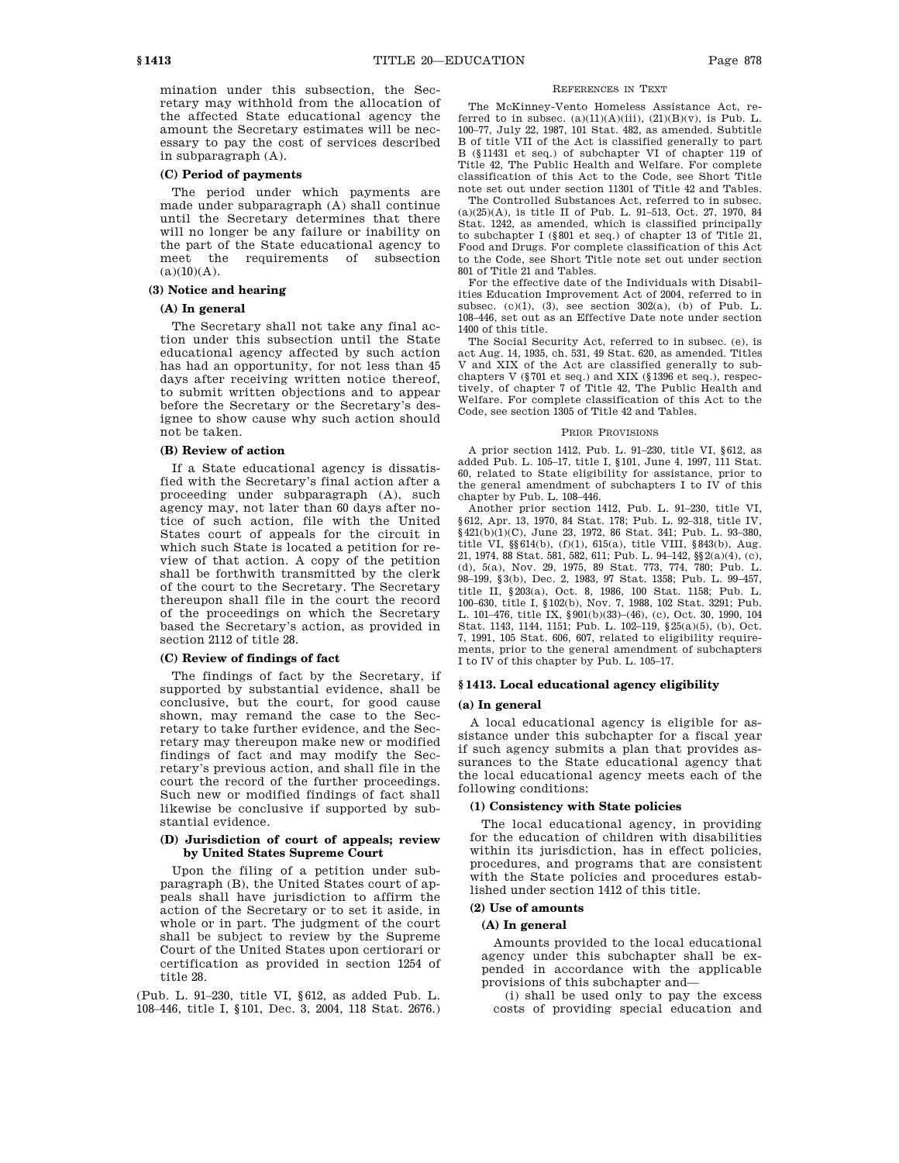mination under this subsection, the Secretary may withhold from the allocation of the affected State educational agency the amount the Secretary estimates will be necessary to pay the cost of services described in subparagraph (A).

#### **(C) Period of payments**

The period under which payments are made under subparagraph (A) shall continue until the Secretary determines that there will no longer be any failure or inability on the part of the State educational agency to meet the requirements of subsection  $(a)(10)(A)$ .

## **(3) Notice and hearing**

#### **(A) In general**

The Secretary shall not take any final action under this subsection until the State educational agency affected by such action has had an opportunity, for not less than 45 days after receiving written notice thereof, to submit written objections and to appear before the Secretary or the Secretary's designee to show cause why such action should not be taken.

#### **(B) Review of action**

If a State educational agency is dissatisfied with the Secretary's final action after a proceeding under subparagraph (A), such agency may, not later than 60 days after notice of such action, file with the United States court of appeals for the circuit in which such State is located a petition for review of that action. A copy of the petition shall be forthwith transmitted by the clerk of the court to the Secretary. The Secretary thereupon shall file in the court the record of the proceedings on which the Secretary based the Secretary's action, as provided in section 2112 of title 28.

#### **(C) Review of findings of fact**

The findings of fact by the Secretary, if supported by substantial evidence, shall be conclusive, but the court, for good cause shown, may remand the case to the Secretary to take further evidence, and the Secretary may thereupon make new or modified findings of fact and may modify the Secretary's previous action, and shall file in the court the record of the further proceedings. Such new or modified findings of fact shall likewise be conclusive if supported by substantial evidence.

## **(D) Jurisdiction of court of appeals; review by United States Supreme Court**

Upon the filing of a petition under subparagraph (B), the United States court of appeals shall have jurisdiction to affirm the action of the Secretary or to set it aside, in whole or in part. The judgment of the court shall be subject to review by the Supreme Court of the United States upon certiorari or certification as provided in section 1254 of title 28.

(Pub. L. 91–230, title VI, §612, as added Pub. L. 108–446, title I, §101, Dec. 3, 2004, 118 Stat. 2676.)

### REFERENCES IN TEXT

The McKinney-Vento Homeless Assistance Act, referred to in subsec.  $(a)(11)(A)(iii)$ ,  $(21)(B)(v)$ , is Pub. L. 100–77, July 22, 1987, 101 Stat. 482, as amended. Subtitle B of title VII of the Act is classified generally to part B (§11431 et seq.) of subchapter VI of chapter 119 of Title 42, The Public Health and Welfare. For complete classification of this Act to the Code, see Short Title note set out under section 11301 of Title 42 and Tables.

The Controlled Substances Act, referred to in subsec. (a)(25)(A), is title II of Pub. L. 91–513, Oct. 27, 1970, 84 Stat. 1242, as amended, which is classified principally to subchapter I (§801 et seq.) of chapter 13 of Title 21, Food and Drugs. For complete classification of this Act to the Code, see Short Title note set out under section 801 of Title 21 and Tables.

For the effective date of the Individuals with Disabilities Education Improvement Act of 2004, referred to in subsec.  $(c)(1)$ ,  $(3)$ , see section 302 $(a)$ ,  $(b)$  of Pub. L. 108–446, set out as an Effective Date note under section 1400 of this title.

The Social Security Act, referred to in subsec. (e), is act Aug. 14, 1935, ch. 531, 49 Stat. 620, as amended. Titles V and XIX of the Act are classified generally to subchapters V (§701 et seq.) and XIX (§1396 et seq.), respectively, of chapter 7 of Title 42, The Public Health and Welfare. For complete classification of this Act to the Code, see section 1305 of Title 42 and Tables.

#### PRIOR PROVISIONS

A prior section 1412, Pub. L. 91–230, title VI, §612, as added Pub. L. 105–17, title I, §101, June 4, 1997, 111 Stat. 60, related to State eligibility for assistance, prior to the general amendment of subchapters I to IV of this chapter by Pub. L. 108–446.

Another prior section 1412, Pub. L. 91–230, title VI, §612, Apr. 13, 1970, 84 Stat. 178; Pub. L. 92–318, title IV, §421(b)(1)(C), June 23, 1972, 86 Stat. 341; Pub. L. 93–380, title VI, §§614(b), (f)(1), 615(a), title VIII, §843(b), Aug. 21, 1974, 88 Stat. 581, 582, 611; Pub. L. 94–142, §§2(a)(4), (c), (d), 5(a), Nov. 29, 1975, 89 Stat. 773, 774, 780; Pub. L. 98–199, §3(b), Dec. 2, 1983, 97 Stat. 1358; Pub. L. 99–457, title II, §203(a), Oct. 8, 1986, 100 Stat. 1158; Pub. L. 100–630, title I, §102(b), Nov. 7, 1988, 102 Stat. 3291; Pub. L. 101–476, title IX, §901(b)(33)–(46), (c), Oct. 30, 1990, 104 Stat. 1143, 1144, 1151; Pub. L. 102–119, §25(a)(5), (b), Oct. 7, 1991, 105 Stat. 606, 607, related to eligibility requirements, prior to the general amendment of subchapters I to IV of this chapter by Pub. L. 105–17.

#### **§ 1413. Local educational agency eligibility**

#### **(a) In general**

A local educational agency is eligible for assistance under this subchapter for a fiscal year if such agency submits a plan that provides assurances to the State educational agency that the local educational agency meets each of the following conditions:

#### **(1) Consistency with State policies**

The local educational agency, in providing for the education of children with disabilities within its jurisdiction, has in effect policies, procedures, and programs that are consistent with the State policies and procedures established under section 1412 of this title.

# **(2) Use of amounts**

#### **(A) In general**

Amounts provided to the local educational agency under this subchapter shall be expended in accordance with the applicable provisions of this subchapter and—

(i) shall be used only to pay the excess costs of providing special education and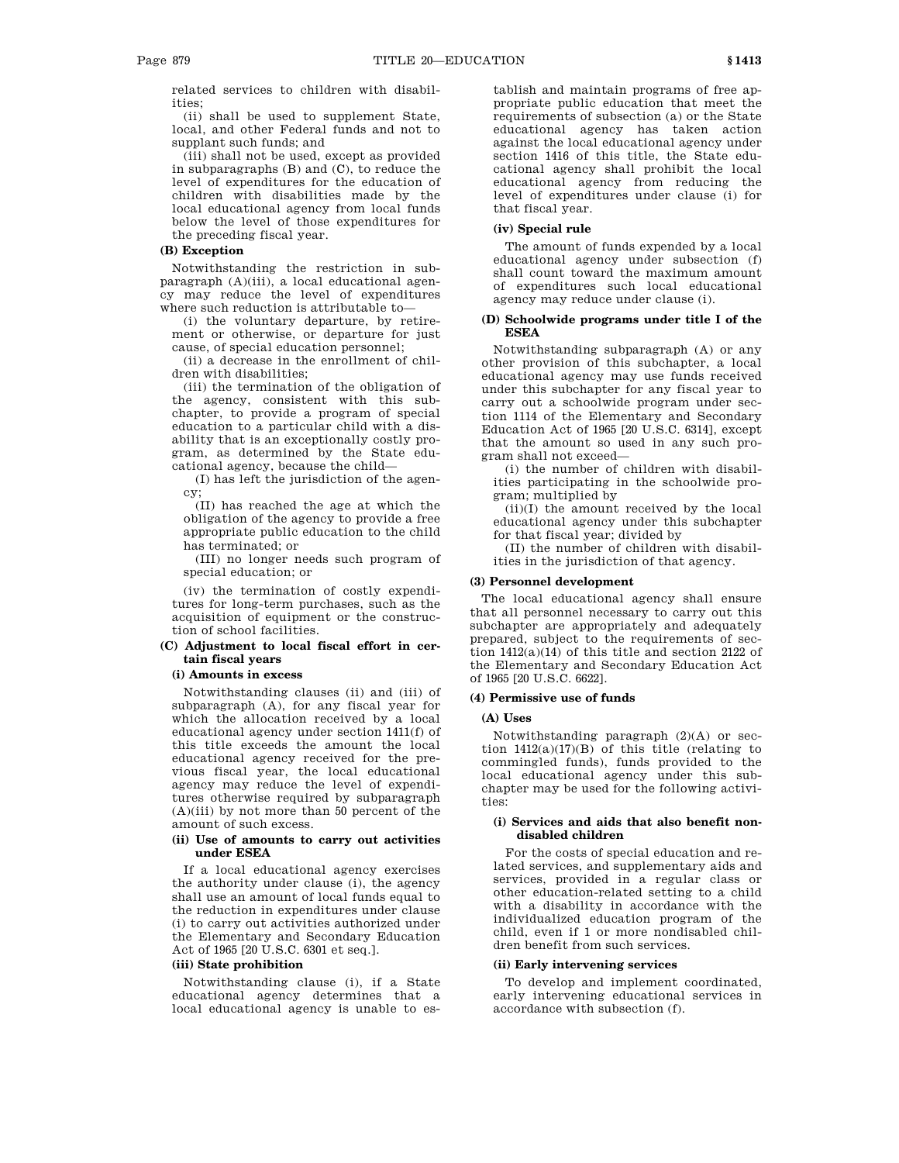related services to children with disabilities;

(ii) shall be used to supplement State, local, and other Federal funds and not to supplant such funds; and

(iii) shall not be used, except as provided in subparagraphs (B) and (C), to reduce the level of expenditures for the education of children with disabilities made by the local educational agency from local funds below the level of those expenditures for the preceding fiscal year.

#### **(B) Exception**

Notwithstanding the restriction in subparagraph (A)(iii), a local educational agency may reduce the level of expenditures where such reduction is attributable to—

(i) the voluntary departure, by retirement or otherwise, or departure for just cause, of special education personnel;

(ii) a decrease in the enrollment of children with disabilities;

(iii) the termination of the obligation of the agency, consistent with this subchapter, to provide a program of special education to a particular child with a disability that is an exceptionally costly program, as determined by the State educational agency, because the child—

(I) has left the jurisdiction of the agency;

(II) has reached the age at which the obligation of the agency to provide a free appropriate public education to the child has terminated; or

(III) no longer needs such program of special education; or

(iv) the termination of costly expenditures for long-term purchases, such as the acquisition of equipment or the construction of school facilities.

# **(C) Adjustment to local fiscal effort in certain fiscal years**

#### **(i) Amounts in excess**

Notwithstanding clauses (ii) and (iii) of subparagraph (A), for any fiscal year for which the allocation received by a local educational agency under section 1411(f) of this title exceeds the amount the local educational agency received for the previous fiscal year, the local educational agency may reduce the level of expenditures otherwise required by subparagraph (A)(iii) by not more than 50 percent of the amount of such excess.

#### **(ii) Use of amounts to carry out activities under ESEA**

If a local educational agency exercises the authority under clause (i), the agency shall use an amount of local funds equal to the reduction in expenditures under clause (i) to carry out activities authorized under the Elementary and Secondary Education Act of 1965 [20 U.S.C. 6301 et seq.].

#### **(iii) State prohibition**

Notwithstanding clause (i), if a State educational agency determines that a local educational agency is unable to establish and maintain programs of free appropriate public education that meet the requirements of subsection (a) or the State educational agency has taken action against the local educational agency under section 1416 of this title, the State educational agency shall prohibit the local educational agency from reducing the level of expenditures under clause (i) for that fiscal year.

## **(iv) Special rule**

The amount of funds expended by a local educational agency under subsection (f) shall count toward the maximum amount of expenditures such local educational agency may reduce under clause (i).

## **(D) Schoolwide programs under title I of the ESEA**

Notwithstanding subparagraph (A) or any other provision of this subchapter, a local educational agency may use funds received under this subchapter for any fiscal year to carry out a schoolwide program under section 1114 of the Elementary and Secondary Education Act of 1965 [20 U.S.C. 6314], except that the amount so used in any such program shall not exceed—

(i) the number of children with disabilities participating in the schoolwide program; multiplied by

(ii)(I) the amount received by the local educational agency under this subchapter for that fiscal year; divided by

(II) the number of children with disabilities in the jurisdiction of that agency.

#### **(3) Personnel development**

The local educational agency shall ensure that all personnel necessary to carry out this subchapter are appropriately and adequately prepared, subject to the requirements of section 1412(a)(14) of this title and section 2122 of the Elementary and Secondary Education Act of 1965 [20 U.S.C. 6622].

#### **(4) Permissive use of funds**

#### **(A) Uses**

Notwithstanding paragraph (2)(A) or section  $1412(a)(17)(B)$  of this title (relating to commingled funds), funds provided to the local educational agency under this subchapter may be used for the following activities:

#### **(i) Services and aids that also benefit nondisabled children**

For the costs of special education and related services, and supplementary aids and services, provided in a regular class or other education-related setting to a child with a disability in accordance with the individualized education program of the child, even if 1 or more nondisabled children benefit from such services.

#### **(ii) Early intervening services**

To develop and implement coordinated, early intervening educational services in accordance with subsection (f).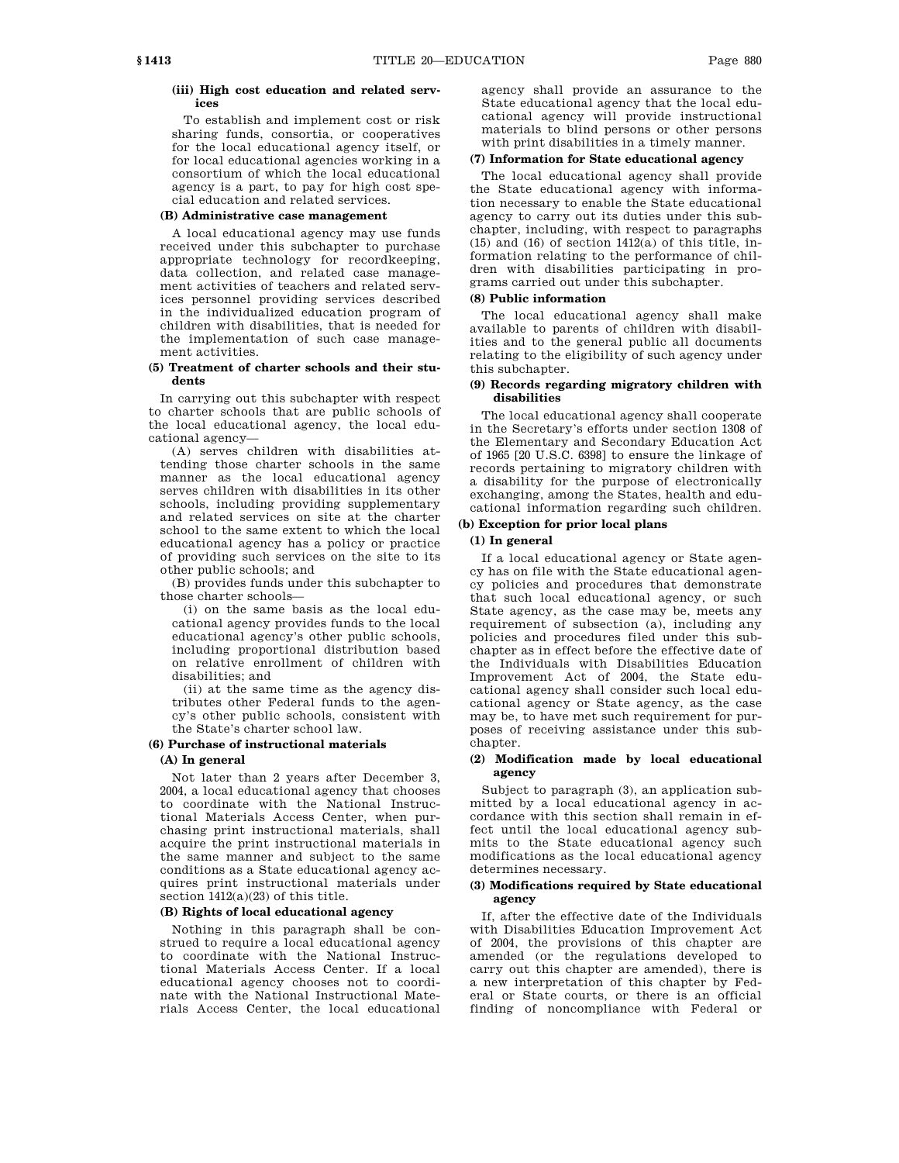#### **(iii) High cost education and related services**

To establish and implement cost or risk sharing funds, consortia, or cooperatives for the local educational agency itself, or for local educational agencies working in a consortium of which the local educational agency is a part, to pay for high cost special education and related services.

#### **(B) Administrative case management**

A local educational agency may use funds received under this subchapter to purchase appropriate technology for recordkeeping, data collection, and related case management activities of teachers and related services personnel providing services described in the individualized education program of children with disabilities, that is needed for the implementation of such case management activities.

#### **(5) Treatment of charter schools and their students**

In carrying out this subchapter with respect to charter schools that are public schools of the local educational agency, the local educational agency—

(A) serves children with disabilities attending those charter schools in the same manner as the local educational agency serves children with disabilities in its other schools, including providing supplementary and related services on site at the charter school to the same extent to which the local educational agency has a policy or practice of providing such services on the site to its other public schools; and

(B) provides funds under this subchapter to those charter schools—

(i) on the same basis as the local educational agency provides funds to the local educational agency's other public schools, including proportional distribution based on relative enrollment of children with disabilities; and

(ii) at the same time as the agency distributes other Federal funds to the agency's other public schools, consistent with the State's charter school law.

# **(6) Purchase of instructional materials**

# **(A) In general**

Not later than 2 years after December 3, 2004, a local educational agency that chooses to coordinate with the National Instructional Materials Access Center, when purchasing print instructional materials, shall acquire the print instructional materials in the same manner and subject to the same conditions as a State educational agency acquires print instructional materials under section  $1412(a)(23)$  of this title.

# **(B) Rights of local educational agency**

Nothing in this paragraph shall be construed to require a local educational agency to coordinate with the National Instructional Materials Access Center. If a local educational agency chooses not to coordinate with the National Instructional Materials Access Center, the local educational

agency shall provide an assurance to the State educational agency that the local educational agency will provide instructional materials to blind persons or other persons with print disabilities in a timely manner.

# **(7) Information for State educational agency**

The local educational agency shall provide the State educational agency with information necessary to enable the State educational agency to carry out its duties under this subchapter, including, with respect to paragraphs (15) and (16) of section 1412(a) of this title, information relating to the performance of children with disabilities participating in programs carried out under this subchapter.

## **(8) Public information**

The local educational agency shall make available to parents of children with disabilities and to the general public all documents relating to the eligibility of such agency under this subchapter.

#### **(9) Records regarding migratory children with disabilities**

The local educational agency shall cooperate in the Secretary's efforts under section 1308 of the Elementary and Secondary Education Act of 1965 [20 U.S.C. 6398] to ensure the linkage of records pertaining to migratory children with a disability for the purpose of electronically exchanging, among the States, health and educational information regarding such children.

## **(b) Exception for prior local plans**

# **(1) In general**

If a local educational agency or State agency has on file with the State educational agency policies and procedures that demonstrate that such local educational agency, or such State agency, as the case may be, meets any requirement of subsection (a), including any policies and procedures filed under this subchapter as in effect before the effective date of the Individuals with Disabilities Education Improvement Act of 2004, the State educational agency shall consider such local educational agency or State agency, as the case may be, to have met such requirement for purposes of receiving assistance under this subchapter.

# **(2) Modification made by local educational agency**

Subject to paragraph (3), an application submitted by a local educational agency in accordance with this section shall remain in effect until the local educational agency submits to the State educational agency such modifications as the local educational agency determines necessary.

## **(3) Modifications required by State educational agency**

If, after the effective date of the Individuals with Disabilities Education Improvement Act of 2004, the provisions of this chapter are amended (or the regulations developed to carry out this chapter are amended), there is a new interpretation of this chapter by Federal or State courts, or there is an official finding of noncompliance with Federal or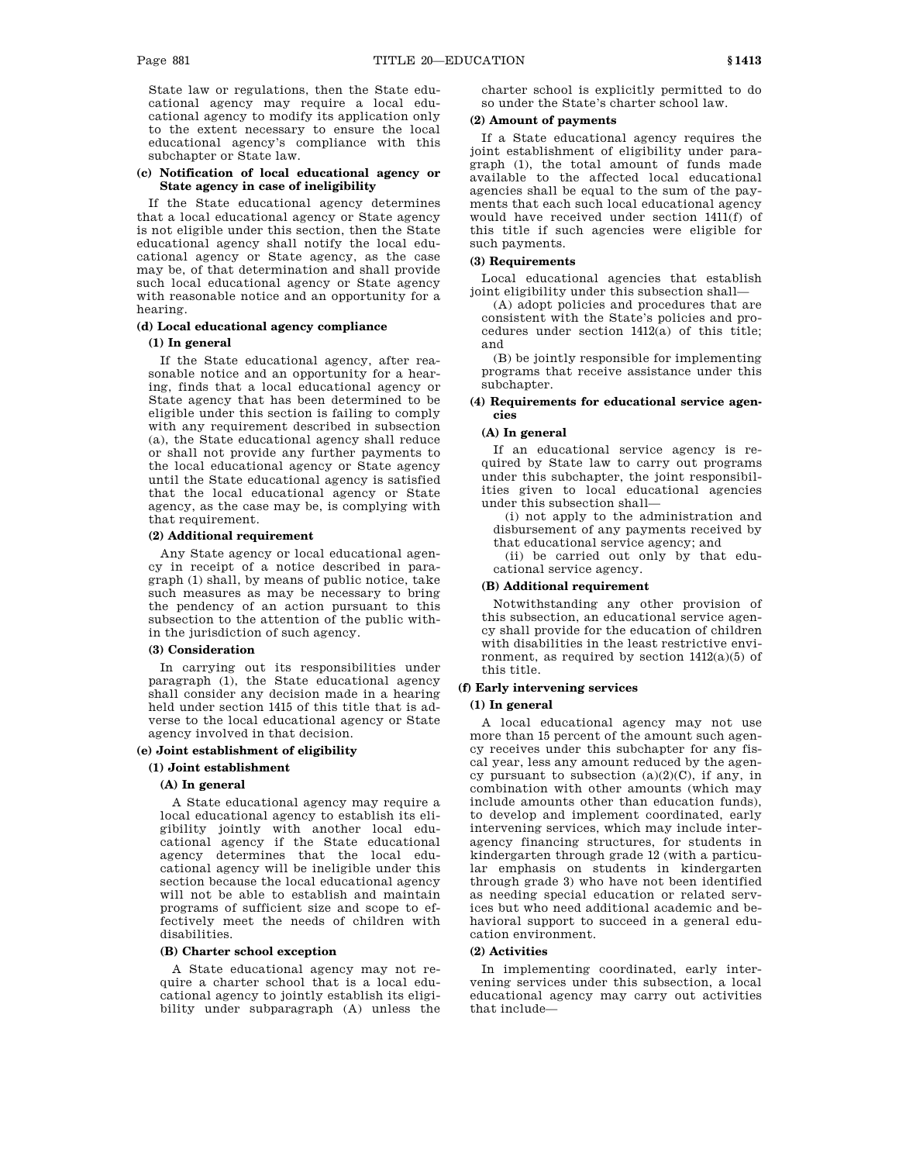State law or regulations, then the State educational agency may require a local educational agency to modify its application only to the extent necessary to ensure the local educational agency's compliance with this subchapter or State law.

#### **(c) Notification of local educational agency or State agency in case of ineligibility**

If the State educational agency determines that a local educational agency or State agency is not eligible under this section, then the State educational agency shall notify the local educational agency or State agency, as the case may be, of that determination and shall provide such local educational agency or State agency with reasonable notice and an opportunity for a hearing.

# **(d) Local educational agency compliance**

#### **(1) In general**

If the State educational agency, after reasonable notice and an opportunity for a hearing, finds that a local educational agency or State agency that has been determined to be eligible under this section is failing to comply with any requirement described in subsection (a), the State educational agency shall reduce or shall not provide any further payments to the local educational agency or State agency until the State educational agency is satisfied that the local educational agency or State agency, as the case may be, is complying with that requirement.

#### **(2) Additional requirement**

Any State agency or local educational agency in receipt of a notice described in paragraph (1) shall, by means of public notice, take such measures as may be necessary to bring the pendency of an action pursuant to this subsection to the attention of the public within the jurisdiction of such agency.

#### **(3) Consideration**

In carrying out its responsibilities under paragraph (1), the State educational agency shall consider any decision made in a hearing held under section 1415 of this title that is adverse to the local educational agency or State agency involved in that decision.

# **(e) Joint establishment of eligibility**

#### **(1) Joint establishment**

#### **(A) In general**

A State educational agency may require a local educational agency to establish its eligibility jointly with another local educational agency if the State educational agency determines that the local educational agency will be ineligible under this section because the local educational agency will not be able to establish and maintain programs of sufficient size and scope to effectively meet the needs of children with disabilities.

#### **(B) Charter school exception**

A State educational agency may not require a charter school that is a local educational agency to jointly establish its eligibility under subparagraph (A) unless the charter school is explicitly permitted to do so under the State's charter school law.

## **(2) Amount of payments**

If a State educational agency requires the joint establishment of eligibility under paragraph (1), the total amount of funds made available to the affected local educational agencies shall be equal to the sum of the payments that each such local educational agency would have received under section 1411(f) of this title if such agencies were eligible for such payments.

#### **(3) Requirements**

Local educational agencies that establish joint eligibility under this subsection shall—

(A) adopt policies and procedures that are consistent with the State's policies and procedures under section 1412(a) of this title; and

(B) be jointly responsible for implementing programs that receive assistance under this subchapter.

#### **(4) Requirements for educational service agencies**

# **(A) In general**

If an educational service agency is required by State law to carry out programs under this subchapter, the joint responsibilities given to local educational agencies under this subsection shall—

(i) not apply to the administration and disbursement of any payments received by that educational service agency; and

(ii) be carried out only by that educational service agency.

#### **(B) Additional requirement**

Notwithstanding any other provision of this subsection, an educational service agency shall provide for the education of children with disabilities in the least restrictive environment, as required by section 1412(a)(5) of this title.

# **(f) Early intervening services**

## **(1) In general**

A local educational agency may not use more than 15 percent of the amount such agency receives under this subchapter for any fiscal year, less any amount reduced by the agency pursuant to subsection  $(a)(2)(C)$ , if any, in combination with other amounts (which may include amounts other than education funds), to develop and implement coordinated, early intervening services, which may include interagency financing structures, for students in kindergarten through grade 12 (with a particular emphasis on students in kindergarten through grade 3) who have not been identified as needing special education or related services but who need additional academic and behavioral support to succeed in a general education environment.

#### **(2) Activities**

In implementing coordinated, early intervening services under this subsection, a local educational agency may carry out activities that include—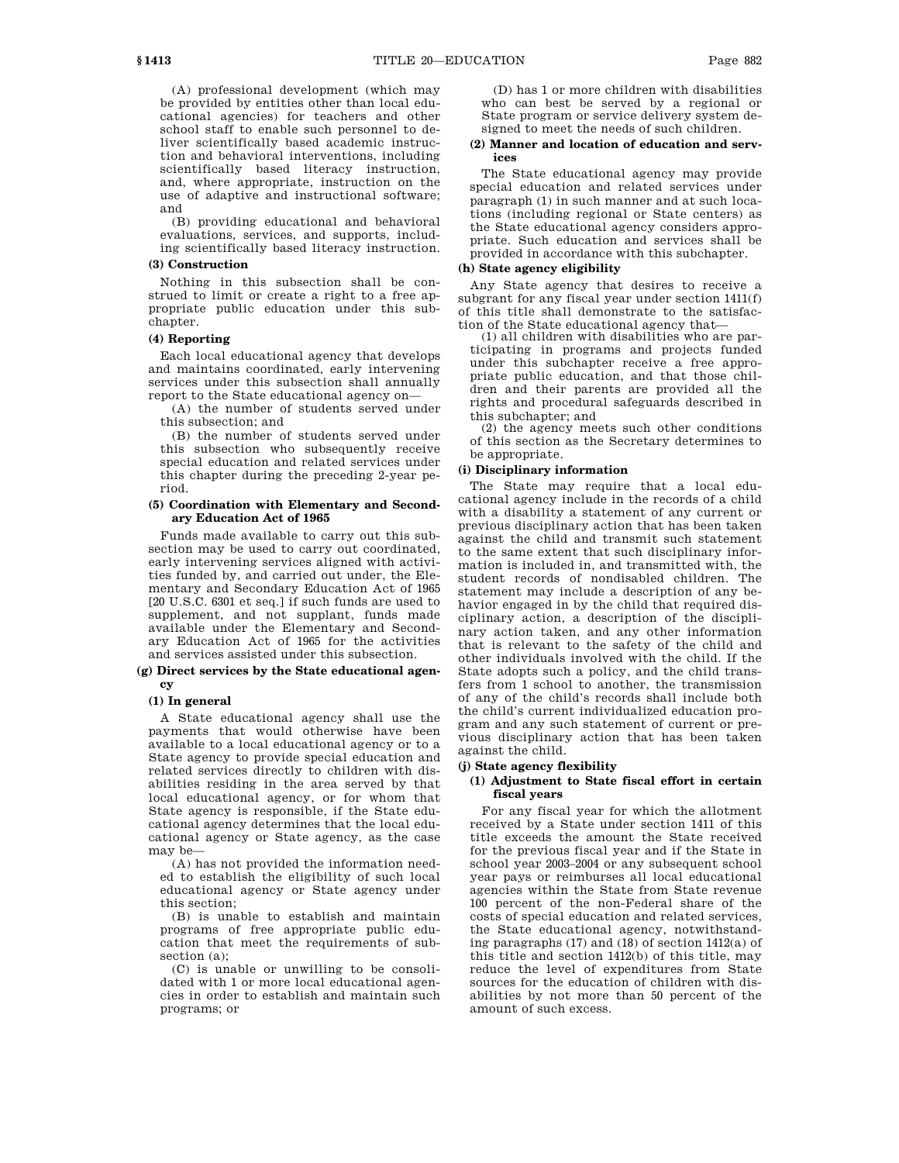(A) professional development (which may be provided by entities other than local educational agencies) for teachers and other school staff to enable such personnel to deliver scientifically based academic instruction and behavioral interventions, including scientifically based literacy instruction, and, where appropriate, instruction on the use of adaptive and instructional software; and

(B) providing educational and behavioral evaluations, services, and supports, including scientifically based literacy instruction.

## **(3) Construction**

Nothing in this subsection shall be construed to limit or create a right to a free appropriate public education under this subchapter.

# **(4) Reporting**

Each local educational agency that develops and maintains coordinated, early intervening services under this subsection shall annually report to the State educational agency on—

(A) the number of students served under this subsection; and

(B) the number of students served under this subsection who subsequently receive special education and related services under this chapter during the preceding 2-year period.

## **(5) Coordination with Elementary and Secondary Education Act of 1965**

Funds made available to carry out this subsection may be used to carry out coordinated, early intervening services aligned with activities funded by, and carried out under, the Elementary and Secondary Education Act of 1965 [20 U.S.C. 6301 et seq.] if such funds are used to supplement, and not supplant, funds made available under the Elementary and Secondary Education Act of 1965 for the activities and services assisted under this subsection.

#### **(g) Direct services by the State educational agency**

# **(1) In general**

A State educational agency shall use the payments that would otherwise have been available to a local educational agency or to a State agency to provide special education and related services directly to children with disabilities residing in the area served by that local educational agency, or for whom that State agency is responsible, if the State educational agency determines that the local educational agency or State agency, as the case may be—

(A) has not provided the information needed to establish the eligibility of such local educational agency or State agency under this section;

(B) is unable to establish and maintain programs of free appropriate public education that meet the requirements of subsection (a);

(C) is unable or unwilling to be consolidated with 1 or more local educational agencies in order to establish and maintain such programs; or

(D) has 1 or more children with disabilities who can best be served by a regional or State program or service delivery system designed to meet the needs of such children.

## **(2) Manner and location of education and services**

The State educational agency may provide special education and related services under paragraph (1) in such manner and at such locations (including regional or State centers) as the State educational agency considers appropriate. Such education and services shall be provided in accordance with this subchapter.

#### **(h) State agency eligibility**

Any State agency that desires to receive a subgrant for any fiscal year under section 1411(f) of this title shall demonstrate to the satisfaction of the State educational agency that—

(1) all children with disabilities who are participating in programs and projects funded under this subchapter receive a free appropriate public education, and that those children and their parents are provided all the rights and procedural safeguards described in this subchapter; and

(2) the agency meets such other conditions of this section as the Secretary determines to be appropriate.

# **(i) Disciplinary information**

The State may require that a local educational agency include in the records of a child with a disability a statement of any current or previous disciplinary action that has been taken against the child and transmit such statement to the same extent that such disciplinary information is included in, and transmitted with, the student records of nondisabled children. The statement may include a description of any behavior engaged in by the child that required disciplinary action, a description of the disciplinary action taken, and any other information that is relevant to the safety of the child and other individuals involved with the child. If the State adopts such a policy, and the child transfers from 1 school to another, the transmission of any of the child's records shall include both the child's current individualized education program and any such statement of current or previous disciplinary action that has been taken against the child.

## **(j) State agency flexibility**

## **(1) Adjustment to State fiscal effort in certain fiscal years**

For any fiscal year for which the allotment received by a State under section 1411 of this title exceeds the amount the State received for the previous fiscal year and if the State in school year 2003–2004 or any subsequent school year pays or reimburses all local educational agencies within the State from State revenue 100 percent of the non-Federal share of the costs of special education and related services, the State educational agency, notwithstanding paragraphs (17) and (18) of section 1412(a) of this title and section 1412(b) of this title, may reduce the level of expenditures from State sources for the education of children with disabilities by not more than 50 percent of the amount of such excess.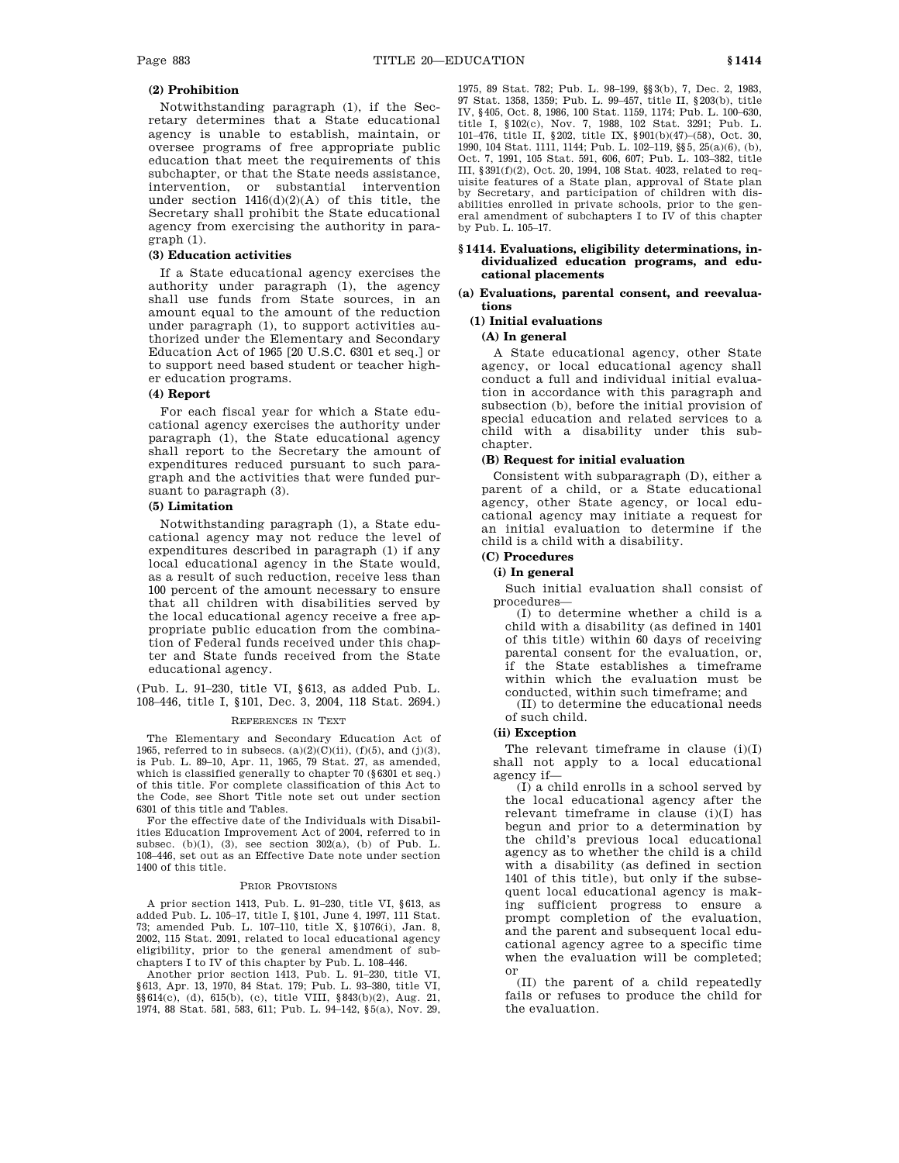# **(2) Prohibition**

Notwithstanding paragraph (1), if the Secretary determines that a State educational agency is unable to establish, maintain, or oversee programs of free appropriate public education that meet the requirements of this subchapter, or that the State needs assistance, intervention, or substantial intervention under section 1416(d)(2)(A) of this title, the Secretary shall prohibit the State educational agency from exercising the authority in paragraph (1).

#### **(3) Education activities**

If a State educational agency exercises the authority under paragraph (1), the agency shall use funds from State sources, in an amount equal to the amount of the reduction under paragraph (1), to support activities authorized under the Elementary and Secondary Education Act of 1965 [20 U.S.C. 6301 et seq.] or to support need based student or teacher higher education programs.

#### **(4) Report**

For each fiscal year for which a State educational agency exercises the authority under paragraph (1), the State educational agency shall report to the Secretary the amount of expenditures reduced pursuant to such paragraph and the activities that were funded pursuant to paragraph (3).

# **(5) Limitation**

Notwithstanding paragraph (1), a State educational agency may not reduce the level of expenditures described in paragraph (1) if any local educational agency in the State would, as a result of such reduction, receive less than 100 percent of the amount necessary to ensure that all children with disabilities served by the local educational agency receive a free appropriate public education from the combination of Federal funds received under this chapter and State funds received from the State educational agency.

(Pub. L. 91–230, title VI, §613, as added Pub. L. 108–446, title I, §101, Dec. 3, 2004, 118 Stat. 2694.)

#### REFERENCES IN TEXT

The Elementary and Secondary Education Act of 1965, referred to in subsecs.  $(a)(2)(C)(ii)$ ,  $(f)(5)$ , and  $(j)(3)$ , is Pub. L. 89–10, Apr. 11, 1965, 79 Stat. 27, as amended, which is classified generally to chapter 70 (§6301 et seq.) of this title. For complete classification of this Act to the Code, see Short Title note set out under section 6301 of this title and Tables.

For the effective date of the Individuals with Disabilities Education Improvement Act of 2004, referred to in subsec. (b) $(1)$ ,  $(3)$ , see section 302 $(a)$ ,  $(b)$  of Pub. L. 108–446, set out as an Effective Date note under section 1400 of this title.

#### PRIOR PROVISIONS

A prior section 1413, Pub. L. 91–230, title VI, §613, as added Pub. L. 105–17, title I, §101, June 4, 1997, 111 Stat. 73; amended Pub. L. 107–110, title X, §1076(i), Jan. 8, 2002, 115 Stat. 2091, related to local educational agency eligibility, prior to the general amendment of subchapters I to IV of this chapter by Pub. L. 108–446.

Another prior section 1413, Pub. L. 91–230, title VI, §613, Apr. 13, 1970, 84 Stat. 179; Pub. L. 93–380, title VI, §§614(c), (d), 615(b), (c), title VIII, §843(b)(2), Aug. 21, 1974, 88 Stat. 581, 583, 611; Pub. L. 94–142, §5(a), Nov. 29,

1975, 89 Stat. 782; Pub. L. 98–199, §§3(b), 7, Dec. 2, 1983, 97 Stat. 1358, 1359; Pub. L. 99–457, title II, §203(b), title IV, §405, Oct. 8, 1986, 100 Stat. 1159, 1174; Pub. L. 100–630, title I, §102(c), Nov. 7, 1988, 102 Stat. 3291; Pub. L. 101–476, title II, §202, title IX, §901(b)(47)–(58), Oct. 30, 1990, 104 Stat. 1111, 1144; Pub. L. 102–119, §§5, 25(a)(6), (b), Oct. 7, 1991, 105 Stat. 591, 606, 607; Pub. L. 103–382, title III, §391(f)(2), Oct. 20, 1994, 108 Stat. 4023, related to requisite features of a State plan, approval of State plan by Secretary, and participation of children with disabilities enrolled in private schools, prior to the general amendment of subchapters I to IV of this chapter by Pub. L. 105–17.

## **§ 1414. Evaluations, eligibility determinations, individualized education programs, and educational placements**

#### **(a) Evaluations, parental consent, and reevaluations**

# **(1) Initial evaluations**

# **(A) In general**

A State educational agency, other State agency, or local educational agency shall conduct a full and individual initial evaluation in accordance with this paragraph and subsection (b), before the initial provision of special education and related services to a child with a disability under this subchapter.

#### **(B) Request for initial evaluation**

Consistent with subparagraph (D), either a parent of a child, or a State educational agency, other State agency, or local educational agency may initiate a request for an initial evaluation to determine if the child is a child with a disability.

# **(C) Procedures**

# **(i) In general**

Such initial evaluation shall consist of procedures—

(I) to determine whether a child is a child with a disability (as defined in 1401 of this title) within 60 days of receiving parental consent for the evaluation, or, if the State establishes a timeframe within which the evaluation must be conducted, within such timeframe; and

(II) to determine the educational needs of such child.

# **(ii) Exception**

The relevant timeframe in clause  $(i)(I)$ shall not apply to a local educational agency if—

(I) a child enrolls in a school served by the local educational agency after the relevant timeframe in clause (i)(I) has begun and prior to a determination by the child's previous local educational agency as to whether the child is a child with a disability (as defined in section 1401 of this title), but only if the subsequent local educational agency is making sufficient progress to ensure a prompt completion of the evaluation, and the parent and subsequent local educational agency agree to a specific time when the evaluation will be completed; or

(II) the parent of a child repeatedly fails or refuses to produce the child for the evaluation.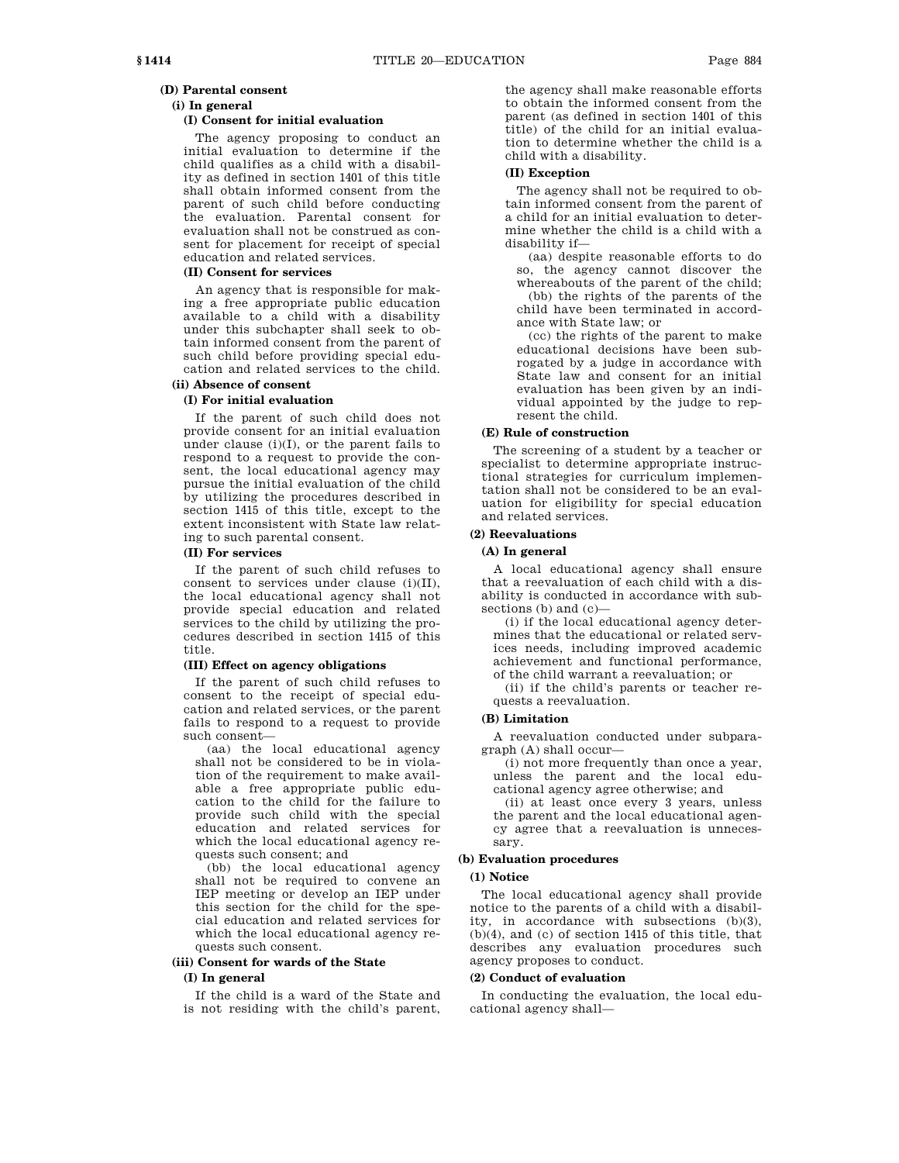# **(D) Parental consent**

# **(i) In general**

## **(I) Consent for initial evaluation**

The agency proposing to conduct an initial evaluation to determine if the child qualifies as a child with a disability as defined in section 1401 of this title shall obtain informed consent from the parent of such child before conducting the evaluation. Parental consent for evaluation shall not be construed as consent for placement for receipt of special education and related services.

# **(II) Consent for services**

An agency that is responsible for making a free appropriate public education available to a child with a disability under this subchapter shall seek to obtain informed consent from the parent of such child before providing special education and related services to the child.

# **(ii) Absence of consent**

## **(I) For initial evaluation**

If the parent of such child does not provide consent for an initial evaluation under clause  $(i)(I)$ , or the parent fails to respond to a request to provide the consent, the local educational agency may pursue the initial evaluation of the child by utilizing the procedures described in section 1415 of this title, except to the extent inconsistent with State law relating to such parental consent.

#### **(II) For services**

If the parent of such child refuses to consent to services under clause  $(i)(II)$ , the local educational agency shall not provide special education and related services to the child by utilizing the procedures described in section 1415 of this title.

#### **(III) Effect on agency obligations**

If the parent of such child refuses to consent to the receipt of special education and related services, or the parent fails to respond to a request to provide such consent—

(aa) the local educational agency shall not be considered to be in violation of the requirement to make available a free appropriate public education to the child for the failure to provide such child with the special education and related services for which the local educational agency requests such consent; and

(bb) the local educational agency shall not be required to convene an IEP meeting or develop an IEP under this section for the child for the special education and related services for which the local educational agency requests such consent.

# **(iii) Consent for wards of the State**

# **(I) In general**

If the child is a ward of the State and is not residing with the child's parent,

the agency shall make reasonable efforts to obtain the informed consent from the parent (as defined in section 1401 of this title) of the child for an initial evaluation to determine whether the child is a child with a disability.

# **(II) Exception**

The agency shall not be required to obtain informed consent from the parent of a child for an initial evaluation to determine whether the child is a child with a disability if—

(aa) despite reasonable efforts to do so, the agency cannot discover the whereabouts of the parent of the child; (bb) the rights of the parents of the child have been terminated in accordance with State law; or

(cc) the rights of the parent to make educational decisions have been subrogated by a judge in accordance with State law and consent for an initial evaluation has been given by an individual appointed by the judge to represent the child.

## **(E) Rule of construction**

The screening of a student by a teacher or specialist to determine appropriate instructional strategies for curriculum implementation shall not be considered to be an evaluation for eligibility for special education and related services.

# **(2) Reevaluations**

# **(A) In general**

A local educational agency shall ensure that a reevaluation of each child with a disability is conducted in accordance with subsections  $(b)$  and  $(c)$ —

(i) if the local educational agency determines that the educational or related services needs, including improved academic achievement and functional performance, of the child warrant a reevaluation; or

(ii) if the child's parents or teacher requests a reevaluation.

#### **(B) Limitation**

A reevaluation conducted under subparagraph (A) shall occur—

(i) not more frequently than once a year, unless the parent and the local educational agency agree otherwise; and

(ii) at least once every 3 years, unless the parent and the local educational agency agree that a reevaluation is unnecessary.

#### **(b) Evaluation procedures**

# **(1) Notice**

The local educational agency shall provide notice to the parents of a child with a disability, in accordance with subsections (b)(3), (b)(4), and (c) of section 1415 of this title, that describes any evaluation procedures such agency proposes to conduct.

## **(2) Conduct of evaluation**

In conducting the evaluation, the local educational agency shall—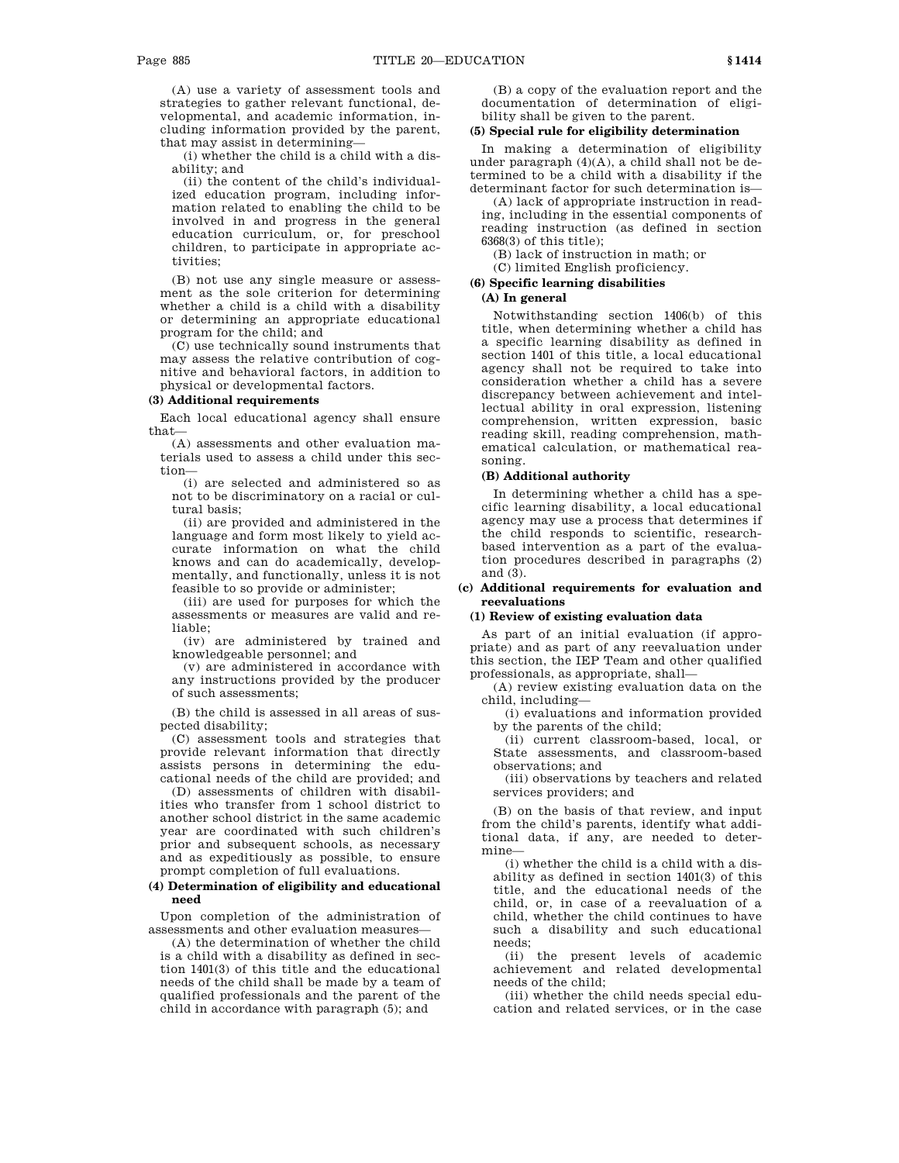(A) use a variety of assessment tools and strategies to gather relevant functional, developmental, and academic information, including information provided by the parent, that may assist in determining—

(i) whether the child is a child with a disability; and

(ii) the content of the child's individualized education program, including information related to enabling the child to be involved in and progress in the general education curriculum, or, for preschool children, to participate in appropriate activities;

(B) not use any single measure or assessment as the sole criterion for determining whether a child is a child with a disability or determining an appropriate educational program for the child; and

(C) use technically sound instruments that may assess the relative contribution of cognitive and behavioral factors, in addition to physical or developmental factors.

### **(3) Additional requirements**

Each local educational agency shall ensure that—

(A) assessments and other evaluation materials used to assess a child under this section—

(i) are selected and administered so as not to be discriminatory on a racial or cultural basis;

(ii) are provided and administered in the language and form most likely to yield accurate information on what the child knows and can do academically, developmentally, and functionally, unless it is not feasible to so provide or administer;

(iii) are used for purposes for which the assessments or measures are valid and reliable;

(iv) are administered by trained and knowledgeable personnel; and

(v) are administered in accordance with any instructions provided by the producer of such assessments;

(B) the child is assessed in all areas of suspected disability;

(C) assessment tools and strategies that provide relevant information that directly assists persons in determining the educational needs of the child are provided; and

(D) assessments of children with disabilities who transfer from 1 school district to another school district in the same academic year are coordinated with such children's prior and subsequent schools, as necessary and as expeditiously as possible, to ensure prompt completion of full evaluations.

### **(4) Determination of eligibility and educational need**

Upon completion of the administration of assessments and other evaluation measures—

(A) the determination of whether the child is a child with a disability as defined in section 1401(3) of this title and the educational needs of the child shall be made by a team of qualified professionals and the parent of the child in accordance with paragraph (5); and

(B) a copy of the evaluation report and the documentation of determination of eligibility shall be given to the parent.

# **(5) Special rule for eligibility determination**

In making a determination of eligibility under paragraph (4)(A), a child shall not be determined to be a child with a disability if the determinant factor for such determination is—

(A) lack of appropriate instruction in reading, including in the essential components of reading instruction (as defined in section 6368(3) of this title);

(B) lack of instruction in math; or

(C) limited English proficiency.

# **(6) Specific learning disabilities**

# **(A) In general**

Notwithstanding section 1406(b) of this title, when determining whether a child has a specific learning disability as defined in section 1401 of this title, a local educational agency shall not be required to take into consideration whether a child has a severe discrepancy between achievement and intellectual ability in oral expression, listening comprehension, written expression, basic reading skill, reading comprehension, mathematical calculation, or mathematical reasoning.

# **(B) Additional authority**

In determining whether a child has a specific learning disability, a local educational agency may use a process that determines if the child responds to scientific, researchbased intervention as a part of the evaluation procedures described in paragraphs (2) and (3).

### **(c) Additional requirements for evaluation and reevaluations**

#### **(1) Review of existing evaluation data**

As part of an initial evaluation (if appropriate) and as part of any reevaluation under this section, the IEP Team and other qualified professionals, as appropriate, shall—

(A) review existing evaluation data on the child, including—

(i) evaluations and information provided by the parents of the child;

(ii) current classroom-based, local, or State assessments, and classroom-based observations; and

(iii) observations by teachers and related services providers; and

(B) on the basis of that review, and input from the child's parents, identify what additional data, if any, are needed to determine—

(i) whether the child is a child with a disability as defined in section 1401(3) of this title, and the educational needs of the child, or, in case of a reevaluation of a child, whether the child continues to have such a disability and such educational needs;

(ii) the present levels of academic achievement and related developmental needs of the child;

(iii) whether the child needs special education and related services, or in the case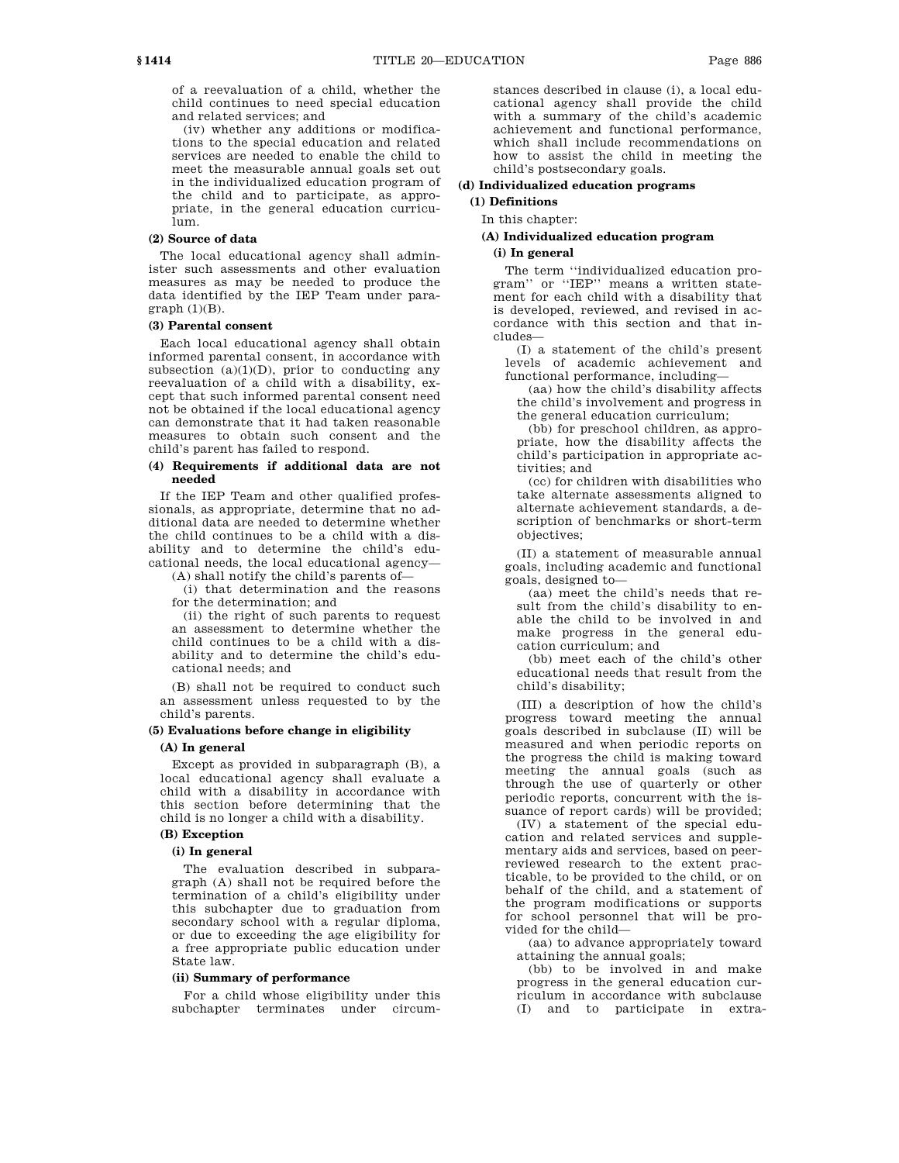of a reevaluation of a child, whether the child continues to need special education and related services; and

(iv) whether any additions or modifications to the special education and related services are needed to enable the child to meet the measurable annual goals set out in the individualized education program of the child and to participate, as appropriate, in the general education curriculum.

### **(2) Source of data**

The local educational agency shall administer such assessments and other evaluation measures as may be needed to produce the data identified by the IEP Team under para $graph (1)(B)$ .

# **(3) Parental consent**

Each local educational agency shall obtain informed parental consent, in accordance with subsection (a)(1)(D), prior to conducting any reevaluation of a child with a disability, except that such informed parental consent need not be obtained if the local educational agency can demonstrate that it had taken reasonable measures to obtain such consent and the child's parent has failed to respond.

# **(4) Requirements if additional data are not needed**

If the IEP Team and other qualified professionals, as appropriate, determine that no additional data are needed to determine whether the child continues to be a child with a disability and to determine the child's educational needs, the local educational agency—

(A) shall notify the child's parents of—

(i) that determination and the reasons for the determination; and

(ii) the right of such parents to request an assessment to determine whether the child continues to be a child with a disability and to determine the child's educational needs; and

(B) shall not be required to conduct such an assessment unless requested to by the child's parents.

### **(5) Evaluations before change in eligibility**

#### **(A) In general**

Except as provided in subparagraph (B), a local educational agency shall evaluate a child with a disability in accordance with this section before determining that the child is no longer a child with a disability.

# **(B) Exception**

# **(i) In general**

The evaluation described in subparagraph (A) shall not be required before the termination of a child's eligibility under this subchapter due to graduation from secondary school with a regular diploma, or due to exceeding the age eligibility for a free appropriate public education under State law.

# **(ii) Summary of performance**

For a child whose eligibility under this subchapter terminates under circumstances described in clause (i), a local educational agency shall provide the child with a summary of the child's academic achievement and functional performance, which shall include recommendations on how to assist the child in meeting the child's postsecondary goals.

# **(d) Individualized education programs**

# **(1) Definitions**

In this chapter:

# **(A) Individualized education program**

# **(i) In general**

The term ''individualized education program'' or ''IEP'' means a written statement for each child with a disability that is developed, reviewed, and revised in accordance with this section and that includes—

(I) a statement of the child's present levels of academic achievement and functional performance, including—

(aa) how the child's disability affects the child's involvement and progress in the general education curriculum;

(bb) for preschool children, as appropriate, how the disability affects the child's participation in appropriate activities; and

(cc) for children with disabilities who take alternate assessments aligned to alternate achievement standards, a description of benchmarks or short-term objectives;

(II) a statement of measurable annual goals, including academic and functional goals, designed to—

(aa) meet the child's needs that result from the child's disability to enable the child to be involved in and make progress in the general education curriculum; and

(bb) meet each of the child's other educational needs that result from the child's disability;

(III) a description of how the child's progress toward meeting the annual goals described in subclause (II) will be measured and when periodic reports on the progress the child is making toward meeting the annual goals (such as through the use of quarterly or other periodic reports, concurrent with the issuance of report cards) will be provided;

(IV) a statement of the special education and related services and supplementary aids and services, based on peerreviewed research to the extent practicable, to be provided to the child, or on behalf of the child, and a statement of the program modifications or supports for school personnel that will be provided for the child—

(aa) to advance appropriately toward attaining the annual goals;

(bb) to be involved in and make progress in the general education curriculum in accordance with subclause (I) and to participate in extra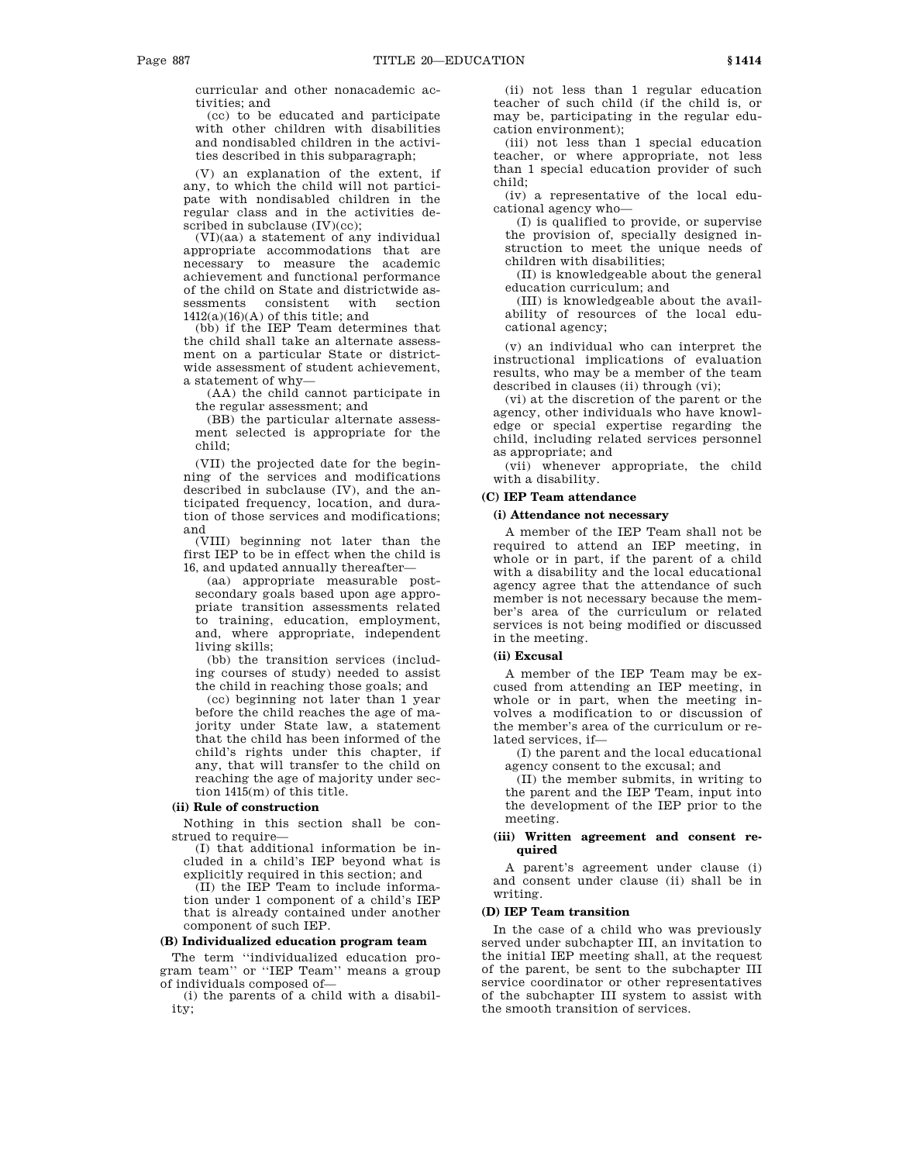curricular and other nonacademic activities; and

(cc) to be educated and participate with other children with disabilities and nondisabled children in the activities described in this subparagraph;

(V) an explanation of the extent, if any, to which the child will not participate with nondisabled children in the regular class and in the activities described in subclause (IV)(cc);

(VI)(aa) a statement of any individual appropriate accommodations that are necessary to measure the academic achievement and functional performance of the child on State and districtwide as-<br>sessments consistent with section consistent with section  $1412(a)(16)(A)$  of this title; and

(bb) if the IEP Team determines that the child shall take an alternate assessment on a particular State or districtwide assessment of student achievement, a statement of why—

(AA) the child cannot participate in the regular assessment; and

(BB) the particular alternate assessment selected is appropriate for the child;

(VII) the projected date for the beginning of the services and modifications described in subclause (IV), and the anticipated frequency, location, and duration of those services and modifications; and

(VIII) beginning not later than the first IEP to be in effect when the child is 16, and updated annually thereafter—

(aa) appropriate measurable postsecondary goals based upon age appropriate transition assessments related to training, education, employment, and, where appropriate, independent living skills;

(bb) the transition services (including courses of study) needed to assist the child in reaching those goals; and

(cc) beginning not later than 1 year before the child reaches the age of majority under State law, a statement that the child has been informed of the child's rights under this chapter, if any, that will transfer to the child on reaching the age of majority under section 1415(m) of this title.

#### **(ii) Rule of construction**

Nothing in this section shall be construed to require—

(I) that additional information be included in a child's IEP beyond what is explicitly required in this section; and

(II) the IEP Team to include information under 1 component of a child's IEP that is already contained under another component of such IEP.

#### **(B) Individualized education program team**

The term ''individualized education program team'' or ''IEP Team'' means a group of individuals composed of—

(i) the parents of a child with a disability;

(ii) not less than 1 regular education teacher of such child (if the child is, or may be, participating in the regular education environment);

(iii) not less than 1 special education teacher, or where appropriate, not less than 1 special education provider of such child;

(iv) a representative of the local educational agency who—

(I) is qualified to provide, or supervise the provision of, specially designed instruction to meet the unique needs of children with disabilities;

(II) is knowledgeable about the general education curriculum; and

(III) is knowledgeable about the availability of resources of the local educational agency;

(v) an individual who can interpret the instructional implications of evaluation results, who may be a member of the team described in clauses (ii) through (vi);

(vi) at the discretion of the parent or the agency, other individuals who have knowledge or special expertise regarding the child, including related services personnel as appropriate; and

(vii) whenever appropriate, the child with a disability.

# **(C) IEP Team attendance**

### **(i) Attendance not necessary**

A member of the IEP Team shall not be required to attend an IEP meeting, in whole or in part, if the parent of a child with a disability and the local educational agency agree that the attendance of such member is not necessary because the member's area of the curriculum or related services is not being modified or discussed in the meeting.

### **(ii) Excusal**

A member of the IEP Team may be excused from attending an IEP meeting, in whole or in part, when the meeting involves a modification to or discussion of the member's area of the curriculum or related services, if—

(I) the parent and the local educational agency consent to the excusal; and

(II) the member submits, in writing to the parent and the IEP Team, input into the development of the IEP prior to the meeting.

# **(iii) Written agreement and consent required**

A parent's agreement under clause (i) and consent under clause (ii) shall be in writing.

# **(D) IEP Team transition**

In the case of a child who was previously served under subchapter III, an invitation to the initial IEP meeting shall, at the request of the parent, be sent to the subchapter III service coordinator or other representatives of the subchapter III system to assist with the smooth transition of services.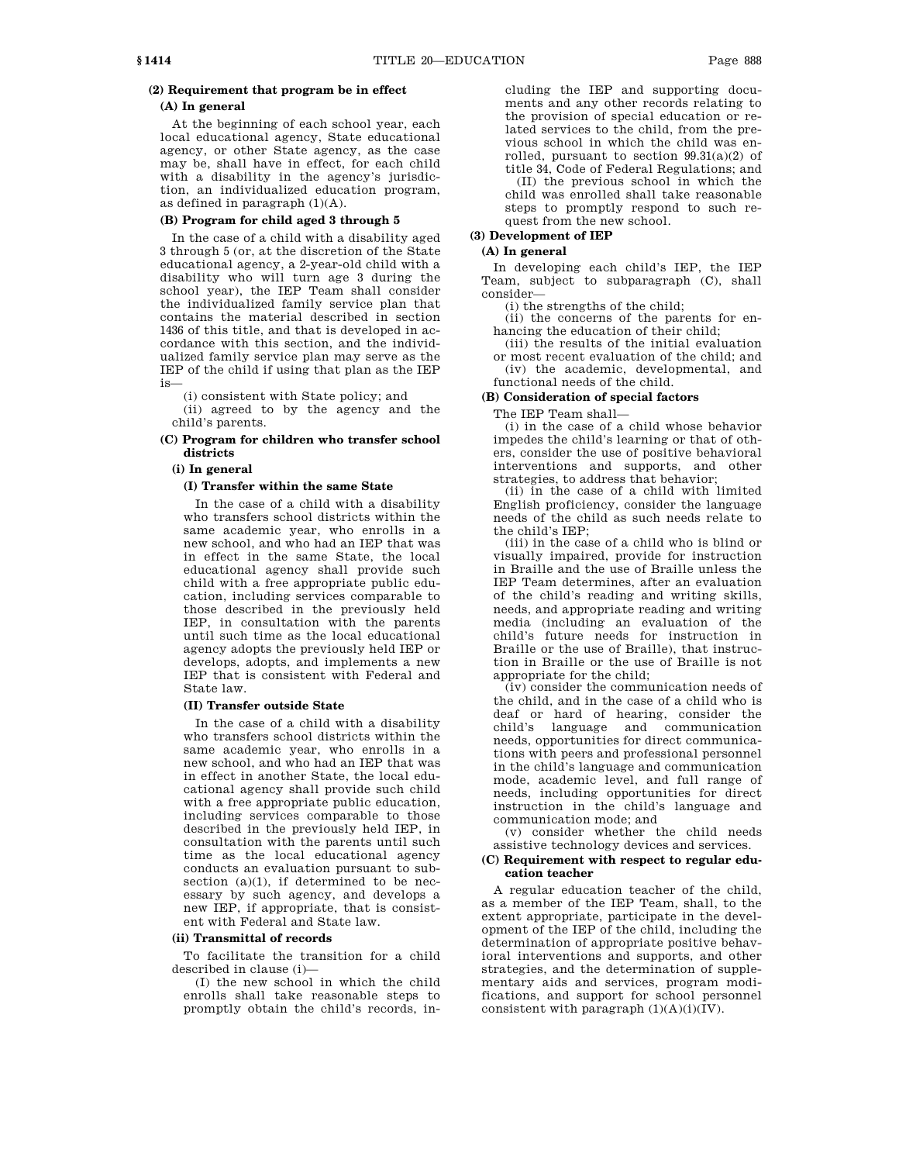# **(2) Requirement that program be in effect**

# **(A) In general**

At the beginning of each school year, each local educational agency, State educational agency, or other State agency, as the case may be, shall have in effect, for each child with a disability in the agency's jurisdiction, an individualized education program, as defined in paragraph  $(1)(A)$ .

# **(B) Program for child aged 3 through 5**

In the case of a child with a disability aged 3 through 5 (or, at the discretion of the State educational agency, a 2-year-old child with a disability who will turn age 3 during the school year), the IEP Team shall consider the individualized family service plan that contains the material described in section 1436 of this title, and that is developed in accordance with this section, and the individualized family service plan may serve as the IEP of the child if using that plan as the IEP is—

(i) consistent with State policy; and

(ii) agreed to by the agency and the child's parents.

#### **(C) Program for children who transfer school districts**

# **(i) In general**

# **(I) Transfer within the same State**

In the case of a child with a disability who transfers school districts within the same academic year, who enrolls in a new school, and who had an IEP that was in effect in the same State, the local educational agency shall provide such child with a free appropriate public education, including services comparable to those described in the previously held IEP, in consultation with the parents until such time as the local educational agency adopts the previously held IEP or develops, adopts, and implements a new IEP that is consistent with Federal and State law.

# **(II) Transfer outside State**

In the case of a child with a disability who transfers school districts within the same academic year, who enrolls in a new school, and who had an IEP that was in effect in another State, the local educational agency shall provide such child with a free appropriate public education, including services comparable to those described in the previously held IEP, in consultation with the parents until such time as the local educational agency conducts an evaluation pursuant to subsection  $(a)(1)$ , if determined to be necessary by such agency, and develops a new IEP, if appropriate, that is consistent with Federal and State law.

# **(ii) Transmittal of records**

To facilitate the transition for a child described in clause (i)—

(I) the new school in which the child enrolls shall take reasonable steps to promptly obtain the child's records, including the IEP and supporting documents and any other records relating to the provision of special education or related services to the child, from the previous school in which the child was enrolled, pursuant to section  $99.31(a)(2)$  of title 34, Code of Federal Regulations; and (II) the previous school in which the child was enrolled shall take reasonable steps to promptly respond to such request from the new school.

# **(3) Development of IEP**

### **(A) In general**

In developing each child's IEP, the IEP Team, subject to subparagraph (C), shall consider—

(i) the strengths of the child;

(ii) the concerns of the parents for enhancing the education of their child;

(iii) the results of the initial evaluation or most recent evaluation of the child; and (iv) the academic, developmental, and functional needs of the child.

#### **(B) Consideration of special factors**

The IEP Team shall—

(i) in the case of a child whose behavior impedes the child's learning or that of others, consider the use of positive behavioral interventions and supports, and other strategies, to address that behavior;

(ii) in the case of a child with limited English proficiency, consider the language needs of the child as such needs relate to the child's IEP;

(iii) in the case of a child who is blind or visually impaired, provide for instruction in Braille and the use of Braille unless the IEP Team determines, after an evaluation of the child's reading and writing skills, needs, and appropriate reading and writing media (including an evaluation of the child's future needs for instruction in Braille or the use of Braille), that instruction in Braille or the use of Braille is not appropriate for the child;

(iv) consider the communication needs of the child, and in the case of a child who is deaf or hard of hearing, consider the child's language and communication needs, opportunities for direct communications with peers and professional personnel in the child's language and communication mode, academic level, and full range of needs, including opportunities for direct instruction in the child's language and communication mode; and

(v) consider whether the child needs assistive technology devices and services.

# **(C) Requirement with respect to regular education teacher**

A regular education teacher of the child, as a member of the IEP Team, shall, to the extent appropriate, participate in the development of the IEP of the child, including the determination of appropriate positive behavioral interventions and supports, and other strategies, and the determination of supplementary aids and services, program modifications, and support for school personnel consistent with paragraph  $(1)(A)(i)(IV)$ .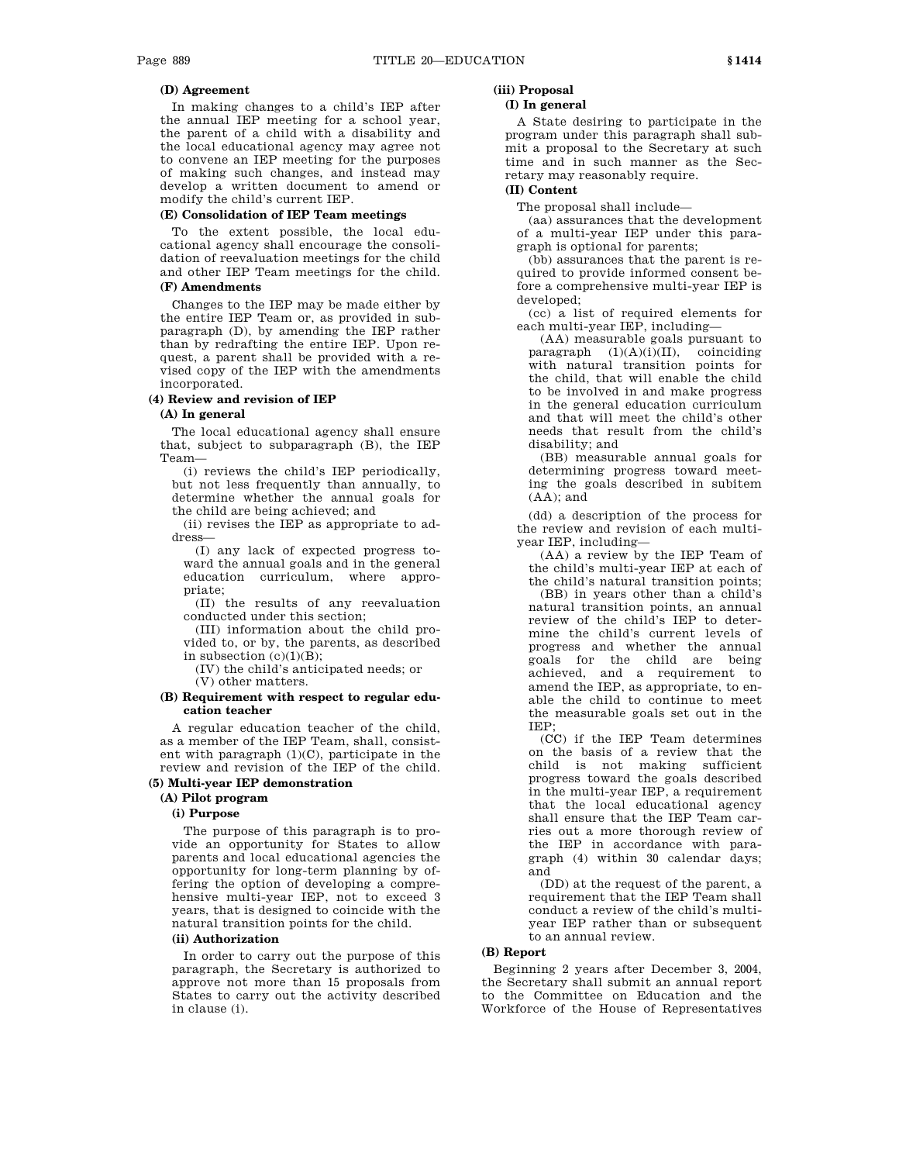# **(D) Agreement**

In making changes to a child's IEP after the annual IEP meeting for a school year, the parent of a child with a disability and the local educational agency may agree not to convene an IEP meeting for the purposes of making such changes, and instead may develop a written document to amend or modify the child's current IEP.

# **(E) Consolidation of IEP Team meetings**

To the extent possible, the local educational agency shall encourage the consolidation of reevaluation meetings for the child and other IEP Team meetings for the child. **(F) Amendments**

Changes to the IEP may be made either by the entire IEP Team or, as provided in subparagraph (D), by amending the IEP rather than by redrafting the entire IEP. Upon request, a parent shall be provided with a revised copy of the IEP with the amendments incorporated.

### **(4) Review and revision of IEP**

# **(A) In general**

The local educational agency shall ensure that, subject to subparagraph (B), the IEP Team—

(i) reviews the child's IEP periodically, but not less frequently than annually, to determine whether the annual goals for the child are being achieved; and

(ii) revises the IEP as appropriate to address—

(I) any lack of expected progress toward the annual goals and in the general education curriculum, where appropriate;

(II) the results of any reevaluation conducted under this section;

(III) information about the child provided to, or by, the parents, as described in subsection  $(c)(1)(B)$ ;

(IV) the child's anticipated needs; or (V) other matters.

### **(B) Requirement with respect to regular education teacher**

A regular education teacher of the child, as a member of the IEP Team, shall, consistent with paragraph  $(1)(C)$ , participate in the review and revision of the IEP of the child.

# **(5) Multi-year IEP demonstration**

# **(A) Pilot program**

# **(i) Purpose**

The purpose of this paragraph is to provide an opportunity for States to allow parents and local educational agencies the opportunity for long-term planning by offering the option of developing a comprehensive multi-year IEP, not to exceed 3 years, that is designed to coincide with the natural transition points for the child.

# **(ii) Authorization**

In order to carry out the purpose of this paragraph, the Secretary is authorized to approve not more than 15 proposals from States to carry out the activity described in clause (i).

# **(iii) Proposal**

# **(I) In general**

A State desiring to participate in the program under this paragraph shall submit a proposal to the Secretary at such time and in such manner as the Secretary may reasonably require.

# **(II) Content**

The proposal shall include—

(aa) assurances that the development of a multi-year IEP under this paragraph is optional for parents;

(bb) assurances that the parent is required to provide informed consent before a comprehensive multi-year IEP is developed;

(cc) a list of required elements for each multi-year IEP, including—

(AA) measurable goals pursuant to  $\text{pargraph} \quad (1)(A)(i)(II), \quad \text{coinciding}$ with natural transition points for the child, that will enable the child to be involved in and make progress in the general education curriculum and that will meet the child's other needs that result from the child's disability; and

(BB) measurable annual goals for determining progress toward meeting the goals described in subitem  $(AA)$ ; and

(dd) a description of the process for the review and revision of each multiyear IEP, including—

(AA) a review by the IEP Team of the child's multi-year IEP at each of the child's natural transition points;

(BB) in years other than a child's natural transition points, an annual review of the child's IEP to determine the child's current levels of progress and whether the annual goals for the child are being achieved, and a requirement to amend the IEP, as appropriate, to enable the child to continue to meet the measurable goals set out in the IEP;

(CC) if the IEP Team determines on the basis of a review that the child is not making sufficient progress toward the goals described in the multi-year IEP, a requirement that the local educational agency shall ensure that the IEP Team carries out a more thorough review of the IEP in accordance with paragraph (4) within 30 calendar days; and

(DD) at the request of the parent, a requirement that the IEP Team shall conduct a review of the child's multiyear IEP rather than or subsequent to an annual review.

# **(B) Report**

Beginning 2 years after December 3, 2004, the Secretary shall submit an annual report to the Committee on Education and the Workforce of the House of Representatives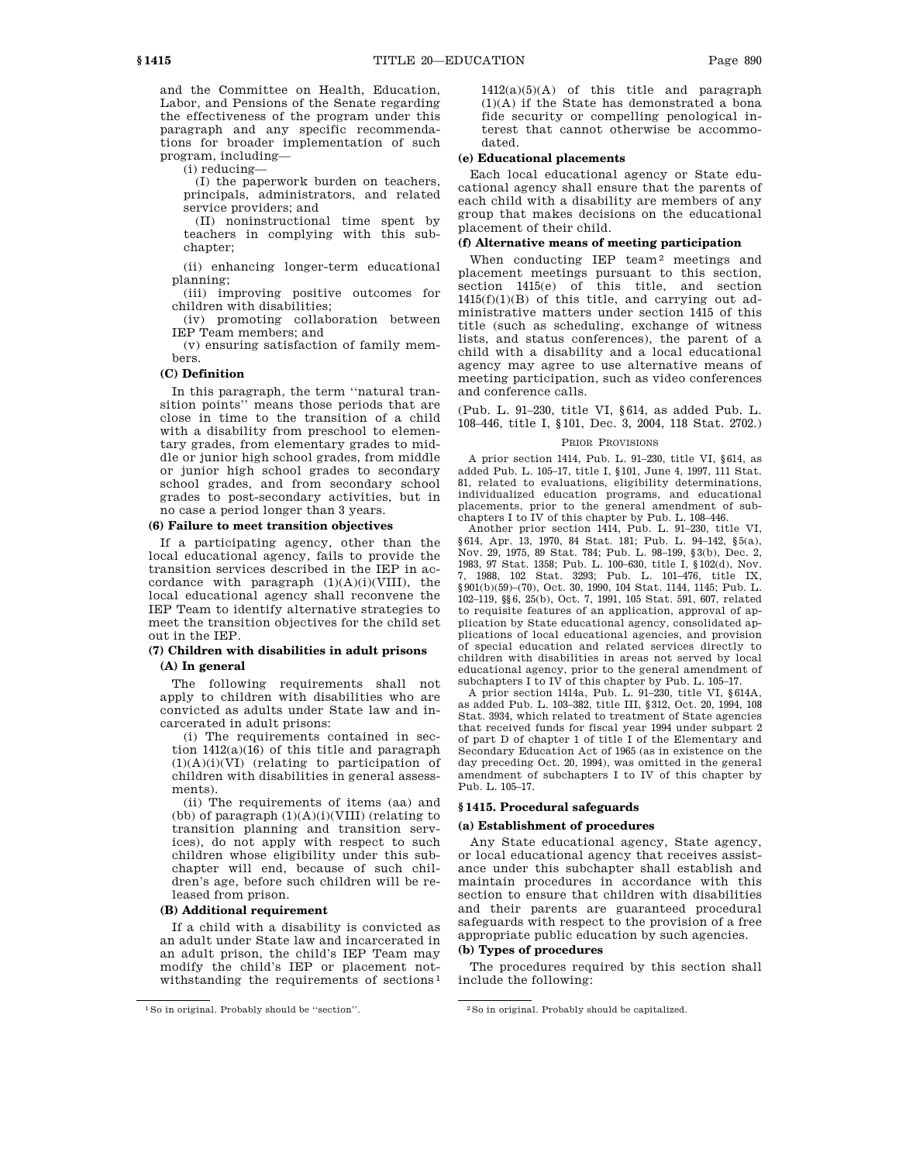and the Committee on Health, Education, Labor, and Pensions of the Senate regarding the effectiveness of the program under this paragraph and any specific recommendations for broader implementation of such program, including—

(i) reducing—

(I) the paperwork burden on teachers, principals, administrators, and related service providers; and

(II) noninstructional time spent by teachers in complying with this subchapter;

(ii) enhancing longer-term educational planning;

(iii) improving positive outcomes for children with disabilities;

(iv) promoting collaboration between IEP Team members; and

(v) ensuring satisfaction of family members.

# **(C) Definition**

In this paragraph, the term ''natural transition points'' means those periods that are close in time to the transition of a child with a disability from preschool to elementary grades, from elementary grades to middle or junior high school grades, from middle or junior high school grades to secondary school grades, and from secondary school grades to post-secondary activities, but in no case a period longer than 3 years.

#### **(6) Failure to meet transition objectives**

If a participating agency, other than the local educational agency, fails to provide the transition services described in the IEP in accordance with paragraph  $(1)(A)(i)(VIII)$ , the local educational agency shall reconvene the IEP Team to identify alternative strategies to meet the transition objectives for the child set out in the IEP.

# **(7) Children with disabilities in adult prisons (A) In general**

The following requirements shall not apply to children with disabilities who are convicted as adults under State law and incarcerated in adult prisons:

(i) The requirements contained in section  $1412(a)(16)$  of this title and paragraph  $(1)(A)(i)(V)$  (relating to participation of children with disabilities in general assessments).

(ii) The requirements of items (aa) and (bb) of paragraph  $(1)(A)(i)(VIII)$  (relating to transition planning and transition services), do not apply with respect to such children whose eligibility under this subchapter will end, because of such children's age, before such children will be released from prison.

# **(B) Additional requirement**

If a child with a disability is convicted as an adult under State law and incarcerated in an adult prison, the child's IEP Team may modify the child's IEP or placement notwithstanding the requirements of sections<sup>1</sup>  $1412(a)(5)(A)$  of this title and paragraph (1)(A) if the State has demonstrated a bona fide security or compelling penological interest that cannot otherwise be accommodated.

#### **(e) Educational placements**

Each local educational agency or State educational agency shall ensure that the parents of each child with a disability are members of any group that makes decisions on the educational placement of their child.

# **(f) Alternative means of meeting participation**

When conducting IEP team2 meetings and placement meetings pursuant to this section, section 1415(e) of this title, and section 1415(f)(1)(B) of this title, and carrying out administrative matters under section 1415 of this title (such as scheduling, exchange of witness lists, and status conferences), the parent of a child with a disability and a local educational agency may agree to use alternative means of meeting participation, such as video conferences and conference calls.

(Pub. L. 91–230, title VI, §614, as added Pub. L. 108–446, title I, §101, Dec. 3, 2004, 118 Stat. 2702.)

#### PRIOR PROVISIONS

A prior section 1414, Pub. L. 91–230, title VI, §614, as added Pub. L. 105–17, title I, §101, June 4, 1997, 111 Stat. 81, related to evaluations, eligibility determinations, individualized education programs, and educational placements, prior to the general amendment of subchapters I to IV of this chapter by Pub. L. 108–446.

Another prior section 1414, Pub. L. 91–230, title VI, §614, Apr. 13, 1970, 84 Stat. 181; Pub. L. 94–142, §5(a), Nov. 29, 1975, 89 Stat. 784; Pub. L. 98–199, §3(b), Dec. 2, 1983, 97 Stat. 1358; Pub. L. 100–630, title I, §102(d), Nov. 7, 1988, 102 Stat. 3293; Pub. L. 101–476, title IX, §901(b)(59)–(70), Oct. 30, 1990, 104 Stat. 1144, 1145; Pub. L. 102–119, §§6, 25(b), Oct. 7, 1991, 105 Stat. 591, 607, related to requisite features of an application, approval of application by State educational agency, consolidated applications of local educational agencies, and provision of special education and related services directly to children with disabilities in areas not served by local educational agency, prior to the general amendment of subchapters I to IV of this chapter by Pub. L. 105–17.

A prior section 1414a, Pub. L. 91–230, title VI, §614A, as added Pub. L. 103–382, title III, §312, Oct. 20, 1994, 108 Stat. 3934, which related to treatment of State agencies that received funds for fiscal year 1994 under subpart 2 of part D of chapter 1 of title I of the Elementary and Secondary Education Act of 1965 (as in existence on the day preceding Oct. 20, 1994), was omitted in the general amendment of subchapters I to IV of this chapter by Pub. L. 105–17.

#### **§ 1415. Procedural safeguards**

#### **(a) Establishment of procedures**

Any State educational agency, State agency, or local educational agency that receives assistance under this subchapter shall establish and maintain procedures in accordance with this section to ensure that children with disabilities and their parents are guaranteed procedural safeguards with respect to the provision of a free appropriate public education by such agencies.

# **(b) Types of procedures**

The procedures required by this section shall include the following:

<sup>1</sup>So in original. Probably should be ''section''. 2So in original. Probably should be capitalized.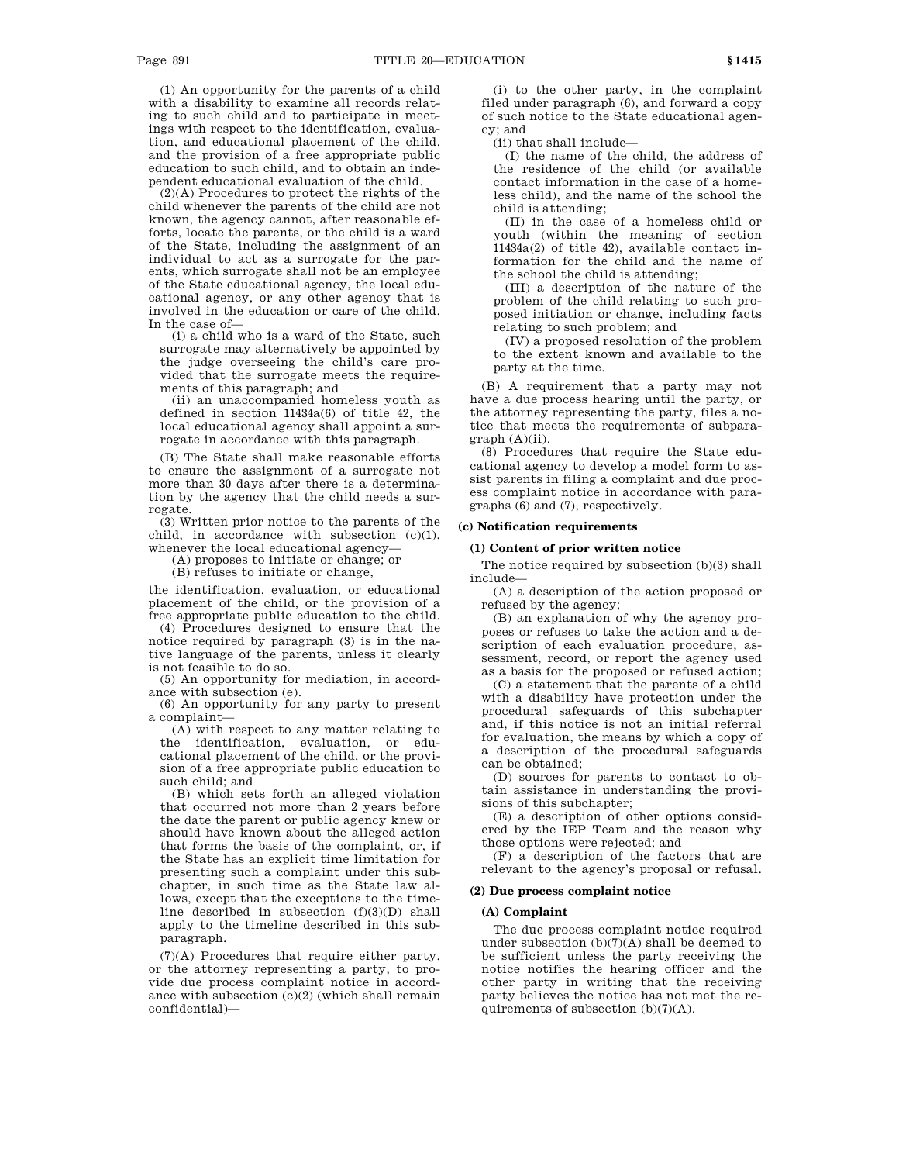(1) An opportunity for the parents of a child with a disability to examine all records relating to such child and to participate in meetings with respect to the identification, evaluation, and educational placement of the child, and the provision of a free appropriate public education to such child, and to obtain an independent educational evaluation of the child.

(2)(A) Procedures to protect the rights of the child whenever the parents of the child are not known, the agency cannot, after reasonable efforts, locate the parents, or the child is a ward of the State, including the assignment of an individual to act as a surrogate for the parents, which surrogate shall not be an employee of the State educational agency, the local educational agency, or any other agency that is involved in the education or care of the child. In the case of—

(i) a child who is a ward of the State, such surrogate may alternatively be appointed by the judge overseeing the child's care provided that the surrogate meets the requirements of this paragraph; and

(ii) an unaccompanied homeless youth as defined in section 11434a(6) of title 42, the local educational agency shall appoint a surrogate in accordance with this paragraph.

(B) The State shall make reasonable efforts to ensure the assignment of a surrogate not more than 30 days after there is a determination by the agency that the child needs a surrogate.

(3) Written prior notice to the parents of the child, in accordance with subsection (c)(1), whenever the local educational agency—

(A) proposes to initiate or change; or

(B) refuses to initiate or change,

the identification, evaluation, or educational placement of the child, or the provision of a free appropriate public education to the child.

(4) Procedures designed to ensure that the notice required by paragraph (3) is in the native language of the parents, unless it clearly is not feasible to do so.

(5) An opportunity for mediation, in accordance with subsection (e).

(6) An opportunity for any party to present a complaint—

(A) with respect to any matter relating to the identification, evaluation, or educational placement of the child, or the provision of a free appropriate public education to such child; and

(B) which sets forth an alleged violation that occurred not more than 2 years before the date the parent or public agency knew or should have known about the alleged action that forms the basis of the complaint, or, if the State has an explicit time limitation for presenting such a complaint under this subchapter, in such time as the State law allows, except that the exceptions to the timeline described in subsection (f)(3)(D) shall apply to the timeline described in this subparagraph.

(7)(A) Procedures that require either party, or the attorney representing a party, to provide due process complaint notice in accordance with subsection (c)(2) (which shall remain confidential)—

(i) to the other party, in the complaint filed under paragraph (6), and forward a copy of such notice to the State educational agency; and

(ii) that shall include—

(I) the name of the child, the address of the residence of the child (or available contact information in the case of a homeless child), and the name of the school the child is attending;

(II) in the case of a homeless child or youth (within the meaning of section 11434a(2) of title 42), available contact information for the child and the name of the school the child is attending;

(III) a description of the nature of the problem of the child relating to such proposed initiation or change, including facts relating to such problem; and

(IV) a proposed resolution of the problem to the extent known and available to the party at the time.

(B) A requirement that a party may not have a due process hearing until the party, or the attorney representing the party, files a notice that meets the requirements of subparagraph (A)(ii).

(8) Procedures that require the State educational agency to develop a model form to assist parents in filing a complaint and due process complaint notice in accordance with paragraphs (6) and (7), respectively.

#### **(c) Notification requirements**

# **(1) Content of prior written notice**

The notice required by subsection (b)(3) shall include—

(A) a description of the action proposed or refused by the agency;

(B) an explanation of why the agency proposes or refuses to take the action and a description of each evaluation procedure, assessment, record, or report the agency used as a basis for the proposed or refused action;

(C) a statement that the parents of a child with a disability have protection under the procedural safeguards of this subchapter and, if this notice is not an initial referral for evaluation, the means by which a copy of a description of the procedural safeguards can be obtained;

(D) sources for parents to contact to obtain assistance in understanding the provisions of this subchapter;

(E) a description of other options considered by the IEP Team and the reason why those options were rejected; and

(F) a description of the factors that are relevant to the agency's proposal or refusal.

#### **(2) Due process complaint notice**

### **(A) Complaint**

The due process complaint notice required under subsection  $(b)(7)(A)$  shall be deemed to be sufficient unless the party receiving the notice notifies the hearing officer and the other party in writing that the receiving party believes the notice has not met the requirements of subsection  $(b)(7)(A)$ .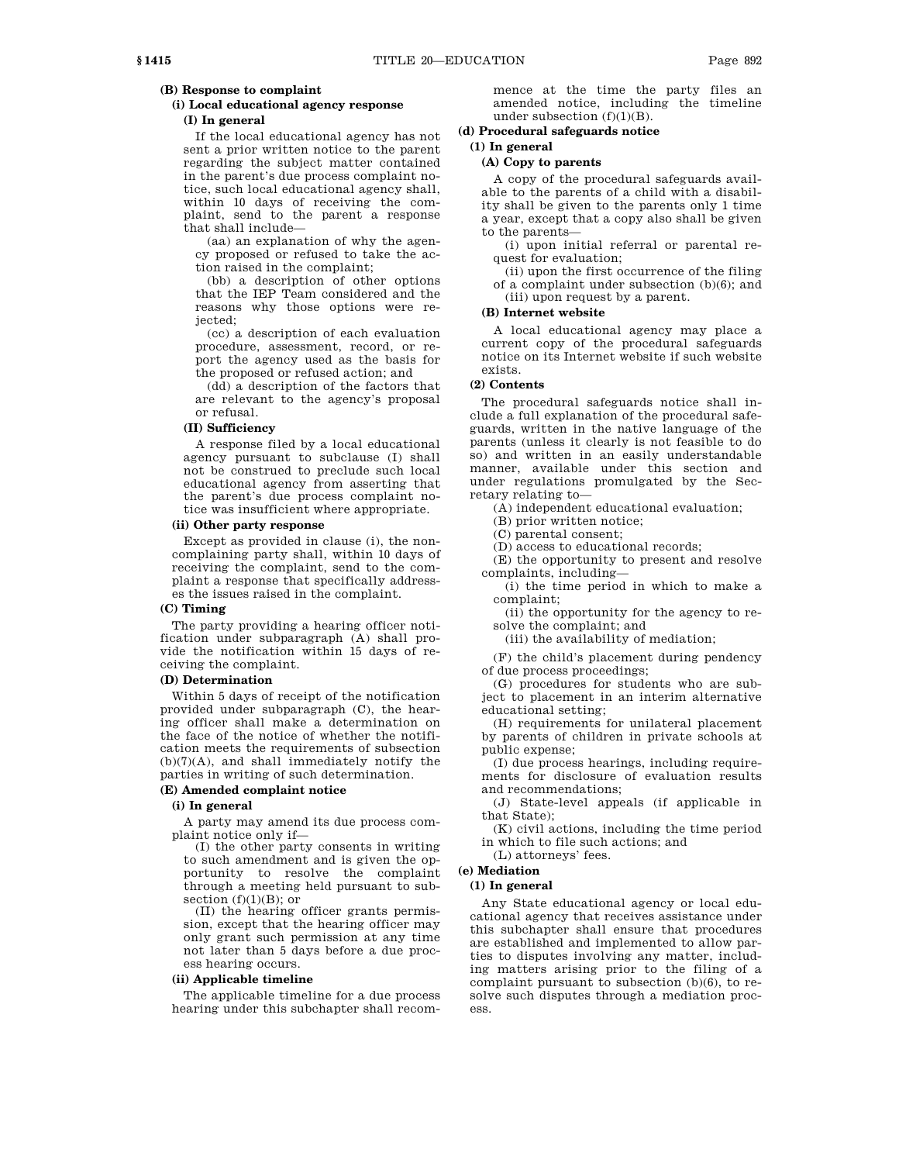# **(B) Response to complaint**

# **(i) Local educational agency response**

# **(I) In general**

If the local educational agency has not sent a prior written notice to the parent regarding the subject matter contained in the parent's due process complaint notice, such local educational agency shall, within 10 days of receiving the complaint, send to the parent a response that shall include—

(aa) an explanation of why the agency proposed or refused to take the action raised in the complaint;

(bb) a description of other options that the IEP Team considered and the reasons why those options were rejected;

(cc) a description of each evaluation procedure, assessment, record, or report the agency used as the basis for the proposed or refused action; and

(dd) a description of the factors that are relevant to the agency's proposal or refusal.

### **(II) Sufficiency**

A response filed by a local educational agency pursuant to subclause (I) shall not be construed to preclude such local educational agency from asserting that the parent's due process complaint notice was insufficient where appropriate.

### **(ii) Other party response**

Except as provided in clause (i), the noncomplaining party shall, within 10 days of receiving the complaint, send to the complaint a response that specifically addresses the issues raised in the complaint.

#### **(C) Timing**

The party providing a hearing officer notification under subparagraph (A) shall provide the notification within 15 days of receiving the complaint.

#### **(D) Determination**

Within 5 days of receipt of the notification provided under subparagraph (C), the hearing officer shall make a determination on the face of the notice of whether the notification meets the requirements of subsection  $(b)(7)(A)$ , and shall immediately notify the parties in writing of such determination.

# **(E) Amended complaint notice**

### **(i) In general**

A party may amend its due process complaint notice only if—

(I) the other party consents in writing to such amendment and is given the opportunity to resolve the complaint through a meeting held pursuant to subsection  $(f)(1)(B)$ ; or

(II) the hearing officer grants permission, except that the hearing officer may only grant such permission at any time not later than 5 days before a due process hearing occurs.

#### **(ii) Applicable timeline**

The applicable timeline for a due process hearing under this subchapter shall recommence at the time the party files an amended notice, including the timeline under subsection  $(f)(1)(B)$ .

# **(d) Procedural safeguards notice**

# **(1) In general**

# **(A) Copy to parents**

A copy of the procedural safeguards available to the parents of a child with a disability shall be given to the parents only 1 time a year, except that a copy also shall be given to the parents—

(i) upon initial referral or parental request for evaluation;

(ii) upon the first occurrence of the filing of a complaint under subsection (b)(6); and (iii) upon request by a parent.

#### **(B) Internet website**

A local educational agency may place a current copy of the procedural safeguards notice on its Internet website if such website exists.

# **(2) Contents**

The procedural safeguards notice shall include a full explanation of the procedural safeguards, written in the native language of the parents (unless it clearly is not feasible to do so) and written in an easily understandable manner, available under this section and under regulations promulgated by the Secretary relating to—

(A) independent educational evaluation;

(B) prior written notice;

(C) parental consent;

(D) access to educational records;

(E) the opportunity to present and resolve complaints, including—

(i) the time period in which to make a complaint;

(ii) the opportunity for the agency to resolve the complaint; and

(iii) the availability of mediation;

(F) the child's placement during pendency of due process proceedings;

(G) procedures for students who are subject to placement in an interim alternative educational setting;

(H) requirements for unilateral placement by parents of children in private schools at public expense;

(I) due process hearings, including requirements for disclosure of evaluation results and recommendations;

(J) State-level appeals (if applicable in that State);

(K) civil actions, including the time period in which to file such actions; and

(L) attorneys' fees.

### **(e) Mediation**

#### **(1) In general**

Any State educational agency or local educational agency that receives assistance under this subchapter shall ensure that procedures are established and implemented to allow parties to disputes involving any matter, including matters arising prior to the filing of a complaint pursuant to subsection (b)(6), to resolve such disputes through a mediation process.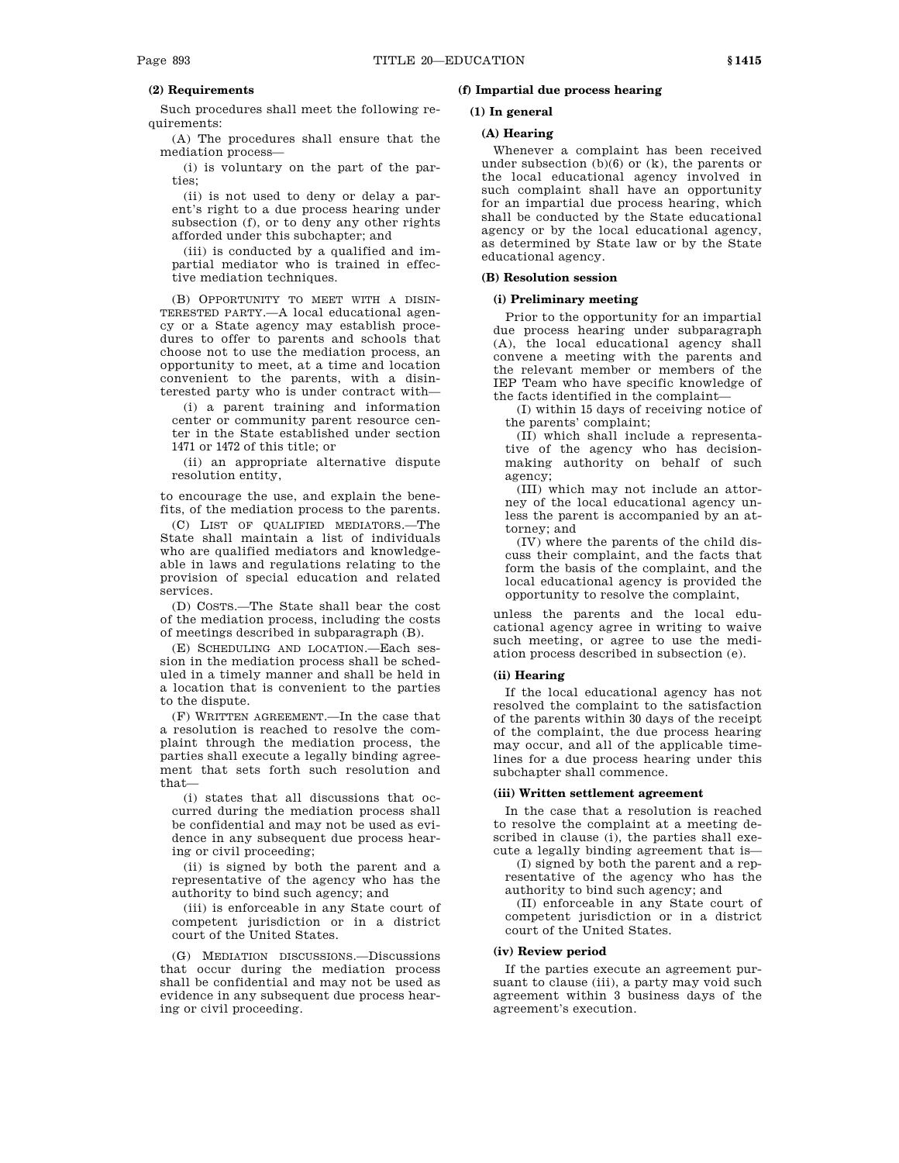# **(2) Requirements**

Such procedures shall meet the following requirements:

(A) The procedures shall ensure that the mediation process—

(i) is voluntary on the part of the parties;

(ii) is not used to deny or delay a parent's right to a due process hearing under subsection (f), or to deny any other rights afforded under this subchapter; and

(iii) is conducted by a qualified and impartial mediator who is trained in effective mediation techniques.

(B) OPPORTUNITY TO MEET WITH A DISIN-TERESTED PARTY.—A local educational agency or a State agency may establish procedures to offer to parents and schools that choose not to use the mediation process, an opportunity to meet, at a time and location convenient to the parents, with a disinterested party who is under contract with—

(i) a parent training and information center or community parent resource center in the State established under section 1471 or 1472 of this title; or

(ii) an appropriate alternative dispute resolution entity,

to encourage the use, and explain the benefits, of the mediation process to the parents.

(C) LIST OF QUALIFIED MEDIATORS.—The State shall maintain a list of individuals who are qualified mediators and knowledgeable in laws and regulations relating to the provision of special education and related services.

(D) COSTS.—The State shall bear the cost of the mediation process, including the costs of meetings described in subparagraph (B).

(E) SCHEDULING AND LOCATION.—Each session in the mediation process shall be scheduled in a timely manner and shall be held in a location that is convenient to the parties to the dispute.

(F) WRITTEN AGREEMENT.—In the case that a resolution is reached to resolve the complaint through the mediation process, the parties shall execute a legally binding agreement that sets forth such resolution and that—

(i) states that all discussions that occurred during the mediation process shall be confidential and may not be used as evidence in any subsequent due process hearing or civil proceeding;

(ii) is signed by both the parent and a representative of the agency who has the authority to bind such agency; and

(iii) is enforceable in any State court of competent jurisdiction or in a district court of the United States.

(G) MEDIATION DISCUSSIONS.—Discussions that occur during the mediation process shall be confidential and may not be used as evidence in any subsequent due process hearing or civil proceeding.

# **(f) Impartial due process hearing**

# **(1) In general**

# **(A) Hearing**

Whenever a complaint has been received under subsection  $(b)(6)$  or  $(k)$ , the parents or the local educational agency involved in such complaint shall have an opportunity for an impartial due process hearing, which shall be conducted by the State educational agency or by the local educational agency, as determined by State law or by the State educational agency.

### **(B) Resolution session**

### **(i) Preliminary meeting**

Prior to the opportunity for an impartial due process hearing under subparagraph (A), the local educational agency shall convene a meeting with the parents and the relevant member or members of the IEP Team who have specific knowledge of the facts identified in the complaint—

(I) within 15 days of receiving notice of the parents' complaint;

(II) which shall include a representative of the agency who has decisionmaking authority on behalf of such agency;

(III) which may not include an attorney of the local educational agency unless the parent is accompanied by an attorney; and

(IV) where the parents of the child discuss their complaint, and the facts that form the basis of the complaint, and the local educational agency is provided the opportunity to resolve the complaint,

unless the parents and the local educational agency agree in writing to waive such meeting, or agree to use the mediation process described in subsection (e).

#### **(ii) Hearing**

If the local educational agency has not resolved the complaint to the satisfaction of the parents within 30 days of the receipt of the complaint, the due process hearing may occur, and all of the applicable timelines for a due process hearing under this subchapter shall commence.

#### **(iii) Written settlement agreement**

In the case that a resolution is reached to resolve the complaint at a meeting described in clause (i), the parties shall execute a legally binding agreement that is—

(I) signed by both the parent and a representative of the agency who has the authority to bind such agency; and

(II) enforceable in any State court of competent jurisdiction or in a district court of the United States.

#### **(iv) Review period**

If the parties execute an agreement pursuant to clause (iii), a party may void such agreement within 3 business days of the agreement's execution.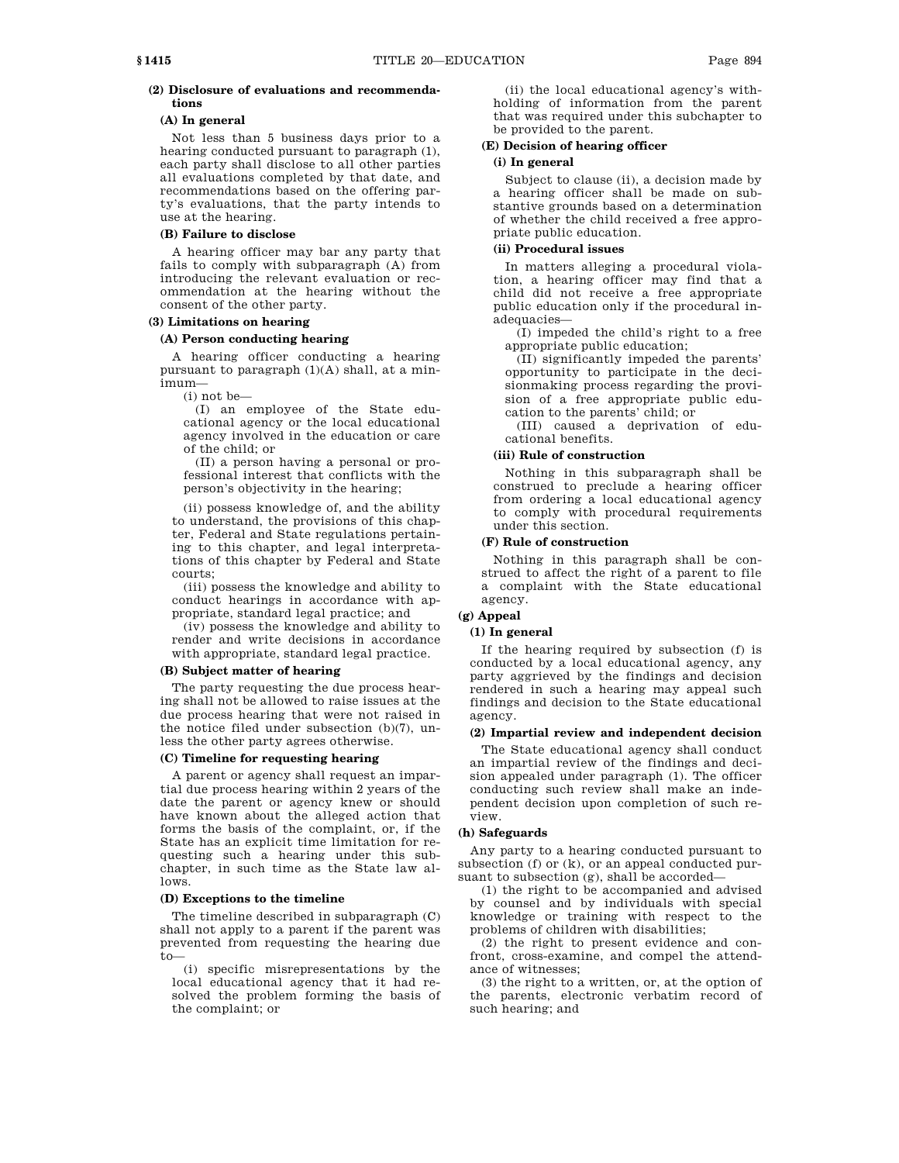# **(2) Disclosure of evaluations and recommendations**

# **(A) In general**

Not less than 5 business days prior to a hearing conducted pursuant to paragraph (1), each party shall disclose to all other parties all evaluations completed by that date, and recommendations based on the offering party's evaluations, that the party intends to use at the hearing.

### **(B) Failure to disclose**

A hearing officer may bar any party that fails to comply with subparagraph (A) from introducing the relevant evaluation or recommendation at the hearing without the consent of the other party.

# **(3) Limitations on hearing**

#### **(A) Person conducting hearing**

A hearing officer conducting a hearing pursuant to paragraph  $(1)(A)$  shall, at a minimum—

(i) not be—

(I) an employee of the State educational agency or the local educational agency involved in the education or care of the child; or

(II) a person having a personal or professional interest that conflicts with the person's objectivity in the hearing;

(ii) possess knowledge of, and the ability to understand, the provisions of this chapter, Federal and State regulations pertaining to this chapter, and legal interpretations of this chapter by Federal and State courts;

(iii) possess the knowledge and ability to conduct hearings in accordance with appropriate, standard legal practice; and

(iv) possess the knowledge and ability to render and write decisions in accordance with appropriate, standard legal practice.

### **(B) Subject matter of hearing**

The party requesting the due process hearing shall not be allowed to raise issues at the due process hearing that were not raised in the notice filed under subsection (b)(7), unless the other party agrees otherwise.

# **(C) Timeline for requesting hearing**

A parent or agency shall request an impartial due process hearing within 2 years of the date the parent or agency knew or should have known about the alleged action that forms the basis of the complaint, or, if the State has an explicit time limitation for requesting such a hearing under this subchapter, in such time as the State law allows.

# **(D) Exceptions to the timeline**

The timeline described in subparagraph (C) shall not apply to a parent if the parent was prevented from requesting the hearing due to—

(i) specific misrepresentations by the local educational agency that it had resolved the problem forming the basis of the complaint; or

(ii) the local educational agency's withholding of information from the parent that was required under this subchapter to be provided to the parent.

#### **(E) Decision of hearing officer**

### **(i) In general**

Subject to clause (ii), a decision made by a hearing officer shall be made on substantive grounds based on a determination of whether the child received a free appropriate public education.

# **(ii) Procedural issues**

In matters alleging a procedural violation, a hearing officer may find that a child did not receive a free appropriate public education only if the procedural inadequacies—

(I) impeded the child's right to a free appropriate public education;

(II) significantly impeded the parents' opportunity to participate in the decisionmaking process regarding the provision of a free appropriate public education to the parents' child; or

(III) caused a deprivation of educational benefits.

# **(iii) Rule of construction**

Nothing in this subparagraph shall be construed to preclude a hearing officer from ordering a local educational agency to comply with procedural requirements under this section.

# **(F) Rule of construction**

Nothing in this paragraph shall be construed to affect the right of a parent to file a complaint with the State educational agency.

# **(g) Appeal**

# **(1) In general**

If the hearing required by subsection (f) is conducted by a local educational agency, any party aggrieved by the findings and decision rendered in such a hearing may appeal such findings and decision to the State educational agency.

# **(2) Impartial review and independent decision**

The State educational agency shall conduct an impartial review of the findings and decision appealed under paragraph (1). The officer conducting such review shall make an independent decision upon completion of such review.

# **(h) Safeguards**

Any party to a hearing conducted pursuant to subsection (f) or (k), or an appeal conducted pursuant to subsection (g), shall be accorded—

(1) the right to be accompanied and advised by counsel and by individuals with special knowledge or training with respect to the problems of children with disabilities;

(2) the right to present evidence and confront, cross-examine, and compel the attendance of witnesses;

(3) the right to a written, or, at the option of the parents, electronic verbatim record of such hearing; and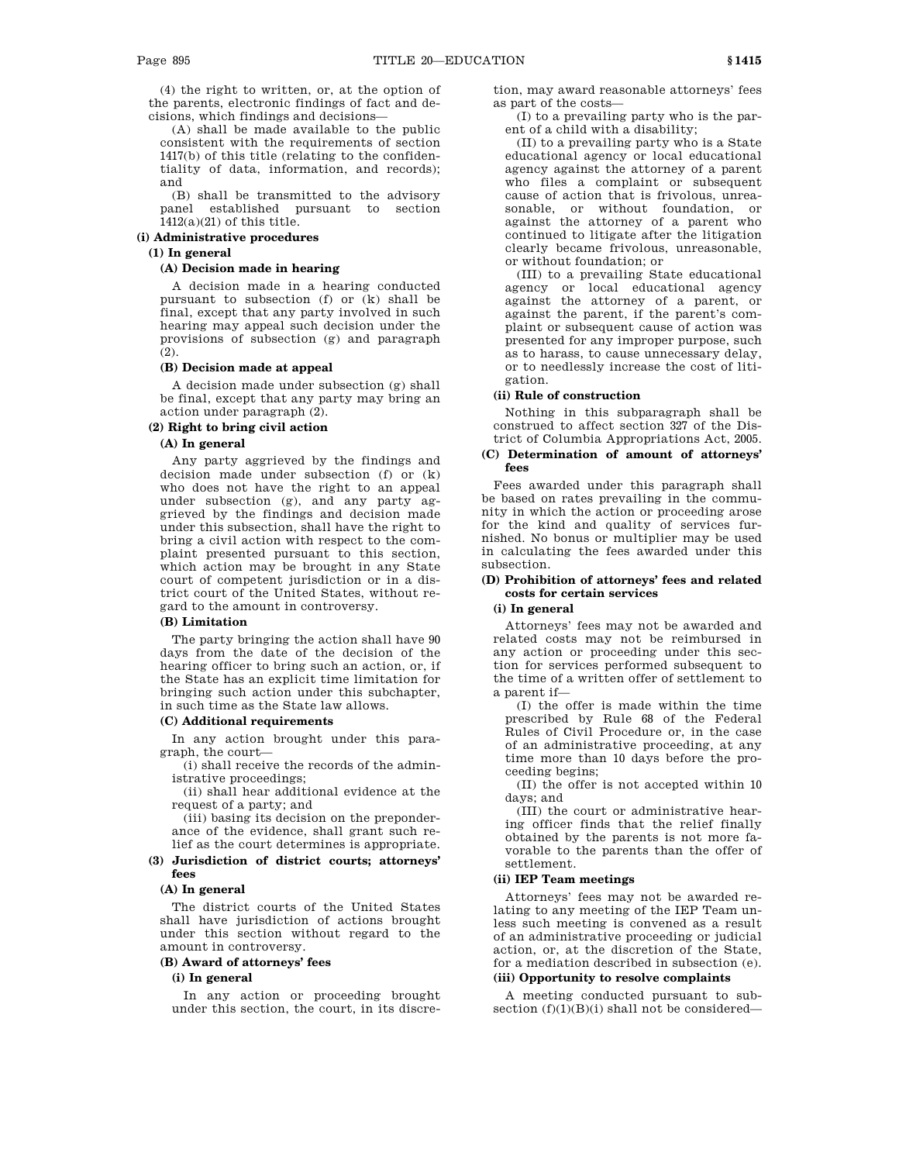(4) the right to written, or, at the option of the parents, electronic findings of fact and decisions, which findings and decisions—

(A) shall be made available to the public consistent with the requirements of section 1417(b) of this title (relating to the confidentiality of data, information, and records); and

(B) shall be transmitted to the advisory panel established pursuant to section 1412(a)(21) of this title.

# **(i) Administrative procedures**

### **(1) In general**

# **(A) Decision made in hearing**

A decision made in a hearing conducted pursuant to subsection (f) or (k) shall be final, except that any party involved in such hearing may appeal such decision under the provisions of subsection (g) and paragraph (2).

#### **(B) Decision made at appeal**

A decision made under subsection (g) shall be final, except that any party may bring an action under paragraph (2).

# **(2) Right to bring civil action**

# **(A) In general**

Any party aggrieved by the findings and decision made under subsection (f) or (k) who does not have the right to an appeal under subsection (g), and any party aggrieved by the findings and decision made under this subsection, shall have the right to bring a civil action with respect to the complaint presented pursuant to this section, which action may be brought in any State court of competent jurisdiction or in a district court of the United States, without regard to the amount in controversy.

#### **(B) Limitation**

The party bringing the action shall have 90 days from the date of the decision of the hearing officer to bring such an action, or, if the State has an explicit time limitation for bringing such action under this subchapter, in such time as the State law allows.

# **(C) Additional requirements**

In any action brought under this paragraph, the court—

(i) shall receive the records of the administrative proceedings;

(ii) shall hear additional evidence at the request of a party; and

(iii) basing its decision on the preponderance of the evidence, shall grant such relief as the court determines is appropriate.

### **(3) Jurisdiction of district courts; attorneys' fees**

# **(A) In general**

The district courts of the United States shall have jurisdiction of actions brought under this section without regard to the amount in controversy.

# **(B) Award of attorneys' fees**

# **(i) In general**

In any action or proceeding brought under this section, the court, in its discretion, may award reasonable attorneys' fees as part of the costs—

(I) to a prevailing party who is the parent of a child with a disability;

(II) to a prevailing party who is a State educational agency or local educational agency against the attorney of a parent who files a complaint or subsequent cause of action that is frivolous, unreasonable, or without foundation, or against the attorney of a parent who continued to litigate after the litigation clearly became frivolous, unreasonable, or without foundation; or

(III) to a prevailing State educational agency or local educational agency against the attorney of a parent, or against the parent, if the parent's complaint or subsequent cause of action was presented for any improper purpose, such as to harass, to cause unnecessary delay, or to needlessly increase the cost of litigation.

# **(ii) Rule of construction**

Nothing in this subparagraph shall be construed to affect section 327 of the District of Columbia Appropriations Act, 2005.

#### **(C) Determination of amount of attorneys' fees**

Fees awarded under this paragraph shall be based on rates prevailing in the community in which the action or proceeding arose for the kind and quality of services furnished. No bonus or multiplier may be used in calculating the fees awarded under this subsection.

# **(D) Prohibition of attorneys' fees and related costs for certain services**

### **(i) In general**

Attorneys' fees may not be awarded and related costs may not be reimbursed in any action or proceeding under this section for services performed subsequent to the time of a written offer of settlement to a parent if—

(I) the offer is made within the time prescribed by Rule 68 of the Federal Rules of Civil Procedure or, in the case of an administrative proceeding, at any time more than 10 days before the proceeding begins;

(II) the offer is not accepted within 10 days; and

(III) the court or administrative hearing officer finds that the relief finally obtained by the parents is not more favorable to the parents than the offer of settlement.

### **(ii) IEP Team meetings**

Attorneys' fees may not be awarded relating to any meeting of the IEP Team unless such meeting is convened as a result of an administrative proceeding or judicial action, or, at the discretion of the State, for a mediation described in subsection (e).

# **(iii) Opportunity to resolve complaints**

A meeting conducted pursuant to subsection  $(f)(1)(B)(i)$  shall not be considered—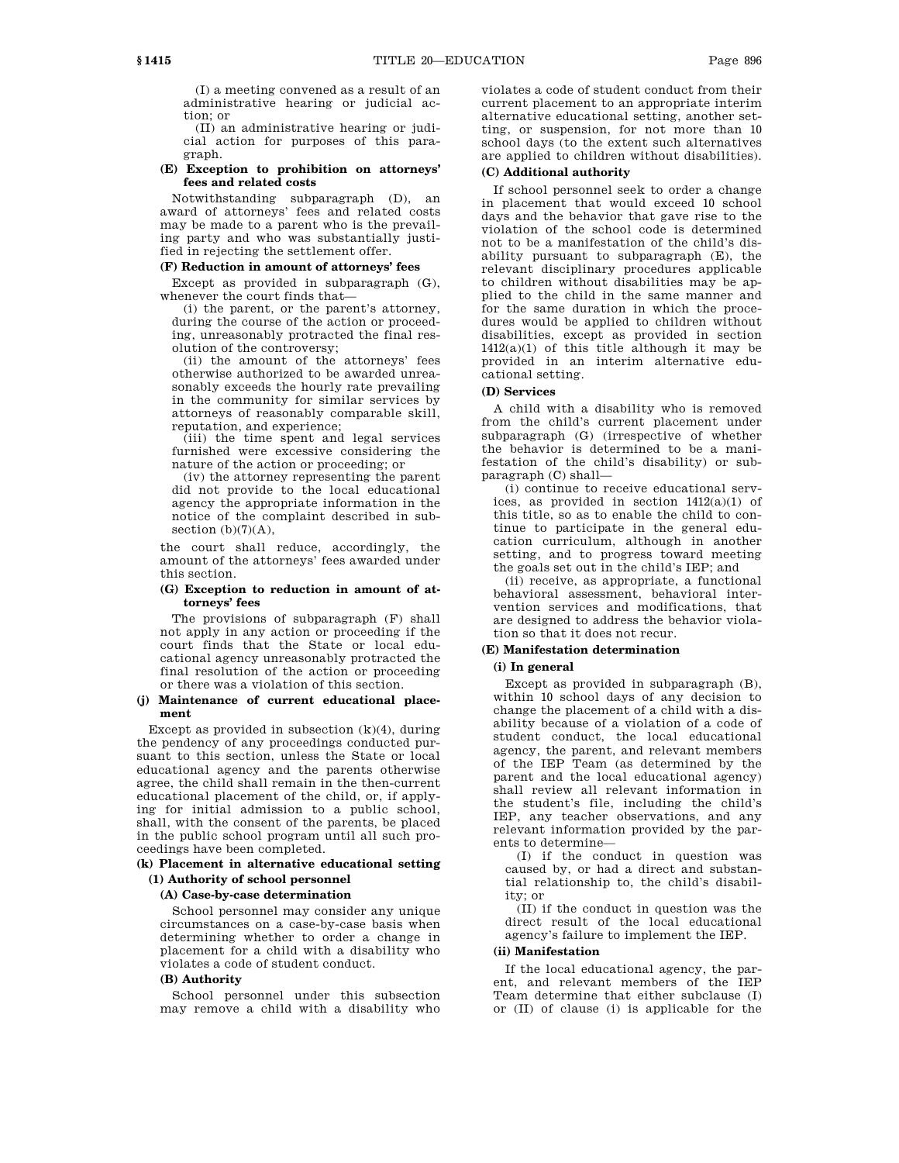(I) a meeting convened as a result of an administrative hearing or judicial action; or

(II) an administrative hearing or judicial action for purposes of this paragraph.

### **(E) Exception to prohibition on attorneys' fees and related costs**

Notwithstanding subparagraph (D), an award of attorneys' fees and related costs may be made to a parent who is the prevailing party and who was substantially justified in rejecting the settlement offer.

# **(F) Reduction in amount of attorneys' fees**

Except as provided in subparagraph (G), whenever the court finds that—

(i) the parent, or the parent's attorney, during the course of the action or proceeding, unreasonably protracted the final resolution of the controversy;

(ii) the amount of the attorneys' fees otherwise authorized to be awarded unreasonably exceeds the hourly rate prevailing in the community for similar services by attorneys of reasonably comparable skill, reputation, and experience;

(iii) the time spent and legal services furnished were excessive considering the nature of the action or proceeding; or

(iv) the attorney representing the parent did not provide to the local educational agency the appropriate information in the notice of the complaint described in subsection  $(b)(7)(A)$ ,

the court shall reduce, accordingly, the amount of the attorneys' fees awarded under this section.

# **(G) Exception to reduction in amount of attorneys' fees**

The provisions of subparagraph (F) shall not apply in any action or proceeding if the court finds that the State or local educational agency unreasonably protracted the final resolution of the action or proceeding or there was a violation of this section.

### **(j) Maintenance of current educational placement**

Except as provided in subsection  $(k)(4)$ , during the pendency of any proceedings conducted pursuant to this section, unless the State or local educational agency and the parents otherwise agree, the child shall remain in the then-current educational placement of the child, or, if applying for initial admission to a public school, shall, with the consent of the parents, be placed in the public school program until all such proceedings have been completed.

# **(k) Placement in alternative educational setting (1) Authority of school personnel**

# **(A) Case-by-case determination**

School personnel may consider any unique circumstances on a case-by-case basis when determining whether to order a change in placement for a child with a disability who violates a code of student conduct.

# **(B) Authority**

School personnel under this subsection may remove a child with a disability who violates a code of student conduct from their current placement to an appropriate interim alternative educational setting, another setting, or suspension, for not more than 10 school days (to the extent such alternatives are applied to children without disabilities).

# **(C) Additional authority**

If school personnel seek to order a change in placement that would exceed 10 school days and the behavior that gave rise to the violation of the school code is determined not to be a manifestation of the child's disability pursuant to subparagraph (E), the relevant disciplinary procedures applicable to children without disabilities may be applied to the child in the same manner and for the same duration in which the procedures would be applied to children without disabilities, except as provided in section 1412(a)(1) of this title although it may be provided in an interim alternative educational setting.

# **(D) Services**

A child with a disability who is removed from the child's current placement under subparagraph (G) (irrespective of whether the behavior is determined to be a manifestation of the child's disability) or subparagraph (C) shall—

(i) continue to receive educational services, as provided in section  $1412(a)(1)$  of this title, so as to enable the child to continue to participate in the general education curriculum, although in another setting, and to progress toward meeting the goals set out in the child's IEP; and

(ii) receive, as appropriate, a functional behavioral assessment, behavioral intervention services and modifications, that are designed to address the behavior violation so that it does not recur.

# **(E) Manifestation determination**

# **(i) In general**

Except as provided in subparagraph (B), within 10 school days of any decision to change the placement of a child with a disability because of a violation of a code of student conduct, the local educational agency, the parent, and relevant members of the IEP Team (as determined by the parent and the local educational agency) shall review all relevant information in the student's file, including the child's IEP, any teacher observations, and any relevant information provided by the parents to determine—

(I) if the conduct in question was caused by, or had a direct and substantial relationship to, the child's disability; or

(II) if the conduct in question was the direct result of the local educational agency's failure to implement the IEP.

# **(ii) Manifestation**

If the local educational agency, the parent, and relevant members of the IEP Team determine that either subclause (I) or (II) of clause (i) is applicable for the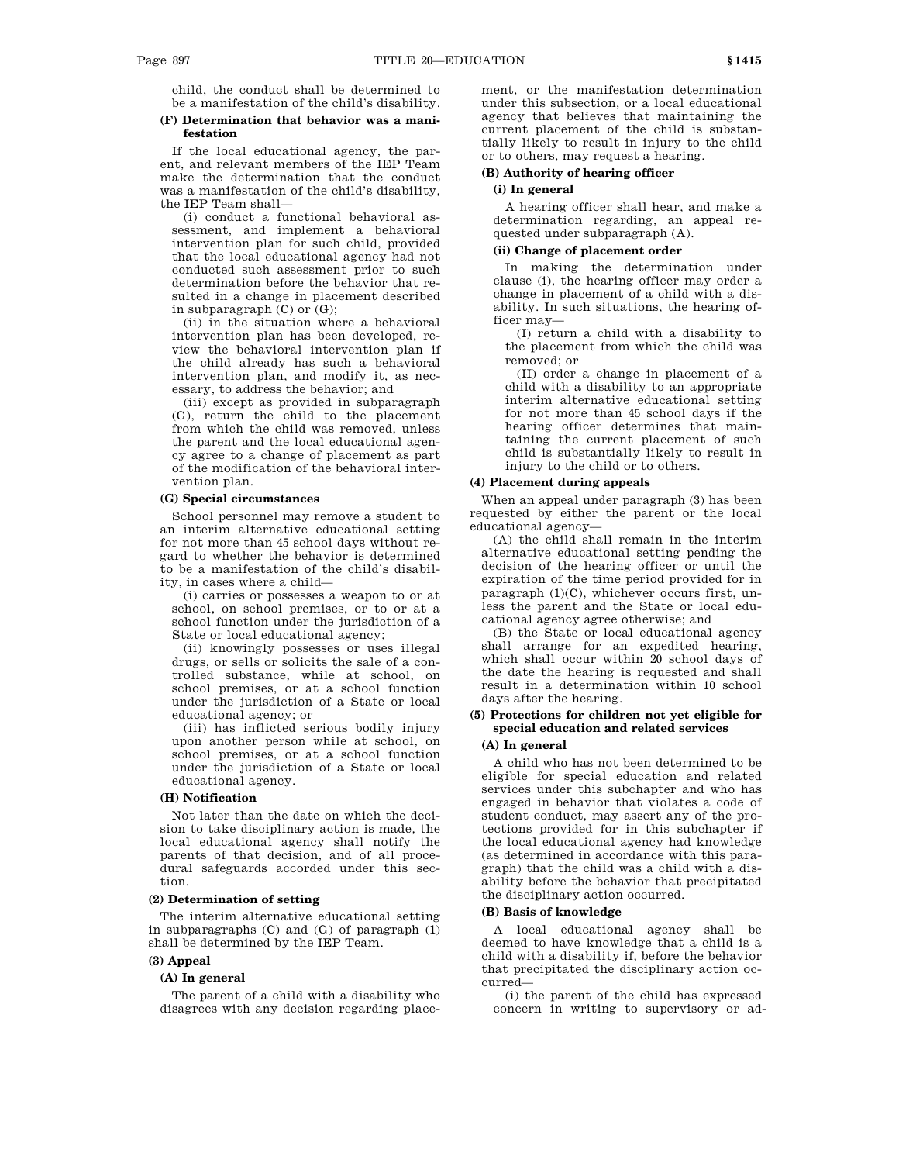child, the conduct shall be determined to be a manifestation of the child's disability.

# **(F) Determination that behavior was a manifestation**

If the local educational agency, the parent, and relevant members of the IEP Team make the determination that the conduct was a manifestation of the child's disability, the IEP Team shall—

(i) conduct a functional behavioral assessment, and implement a behavioral intervention plan for such child, provided that the local educational agency had not conducted such assessment prior to such determination before the behavior that resulted in a change in placement described in subparagraph (C) or (G);

(ii) in the situation where a behavioral intervention plan has been developed, review the behavioral intervention plan if the child already has such a behavioral intervention plan, and modify it, as necessary, to address the behavior; and

(iii) except as provided in subparagraph (G), return the child to the placement from which the child was removed, unless the parent and the local educational agency agree to a change of placement as part of the modification of the behavioral intervention plan.

# **(G) Special circumstances**

School personnel may remove a student to an interim alternative educational setting for not more than 45 school days without regard to whether the behavior is determined to be a manifestation of the child's disability, in cases where a child—

(i) carries or possesses a weapon to or at school, on school premises, or to or at a school function under the jurisdiction of a State or local educational agency;

(ii) knowingly possesses or uses illegal drugs, or sells or solicits the sale of a controlled substance, while at school, on school premises, or at a school function under the jurisdiction of a State or local educational agency; or

(iii) has inflicted serious bodily injury upon another person while at school, on school premises, or at a school function under the jurisdiction of a State or local educational agency.

# **(H) Notification**

Not later than the date on which the decision to take disciplinary action is made, the local educational agency shall notify the parents of that decision, and of all procedural safeguards accorded under this section.

# **(2) Determination of setting**

The interim alternative educational setting in subparagraphs (C) and (G) of paragraph (1) shall be determined by the IEP Team.

# **(3) Appeal**

# **(A) In general**

The parent of a child with a disability who disagrees with any decision regarding placement, or the manifestation determination under this subsection, or a local educational agency that believes that maintaining the current placement of the child is substantially likely to result in injury to the child or to others, may request a hearing.

# **(B) Authority of hearing officer**

#### **(i) In general**

A hearing officer shall hear, and make a determination regarding, an appeal requested under subparagraph (A).

### **(ii) Change of placement order**

In making the determination under clause (i), the hearing officer may order a change in placement of a child with a disability. In such situations, the hearing officer may—

(I) return a child with a disability to the placement from which the child was removed; or

(II) order a change in placement of a child with a disability to an appropriate interim alternative educational setting for not more than 45 school days if the hearing officer determines that maintaining the current placement of such child is substantially likely to result in injury to the child or to others.

### **(4) Placement during appeals**

When an appeal under paragraph (3) has been requested by either the parent or the local educational agency—

(A) the child shall remain in the interim alternative educational setting pending the decision of the hearing officer or until the expiration of the time period provided for in paragraph (1)(C), whichever occurs first, unless the parent and the State or local educational agency agree otherwise; and

(B) the State or local educational agency shall arrange for an expedited hearing, which shall occur within 20 school days of the date the hearing is requested and shall result in a determination within 10 school days after the hearing.

# **(5) Protections for children not yet eligible for special education and related services**

# **(A) In general**

A child who has not been determined to be eligible for special education and related services under this subchapter and who has engaged in behavior that violates a code of student conduct, may assert any of the protections provided for in this subchapter if the local educational agency had knowledge (as determined in accordance with this paragraph) that the child was a child with a disability before the behavior that precipitated the disciplinary action occurred.

### **(B) Basis of knowledge**

A local educational agency shall be deemed to have knowledge that a child is a child with a disability if, before the behavior that precipitated the disciplinary action occurred—

(i) the parent of the child has expressed concern in writing to supervisory or ad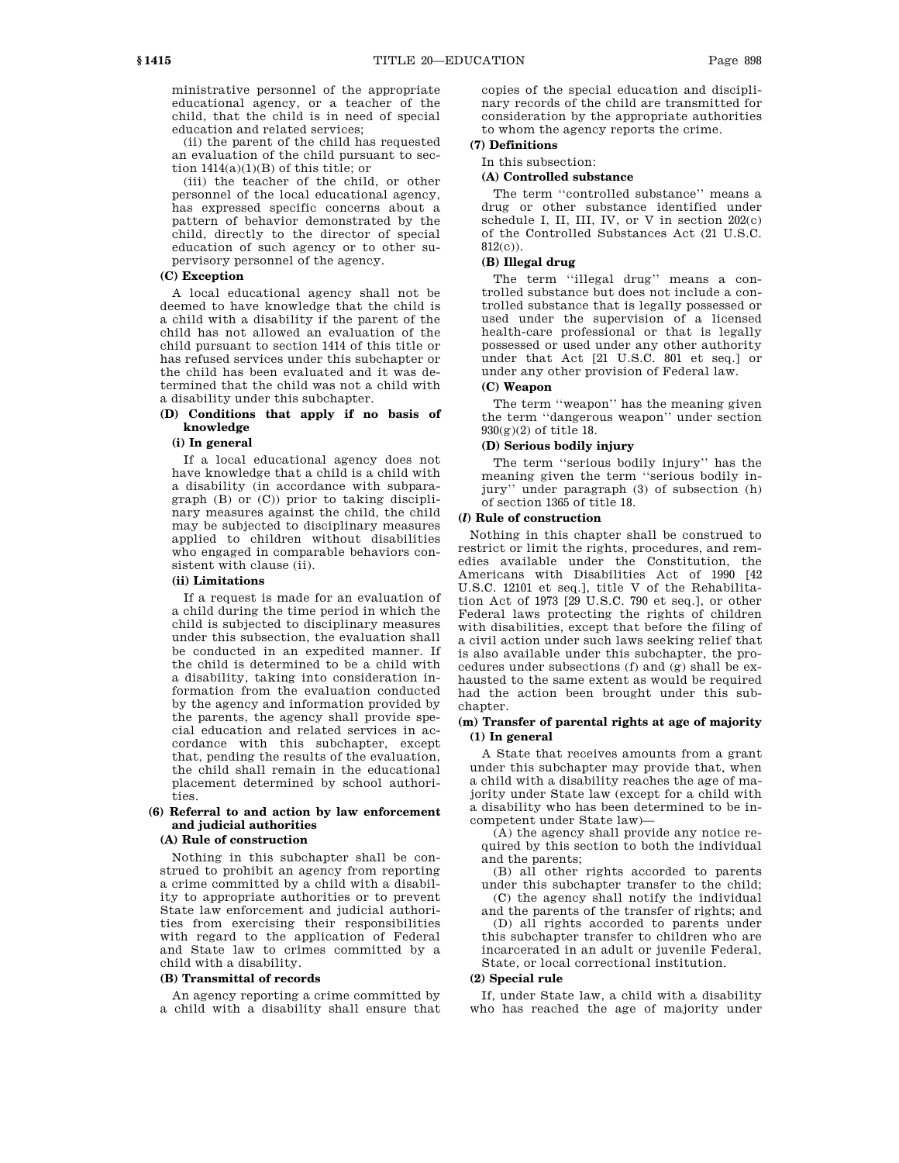ministrative personnel of the appropriate educational agency, or a teacher of the child, that the child is in need of special education and related services;

(ii) the parent of the child has requested an evaluation of the child pursuant to section  $1414(a)(1)(B)$  of this title; or

(iii) the teacher of the child, or other personnel of the local educational agency, has expressed specific concerns about a pattern of behavior demonstrated by the child, directly to the director of special education of such agency or to other supervisory personnel of the agency.

# **(C) Exception**

A local educational agency shall not be deemed to have knowledge that the child is a child with a disability if the parent of the child has not allowed an evaluation of the child pursuant to section 1414 of this title or has refused services under this subchapter or the child has been evaluated and it was determined that the child was not a child with a disability under this subchapter.

# **(D) Conditions that apply if no basis of knowledge**

### **(i) In general**

If a local educational agency does not have knowledge that a child is a child with a disability (in accordance with subparagraph (B) or (C)) prior to taking disciplinary measures against the child, the child may be subjected to disciplinary measures applied to children without disabilities who engaged in comparable behaviors consistent with clause (ii).

#### **(ii) Limitations**

If a request is made for an evaluation of a child during the time period in which the child is subjected to disciplinary measures under this subsection, the evaluation shall be conducted in an expedited manner. If the child is determined to be a child with a disability, taking into consideration information from the evaluation conducted by the agency and information provided by the parents, the agency shall provide special education and related services in accordance with this subchapter, except that, pending the results of the evaluation, the child shall remain in the educational placement determined by school authorities.

# **(6) Referral to and action by law enforcement and judicial authorities**

# **(A) Rule of construction**

Nothing in this subchapter shall be construed to prohibit an agency from reporting a crime committed by a child with a disability to appropriate authorities or to prevent State law enforcement and judicial authorities from exercising their responsibilities with regard to the application of Federal and State law to crimes committed by a child with a disability.

# **(B) Transmittal of records**

An agency reporting a crime committed by a child with a disability shall ensure that copies of the special education and disciplinary records of the child are transmitted for consideration by the appropriate authorities to whom the agency reports the crime.

# **(7) Definitions**

# In this subsection:

# **(A) Controlled substance**

The term ''controlled substance'' means a drug or other substance identified under schedule I, II, III, IV, or V in section 202(c) of the Controlled Substances Act (21 U.S.C. 812(c)).

#### **(B) Illegal drug**

The term ''illegal drug'' means a controlled substance but does not include a controlled substance that is legally possessed or used under the supervision of a licensed health-care professional or that is legally possessed or used under any other authority under that Act [21 U.S.C. 801 et seq.] or under any other provision of Federal law.

# **(C) Weapon**

The term ''weapon'' has the meaning given the term ''dangerous weapon'' under section 930(g)(2) of title 18.

### **(D) Serious bodily injury**

The term ''serious bodily injury'' has the meaning given the term ''serious bodily injury'' under paragraph (3) of subsection (h) of section 1365 of title 18.

### **(***l***) Rule of construction**

Nothing in this chapter shall be construed to restrict or limit the rights, procedures, and remedies available under the Constitution, the Americans with Disabilities Act of 1990 [42 U.S.C. 12101 et seq.], title V of the Rehabilitation Act of 1973 [29 U.S.C. 790 et seq.], or other Federal laws protecting the rights of children with disabilities, except that before the filing of a civil action under such laws seeking relief that is also available under this subchapter, the procedures under subsections (f) and (g) shall be exhausted to the same extent as would be required had the action been brought under this subchapter.

#### **(m) Transfer of parental rights at age of majority (1) In general**

A State that receives amounts from a grant under this subchapter may provide that, when a child with a disability reaches the age of majority under State law (except for a child with a disability who has been determined to be incompetent under State law)—

(A) the agency shall provide any notice required by this section to both the individual and the parents;

(B) all other rights accorded to parents under this subchapter transfer to the child;

(C) the agency shall notify the individual and the parents of the transfer of rights; and (D) all rights accorded to parents under

this subchapter transfer to children who are incarcerated in an adult or juvenile Federal, State, or local correctional institution.

#### **(2) Special rule**

If, under State law, a child with a disability who has reached the age of majority under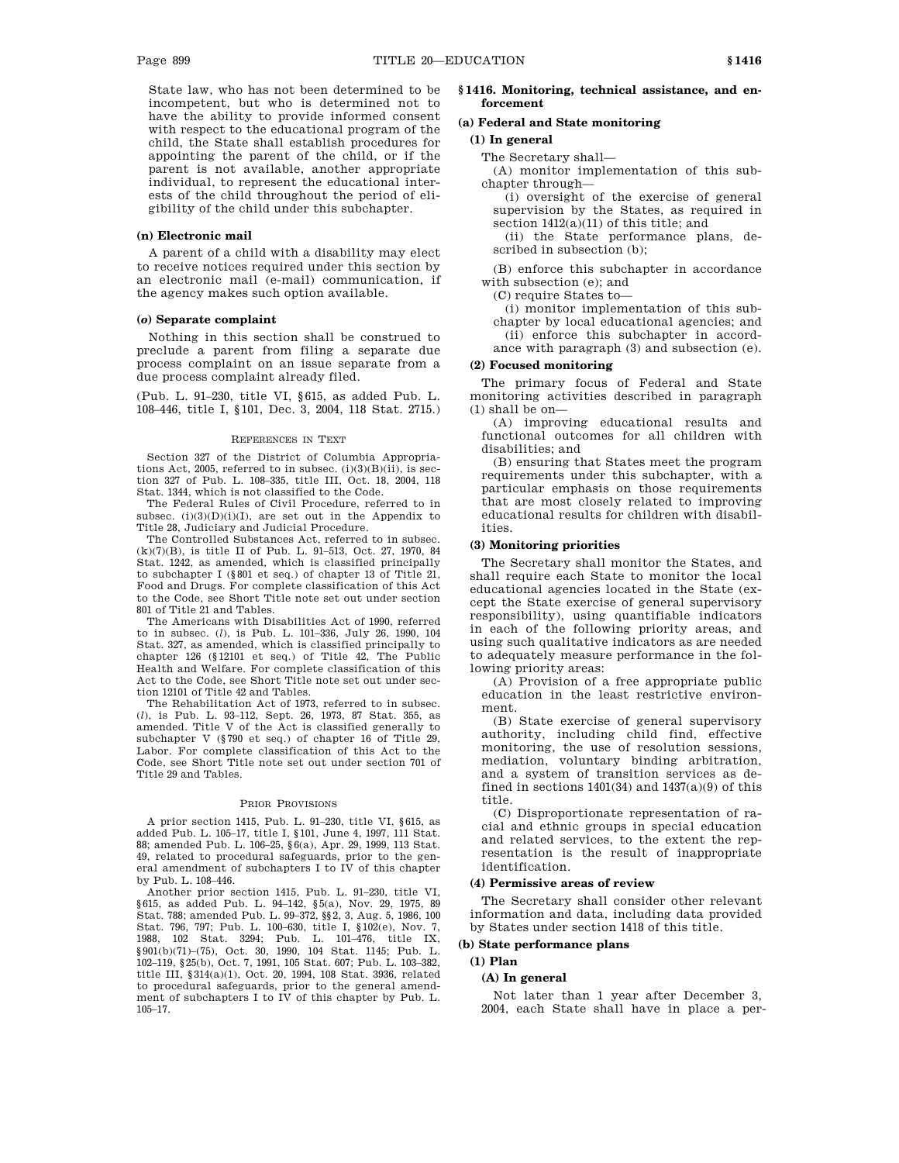State law, who has not been determined to be incompetent, but who is determined not to have the ability to provide informed consent with respect to the educational program of the child, the State shall establish procedures for appointing the parent of the child, or if the parent is not available, another appropriate individual, to represent the educational interests of the child throughout the period of eligibility of the child under this subchapter.

#### **(n) Electronic mail**

A parent of a child with a disability may elect to receive notices required under this section by an electronic mail (e-mail) communication, if the agency makes such option available.

#### **(***o***) Separate complaint**

Nothing in this section shall be construed to preclude a parent from filing a separate due process complaint on an issue separate from a due process complaint already filed.

(Pub. L. 91–230, title VI, §615, as added Pub. L. 108–446, title I, §101, Dec. 3, 2004, 118 Stat. 2715.)

#### REFERENCES IN TEXT

Section 327 of the District of Columbia Appropriations Act, 2005, referred to in subsec.  $(i)(3)(B)(ii)$ , is section 327 of Pub. L. 108–335, title III, Oct. 18, 2004, 118 Stat. 1344, which is not classified to the Code.

The Federal Rules of Civil Procedure, referred to in subsec.  $(i)(3)(D)(i)(I)$ , are set out in the Appendix to Title 28, Judiciary and Judicial Procedure.

The Controlled Substances Act, referred to in subsec. (k)(7)(B), is title II of Pub. L. 91–513, Oct. 27, 1970, 84 Stat. 1242, as amended, which is classified principally to subchapter I (§801 et seq.) of chapter 13 of Title 21, Food and Drugs. For complete classification of this Act to the Code, see Short Title note set out under section 801 of Title 21 and Tables.

The Americans with Disabilities Act of 1990, referred to in subsec. (*l*), is Pub. L. 101–336, July 26, 1990, 104 Stat. 327, as amended, which is classified principally to chapter 126 (§12101 et seq.) of Title 42, The Public Health and Welfare. For complete classification of this Act to the Code, see Short Title note set out under section 12101 of Title 42 and Tables.

The Rehabilitation Act of 1973, referred to in subsec. (*l*), is Pub. L. 93–112, Sept. 26, 1973, 87 Stat. 355, as amended. Title V of the Act is classified generally to subchapter V (§790 et seq.) of chapter 16 of Title 29, Labor. For complete classification of this Act to the Code, see Short Title note set out under section 701 of Title 29 and Tables.

#### PRIOR PROVISIONS

A prior section 1415, Pub. L. 91–230, title VI, §615, as added Pub. L. 105–17, title I, §101, June 4, 1997, 111 Stat. 88; amended Pub. L. 106–25, §6(a), Apr. 29, 1999, 113 Stat. 49, related to procedural safeguards, prior to the general amendment of subchapters I to IV of this chapter by Pub. L. 108–446.

Another prior section 1415, Pub. L. 91–230, title VI, §615, as added Pub. L. 94–142, §5(a), Nov. 29, 1975, 89 Stat. 788; amended Pub. L. 99–372, §§2, 3, Aug. 5, 1986, 100 Stat. 796, 797; Pub. L. 100–630, title I, §102(e), Nov. 7, 1988, 102 Stat. 3294; Pub. L. 101–476, title IX, §901(b)(71)–(75), Oct. 30, 1990, 104 Stat. 1145; Pub. L. 102–119, §25(b), Oct. 7, 1991, 105 Stat. 607; Pub. L. 103–382, title III, §314(a)(1), Oct. 20, 1994, 108 Stat. 3936, related to procedural safeguards, prior to the general amendment of subchapters I to IV of this chapter by Pub. L. 105–17.

#### **§ 1416. Monitoring, technical assistance, and enforcement**

# **(a) Federal and State monitoring**

#### **(1) In general**

The Secretary shall—

(A) monitor implementation of this subchapter through—

(i) oversight of the exercise of general supervision by the States, as required in section 1412(a)(11) of this title; and

(ii) the State performance plans, described in subsection (b);

(B) enforce this subchapter in accordance with subsection (e); and

(C) require States to—

(i) monitor implementation of this subchapter by local educational agencies; and (ii) enforce this subchapter in accord-

ance with paragraph (3) and subsection (e).

# **(2) Focused monitoring**

The primary focus of Federal and State monitoring activities described in paragraph (1) shall be on—

(A) improving educational results and functional outcomes for all children with disabilities; and

(B) ensuring that States meet the program requirements under this subchapter, with a particular emphasis on those requirements that are most closely related to improving educational results for children with disabilities.

#### **(3) Monitoring priorities**

The Secretary shall monitor the States, and shall require each State to monitor the local educational agencies located in the State (except the State exercise of general supervisory responsibility), using quantifiable indicators in each of the following priority areas, and using such qualitative indicators as are needed to adequately measure performance in the following priority areas:

(A) Provision of a free appropriate public education in the least restrictive environment.

(B) State exercise of general supervisory authority, including child find, effective monitoring, the use of resolution sessions, mediation, voluntary binding arbitration, and a system of transition services as defined in sections  $1401(34)$  and  $1437(a)(9)$  of this title.

(C) Disproportionate representation of racial and ethnic groups in special education and related services, to the extent the representation is the result of inappropriate identification.

#### **(4) Permissive areas of review**

The Secretary shall consider other relevant information and data, including data provided by States under section 1418 of this title.

#### **(b) State performance plans**

# **(1) Plan**

# **(A) In general**

Not later than 1 year after December 3, 2004, each State shall have in place a per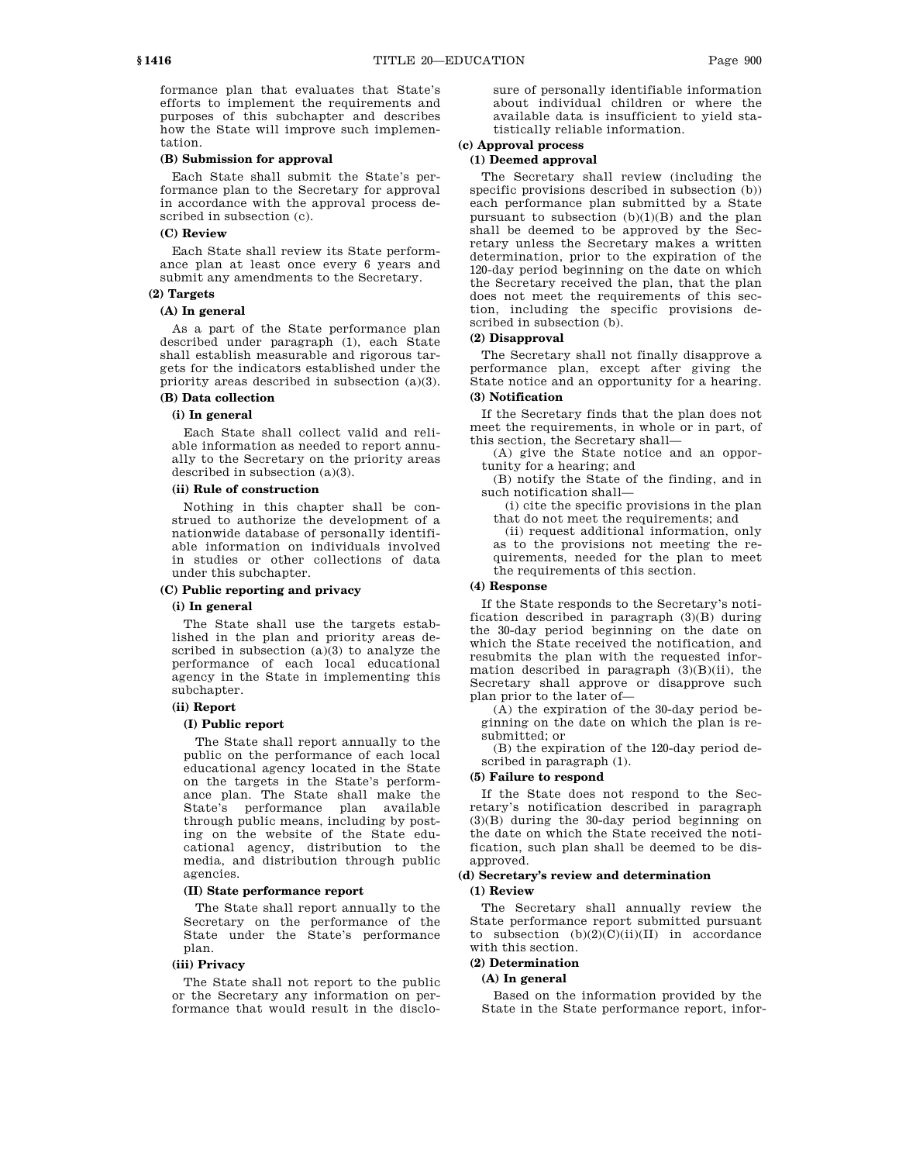formance plan that evaluates that State's efforts to implement the requirements and purposes of this subchapter and describes how the State will improve such implementation.

# **(B) Submission for approval**

Each State shall submit the State's performance plan to the Secretary for approval in accordance with the approval process described in subsection (c).

# **(C) Review**

Each State shall review its State performance plan at least once every 6 years and submit any amendments to the Secretary.

# **(2) Targets**

# **(A) In general**

As a part of the State performance plan described under paragraph (1), each State shall establish measurable and rigorous targets for the indicators established under the priority areas described in subsection (a)(3).

# **(B) Data collection**

# **(i) In general**

Each State shall collect valid and reliable information as needed to report annually to the Secretary on the priority areas described in subsection (a)(3).

# **(ii) Rule of construction**

Nothing in this chapter shall be construed to authorize the development of a nationwide database of personally identifiable information on individuals involved in studies or other collections of data under this subchapter.

### **(C) Public reporting and privacy**

#### **(i) In general**

The State shall use the targets established in the plan and priority areas described in subsection (a)(3) to analyze the performance of each local educational agency in the State in implementing this subchapter.

### **(ii) Report**

# **(I) Public report**

The State shall report annually to the public on the performance of each local educational agency located in the State on the targets in the State's performance plan. The State shall make the State's performance plan available through public means, including by posting on the website of the State educational agency, distribution to the media, and distribution through public agencies.

#### **(II) State performance report**

The State shall report annually to the Secretary on the performance of the State under the State's performance plan.

#### **(iii) Privacy**

The State shall not report to the public or the Secretary any information on performance that would result in the disclosure of personally identifiable information about individual children or where the available data is insufficient to yield statistically reliable information.

# **(c) Approval process**

# **(1) Deemed approval**

The Secretary shall review (including the specific provisions described in subsection (b)) each performance plan submitted by a State pursuant to subsection  $(b)(1)(B)$  and the plan shall be deemed to be approved by the Secretary unless the Secretary makes a written determination, prior to the expiration of the 120-day period beginning on the date on which the Secretary received the plan, that the plan does not meet the requirements of this section, including the specific provisions described in subsection (b).

# **(2) Disapproval**

The Secretary shall not finally disapprove a performance plan, except after giving the State notice and an opportunity for a hearing. **(3) Notification**

If the Secretary finds that the plan does not meet the requirements, in whole or in part, of this section, the Secretary shall—

(A) give the State notice and an opportunity for a hearing; and

(B) notify the State of the finding, and in such notification shall—

(i) cite the specific provisions in the plan that do not meet the requirements; and

(ii) request additional information, only as to the provisions not meeting the requirements, needed for the plan to meet the requirements of this section.

### **(4) Response**

If the State responds to the Secretary's notification described in paragraph (3)(B) during the 30-day period beginning on the date on which the State received the notification, and resubmits the plan with the requested information described in paragraph (3)(B)(ii), the Secretary shall approve or disapprove such plan prior to the later of—

 $(A)$  the expiration of the 30-day period beginning on the date on which the plan is resubmitted; or

(B) the expiration of the 120-day period described in paragraph (1).

# **(5) Failure to respond**

If the State does not respond to the Secretary's notification described in paragraph (3)(B) during the 30-day period beginning on the date on which the State received the notification, such plan shall be deemed to be disapproved.

# **(d) Secretary's review and determination**

# **(1) Review**

The Secretary shall annually review the State performance report submitted pursuant to subsection  $(b)(2)(C)(ii)(II)$  in accordance with this section.

# **(2) Determination**

# **(A) In general**

Based on the information provided by the State in the State performance report, infor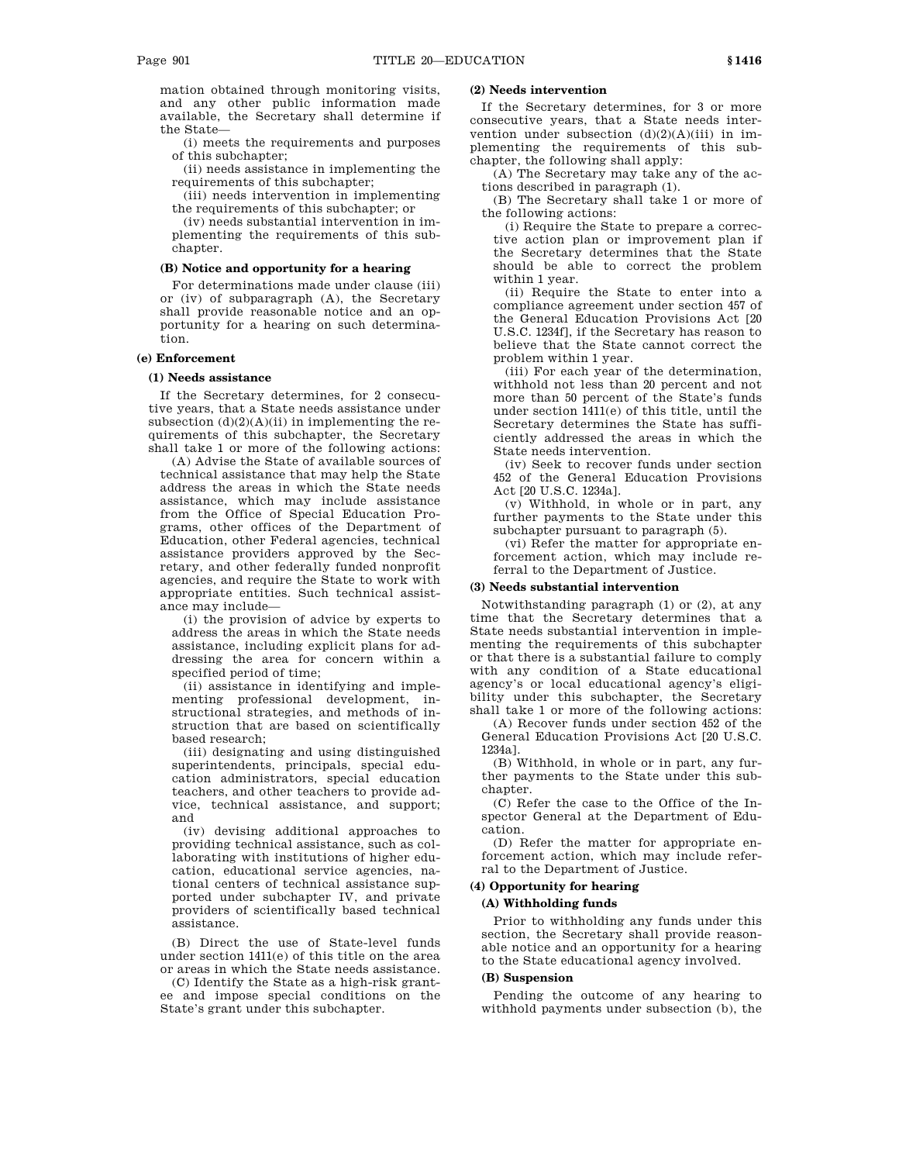mation obtained through monitoring visits, and any other public information made available, the Secretary shall determine if the State—

(i) meets the requirements and purposes of this subchapter;

(ii) needs assistance in implementing the requirements of this subchapter;

(iii) needs intervention in implementing the requirements of this subchapter; or

(iv) needs substantial intervention in implementing the requirements of this subchapter.

# **(B) Notice and opportunity for a hearing**

For determinations made under clause (iii) or (iv) of subparagraph (A), the Secretary shall provide reasonable notice and an opportunity for a hearing on such determination.

#### **(e) Enforcement**

### **(1) Needs assistance**

If the Secretary determines, for 2 consecutive years, that a State needs assistance under subsection  $(d)(2)(A)(ii)$  in implementing the requirements of this subchapter, the Secretary shall take 1 or more of the following actions:

(A) Advise the State of available sources of technical assistance that may help the State address the areas in which the State needs assistance, which may include assistance from the Office of Special Education Programs, other offices of the Department of Education, other Federal agencies, technical assistance providers approved by the Secretary, and other federally funded nonprofit agencies, and require the State to work with appropriate entities. Such technical assistance may include—

(i) the provision of advice by experts to address the areas in which the State needs assistance, including explicit plans for addressing the area for concern within a specified period of time;

(ii) assistance in identifying and implementing professional development, instructional strategies, and methods of instruction that are based on scientifically based research;

(iii) designating and using distinguished superintendents, principals, special education administrators, special education teachers, and other teachers to provide advice, technical assistance, and support; and

(iv) devising additional approaches to providing technical assistance, such as collaborating with institutions of higher education, educational service agencies, national centers of technical assistance supported under subchapter IV, and private providers of scientifically based technical assistance.

(B) Direct the use of State-level funds under section 1411(e) of this title on the area or areas in which the State needs assistance.

(C) Identify the State as a high-risk grantee and impose special conditions on the State's grant under this subchapter.

# **(2) Needs intervention**

If the Secretary determines, for 3 or more consecutive years, that a State needs intervention under subsection  $(d)(2)(A)(iii)$  in implementing the requirements of this subchapter, the following shall apply:

(A) The Secretary may take any of the actions described in paragraph (1).

(B) The Secretary shall take 1 or more of the following actions:

(i) Require the State to prepare a corrective action plan or improvement plan if the Secretary determines that the State should be able to correct the problem within 1 year.

(ii) Require the State to enter into a compliance agreement under section 457 of the General Education Provisions Act [20 U.S.C. 1234f], if the Secretary has reason to believe that the State cannot correct the problem within 1 year.

(iii) For each year of the determination, withhold not less than 20 percent and not more than 50 percent of the State's funds under section 1411(e) of this title, until the Secretary determines the State has sufficiently addressed the areas in which the State needs intervention.

(iv) Seek to recover funds under section 452 of the General Education Provisions Act [20 U.S.C. 1234a].

(v) Withhold, in whole or in part, any further payments to the State under this subchapter pursuant to paragraph (5).

(vi) Refer the matter for appropriate enforcement action, which may include referral to the Department of Justice.

#### **(3) Needs substantial intervention**

Notwithstanding paragraph (1) or (2), at any time that the Secretary determines that a State needs substantial intervention in implementing the requirements of this subchapter or that there is a substantial failure to comply with any condition of a State educational agency's or local educational agency's eligibility under this subchapter, the Secretary shall take 1 or more of the following actions:

(A) Recover funds under section 452 of the General Education Provisions Act [20 U.S.C. 1234a].

(B) Withhold, in whole or in part, any further payments to the State under this subchapter.

(C) Refer the case to the Office of the Inspector General at the Department of Education.

(D) Refer the matter for appropriate enforcement action, which may include referral to the Department of Justice.

# **(4) Opportunity for hearing**

#### **(A) Withholding funds**

Prior to withholding any funds under this section, the Secretary shall provide reasonable notice and an opportunity for a hearing to the State educational agency involved.

### **(B) Suspension**

Pending the outcome of any hearing to withhold payments under subsection (b), the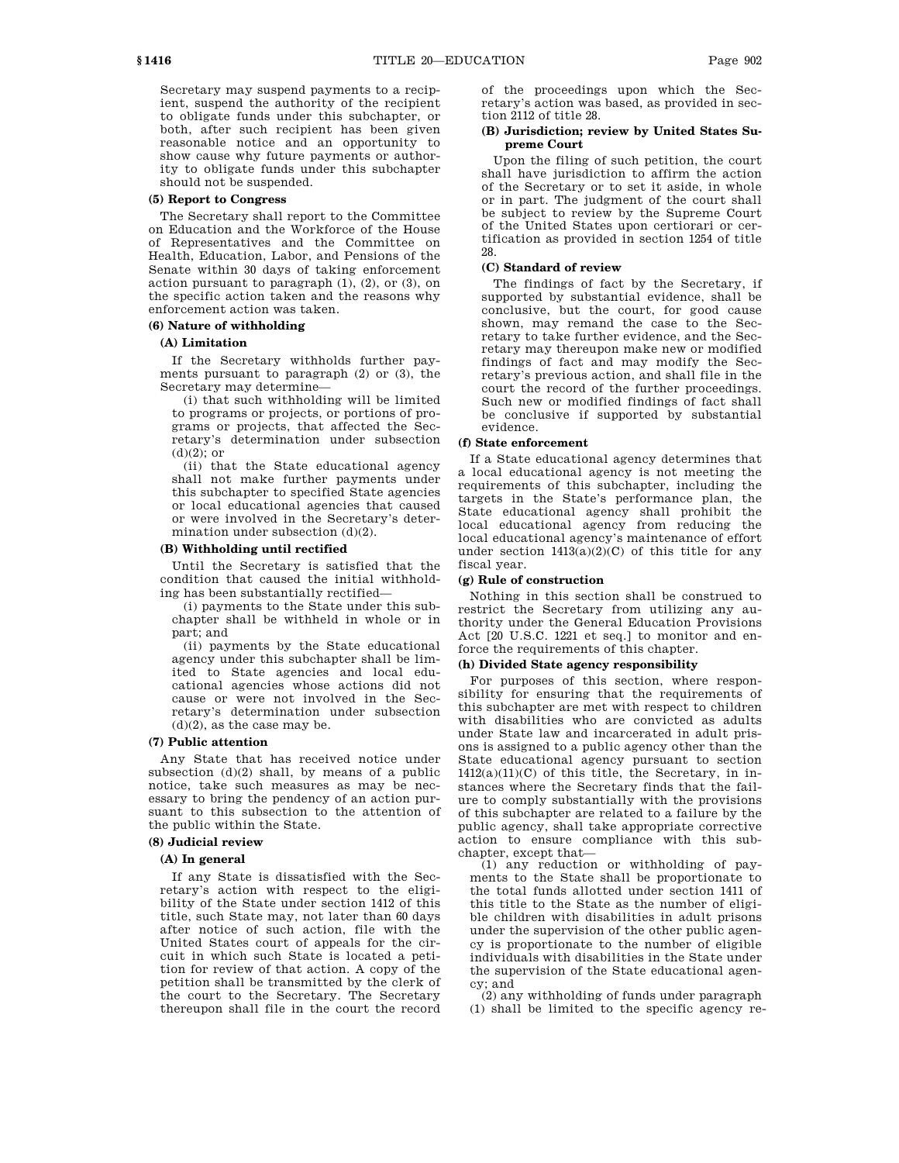Secretary may suspend payments to a recipient, suspend the authority of the recipient to obligate funds under this subchapter, or both, after such recipient has been given reasonable notice and an opportunity to show cause why future payments or authority to obligate funds under this subchapter

# **(5) Report to Congress**

should not be suspended.

The Secretary shall report to the Committee on Education and the Workforce of the House of Representatives and the Committee on Health, Education, Labor, and Pensions of the Senate within 30 days of taking enforcement action pursuant to paragraph (1), (2), or (3), on the specific action taken and the reasons why enforcement action was taken.

# **(6) Nature of withholding**

### **(A) Limitation**

If the Secretary withholds further payments pursuant to paragraph (2) or (3), the Secretary may determine—

(i) that such withholding will be limited to programs or projects, or portions of programs or projects, that affected the Secretary's determination under subsection  $(d)(2)$ ; or

(ii) that the State educational agency shall not make further payments under this subchapter to specified State agencies or local educational agencies that caused or were involved in the Secretary's determination under subsection (d)(2).

#### **(B) Withholding until rectified**

Until the Secretary is satisfied that the condition that caused the initial withholding has been substantially rectified—

(i) payments to the State under this subchapter shall be withheld in whole or in part; and

(ii) payments by the State educational agency under this subchapter shall be limited to State agencies and local educational agencies whose actions did not cause or were not involved in the Secretary's determination under subsection  $(d)(2)$ , as the case may be.

# **(7) Public attention**

Any State that has received notice under subsection  $(d)(2)$  shall, by means of a public notice, take such measures as may be necessary to bring the pendency of an action pursuant to this subsection to the attention of the public within the State.

# **(8) Judicial review**

# **(A) In general**

If any State is dissatisfied with the Secretary's action with respect to the eligibility of the State under section 1412 of this title, such State may, not later than 60 days after notice of such action, file with the United States court of appeals for the circuit in which such State is located a petition for review of that action. A copy of the petition shall be transmitted by the clerk of the court to the Secretary. The Secretary thereupon shall file in the court the record

of the proceedings upon which the Secretary's action was based, as provided in section 2112 of title 28.

### **(B) Jurisdiction; review by United States Supreme Court**

Upon the filing of such petition, the court shall have jurisdiction to affirm the action of the Secretary or to set it aside, in whole or in part. The judgment of the court shall be subject to review by the Supreme Court of the United States upon certiorari or certification as provided in section 1254 of title 28.

# **(C) Standard of review**

The findings of fact by the Secretary, if supported by substantial evidence, shall be conclusive, but the court, for good cause shown, may remand the case to the Secretary to take further evidence, and the Secretary may thereupon make new or modified findings of fact and may modify the Secretary's previous action, and shall file in the court the record of the further proceedings. Such new or modified findings of fact shall be conclusive if supported by substantial evidence.

### **(f) State enforcement**

If a State educational agency determines that a local educational agency is not meeting the requirements of this subchapter, including the targets in the State's performance plan, the State educational agency shall prohibit the local educational agency from reducing the local educational agency's maintenance of effort under section  $1413(a)(2)(C)$  of this title for any fiscal year.

#### **(g) Rule of construction**

Nothing in this section shall be construed to restrict the Secretary from utilizing any authority under the General Education Provisions Act [20 U.S.C. 1221 et seq.] to monitor and enforce the requirements of this chapter.

#### **(h) Divided State agency responsibility**

For purposes of this section, where responsibility for ensuring that the requirements of this subchapter are met with respect to children with disabilities who are convicted as adults under State law and incarcerated in adult prisons is assigned to a public agency other than the State educational agency pursuant to section  $1412(a)(11)(C)$  of this title, the Secretary, in instances where the Secretary finds that the failure to comply substantially with the provisions of this subchapter are related to a failure by the public agency, shall take appropriate corrective action to ensure compliance with this subchapter, except that—

(1) any reduction or withholding of payments to the State shall be proportionate to the total funds allotted under section 1411 of this title to the State as the number of eligible children with disabilities in adult prisons under the supervision of the other public agency is proportionate to the number of eligible individuals with disabilities in the State under the supervision of the State educational agency; and

(2) any withholding of funds under paragraph (1) shall be limited to the specific agency re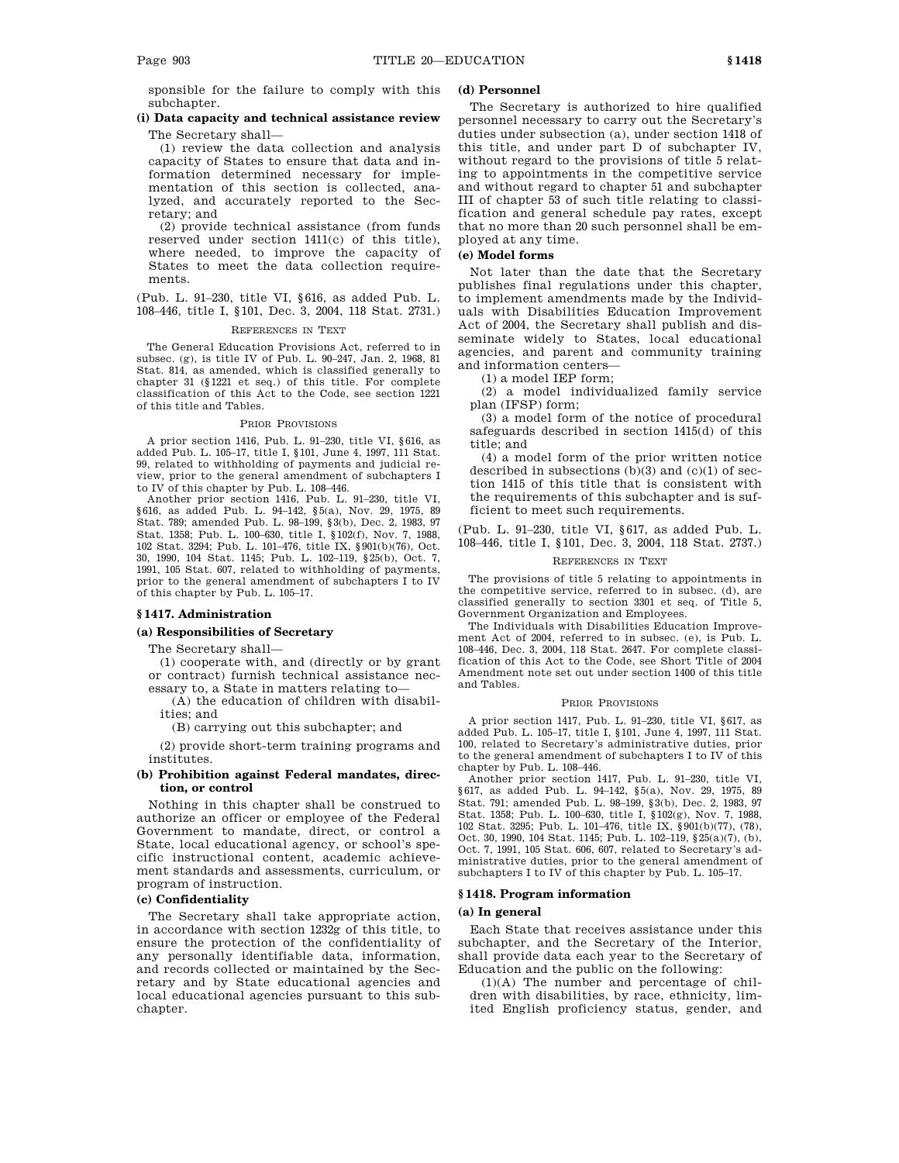sponsible for the failure to comply with this subchapter.

# **(i) Data capacity and technical assistance review** The Secretary shall—

(1) review the data collection and analysis capacity of States to ensure that data and information determined necessary for implementation of this section is collected, analyzed, and accurately reported to the Secretary; and

(2) provide technical assistance (from funds reserved under section 1411(c) of this title), where needed, to improve the capacity of States to meet the data collection requirements.

(Pub. L. 91–230, title VI, §616, as added Pub. L. 108–446, title I, §101, Dec. 3, 2004, 118 Stat. 2731.)

### REFERENCES IN TEXT

The General Education Provisions Act, referred to in subsec. (g), is title IV of Pub. L. 90–247, Jan. 2, 1968, 81 Stat. 814, as amended, which is classified generally to chapter 31 (§1221 et seq.) of this title. For complete classification of this Act to the Code, see section 1221 of this title and Tables.

#### PRIOR PROVISIONS

A prior section 1416, Pub. L. 91–230, title VI, §616, as added Pub. L. 105–17, title I, §101, June 4, 1997, 111 Stat. 99, related to withholding of payments and judicial review, prior to the general amendment of subchapters I to IV of this chapter by Pub. L. 108–446.

Another prior section 1416, Pub. L. 91–230, title VI, §616, as added Pub. L. 94–142, §5(a), Nov. 29, 1975, 89 Stat. 789; amended Pub. L. 98–199, §3(b), Dec. 2, 1983, 97 Stat. 1358; Pub. L. 100–630, title I, §102(f), Nov. 7, 1988, 102 Stat. 3294; Pub. L. 101–476, title IX, §901(b)(76), Oct. 30, 1990, 104 Stat. 1145; Pub. L. 102–119, §25(b), Oct. 7, 1991, 105 Stat. 607, related to withholding of payments, prior to the general amendment of subchapters I to IV of this chapter by Pub. L. 105–17.

#### **§ 1417. Administration**

### **(a) Responsibilities of Secretary**

The Secretary shall—

(1) cooperate with, and (directly or by grant or contract) furnish technical assistance necessary to, a State in matters relating to—

(A) the education of children with disabilities; and

(B) carrying out this subchapter; and

(2) provide short-term training programs and institutes.

# **(b) Prohibition against Federal mandates, direction, or control**

Nothing in this chapter shall be construed to authorize an officer or employee of the Federal Government to mandate, direct, or control a State, local educational agency, or school's specific instructional content, academic achievement standards and assessments, curriculum, or program of instruction.

#### **(c) Confidentiality**

The Secretary shall take appropriate action, in accordance with section 1232g of this title, to ensure the protection of the confidentiality of any personally identifiable data, information, and records collected or maintained by the Secretary and by State educational agencies and local educational agencies pursuant to this subchapter.

### **(d) Personnel**

The Secretary is authorized to hire qualified personnel necessary to carry out the Secretary's duties under subsection (a), under section 1418 of this title, and under part D of subchapter IV, without regard to the provisions of title 5 relating to appointments in the competitive service and without regard to chapter 51 and subchapter III of chapter 53 of such title relating to classification and general schedule pay rates, except that no more than 20 such personnel shall be employed at any time.

#### **(e) Model forms**

Not later than the date that the Secretary publishes final regulations under this chapter, to implement amendments made by the Individuals with Disabilities Education Improvement Act of 2004, the Secretary shall publish and disseminate widely to States, local educational agencies, and parent and community training and information centers—

(1) a model IEP form;

(2) a model individualized family service plan (IFSP) form;

(3) a model form of the notice of procedural safeguards described in section 1415(d) of this title; and

(4) a model form of the prior written notice described in subsections  $(b)(3)$  and  $(c)(1)$  of section 1415 of this title that is consistent with the requirements of this subchapter and is sufficient to meet such requirements.

(Pub. L. 91–230, title VI, §617, as added Pub. L. 108–446, title I, §101, Dec. 3, 2004, 118 Stat. 2737.)

#### REFERENCES IN TEXT

The provisions of title 5 relating to appointments in the competitive service, referred to in subsec. (d), are classified generally to section 3301 et seq. of Title 5, Government Organization and Employees.

The Individuals with Disabilities Education Improvement Act of 2004, referred to in subsec. (e), is Pub. L. 108–446, Dec. 3, 2004, 118 Stat. 2647. For complete classification of this Act to the Code, see Short Title of 2004 Amendment note set out under section 1400 of this title and Tables.

#### PRIOR PROVISIONS

A prior section 1417, Pub. L. 91–230, title VI, §617, as added Pub. L. 105–17, title I, §101, June 4, 1997, 111 Stat. 100, related to Secretary's administrative duties, prior to the general amendment of subchapters I to IV of this chapter by Pub. L. 108–446.

Another prior section 1417, Pub. L. 91–230, title VI, §617, as added Pub. L. 94–142, §5(a), Nov. 29, 1975, 89 Stat. 791; amended Pub. L. 98–199, §3(b), Dec. 2, 1983, 97 Stat. 1358; Pub. L. 100–630, title I, §102(g), Nov. 7, 1988, 102 Stat. 3295; Pub. L. 101–476, title IX, §901(b)(77), (78), Oct. 30, 1990, 104 Stat. 1145; Pub. L. 102–119, §25(a)(7), (b), Oct. 7, 1991, 105 Stat. 606, 607, related to Secretary's administrative duties, prior to the general amendment of subchapters I to IV of this chapter by Pub. L. 105–17.

# **§ 1418. Program information**

#### **(a) In general**

Each State that receives assistance under this subchapter, and the Secretary of the Interior, shall provide data each year to the Secretary of Education and the public on the following:

(1)(A) The number and percentage of children with disabilities, by race, ethnicity, limited English proficiency status, gender, and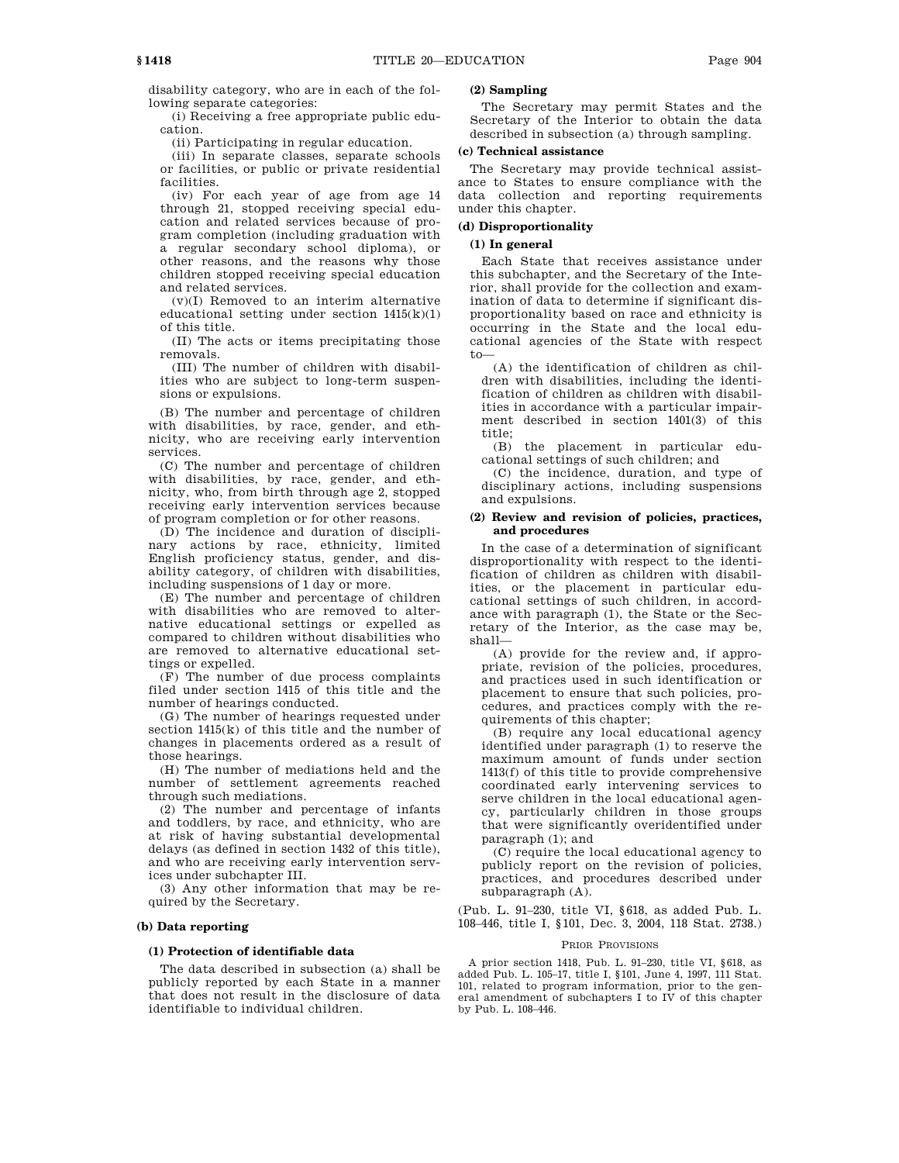disability category, who are in each of the following separate categories:

(i) Receiving a free appropriate public education.

(ii) Participating in regular education.

(iii) In separate classes, separate schools or facilities, or public or private residential facilities.

(iv) For each year of age from age 14 through 21, stopped receiving special education and related services because of program completion (including graduation with a regular secondary school diploma), or other reasons, and the reasons why those children stopped receiving special education and related services.

(v)(I) Removed to an interim alternative educational setting under section  $1415(k)(1)$ of this title.

(II) The acts or items precipitating those removals.

(III) The number of children with disabilities who are subject to long-term suspensions or expulsions.

(B) The number and percentage of children with disabilities, by race, gender, and ethnicity, who are receiving early intervention services.

(C) The number and percentage of children with disabilities, by race, gender, and ethnicity, who, from birth through age 2, stopped receiving early intervention services because of program completion or for other reasons.

(D) The incidence and duration of disciplinary actions by race, ethnicity, limited English proficiency status, gender, and disability category, of children with disabilities, including suspensions of 1 day or more.

(E) The number and percentage of children with disabilities who are removed to alternative educational settings or expelled as compared to children without disabilities who are removed to alternative educational settings or expelled.

(F) The number of due process complaints filed under section 1415 of this title and the number of hearings conducted.

(G) The number of hearings requested under section 1415(k) of this title and the number of changes in placements ordered as a result of those hearings.

(H) The number of mediations held and the number of settlement agreements reached through such mediations.

(2) The number and percentage of infants and toddlers, by race, and ethnicity, who are at risk of having substantial developmental delays (as defined in section 1432 of this title), and who are receiving early intervention services under subchapter III.

(3) Any other information that may be required by the Secretary.

# **(b) Data reporting**

#### **(1) Protection of identifiable data**

The data described in subsection (a) shall be publicly reported by each State in a manner that does not result in the disclosure of data identifiable to individual children.

# **(2) Sampling**

The Secretary may permit States and the Secretary of the Interior to obtain the data described in subsection (a) through sampling.

# **(c) Technical assistance**

The Secretary may provide technical assistance to States to ensure compliance with the data collection and reporting requirements under this chapter.

# **(d) Disproportionality**

# **(1) In general**

Each State that receives assistance under this subchapter, and the Secretary of the Interior, shall provide for the collection and examination of data to determine if significant disproportionality based on race and ethnicity is occurring in the State and the local educational agencies of the State with respect to—

(A) the identification of children as children with disabilities, including the identification of children as children with disabilities in accordance with a particular impairment described in section 1401(3) of this title;

(B) the placement in particular educational settings of such children; and

(C) the incidence, duration, and type of disciplinary actions, including suspensions and expulsions.

# **(2) Review and revision of policies, practices, and procedures**

In the case of a determination of significant disproportionality with respect to the identification of children as children with disabilities, or the placement in particular educational settings of such children, in accordance with paragraph (1), the State or the Secretary of the Interior, as the case may be, shall—

(A) provide for the review and, if appropriate, revision of the policies, procedures, and practices used in such identification or placement to ensure that such policies, procedures, and practices comply with the requirements of this chapter;

(B) require any local educational agency identified under paragraph (1) to reserve the maximum amount of funds under section 1413(f) of this title to provide comprehensive coordinated early intervening services to serve children in the local educational agency, particularly children in those groups that were significantly overidentified under paragraph (1); and

(C) require the local educational agency to publicly report on the revision of policies, practices, and procedures described under subparagraph (A).

(Pub. L. 91–230, title VI, §618, as added Pub. L. 108–446, title I, §101, Dec. 3, 2004, 118 Stat. 2738.)

# PRIOR PROVISIONS

A prior section 1418, Pub. L. 91–230, title VI, §618, as added Pub. L. 105–17, title I, §101, June 4, 1997, 111 Stat. 101, related to program information, prior to the general amendment of subchapters I to IV of this chapter by Pub. L. 108–446.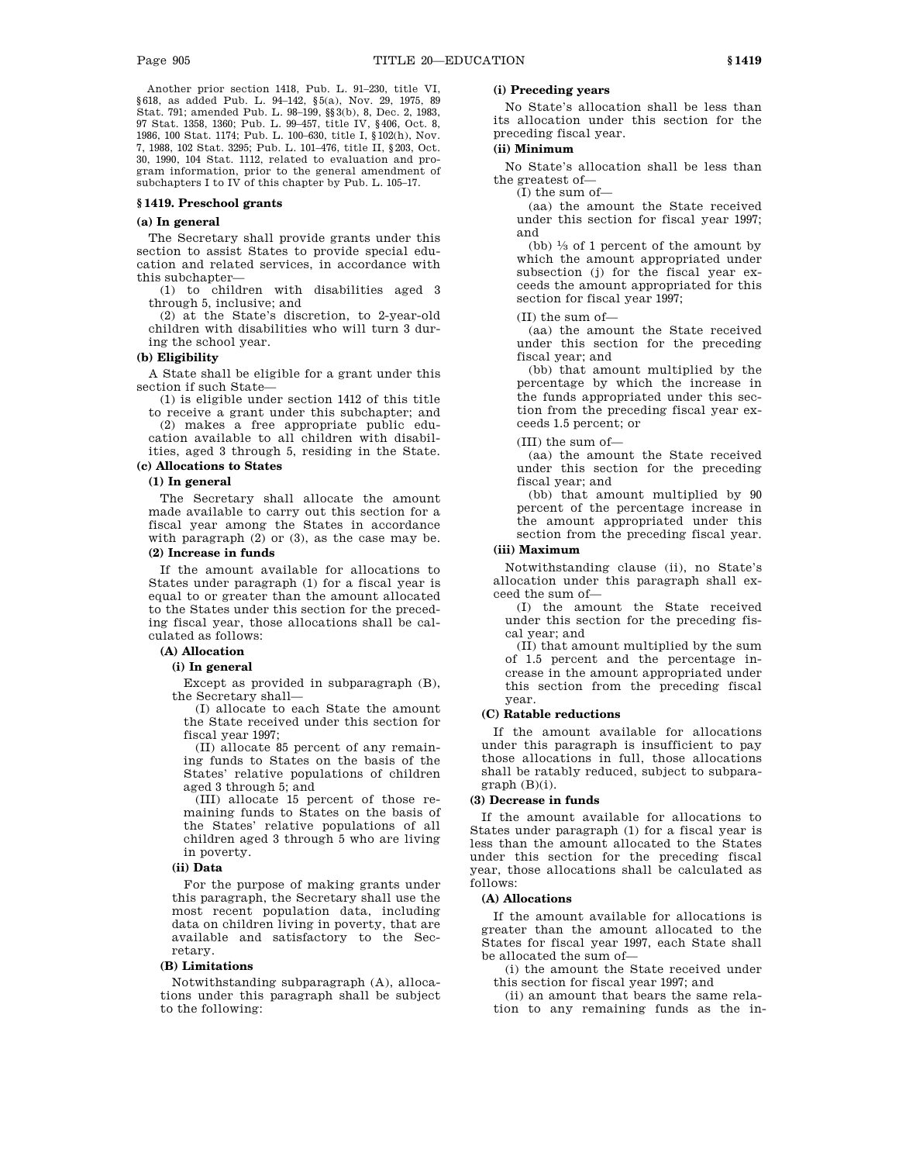Another prior section 1418, Pub. L. 91–230, title VI, §618, as added Pub. L. 94–142, §5(a), Nov. 29, 1975, 89 Stat. 791; amended Pub. L. 98–199, §§3(b), 8, Dec. 2, 1983, 97 Stat. 1358, 1360; Pub. L. 99–457, title IV, §406, Oct. 8, 1986, 100 Stat. 1174; Pub. L. 100–630, title I, §102(h), Nov. 7, 1988, 102 Stat. 3295; Pub. L. 101–476, title II, §203, Oct. 30, 1990, 104 Stat. 1112, related to evaluation and program information, prior to the general amendment of subchapters I to IV of this chapter by Pub. L. 105–17.

#### **§ 1419. Preschool grants**

#### **(a) In general**

The Secretary shall provide grants under this section to assist States to provide special education and related services, in accordance with this subchapter—

(1) to children with disabilities aged 3 through 5, inclusive; and

(2) at the State's discretion, to 2-year-old children with disabilities who will turn 3 during the school year.

# **(b) Eligibility**

A State shall be eligible for a grant under this section if such State—

(1) is eligible under section 1412 of this title to receive a grant under this subchapter; and

(2) makes a free appropriate public education available to all children with disabilities, aged 3 through 5, residing in the State.

# **(c) Allocations to States**

# **(1) In general**

The Secretary shall allocate the amount made available to carry out this section for a fiscal year among the States in accordance with paragraph (2) or (3), as the case may be.

### **(2) Increase in funds**

If the amount available for allocations to States under paragraph (1) for a fiscal year is equal to or greater than the amount allocated to the States under this section for the preceding fiscal year, those allocations shall be calculated as follows:

# **(A) Allocation**

# **(i) In general**

Except as provided in subparagraph (B), the Secretary shall—

(I) allocate to each State the amount the State received under this section for fiscal year 1997;

(II) allocate 85 percent of any remaining funds to States on the basis of the States' relative populations of children aged 3 through 5; and

(III) allocate 15 percent of those remaining funds to States on the basis of the States' relative populations of all children aged 3 through 5 who are living in poverty.

#### **(ii) Data**

For the purpose of making grants under this paragraph, the Secretary shall use the most recent population data, including data on children living in poverty, that are available and satisfactory to the Secretary.

### **(B) Limitations**

Notwithstanding subparagraph (A), allocations under this paragraph shall be subject to the following:

# **(i) Preceding years**

No State's allocation shall be less than its allocation under this section for the preceding fiscal year.

# **(ii) Minimum**

No State's allocation shall be less than the greatest of—

(I) the sum of—

(aa) the amount the State received under this section for fiscal year 1997; and

(bb)  $\frac{1}{3}$  of 1 percent of the amount by which the amount appropriated under subsection (j) for the fiscal year exceeds the amount appropriated for this section for fiscal year 1997;

(II) the sum of—

(aa) the amount the State received under this section for the preceding fiscal year; and

(bb) that amount multiplied by the percentage by which the increase in the funds appropriated under this section from the preceding fiscal year exceeds 1.5 percent; or

### (III) the sum of—

(aa) the amount the State received under this section for the preceding fiscal year; and

(bb) that amount multiplied by 90 percent of the percentage increase in the amount appropriated under this section from the preceding fiscal year.

# **(iii) Maximum**

Notwithstanding clause (ii), no State's allocation under this paragraph shall exceed the sum of—

(I) the amount the State received under this section for the preceding fiscal year; and

(II) that amount multiplied by the sum of 1.5 percent and the percentage increase in the amount appropriated under this section from the preceding fiscal year.

# **(C) Ratable reductions**

If the amount available for allocations under this paragraph is insufficient to pay those allocations in full, those allocations shall be ratably reduced, subject to subparagraph (B)(i).

### **(3) Decrease in funds**

If the amount available for allocations to States under paragraph (1) for a fiscal year is less than the amount allocated to the States under this section for the preceding fiscal year, those allocations shall be calculated as follows:

#### **(A) Allocations**

If the amount available for allocations is greater than the amount allocated to the States for fiscal year 1997, each State shall be allocated the sum of—

(i) the amount the State received under this section for fiscal year 1997; and

(ii) an amount that bears the same relation to any remaining funds as the in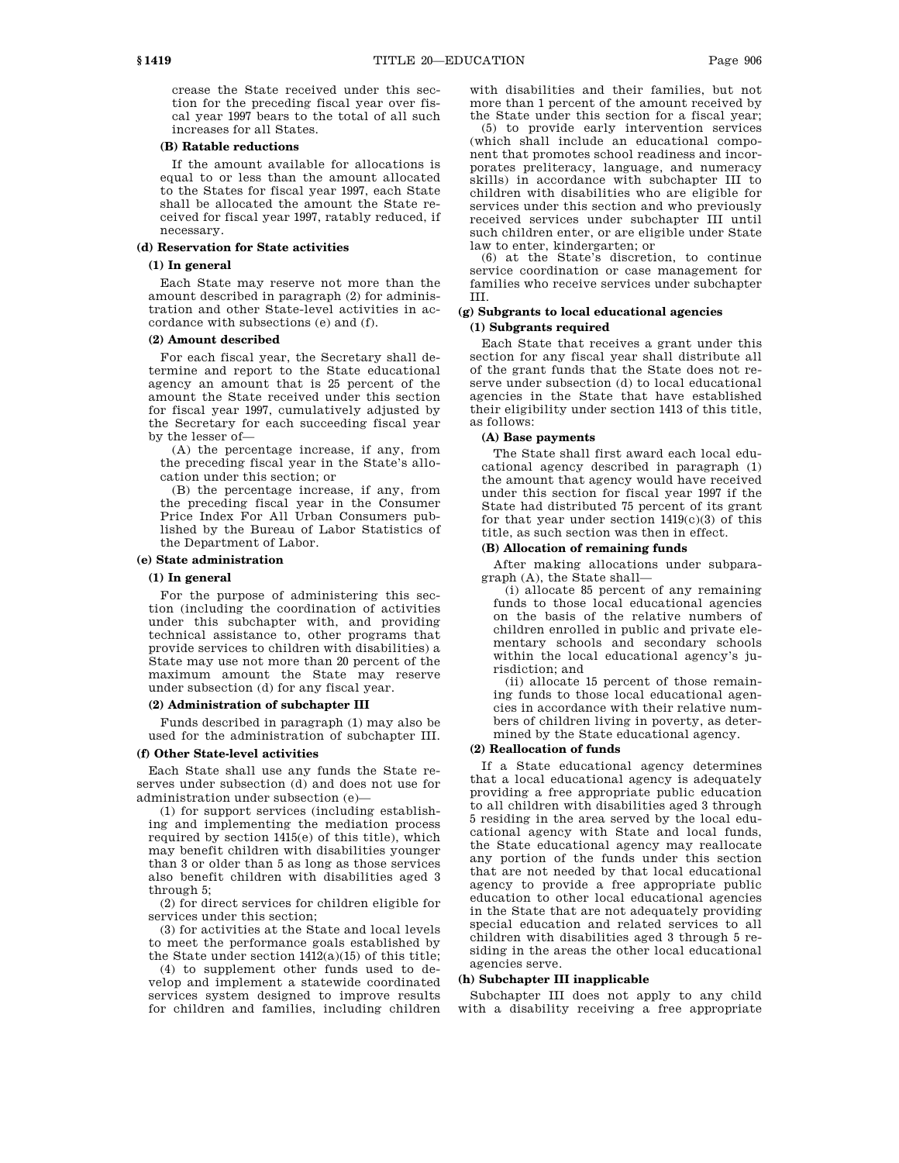crease the State received under this section for the preceding fiscal year over fiscal year 1997 bears to the total of all such increases for all States.

#### **(B) Ratable reductions**

If the amount available for allocations is equal to or less than the amount allocated to the States for fiscal year 1997, each State shall be allocated the amount the State received for fiscal year 1997, ratably reduced, if necessary.

# **(d) Reservation for State activities**

### **(1) In general**

Each State may reserve not more than the amount described in paragraph (2) for administration and other State-level activities in accordance with subsections (e) and (f).

#### **(2) Amount described**

For each fiscal year, the Secretary shall determine and report to the State educational agency an amount that is 25 percent of the amount the State received under this section for fiscal year 1997, cumulatively adjusted by the Secretary for each succeeding fiscal year by the lesser of—

(A) the percentage increase, if any, from the preceding fiscal year in the State's allocation under this section; or

(B) the percentage increase, if any, from the preceding fiscal year in the Consumer Price Index For All Urban Consumers published by the Bureau of Labor Statistics of the Department of Labor.

### **(e) State administration**

#### **(1) In general**

For the purpose of administering this section (including the coordination of activities under this subchapter with, and providing technical assistance to, other programs that provide services to children with disabilities) a State may use not more than 20 percent of the maximum amount the State may reserve under subsection (d) for any fiscal year.

#### **(2) Administration of subchapter III**

Funds described in paragraph (1) may also be used for the administration of subchapter III.

#### **(f) Other State-level activities**

Each State shall use any funds the State reserves under subsection (d) and does not use for administration under subsection (e)—

(1) for support services (including establishing and implementing the mediation process required by section 1415(e) of this title), which may benefit children with disabilities younger than 3 or older than 5 as long as those services also benefit children with disabilities aged 3 through 5;

(2) for direct services for children eligible for services under this section;

(3) for activities at the State and local levels to meet the performance goals established by the State under section 1412(a)(15) of this title;

(4) to supplement other funds used to develop and implement a statewide coordinated services system designed to improve results for children and families, including children

with disabilities and their families, but not more than 1 percent of the amount received by the State under this section for a fiscal year;

(5) to provide early intervention services (which shall include an educational component that promotes school readiness and incorporates preliteracy, language, and numeracy skills) in accordance with subchapter III to children with disabilities who are eligible for services under this section and who previously received services under subchapter III until such children enter, or are eligible under State law to enter, kindergarten; or

(6) at the State's discretion, to continue service coordination or case management for families who receive services under subchapter III.

# **(g) Subgrants to local educational agencies (1) Subgrants required**

Each State that receives a grant under this section for any fiscal year shall distribute all of the grant funds that the State does not reserve under subsection (d) to local educational agencies in the State that have established their eligibility under section 1413 of this title, as follows:

# **(A) Base payments**

The State shall first award each local educational agency described in paragraph (1) the amount that agency would have received under this section for fiscal year 1997 if the State had distributed 75 percent of its grant for that year under section  $1419(c)(3)$  of this title, as such section was then in effect.

#### **(B) Allocation of remaining funds**

After making allocations under subparagraph (A), the State shall—

(i) allocate 85 percent of any remaining funds to those local educational agencies on the basis of the relative numbers of children enrolled in public and private elementary schools and secondary schools within the local educational agency's jurisdiction; and

(ii) allocate 15 percent of those remaining funds to those local educational agencies in accordance with their relative numbers of children living in poverty, as determined by the State educational agency.

### **(2) Reallocation of funds**

If a State educational agency determines that a local educational agency is adequately providing a free appropriate public education to all children with disabilities aged 3 through 5 residing in the area served by the local educational agency with State and local funds, the State educational agency may reallocate any portion of the funds under this section that are not needed by that local educational agency to provide a free appropriate public education to other local educational agencies in the State that are not adequately providing special education and related services to all children with disabilities aged 3 through 5 residing in the areas the other local educational agencies serve.

#### **(h) Subchapter III inapplicable**

Subchapter III does not apply to any child with a disability receiving a free appropriate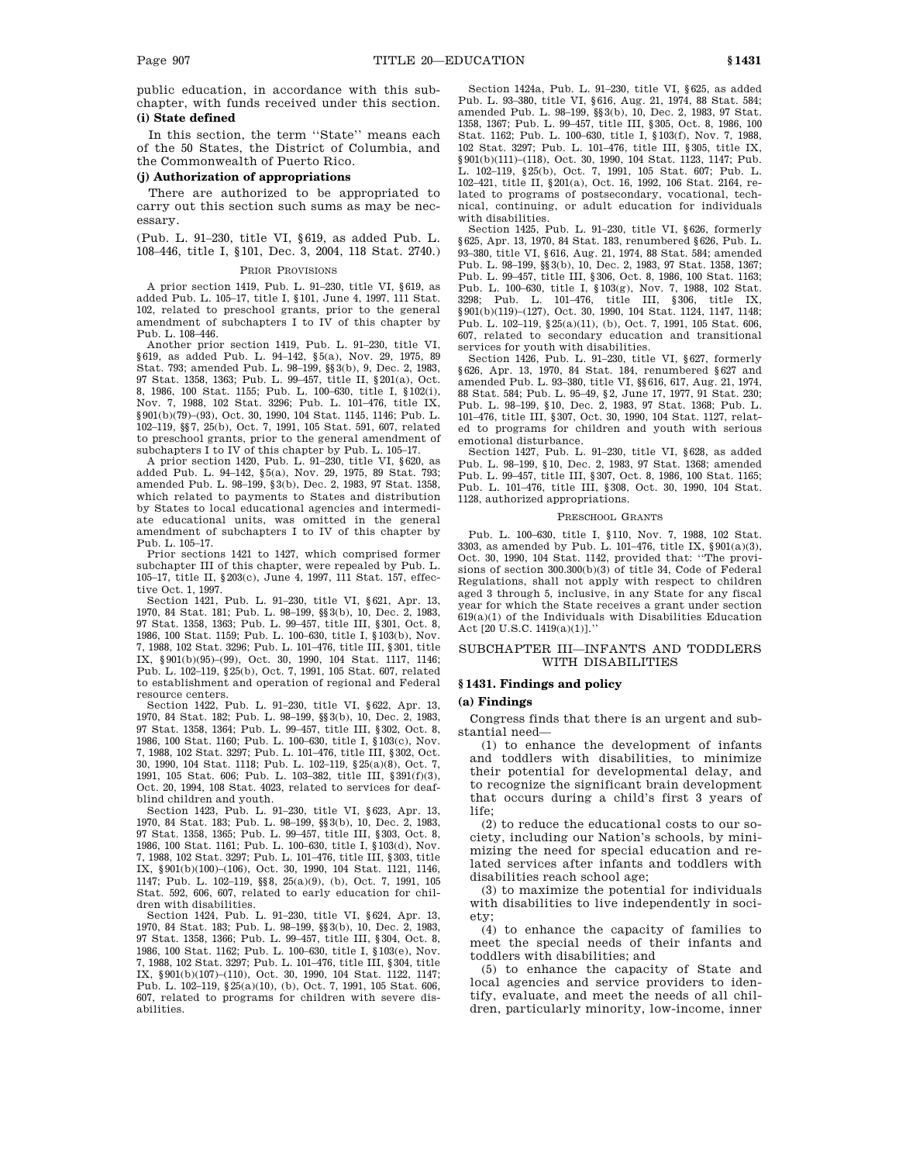public education, in accordance with this subchapter, with funds received under this section. **(i) State defined**

In this section, the term ''State'' means each of the 50 States, the District of Columbia, and the Commonwealth of Puerto Rico.

#### **(j) Authorization of appropriations**

There are authorized to be appropriated to carry out this section such sums as may be necessary.

(Pub. L. 91–230, title VI, §619, as added Pub. L. 108–446, title I, §101, Dec. 3, 2004, 118 Stat. 2740.)

#### PRIOR PROVISIONS

A prior section 1419, Pub. L. 91–230, title VI, §619, as added Pub. L. 105–17, title I, §101, June 4, 1997, 111 Stat. 102, related to preschool grants, prior to the general amendment of subchapters I to IV of this chapter by Pub. L. 108–446.

Another prior section 1419, Pub. L. 91–230, title VI, §619, as added Pub. L. 94-142, §5(a), Nov. 29, 1975, 89 Stat. 793; amended Pub. L. 98–199, §§3(b), 9, Dec. 2, 1983, 97 Stat. 1358, 1363; Pub. L. 99–457, title II, §201(a), Oct. 8, 1986, 100 Stat. 1155; Pub. L. 100–630, title I, §102(i), Nov. 7, 1988, 102 Stat. 3296; Pub. L. 101–476, title IX, §901(b)(79)–(93), Oct. 30, 1990, 104 Stat. 1145, 1146; Pub. L. 102–119, §§7, 25(b), Oct. 7, 1991, 105 Stat. 591, 607, related to preschool grants, prior to the general amendment of subchapters I to IV of this chapter by Pub. L. 105–17.

A prior section 1420, Pub. L. 91–230, title VI, §620, as added Pub. L. 94–142, §5(a), Nov. 29, 1975, 89 Stat. 793; amended Pub. L. 98–199, §3(b), Dec. 2, 1983, 97 Stat. 1358, which related to payments to States and distribution by States to local educational agencies and intermediate educational units, was omitted in the general amendment of subchapters I to IV of this chapter by Pub. L. 105–17.

Prior sections 1421 to 1427, which comprised former subchapter III of this chapter, were repealed by Pub. L. 105–17, title II, §203(c), June 4, 1997, 111 Stat. 157, effective Oct. 1, 1997.

Section 1421, Pub. L. 91–230, title VI, §621, Apr. 13, 1970, 84 Stat. 181; Pub. L. 98–199, §§3(b), 10, Dec. 2, 1983, 97 Stat. 1358, 1363; Pub. L. 99–457, title III, §301, Oct. 8, 1986, 100 Stat. 1159; Pub. L. 100–630, title I, §103(b), Nov. 7, 1988, 102 Stat. 3296; Pub. L. 101–476, title III, §301, title IX, §901(b)(95)–(99), Oct. 30, 1990, 104 Stat. 1117, 1146; Pub. L. 102–119, §25(b), Oct. 7, 1991, 105 Stat. 607, related to establishment and operation of regional and Federal resource centers.

Section 1422, Pub. L. 91–230, title VI, §622, Apr. 13, 1970, 84 Stat. 182; Pub. L. 98–199, §§3(b), 10, Dec. 2, 1983, 97 Stat. 1358, 1364; Pub. L. 99–457, title III, §302, Oct. 8, 1986, 100 Stat. 1160; Pub. L. 100–630, title I, §103(c), Nov. 7, 1988, 102 Stat. 3297; Pub. L. 101–476, title III, §302, Oct. 30, 1990, 104 Stat. 1118; Pub. L. 102–119, §25(a)(8), Oct. 7, 1991, 105 Stat. 606; Pub. L. 103–382, title III, §391(f)(3), Oct. 20, 1994, 108 Stat. 4023, related to services for deafblind children and youth.

Section 1423, Pub. L. 91–230, title VI, §623, Apr. 13, 1970, 84 Stat. 183; Pub. L. 98–199, §§3(b), 10, Dec. 2, 1983, 97 Stat. 1358, 1365; Pub. L. 99–457, title III, §303, Oct. 8, 1986, 100 Stat. 1161; Pub. L. 100–630, title I, §103(d), Nov. 7, 1988, 102 Stat. 3297; Pub. L. 101–476, title III, §303, title IX, §901(b)(100)–(106), Oct. 30, 1990, 104 Stat. 1121, 1146, 1147; Pub. L. 102–119, §§8, 25(a)(9), (b), Oct. 7, 1991, 105 Stat. 592, 606, 607, related to early education for children with disabilities.

Section 1424, Pub. L. 91–230, title VI, §624, Apr. 13, 1970, 84 Stat. 183; Pub. L. 98–199, §§3(b), 10, Dec. 2, 1983, 97 Stat. 1358, 1366; Pub. L. 99–457, title III, §304, Oct. 8, 1986, 100 Stat. 1162; Pub. L. 100–630, title I, §103(e), Nov. 7, 1988, 102 Stat. 3297; Pub. L. 101–476, title III, §304, title IX, §901(b)(107)–(110), Oct. 30, 1990, 104 Stat. 1122, 1147; Pub. L. 102–119, §25(a)(10), (b), Oct. 7, 1991, 105 Stat. 606, 607, related to programs for children with severe disabilities.

Section 1424a, Pub. L. 91–230, title VI, §625, as added Pub. L. 93–380, title VI, §616, Aug. 21, 1974, 88 Stat. 584; amended Pub. L. 98–199, §§3(b), 10, Dec. 2, 1983, 97 Stat. 1358, 1367; Pub. L. 99–457, title III, §305, Oct. 8, 1986, 100 Stat. 1162; Pub. L. 100–630, title I, §103(f), Nov. 7, 1988, 102 Stat. 3297; Pub. L. 101–476, title III, §305, title IX, §901(b)(111)–(118), Oct. 30, 1990, 104 Stat. 1123, 1147; Pub. L. 102–119, §25(b), Oct. 7, 1991, 105 Stat. 607; Pub. L. 102–421, title II, §201(a), Oct. 16, 1992, 106 Stat. 2164, related to programs of postsecondary, vocational, technical, continuing, or adult education for individuals with disabilities.

Section 1425, Pub. L. 91–230, title VI, §626, formerly §625, Apr. 13, 1970, 84 Stat. 183, renumbered §626, Pub. L. 93–380, title VI, §616, Aug. 21, 1974, 88 Stat. 584; amended Pub. L. 98–199, §§3(b), 10, Dec. 2, 1983, 97 Stat. 1358, 1367; Pub. L. 99–457, title III, §306, Oct. 8, 1986, 100 Stat. 1163; Pub. L. 100–630, title I, §103(g), Nov. 7, 1988, 102 Stat. 3298; Pub. L. 101–476, title III, §306, title IX, §901(b)(119)–(127), Oct. 30, 1990, 104 Stat. 1124, 1147, 1148; Pub. L. 102–119, §25(a)(11), (b), Oct. 7, 1991, 105 Stat. 606, 607, related to secondary education and transitional services for youth with disabilities.

Section 1426, Pub. L. 91–230, title VI, §627, formerly §626, Apr. 13, 1970, 84 Stat. 184, renumbered §627 and amended Pub. L. 93–380, title VI, §§616, 617, Aug. 21, 1974, 88 Stat. 584; Pub. L. 95–49, §2, June 17, 1977, 91 Stat. 230; Pub. L. 98–199, §10, Dec. 2, 1983, 97 Stat. 1368; Pub. L. 101–476, title III, §307, Oct. 30, 1990, 104 Stat. 1127, related to programs for children and youth with serious emotional disturbance.

Section 1427, Pub. L. 91–230, title VI, §628, as added Pub. L. 98–199, §10, Dec. 2, 1983, 97 Stat. 1368; amended Pub. L. 99–457, title III, §307, Oct. 8, 1986, 100 Stat. 1165; Pub. L. 101–476, title III, §308, Oct. 30, 1990, 104 Stat. 1128, authorized appropriations.

#### PRESCHOOL GRANTS

Pub. L. 100–630, title I, §110, Nov. 7, 1988, 102 Stat. 3303, as amended by Pub. L. 101–476, title IX, §901(a)(3), Oct. 30, 1990, 104 Stat. 1142, provided that: ''The provisions of section 300.300(b)(3) of title 34, Code of Federal Regulations, shall not apply with respect to children aged 3 through 5, inclusive, in any State for any fiscal year for which the State receives a grant under section  $619(a)(1)$  of the Individuals with Disabilities Education Act [20 U.S.C. 1419(a)(1)].''

#### SUBCHAPTER III—INFANTS AND TODDLERS WITH DISABILITIES

#### **§ 1431. Findings and policy**

#### **(a) Findings**

Congress finds that there is an urgent and substantial need—

(1) to enhance the development of infants and toddlers with disabilities, to minimize their potential for developmental delay, and to recognize the significant brain development that occurs during a child's first 3 years of life;

(2) to reduce the educational costs to our society, including our Nation's schools, by minimizing the need for special education and related services after infants and toddlers with disabilities reach school age;

(3) to maximize the potential for individuals with disabilities to live independently in society;

(4) to enhance the capacity of families to meet the special needs of their infants and toddlers with disabilities; and

(5) to enhance the capacity of State and local agencies and service providers to identify, evaluate, and meet the needs of all children, particularly minority, low-income, inner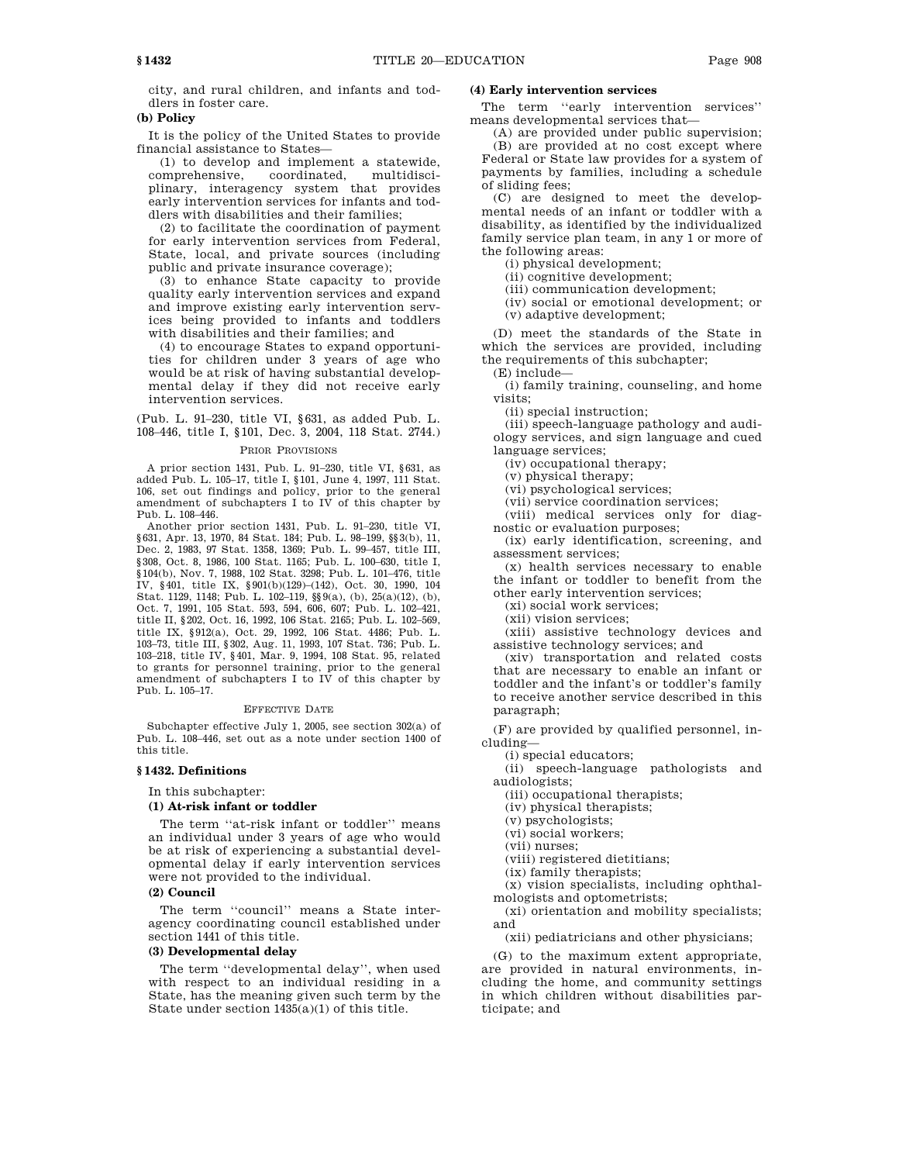dlers in foster care.

# **(b) Policy**

It is the policy of the United States to provide financial assistance to States—

(1) to develop and implement a statewide, comprehensive, coordinated, multidisciplinary, interagency system that provides early intervention services for infants and toddlers with disabilities and their families;

(2) to facilitate the coordination of payment for early intervention services from Federal, State, local, and private sources (including public and private insurance coverage);

(3) to enhance State capacity to provide quality early intervention services and expand and improve existing early intervention services being provided to infants and toddlers with disabilities and their families; and

(4) to encourage States to expand opportunities for children under 3 years of age who would be at risk of having substantial developmental delay if they did not receive early intervention services.

(Pub. L. 91–230, title VI, §631, as added Pub. L. 108–446, title I, §101, Dec. 3, 2004, 118 Stat. 2744.)

### PRIOR PROVISIONS

A prior section 1431, Pub. L. 91–230, title VI, §631, as added Pub. L. 105–17, title I, §101, June 4, 1997, 111 Stat. 106, set out findings and policy, prior to the general amendment of subchapters I to IV of this chapter by Pub. L. 108–446.

Another prior section 1431, Pub. L. 91–230, title VI, §631, Apr. 13, 1970, 84 Stat. 184; Pub. L. 98–199, §§3(b), 11, Dec. 2, 1983, 97 Stat. 1358, 1369; Pub. L. 99–457, title III, §308, Oct. 8, 1986, 100 Stat. 1165; Pub. L. 100–630, title I, §104(b), Nov. 7, 1988, 102 Stat. 3298; Pub. L. 101–476, title IV, §401, title IX, §901(b)(129)–(142), Oct. 30, 1990, 104 Stat. 1129, 1148; Pub. L. 102–119, §§9(a), (b), 25(a)(12), (b), Oct. 7, 1991, 105 Stat. 593, 594, 606, 607; Pub. L. 102–421, title II, §202, Oct. 16, 1992, 106 Stat. 2165; Pub. L. 102–569, title IX, §912(a), Oct. 29, 1992, 106 Stat. 4486; Pub. L. 103–73, title III, §302, Aug. 11, 1993, 107 Stat. 736; Pub. L. 103–218, title IV, §401, Mar. 9, 1994, 108 Stat. 95, related to grants for personnel training, prior to the general amendment of subchapters I to IV of this chapter by Pub. L. 105–17.

# EFFECTIVE DATE

Subchapter effective July 1, 2005, see section 302(a) of Pub. L. 108–446, set out as a note under section 1400 of this title.

# **§ 1432. Definitions**

In this subchapter:

#### **(1) At-risk infant or toddler**

The term ''at-risk infant or toddler'' means an individual under 3 years of age who would be at risk of experiencing a substantial developmental delay if early intervention services were not provided to the individual.

### **(2) Council**

The term "council" means a State interagency coordinating council established under section 1441 of this title.

### **(3) Developmental delay**

The term ''developmental delay'', when used with respect to an individual residing in a State, has the meaning given such term by the State under section 1435(a)(1) of this title.

# **(4) Early intervention services**

The term "early intervention services" means developmental services that—

(A) are provided under public supervision; (B) are provided at no cost except where Federal or State law provides for a system of payments by families, including a schedule of sliding fees;

(C) are designed to meet the developmental needs of an infant or toddler with a disability, as identified by the individualized family service plan team, in any 1 or more of the following areas:

(i) physical development;

(ii) cognitive development;

(iii) communication development;

(iv) social or emotional development; or (v) adaptive development;

(D) meet the standards of the State in which the services are provided, including the requirements of this subchapter;

(E) include—

(i) family training, counseling, and home visits;

(ii) special instruction;

(iii) speech-language pathology and audiology services, and sign language and cued language services;

(iv) occupational therapy;

(v) physical therapy;

(vi) psychological services;

(vii) service coordination services;

(viii) medical services only for diagnostic or evaluation purposes;

(ix) early identification, screening, and assessment services;

(x) health services necessary to enable the infant or toddler to benefit from the other early intervention services;

(xi) social work services;

(xii) vision services;

(xiii) assistive technology devices and assistive technology services; and

(xiv) transportation and related costs that are necessary to enable an infant or toddler and the infant's or toddler's family to receive another service described in this paragraph;

(F) are provided by qualified personnel, including—

(i) special educators;

(ii) speech-language pathologists and audiologists;

(iii) occupational therapists;

(iv) physical therapists;

(v) psychologists;

(vi) social workers;

(vii) nurses;

(viii) registered dietitians;

(ix) family therapists;

(x) vision specialists, including ophthal-

mologists and optometrists; (xi) orientation and mobility specialists; and

(xii) pediatricians and other physicians;

(G) to the maximum extent appropriate, are provided in natural environments, including the home, and community settings in which children without disabilities participate; and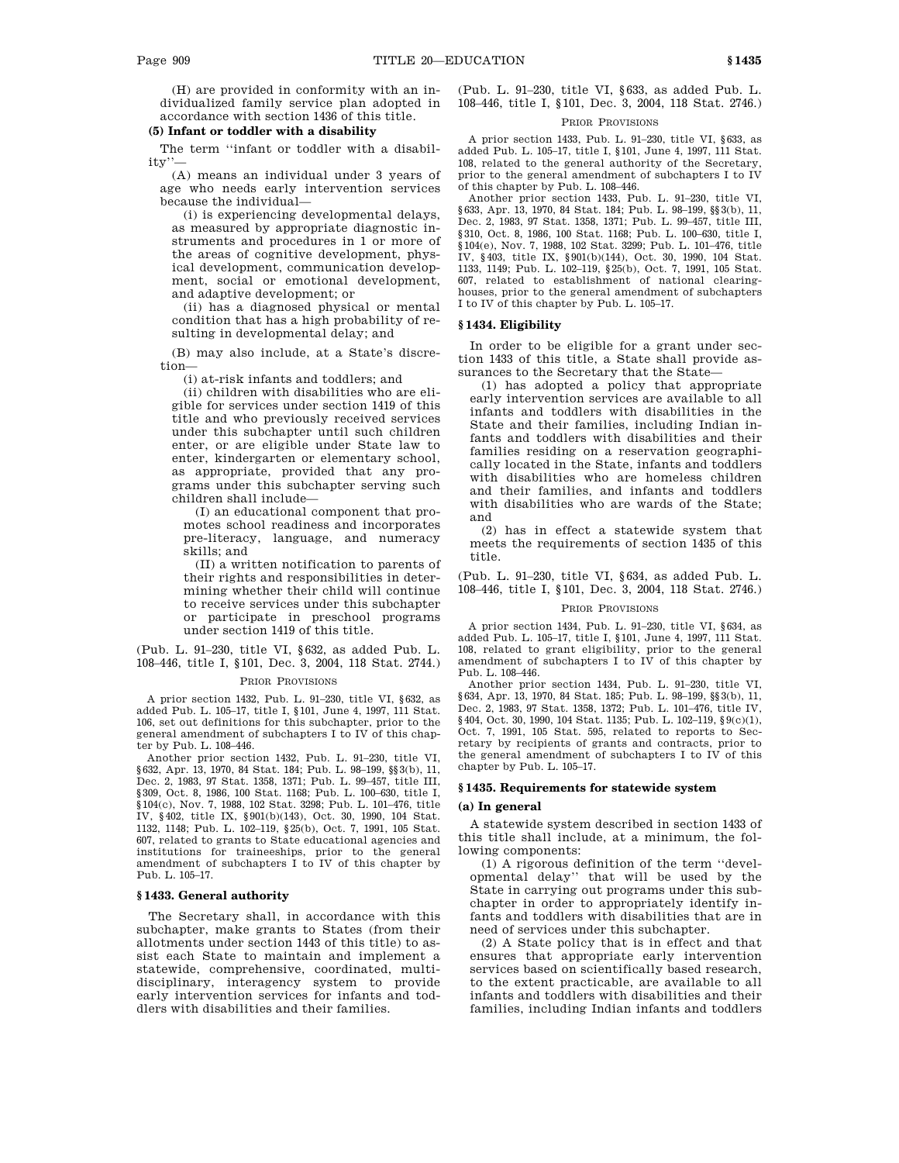(H) are provided in conformity with an individualized family service plan adopted in accordance with section 1436 of this title.

# **(5) Infant or toddler with a disability**

The term ''infant or toddler with a disability''—

(A) means an individual under 3 years of age who needs early intervention services because the individual—

(i) is experiencing developmental delays, as measured by appropriate diagnostic instruments and procedures in 1 or more of the areas of cognitive development, physical development, communication development, social or emotional development, and adaptive development; or

(ii) has a diagnosed physical or mental condition that has a high probability of resulting in developmental delay; and

(B) may also include, at a State's discretion—

(i) at-risk infants and toddlers; and

(ii) children with disabilities who are eligible for services under section 1419 of this title and who previously received services under this subchapter until such children enter, or are eligible under State law to enter, kindergarten or elementary school, as appropriate, provided that any programs under this subchapter serving such children shall include—

(I) an educational component that promotes school readiness and incorporates pre-literacy, language, and numeracy skills; and

(II) a written notification to parents of their rights and responsibilities in determining whether their child will continue to receive services under this subchapter or participate in preschool programs under section 1419 of this title.

(Pub. L. 91–230, title VI, §632, as added Pub. L. 108–446, title I, §101, Dec. 3, 2004, 118 Stat. 2744.)

#### PRIOR PROVISIONS

A prior section 1432, Pub. L. 91–230, title VI, §632, as added Pub. L. 105–17, title I, §101, June 4, 1997, 111 Stat. 106, set out definitions for this subchapter, prior to the general amendment of subchapters I to IV of this chapter by Pub. L. 108–446.

Another prior section 1432, Pub. L. 91–230, title VI, §632, Apr. 13, 1970, 84 Stat. 184; Pub. L. 98–199, §§3(b), 11, Dec. 2, 1983, 97 Stat. 1358, 1371; Pub. L. 99–457, title III, §309, Oct. 8, 1986, 100 Stat. 1168; Pub. L. 100–630, title I, §104(c), Nov. 7, 1988, 102 Stat. 3298; Pub. L. 101–476, title IV, §402, title IX, §901(b)(143), Oct. 30, 1990, 104 Stat. 1132, 1148; Pub. L. 102–119, §25(b), Oct. 7, 1991, 105 Stat. 607, related to grants to State educational agencies and institutions for traineeships, prior to the general amendment of subchapters I to IV of this chapter by Pub. L. 105–17.

### **§ 1433. General authority**

The Secretary shall, in accordance with this subchapter, make grants to States (from their allotments under section 1443 of this title) to assist each State to maintain and implement a statewide, comprehensive, coordinated, multidisciplinary, interagency system to provide early intervention services for infants and toddlers with disabilities and their families.

(Pub. L. 91–230, title VI, §633, as added Pub. L. 108–446, title I, §101, Dec. 3, 2004, 118 Stat. 2746.)

#### PRIOR PROVISIONS

A prior section 1433, Pub. L. 91–230, title VI, §633, as added Pub. L. 105–17, title I, §101, June 4, 1997, 111 Stat. 108, related to the general authority of the Secretary, prior to the general amendment of subchapters I to IV of this chapter by Pub. L. 108–446.

Another prior section 1433, Pub. L. 91–230, title VI, §633, Apr. 13, 1970, 84 Stat. 184; Pub. L. 98–199, §§3(b), 11, Dec. 2, 1983, 97 Stat. 1358, 1371; Pub. L. 99–457, title III, §310, Oct. 8, 1986, 100 Stat. 1168; Pub. L. 100–630, title I, §104(e), Nov. 7, 1988, 102 Stat. 3299; Pub. L. 101–476, title IV, §403, title IX, §901(b)(144), Oct. 30, 1990, 104 Stat. 1133, 1149; Pub. L. 102–119, §25(b), Oct. 7, 1991, 105 Stat. 607, related to establishment of national clearinghouses, prior to the general amendment of subchapters I to IV of this chapter by Pub. L. 105–17.

#### **§ 1434. Eligibility**

In order to be eligible for a grant under section 1433 of this title, a State shall provide assurances to the Secretary that the State—

(1) has adopted a policy that appropriate early intervention services are available to all infants and toddlers with disabilities in the State and their families, including Indian infants and toddlers with disabilities and their families residing on a reservation geographically located in the State, infants and toddlers with disabilities who are homeless children and their families, and infants and toddlers with disabilities who are wards of the State; and

(2) has in effect a statewide system that meets the requirements of section 1435 of this title.

(Pub. L. 91–230, title VI, §634, as added Pub. L. 108–446, title I, §101, Dec. 3, 2004, 118 Stat. 2746.)

#### PRIOR PROVISIONS

A prior section 1434, Pub. L. 91–230, title VI, §634, as added Pub. L. 105–17, title I, §101, June 4, 1997, 111 Stat. 108, related to grant eligibility, prior to the general amendment of subchapters I to IV of this chapter by Pub. L. 108–446.

Another prior section 1434, Pub. L. 91–230, title VI, §634, Apr. 13, 1970, 84 Stat. 185; Pub. L. 98–199, §§3(b), 11, Dec. 2, 1983, 97 Stat. 1358, 1372; Pub. L. 101–476, title IV, §404, Oct. 30, 1990, 104 Stat. 1135; Pub. L. 102-119, §9(c)(1), Oct. 7, 1991, 105 Stat. 595, related to reports to Secretary by recipients of grants and contracts, prior to the general amendment of subchapters I to IV of this chapter by Pub. L. 105–17.

#### **§ 1435. Requirements for statewide system**

#### **(a) In general**

A statewide system described in section 1433 of this title shall include, at a minimum, the following components:

(1) A rigorous definition of the term ''developmental delay'' that will be used by the State in carrying out programs under this subchapter in order to appropriately identify infants and toddlers with disabilities that are in need of services under this subchapter.

(2) A State policy that is in effect and that ensures that appropriate early intervention services based on scientifically based research, to the extent practicable, are available to all infants and toddlers with disabilities and their families, including Indian infants and toddlers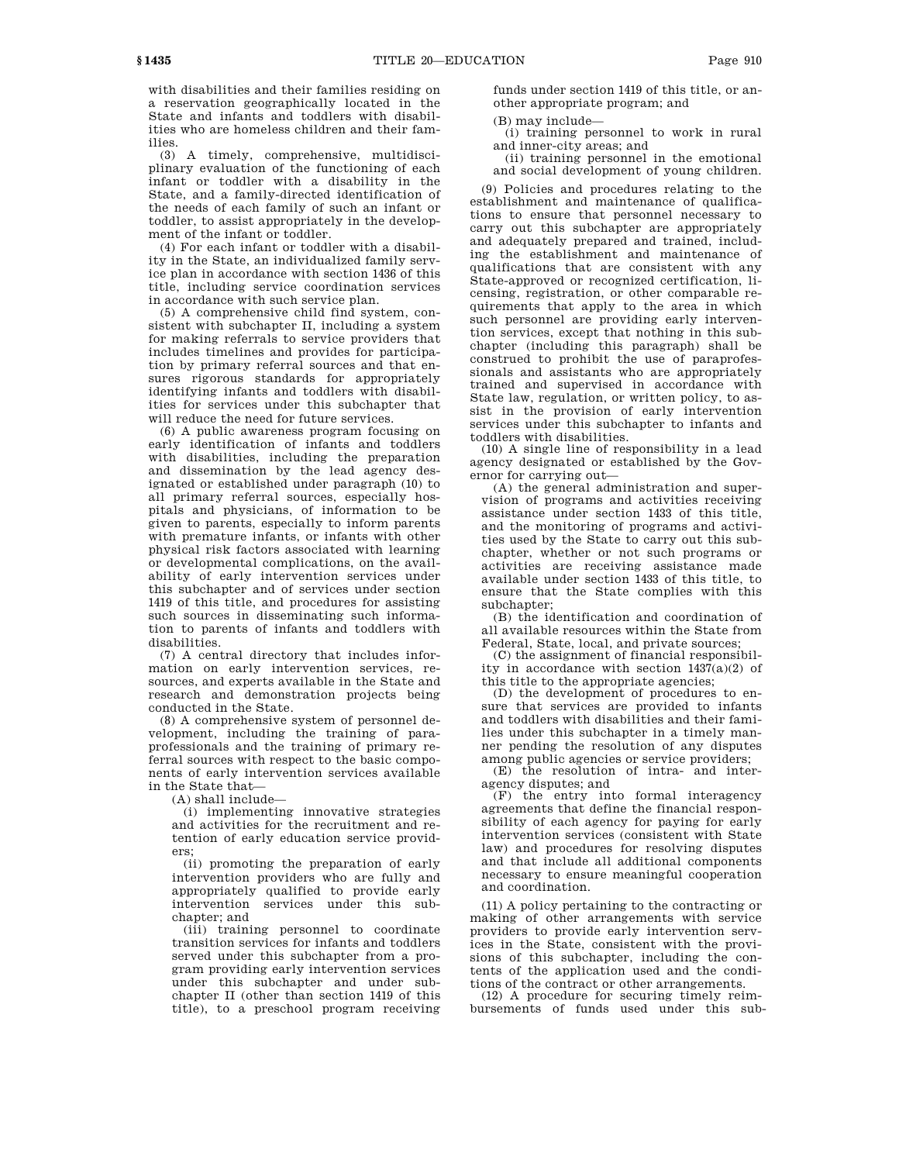with disabilities and their families residing on a reservation geographically located in the State and infants and toddlers with disabilities who are homeless children and their families.

(3) A timely, comprehensive, multidisciplinary evaluation of the functioning of each infant or toddler with a disability in the State, and a family-directed identification of the needs of each family of such an infant or toddler, to assist appropriately in the development of the infant or toddler.

(4) For each infant or toddler with a disability in the State, an individualized family service plan in accordance with section 1436 of this title, including service coordination services in accordance with such service plan.

(5) A comprehensive child find system, consistent with subchapter II, including a system for making referrals to service providers that includes timelines and provides for participation by primary referral sources and that ensures rigorous standards for appropriately identifying infants and toddlers with disabilities for services under this subchapter that will reduce the need for future services.

(6) A public awareness program focusing on early identification of infants and toddlers with disabilities, including the preparation and dissemination by the lead agency designated or established under paragraph (10) to all primary referral sources, especially hospitals and physicians, of information to be given to parents, especially to inform parents with premature infants, or infants with other physical risk factors associated with learning or developmental complications, on the availability of early intervention services under this subchapter and of services under section 1419 of this title, and procedures for assisting such sources in disseminating such information to parents of infants and toddlers with disabilities.

(7) A central directory that includes information on early intervention services, resources, and experts available in the State and research and demonstration projects being conducted in the State.

(8) A comprehensive system of personnel development, including the training of paraprofessionals and the training of primary referral sources with respect to the basic components of early intervention services available in the State that—

(A) shall include—

(i) implementing innovative strategies and activities for the recruitment and retention of early education service providers;

(ii) promoting the preparation of early intervention providers who are fully and appropriately qualified to provide early intervention services under this subchapter; and

(iii) training personnel to coordinate transition services for infants and toddlers served under this subchapter from a program providing early intervention services under this subchapter and under subchapter II (other than section 1419 of this title), to a preschool program receiving

funds under section 1419 of this title, or another appropriate program; and

(B) may include—

(i) training personnel to work in rural and inner-city areas; and

(ii) training personnel in the emotional and social development of young children.

(9) Policies and procedures relating to the establishment and maintenance of qualifications to ensure that personnel necessary to carry out this subchapter are appropriately and adequately prepared and trained, including the establishment and maintenance of qualifications that are consistent with any State-approved or recognized certification, licensing, registration, or other comparable requirements that apply to the area in which such personnel are providing early intervention services, except that nothing in this subchapter (including this paragraph) shall be construed to prohibit the use of paraprofessionals and assistants who are appropriately trained and supervised in accordance with State law, regulation, or written policy, to assist in the provision of early intervention services under this subchapter to infants and toddlers with disabilities.

(10) A single line of responsibility in a lead agency designated or established by the Governor for carrying out—

(A) the general administration and supervision of programs and activities receiving assistance under section 1433 of this title, and the monitoring of programs and activities used by the State to carry out this subchapter, whether or not such programs or activities are receiving assistance made available under section 1433 of this title, to ensure that the State complies with this subchapter;

(B) the identification and coordination of all available resources within the State from Federal, State, local, and private sources;

(C) the assignment of financial responsibility in accordance with section 1437(a)(2) of this title to the appropriate agencies;

(D) the development of procedures to ensure that services are provided to infants and toddlers with disabilities and their families under this subchapter in a timely manner pending the resolution of any disputes among public agencies or service providers;

(E) the resolution of intra- and interagency disputes; and

(F) the entry into formal interagency agreements that define the financial responsibility of each agency for paying for early intervention services (consistent with State law) and procedures for resolving disputes and that include all additional components necessary to ensure meaningful cooperation and coordination.

(11) A policy pertaining to the contracting or making of other arrangements with service providers to provide early intervention services in the State, consistent with the provisions of this subchapter, including the contents of the application used and the conditions of the contract or other arrangements.

(12) A procedure for securing timely reimbursements of funds used under this sub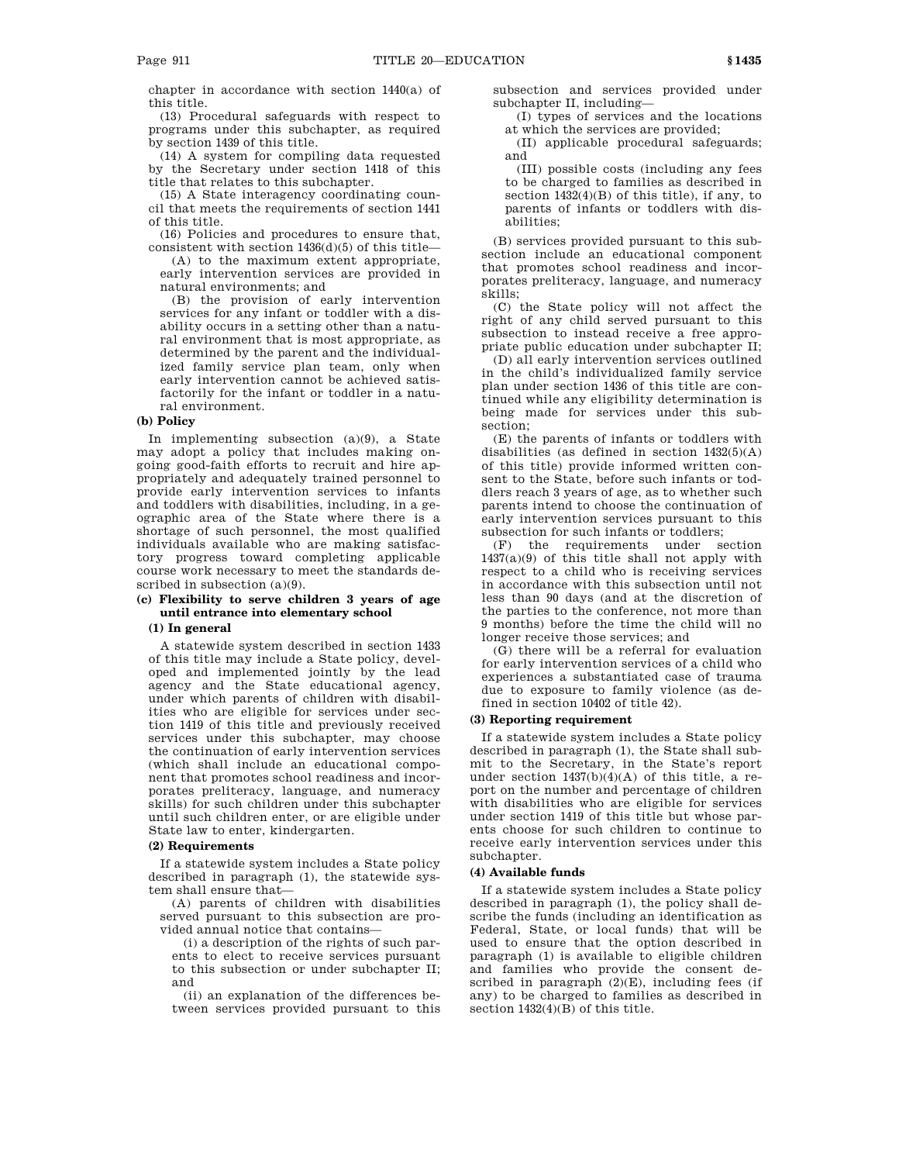chapter in accordance with section 1440(a) of this title.

(13) Procedural safeguards with respect to programs under this subchapter, as required by section 1439 of this title.

(14) A system for compiling data requested by the Secretary under section 1418 of this title that relates to this subchapter.

(15) A State interagency coordinating council that meets the requirements of section 1441 of this title.

(16) Policies and procedures to ensure that, consistent with section  $1436(d)(5)$  of this title-

(A) to the maximum extent appropriate, early intervention services are provided in natural environments; and

(B) the provision of early intervention services for any infant or toddler with a disability occurs in a setting other than a natural environment that is most appropriate, as determined by the parent and the individualized family service plan team, only when early intervention cannot be achieved satisfactorily for the infant or toddler in a natural environment.

### **(b) Policy**

In implementing subsection (a)(9), a State may adopt a policy that includes making ongoing good-faith efforts to recruit and hire appropriately and adequately trained personnel to provide early intervention services to infants and toddlers with disabilities, including, in a geographic area of the State where there is a shortage of such personnel, the most qualified individuals available who are making satisfactory progress toward completing applicable course work necessary to meet the standards described in subsection (a)(9).

#### **(c) Flexibility to serve children 3 years of age until entrance into elementary school**

### **(1) In general**

A statewide system described in section 1433 of this title may include a State policy, developed and implemented jointly by the lead agency and the State educational agency, under which parents of children with disabilities who are eligible for services under section 1419 of this title and previously received services under this subchapter, may choose the continuation of early intervention services (which shall include an educational component that promotes school readiness and incorporates preliteracy, language, and numeracy skills) for such children under this subchapter until such children enter, or are eligible under State law to enter, kindergarten.

# **(2) Requirements**

If a statewide system includes a State policy described in paragraph (1), the statewide system shall ensure that—

(A) parents of children with disabilities served pursuant to this subsection are provided annual notice that contains—

(i) a description of the rights of such parents to elect to receive services pursuant to this subsection or under subchapter II; and

(ii) an explanation of the differences between services provided pursuant to this subsection and services provided under subchapter II, including—

(I) types of services and the locations at which the services are provided;

(II) applicable procedural safeguards; and

(III) possible costs (including any fees to be charged to families as described in section 1432(4)(B) of this title), if any, to parents of infants or toddlers with disabilities;

(B) services provided pursuant to this subsection include an educational component that promotes school readiness and incorporates preliteracy, language, and numeracy skills;

(C) the State policy will not affect the right of any child served pursuant to this subsection to instead receive a free appropriate public education under subchapter II;

(D) all early intervention services outlined in the child's individualized family service plan under section 1436 of this title are continued while any eligibility determination is being made for services under this subsection;

(E) the parents of infants or toddlers with disabilities (as defined in section  $1432(5)(A)$ of this title) provide informed written consent to the State, before such infants or toddlers reach 3 years of age, as to whether such parents intend to choose the continuation of early intervention services pursuant to this subsection for such infants or toddlers;

(F) the requirements under section 1437(a)(9) of this title shall not apply with respect to a child who is receiving services in accordance with this subsection until not less than 90 days (and at the discretion of the parties to the conference, not more than 9 months) before the time the child will no longer receive those services; and

(G) there will be a referral for evaluation for early intervention services of a child who experiences a substantiated case of trauma due to exposure to family violence (as defined in section 10402 of title 42).

#### **(3) Reporting requirement**

If a statewide system includes a State policy described in paragraph (1), the State shall submit to the Secretary, in the State's report under section  $1437(b)(4)(A)$  of this title, a report on the number and percentage of children with disabilities who are eligible for services under section 1419 of this title but whose parents choose for such children to continue to receive early intervention services under this subchapter.

#### **(4) Available funds**

If a statewide system includes a State policy described in paragraph (1), the policy shall describe the funds (including an identification as Federal, State, or local funds) that will be used to ensure that the option described in paragraph (1) is available to eligible children and families who provide the consent described in paragraph  $(2)(E)$ , including fees (if any) to be charged to families as described in section 1432(4)(B) of this title.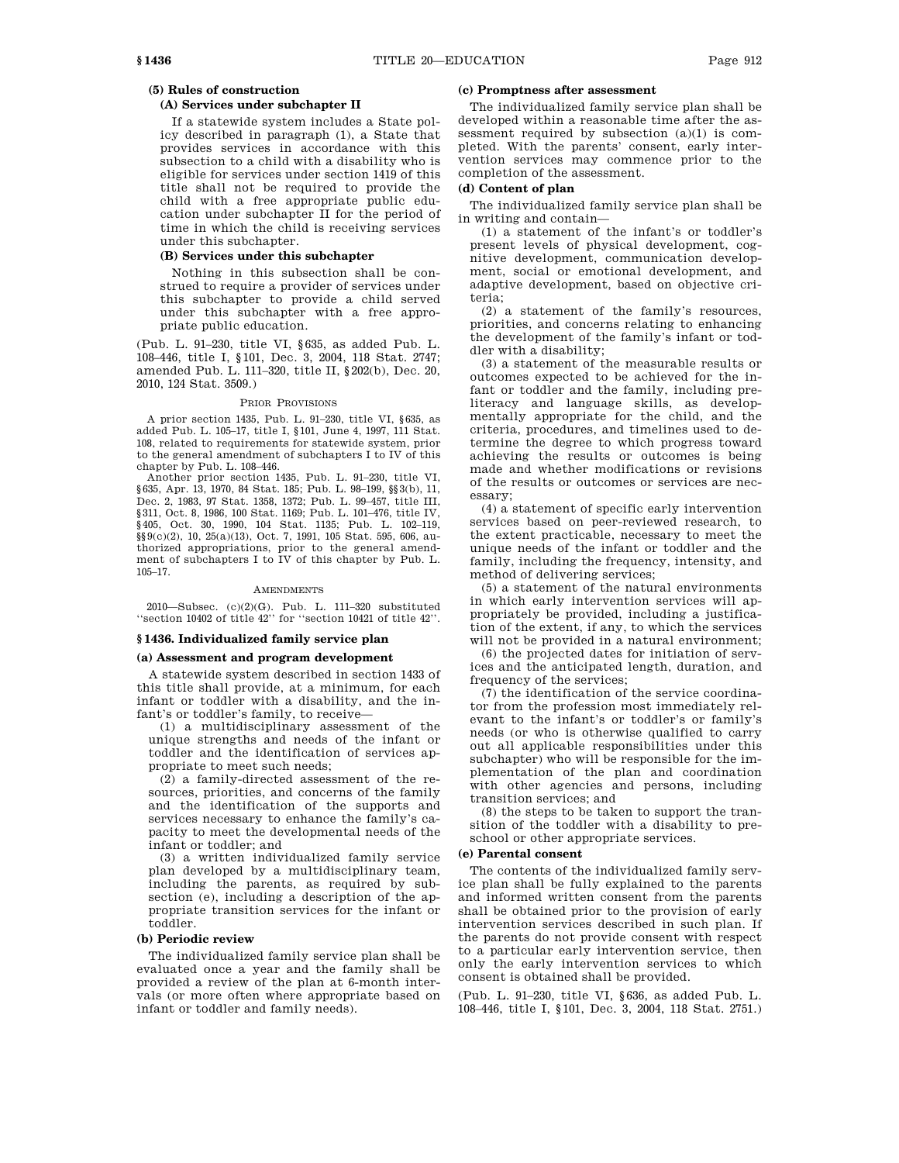# **(5) Rules of construction**

# **(A) Services under subchapter II**

If a statewide system includes a State policy described in paragraph (1), a State that provides services in accordance with this subsection to a child with a disability who is eligible for services under section 1419 of this title shall not be required to provide the child with a free appropriate public education under subchapter II for the period of time in which the child is receiving services under this subchapter.

# **(B) Services under this subchapter**

Nothing in this subsection shall be construed to require a provider of services under this subchapter to provide a child served under this subchapter with a free appropriate public education.

(Pub. L. 91–230, title VI, §635, as added Pub. L. 108–446, title I, §101, Dec. 3, 2004, 118 Stat. 2747; amended Pub. L. 111–320, title II, §202(b), Dec. 20, 2010, 124 Stat. 3509.)

### PRIOR PROVISIONS

A prior section 1435, Pub. L. 91–230, title VI, §635, as added Pub. L. 105–17, title I, §101, June 4, 1997, 111 Stat. 108, related to requirements for statewide system, prior to the general amendment of subchapters I to IV of this chapter by Pub. L. 108–446.

Another prior section 1435, Pub. L. 91–230, title VI, §635, Apr. 13, 1970, 84 Stat. 185; Pub. L. 98–199, §§3(b), 11, Dec. 2, 1983, 97 Stat. 1358, 1372; Pub. L. 99–457, title III, §311, Oct. 8, 1986, 100 Stat. 1169; Pub. L. 101-476, title IV, §405, Oct. 30, 1990, 104 Stat. 1135; Pub. L. 102–119,  $\S89(c)(2)$ , 10, 25(a)(13), Oct. 7, 1991, 105 Stat. 595, 606, authorized appropriations, prior to the general amendment of subchapters I to IV of this chapter by Pub. L. 105–17.

#### AMENDMENTS

2010—Subsec. (c)(2)(G). Pub. L. 111–320 substituted "section  $10402$  of title  $42$ " for "section  $10421$  of title  $42$ ".

# **§ 1436. Individualized family service plan**

#### **(a) Assessment and program development**

A statewide system described in section 1433 of this title shall provide, at a minimum, for each infant or toddler with a disability, and the infant's or toddler's family, to receive—

(1) a multidisciplinary assessment of the unique strengths and needs of the infant or toddler and the identification of services appropriate to meet such needs;

(2) a family-directed assessment of the resources, priorities, and concerns of the family and the identification of the supports and services necessary to enhance the family's capacity to meet the developmental needs of the infant or toddler; and

(3) a written individualized family service plan developed by a multidisciplinary team, including the parents, as required by subsection (e), including a description of the appropriate transition services for the infant or toddler.

# **(b) Periodic review**

The individualized family service plan shall be evaluated once a year and the family shall be provided a review of the plan at 6-month intervals (or more often where appropriate based on infant or toddler and family needs).

# **(c) Promptness after assessment**

The individualized family service plan shall be developed within a reasonable time after the assessment required by subsection  $(a)(1)$  is completed. With the parents' consent, early intervention services may commence prior to the completion of the assessment.

### **(d) Content of plan**

The individualized family service plan shall be in writing and contain—

(1) a statement of the infant's or toddler's present levels of physical development, cognitive development, communication development, social or emotional development, and adaptive development, based on objective criteria;

(2) a statement of the family's resources, priorities, and concerns relating to enhancing the development of the family's infant or toddler with a disability;

(3) a statement of the measurable results or outcomes expected to be achieved for the infant or toddler and the family, including preliteracy and language skills, as developmentally appropriate for the child, and the criteria, procedures, and timelines used to determine the degree to which progress toward achieving the results or outcomes is being made and whether modifications or revisions of the results or outcomes or services are necessary;

(4) a statement of specific early intervention services based on peer-reviewed research, to the extent practicable, necessary to meet the unique needs of the infant or toddler and the family, including the frequency, intensity, and method of delivering services;

(5) a statement of the natural environments in which early intervention services will appropriately be provided, including a justification of the extent, if any, to which the services will not be provided in a natural environment;

(6) the projected dates for initiation of services and the anticipated length, duration, and frequency of the services;

(7) the identification of the service coordinator from the profession most immediately relevant to the infant's or toddler's or family's needs (or who is otherwise qualified to carry out all applicable responsibilities under this subchapter) who will be responsible for the implementation of the plan and coordination with other agencies and persons, including transition services; and

(8) the steps to be taken to support the transition of the toddler with a disability to preschool or other appropriate services.

# **(e) Parental consent**

The contents of the individualized family service plan shall be fully explained to the parents and informed written consent from the parents shall be obtained prior to the provision of early intervention services described in such plan. If the parents do not provide consent with respect to a particular early intervention service, then only the early intervention services to which consent is obtained shall be provided.

(Pub. L. 91–230, title VI, §636, as added Pub. L. 108–446, title I, §101, Dec. 3, 2004, 118 Stat. 2751.)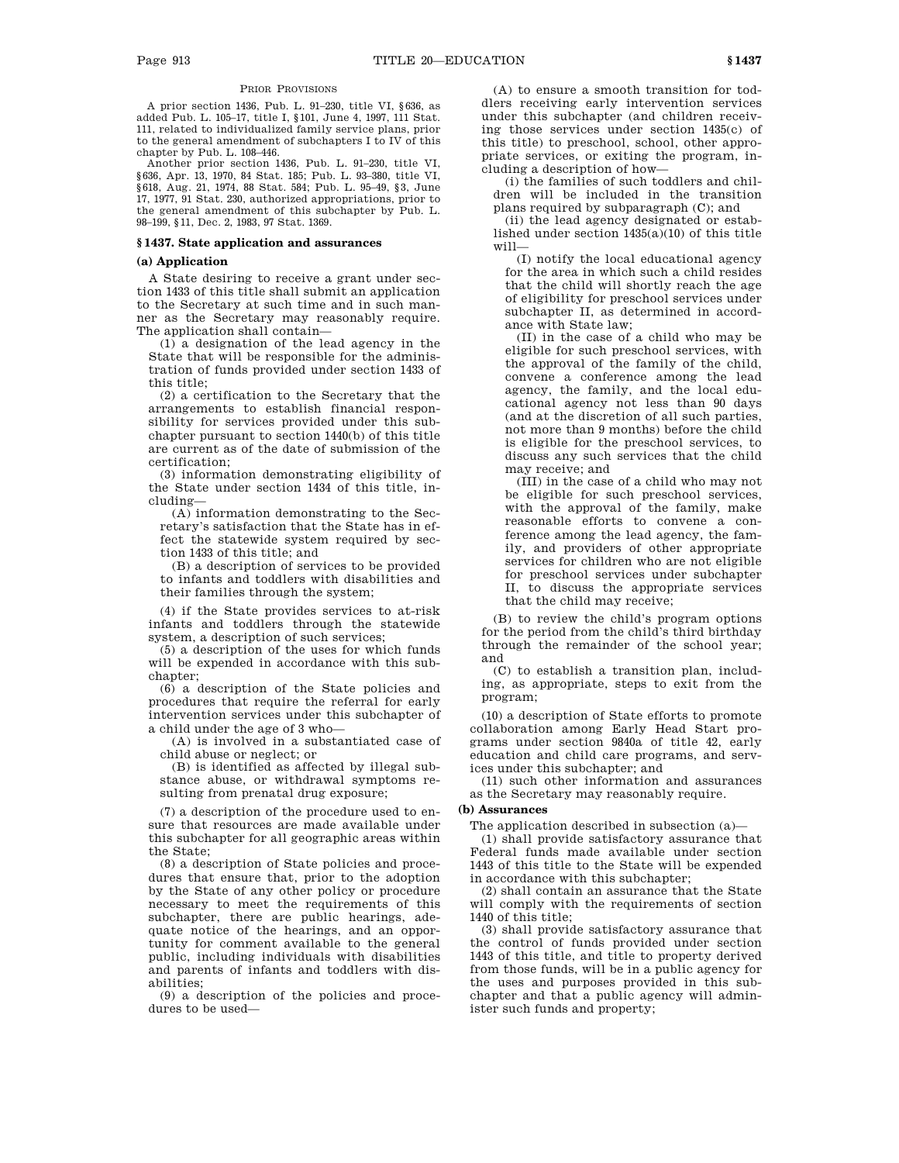# PRIOR PROVISIONS

A prior section 1436, Pub. L. 91–230, title VI, §636, as added Pub. L. 105–17, title I, §101, June 4, 1997, 111 Stat. 111, related to individualized family service plans, prior to the general amendment of subchapters I to IV of this chapter by Pub. L. 108–446.

Another prior section 1436, Pub. L. 91–230, title VI, §636, Apr. 13, 1970, 84 Stat. 185; Pub. L. 93–380, title VI, §618, Aug. 21, 1974, 88 Stat. 584; Pub. L. 95–49, §3, June 17, 1977, 91 Stat. 230, authorized appropriations, prior to the general amendment of this subchapter by Pub. L. 98–199, §11, Dec. 2, 1983, 97 Stat. 1369.

#### **§ 1437. State application and assurances**

#### **(a) Application**

A State desiring to receive a grant under section 1433 of this title shall submit an application to the Secretary at such time and in such manner as the Secretary may reasonably require. The application shall contain—

(1) a designation of the lead agency in the State that will be responsible for the administration of funds provided under section 1433 of this title;

(2) a certification to the Secretary that the arrangements to establish financial responsibility for services provided under this subchapter pursuant to section 1440(b) of this title are current as of the date of submission of the certification;

(3) information demonstrating eligibility of the State under section 1434 of this title, including—

(A) information demonstrating to the Secretary's satisfaction that the State has in effect the statewide system required by section 1433 of this title; and

(B) a description of services to be provided to infants and toddlers with disabilities and their families through the system;

(4) if the State provides services to at-risk infants and toddlers through the statewide system, a description of such services;

(5) a description of the uses for which funds will be expended in accordance with this subchapter:

(6) a description of the State policies and procedures that require the referral for early intervention services under this subchapter of a child under the age of 3 who—

(A) is involved in a substantiated case of child abuse or neglect; or

(B) is identified as affected by illegal substance abuse, or withdrawal symptoms resulting from prenatal drug exposure;

(7) a description of the procedure used to ensure that resources are made available under this subchapter for all geographic areas within the State;

(8) a description of State policies and procedures that ensure that, prior to the adoption by the State of any other policy or procedure necessary to meet the requirements of this subchapter, there are public hearings, adequate notice of the hearings, and an opportunity for comment available to the general public, including individuals with disabilities and parents of infants and toddlers with disabilities;

(9) a description of the policies and procedures to be used—

(A) to ensure a smooth transition for toddlers receiving early intervention services under this subchapter (and children receiving those services under section 1435(c) of this title) to preschool, school, other appropriate services, or exiting the program, including a description of how—

(i) the families of such toddlers and children will be included in the transition plans required by subparagraph (C); and

(ii) the lead agency designated or established under section 1435(a)(10) of this title will-

(I) notify the local educational agency for the area in which such a child resides that the child will shortly reach the age of eligibility for preschool services under subchapter II, as determined in accordance with State law;

(II) in the case of a child who may be eligible for such preschool services, with the approval of the family of the child, convene a conference among the lead agency, the family, and the local educational agency not less than 90 days (and at the discretion of all such parties, not more than 9 months) before the child is eligible for the preschool services, to discuss any such services that the child may receive; and

(III) in the case of a child who may not be eligible for such preschool services, with the approval of the family, make reasonable efforts to convene a conference among the lead agency, the family, and providers of other appropriate services for children who are not eligible for preschool services under subchapter II, to discuss the appropriate services that the child may receive;

(B) to review the child's program options for the period from the child's third birthday through the remainder of the school year; and

(C) to establish a transition plan, including, as appropriate, steps to exit from the program;

(10) a description of State efforts to promote collaboration among Early Head Start programs under section 9840a of title 42, early education and child care programs, and services under this subchapter; and

(11) such other information and assurances as the Secretary may reasonably require.

#### **(b) Assurances**

The application described in subsection (a)—

(1) shall provide satisfactory assurance that Federal funds made available under section 1443 of this title to the State will be expended in accordance with this subchapter;

(2) shall contain an assurance that the State will comply with the requirements of section 1440 of this title;

(3) shall provide satisfactory assurance that the control of funds provided under section 1443 of this title, and title to property derived from those funds, will be in a public agency for the uses and purposes provided in this subchapter and that a public agency will administer such funds and property;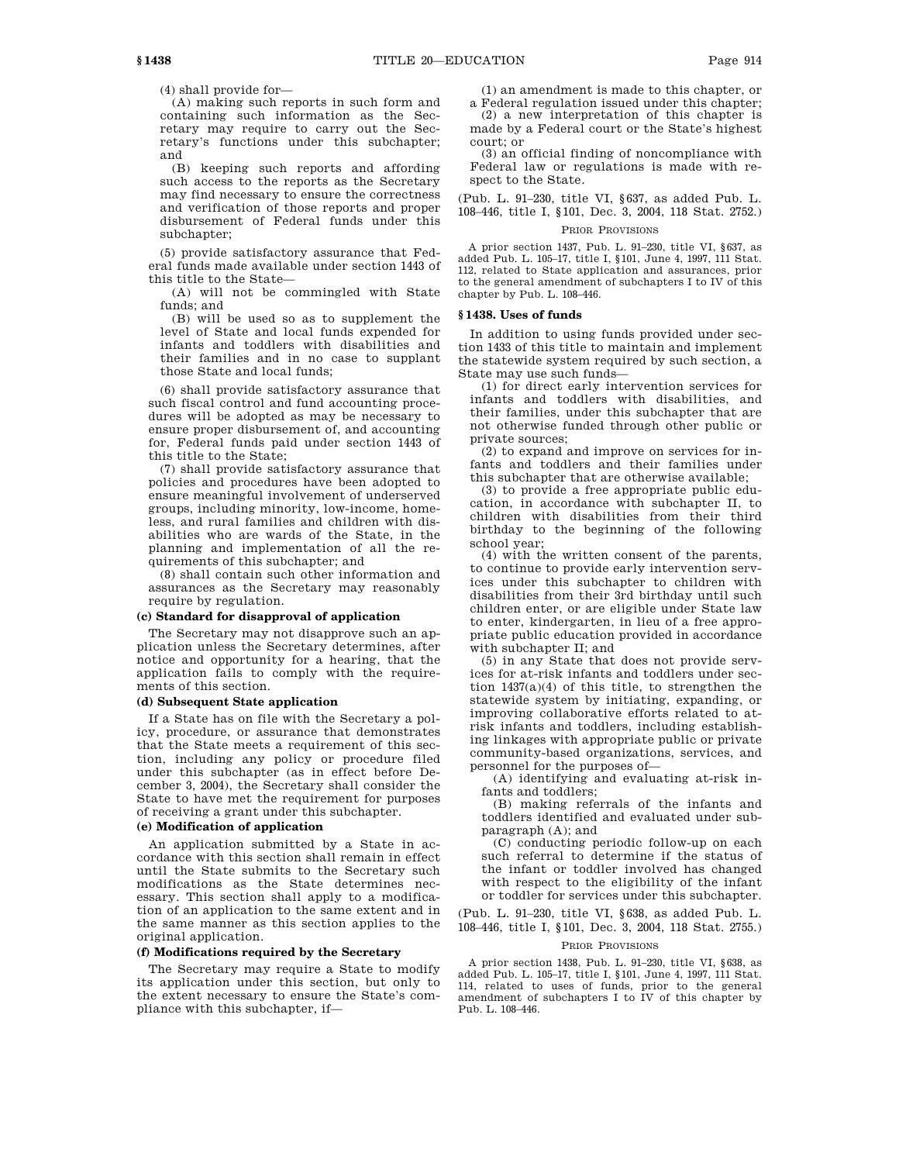(4) shall provide for—

(A) making such reports in such form and containing such information as the Secretary may require to carry out the Secretary's functions under this subchapter; and

(B) keeping such reports and affording such access to the reports as the Secretary may find necessary to ensure the correctness and verification of those reports and proper disbursement of Federal funds under this subchapter;

(5) provide satisfactory assurance that Federal funds made available under section 1443 of this title to the State—

(A) will not be commingled with State funds; and

(B) will be used so as to supplement the level of State and local funds expended for infants and toddlers with disabilities and their families and in no case to supplant those State and local funds;

(6) shall provide satisfactory assurance that such fiscal control and fund accounting procedures will be adopted as may be necessary to ensure proper disbursement of, and accounting for, Federal funds paid under section 1443 of this title to the State;

(7) shall provide satisfactory assurance that policies and procedures have been adopted to ensure meaningful involvement of underserved groups, including minority, low-income, homeless, and rural families and children with disabilities who are wards of the State, in the planning and implementation of all the requirements of this subchapter; and

(8) shall contain such other information and assurances as the Secretary may reasonably require by regulation.

# **(c) Standard for disapproval of application**

The Secretary may not disapprove such an application unless the Secretary determines, after notice and opportunity for a hearing, that the application fails to comply with the requirements of this section.

# **(d) Subsequent State application**

If a State has on file with the Secretary a policy, procedure, or assurance that demonstrates that the State meets a requirement of this section, including any policy or procedure filed under this subchapter (as in effect before December 3, 2004), the Secretary shall consider the State to have met the requirement for purposes of receiving a grant under this subchapter.

#### **(e) Modification of application**

An application submitted by a State in accordance with this section shall remain in effect until the State submits to the Secretary such modifications as the State determines necessary. This section shall apply to a modification of an application to the same extent and in the same manner as this section applies to the original application.

#### **(f) Modifications required by the Secretary**

The Secretary may require a State to modify its application under this section, but only to the extent necessary to ensure the State's compliance with this subchapter, if—

(1) an amendment is made to this chapter, or a Federal regulation issued under this chapter;

(2) a new interpretation of this chapter is made by a Federal court or the State's highest court; or

(3) an official finding of noncompliance with Federal law or regulations is made with respect to the State.

(Pub. L. 91–230, title VI, §637, as added Pub. L. 108–446, title I, §101, Dec. 3, 2004, 118 Stat. 2752.)

#### PRIOR PROVISIONS

A prior section 1437, Pub. L. 91–230, title VI, §637, as added Pub. L. 105–17, title I, §101, June 4, 1997, 111 Stat. 112, related to State application and assurances, prior to the general amendment of subchapters I to IV of this chapter by Pub. L. 108–446.

#### **§ 1438. Uses of funds**

In addition to using funds provided under section 1433 of this title to maintain and implement the statewide system required by such section, a State may use such funds—

(1) for direct early intervention services for infants and toddlers with disabilities, and their families, under this subchapter that are not otherwise funded through other public or private sources;

(2) to expand and improve on services for infants and toddlers and their families under this subchapter that are otherwise available;

(3) to provide a free appropriate public education, in accordance with subchapter II, to children with disabilities from their third birthday to the beginning of the following school year;

(4) with the written consent of the parents, to continue to provide early intervention services under this subchapter to children with disabilities from their 3rd birthday until such children enter, or are eligible under State law to enter, kindergarten, in lieu of a free appropriate public education provided in accordance with subchapter II; and

(5) in any State that does not provide services for at-risk infants and toddlers under section 1437(a)(4) of this title, to strengthen the statewide system by initiating, expanding, or improving collaborative efforts related to atrisk infants and toddlers, including establishing linkages with appropriate public or private community-based organizations, services, and personnel for the purposes of—

(A) identifying and evaluating at-risk infants and toddlers;

(B) making referrals of the infants and toddlers identified and evaluated under subparagraph (A); and

(C) conducting periodic follow-up on each such referral to determine if the status of the infant or toddler involved has changed with respect to the eligibility of the infant or toddler for services under this subchapter.

(Pub. L. 91–230, title VI, §638, as added Pub. L. 108–446, title I, §101, Dec. 3, 2004, 118 Stat. 2755.)

### PRIOR PROVISIONS

A prior section 1438, Pub. L. 91–230, title VI, §638, as added Pub. L. 105–17, title I, §101, June 4, 1997, 111 Stat. 114, related to uses of funds, prior to the general amendment of subchapters I to IV of this chapter by Pub. L. 108–446.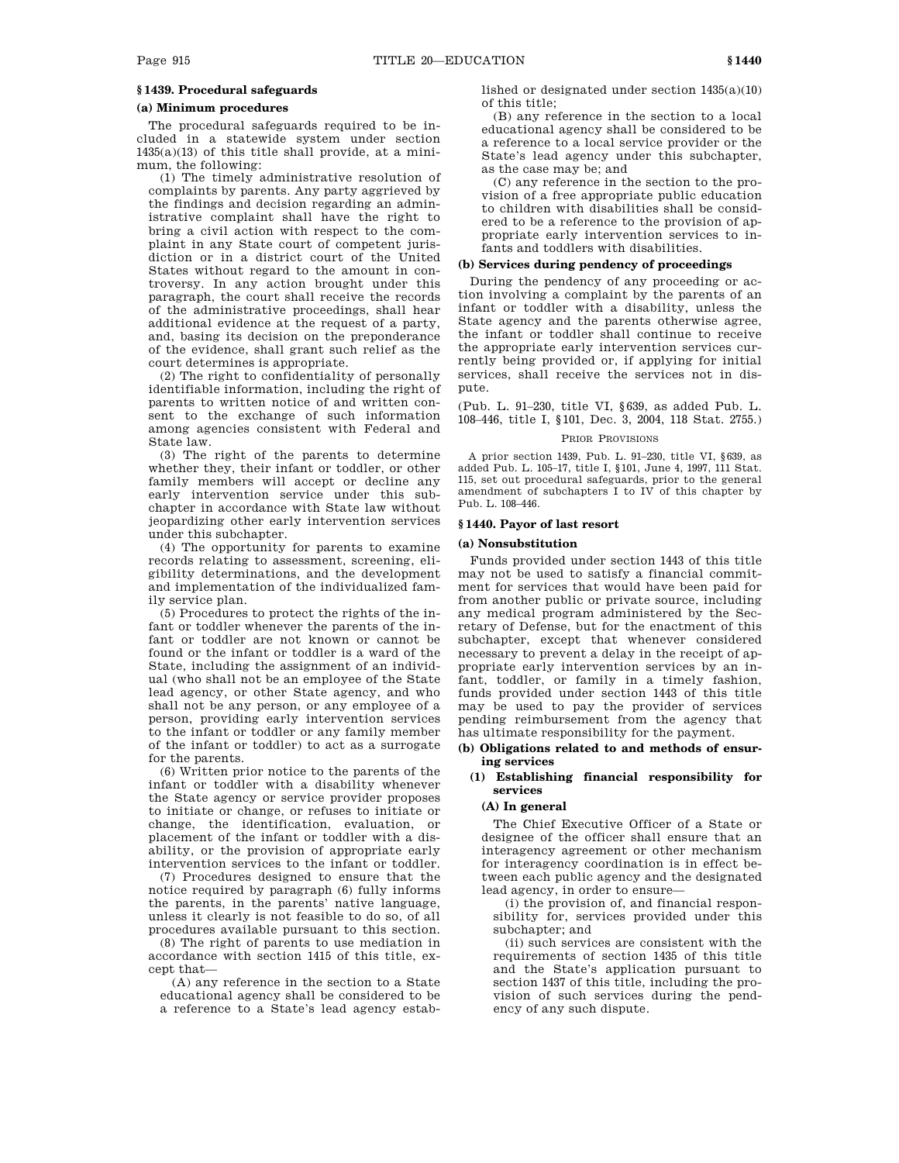# **§ 1439. Procedural safeguards**

# **(a) Minimum procedures**

The procedural safeguards required to be included in a statewide system under section  $1435(a)(13)$  of this title shall provide, at a minimum, the following:

(1) The timely administrative resolution of complaints by parents. Any party aggrieved by the findings and decision regarding an administrative complaint shall have the right to bring a civil action with respect to the complaint in any State court of competent jurisdiction or in a district court of the United States without regard to the amount in controversy. In any action brought under this paragraph, the court shall receive the records of the administrative proceedings, shall hear additional evidence at the request of a party, and, basing its decision on the preponderance of the evidence, shall grant such relief as the court determines is appropriate.

(2) The right to confidentiality of personally identifiable information, including the right of parents to written notice of and written consent to the exchange of such information among agencies consistent with Federal and State law.

(3) The right of the parents to determine whether they, their infant or toddler, or other family members will accept or decline any early intervention service under this subchapter in accordance with State law without jeopardizing other early intervention services under this subchapter.

(4) The opportunity for parents to examine records relating to assessment, screening, eligibility determinations, and the development and implementation of the individualized family service plan.

(5) Procedures to protect the rights of the infant or toddler whenever the parents of the infant or toddler are not known or cannot be found or the infant or toddler is a ward of the State, including the assignment of an individual (who shall not be an employee of the State lead agency, or other State agency, and who shall not be any person, or any employee of a person, providing early intervention services to the infant or toddler or any family member of the infant or toddler) to act as a surrogate for the parents.

(6) Written prior notice to the parents of the infant or toddler with a disability whenever the State agency or service provider proposes to initiate or change, or refuses to initiate or change, the identification, evaluation, or placement of the infant or toddler with a disability, or the provision of appropriate early intervention services to the infant or toddler.

(7) Procedures designed to ensure that the notice required by paragraph (6) fully informs the parents, in the parents' native language, unless it clearly is not feasible to do so, of all procedures available pursuant to this section.

(8) The right of parents to use mediation in accordance with section 1415 of this title, except that—

(A) any reference in the section to a State educational agency shall be considered to be a reference to a State's lead agency established or designated under section 1435(a)(10) of this title;

(B) any reference in the section to a local educational agency shall be considered to be a reference to a local service provider or the State's lead agency under this subchapter, as the case may be; and

(C) any reference in the section to the provision of a free appropriate public education to children with disabilities shall be considered to be a reference to the provision of appropriate early intervention services to infants and toddlers with disabilities.

# **(b) Services during pendency of proceedings**

During the pendency of any proceeding or action involving a complaint by the parents of an infant or toddler with a disability, unless the State agency and the parents otherwise agree, the infant or toddler shall continue to receive the appropriate early intervention services currently being provided or, if applying for initial services, shall receive the services not in dispute.

(Pub. L. 91–230, title VI, §639, as added Pub. L. 108–446, title I, §101, Dec. 3, 2004, 118 Stat. 2755.)

# PRIOR PROVISIONS

A prior section 1439, Pub. L. 91–230, title VI, §639, as added Pub. L. 105–17, title I, §101, June 4, 1997, 111 Stat. 115, set out procedural safeguards, prior to the general amendment of subchapters I to IV of this chapter by Pub. L. 108–446.

# **§ 1440. Payor of last resort**

# **(a) Nonsubstitution**

Funds provided under section 1443 of this title may not be used to satisfy a financial commitment for services that would have been paid for from another public or private source, including any medical program administered by the Secretary of Defense, but for the enactment of this subchapter, except that whenever considered necessary to prevent a delay in the receipt of appropriate early intervention services by an infant, toddler, or family in a timely fashion, funds provided under section 1443 of this title may be used to pay the provider of services pending reimbursement from the agency that has ultimate responsibility for the payment.

# **(b) Obligations related to and methods of ensuring services**

# **(1) Establishing financial responsibility for services**

# **(A) In general**

The Chief Executive Officer of a State or designee of the officer shall ensure that an interagency agreement or other mechanism for interagency coordination is in effect between each public agency and the designated lead agency, in order to ensure—

(i) the provision of, and financial responsibility for, services provided under this subchapter; and

(ii) such services are consistent with the requirements of section 1435 of this title and the State's application pursuant to section 1437 of this title, including the provision of such services during the pendency of any such dispute.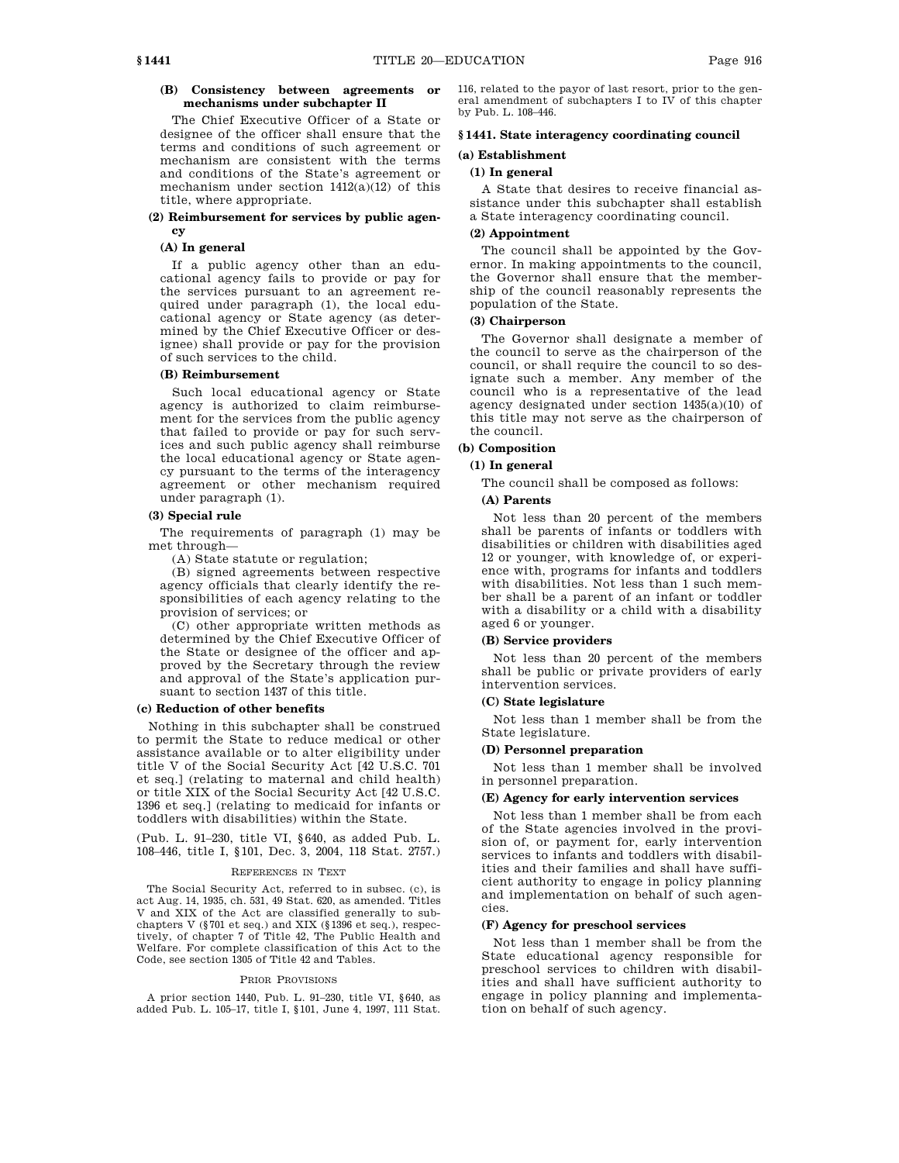# **(B) Consistency between agreements or mechanisms under subchapter II**

The Chief Executive Officer of a State or designee of the officer shall ensure that the terms and conditions of such agreement or mechanism are consistent with the terms and conditions of the State's agreement or mechanism under section  $1412(a)(12)$  of this title, where appropriate.

# **(2) Reimbursement for services by public agency**

# **(A) In general**

If a public agency other than an educational agency fails to provide or pay for the services pursuant to an agreement required under paragraph (1), the local educational agency or State agency (as determined by the Chief Executive Officer or designee) shall provide or pay for the provision of such services to the child.

#### **(B) Reimbursement**

Such local educational agency or State agency is authorized to claim reimbursement for the services from the public agency that failed to provide or pay for such services and such public agency shall reimburse the local educational agency or State agency pursuant to the terms of the interagency agreement or other mechanism required under paragraph (1).

# **(3) Special rule**

The requirements of paragraph (1) may be met through—

(A) State statute or regulation;

(B) signed agreements between respective agency officials that clearly identify the responsibilities of each agency relating to the provision of services; or

(C) other appropriate written methods as determined by the Chief Executive Officer of the State or designee of the officer and approved by the Secretary through the review and approval of the State's application pursuant to section 1437 of this title.

### **(c) Reduction of other benefits**

Nothing in this subchapter shall be construed to permit the State to reduce medical or other assistance available or to alter eligibility under title V of the Social Security Act [42 U.S.C. 701 et seq.] (relating to maternal and child health) or title XIX of the Social Security Act [42 U.S.C. 1396 et seq.] (relating to medicaid for infants or toddlers with disabilities) within the State.

(Pub. L. 91–230, title VI, §640, as added Pub. L. 108–446, title I, §101, Dec. 3, 2004, 118 Stat. 2757.)

#### REFERENCES IN TEXT

The Social Security Act, referred to in subsec. (c), is act Aug. 14, 1935, ch. 531, 49 Stat. 620, as amended. Titles V and XIX of the Act are classified generally to subchapters V (§701 et seq.) and XIX (§1396 et seq.), respectively, of chapter 7 of Title 42, The Public Health and Welfare. For complete classification of this Act to the Code, see section 1305 of Title 42 and Tables.

#### PRIOR PROVISIONS

A prior section 1440, Pub. L. 91–230, title VI, §640, as added Pub. L. 105–17, title I, §101, June 4, 1997, 111 Stat.

116, related to the payor of last resort, prior to the general amendment of subchapters I to IV of this chapter by Pub. L. 108–446.

# **§ 1441. State interagency coordinating council**

#### **(a) Establishment**

### **(1) In general**

A State that desires to receive financial assistance under this subchapter shall establish a State interagency coordinating council.

#### **(2) Appointment**

The council shall be appointed by the Governor. In making appointments to the council, the Governor shall ensure that the membership of the council reasonably represents the population of the State.

# **(3) Chairperson**

The Governor shall designate a member of the council to serve as the chairperson of the council, or shall require the council to so designate such a member. Any member of the council who is a representative of the lead agency designated under section 1435(a)(10) of this title may not serve as the chairperson of the council.

#### **(b) Composition**

#### **(1) In general**

The council shall be composed as follows:

# **(A) Parents**

Not less than 20 percent of the members shall be parents of infants or toddlers with disabilities or children with disabilities aged 12 or younger, with knowledge of, or experience with, programs for infants and toddlers with disabilities. Not less than 1 such member shall be a parent of an infant or toddler with a disability or a child with a disability aged 6 or younger.

# **(B) Service providers**

Not less than 20 percent of the members shall be public or private providers of early intervention services.

# **(C) State legislature**

Not less than 1 member shall be from the State legislature.

#### **(D) Personnel preparation**

Not less than 1 member shall be involved in personnel preparation.

# **(E) Agency for early intervention services**

Not less than 1 member shall be from each of the State agencies involved in the provision of, or payment for, early intervention services to infants and toddlers with disabilities and their families and shall have sufficient authority to engage in policy planning and implementation on behalf of such agencies.

#### **(F) Agency for preschool services**

Not less than 1 member shall be from the State educational agency responsible for preschool services to children with disabilities and shall have sufficient authority to engage in policy planning and implementation on behalf of such agency.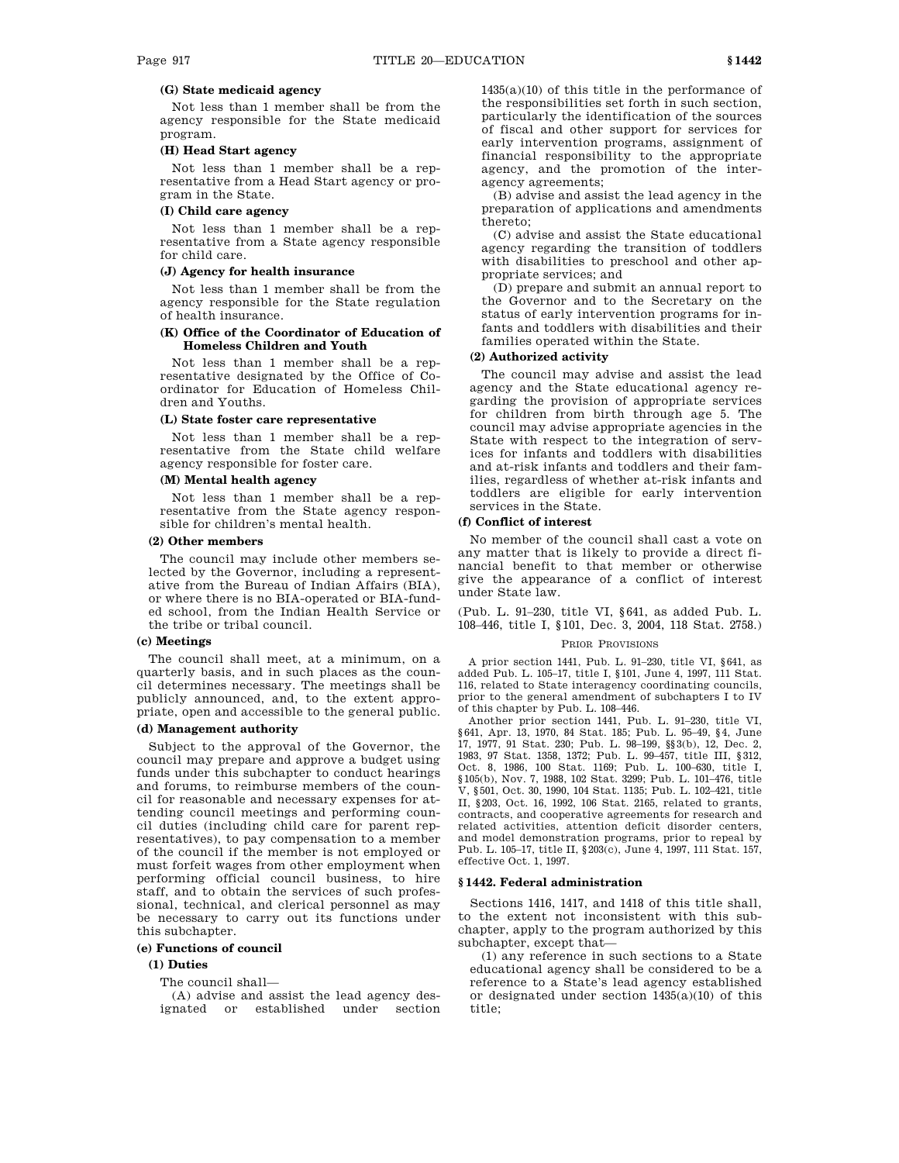# **(G) State medicaid agency**

Not less than 1 member shall be from the agency responsible for the State medicaid program.

#### **(H) Head Start agency**

Not less than 1 member shall be a representative from a Head Start agency or program in the State.

# **(I) Child care agency**

Not less than 1 member shall be a representative from a State agency responsible for child care.

# **(J) Agency for health insurance**

Not less than 1 member shall be from the agency responsible for the State regulation of health insurance.

### **(K) Office of the Coordinator of Education of Homeless Children and Youth**

Not less than 1 member shall be a representative designated by the Office of Coordinator for Education of Homeless Children and Youths.

# **(L) State foster care representative**

Not less than 1 member shall be a representative from the State child welfare agency responsible for foster care.

### **(M) Mental health agency**

Not less than 1 member shall be a representative from the State agency responsible for children's mental health.

### **(2) Other members**

The council may include other members selected by the Governor, including a representative from the Bureau of Indian Affairs (BIA), or where there is no BIA-operated or BIA-funded school, from the Indian Health Service or the tribe or tribal council.

#### **(c) Meetings**

The council shall meet, at a minimum, on a quarterly basis, and in such places as the council determines necessary. The meetings shall be publicly announced, and, to the extent appropriate, open and accessible to the general public.

# **(d) Management authority**

Subject to the approval of the Governor, the council may prepare and approve a budget using funds under this subchapter to conduct hearings and forums, to reimburse members of the council for reasonable and necessary expenses for attending council meetings and performing council duties (including child care for parent representatives), to pay compensation to a member of the council if the member is not employed or must forfeit wages from other employment when performing official council business, to hire staff, and to obtain the services of such professional, technical, and clerical personnel as may be necessary to carry out its functions under this subchapter.

#### **(e) Functions of council**

#### **(1) Duties**

The council shall—

(A) advise and assist the lead agency designated or established under section 1435(a)(10) of this title in the performance of the responsibilities set forth in such section, particularly the identification of the sources of fiscal and other support for services for early intervention programs, assignment of financial responsibility to the appropriate agency, and the promotion of the interagency agreements;

(B) advise and assist the lead agency in the preparation of applications and amendments thereto;

(C) advise and assist the State educational agency regarding the transition of toddlers with disabilities to preschool and other appropriate services; and

(D) prepare and submit an annual report to the Governor and to the Secretary on the status of early intervention programs for infants and toddlers with disabilities and their families operated within the State.

# **(2) Authorized activity**

The council may advise and assist the lead agency and the State educational agency regarding the provision of appropriate services for children from birth through age 5. The council may advise appropriate agencies in the State with respect to the integration of services for infants and toddlers with disabilities and at-risk infants and toddlers and their families, regardless of whether at-risk infants and toddlers are eligible for early intervention services in the State.

# **(f) Conflict of interest**

No member of the council shall cast a vote on any matter that is likely to provide a direct financial benefit to that member or otherwise give the appearance of a conflict of interest under State law.

(Pub. L. 91–230, title VI, §641, as added Pub. L. 108–446, title I, §101, Dec. 3, 2004, 118 Stat. 2758.)

### PRIOR PROVISIONS

A prior section 1441, Pub. L. 91–230, title VI, §641, as added Pub. L. 105–17, title I, §101, June 4, 1997, 111 Stat. 116, related to State interagency coordinating councils, prior to the general amendment of subchapters I to IV of this chapter by Pub. L. 108–446.

Another prior section 1441, Pub. L. 91–230, title VI, §641, Apr. 13, 1970, 84 Stat. 185; Pub. L. 95–49, §4, June 17, 1977, 91 Stat. 230; Pub. L. 98–199, §§3(b), 12, Dec. 2, 1983, 97 Stat. 1358, 1372; Pub. L. 99–457, title III, §312, Oct. 8, 1986, 100 Stat. 1169; Pub. L. 100–630, title I, §105(b), Nov. 7, 1988, 102 Stat. 3299; Pub. L. 101–476, title V, §501, Oct. 30, 1990, 104 Stat. 1135; Pub. L. 102–421, title II, §203, Oct. 16, 1992, 106 Stat. 2165, related to grants, contracts, and cooperative agreements for research and related activities, attention deficit disorder centers, and model demonstration programs, prior to repeal by Pub. L. 105–17, title II, §203(c), June 4, 1997, 111 Stat. 157, effective Oct. 1, 1997.

#### **§ 1442. Federal administration**

Sections 1416, 1417, and 1418 of this title shall, to the extent not inconsistent with this subchapter, apply to the program authorized by this subchapter, except that—

(1) any reference in such sections to a State educational agency shall be considered to be a reference to a State's lead agency established or designated under section 1435(a)(10) of this title;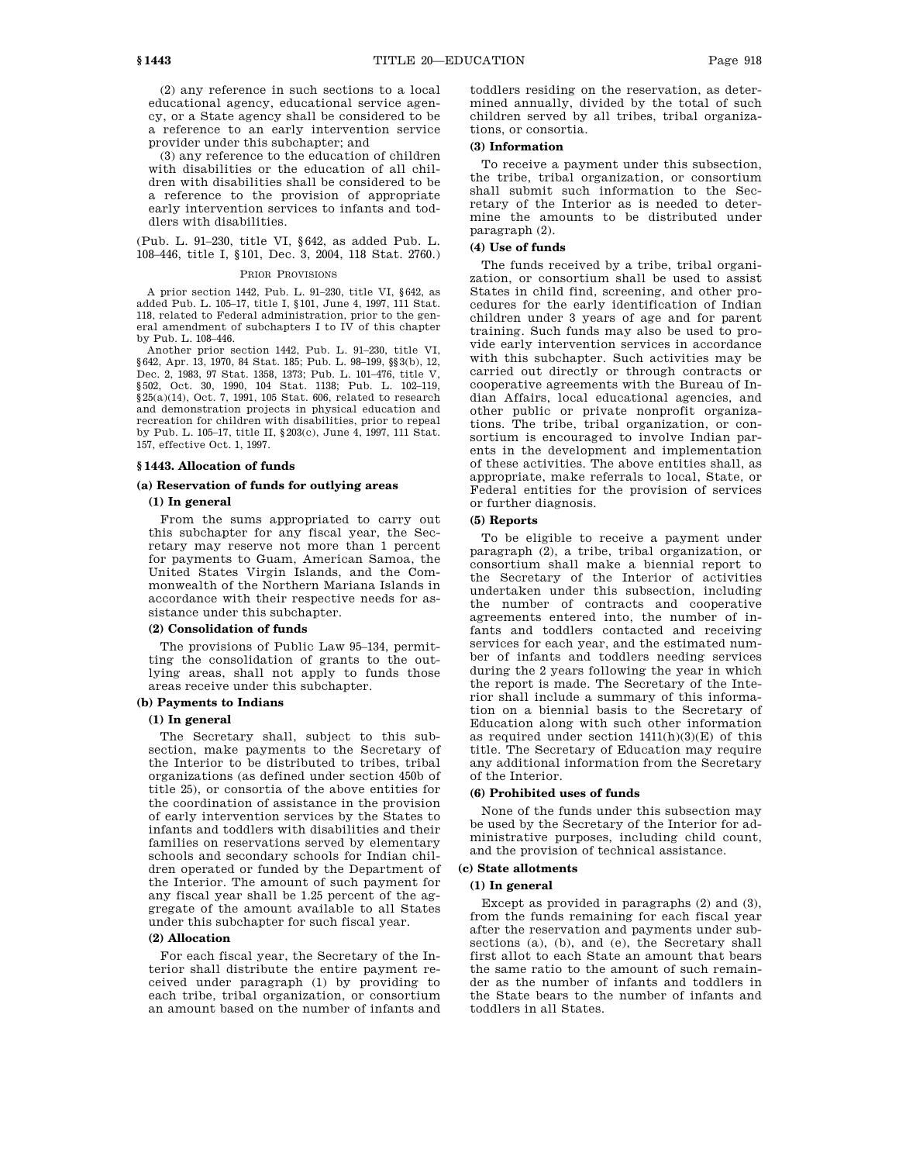(2) any reference in such sections to a local educational agency, educational service agency, or a State agency shall be considered to be a reference to an early intervention service provider under this subchapter; and

(3) any reference to the education of children with disabilities or the education of all children with disabilities shall be considered to be a reference to the provision of appropriate early intervention services to infants and toddlers with disabilities.

(Pub. L. 91–230, title VI, §642, as added Pub. L. 108–446, title I, §101, Dec. 3, 2004, 118 Stat. 2760.)

#### PRIOR PROVISIONS

A prior section 1442, Pub. L. 91–230, title VI, §642, as added Pub. L. 105–17, title I, §101, June 4, 1997, 111 Stat. 118, related to Federal administration, prior to the general amendment of subchapters I to IV of this chapter by Pub. L. 108–446.

Another prior section 1442, Pub. L. 91–230, title VI, §642, Apr. 13, 1970, 84 Stat. 185; Pub. L. 98–199, §§3(b), 12, Dec. 2, 1983, 97 Stat. 1358, 1373; Pub. L. 101–476, title V, §502, Oct. 30, 1990, 104 Stat. 1138; Pub. L. 102–119, §25(a)(14), Oct. 7, 1991, 105 Stat. 606, related to research and demonstration projects in physical education and recreation for children with disabilities, prior to repeal by Pub. L. 105–17, title II, §203(c), June 4, 1997, 111 Stat. 157, effective Oct. 1, 1997.

# **§ 1443. Allocation of funds**

# **(a) Reservation of funds for outlying areas**

#### **(1) In general**

From the sums appropriated to carry out this subchapter for any fiscal year, the Secretary may reserve not more than 1 percent for payments to Guam, American Samoa, the United States Virgin Islands, and the Commonwealth of the Northern Mariana Islands in accordance with their respective needs for assistance under this subchapter.

# **(2) Consolidation of funds**

The provisions of Public Law 95–134, permitting the consolidation of grants to the outlying areas, shall not apply to funds those areas receive under this subchapter.

# **(b) Payments to Indians**

#### **(1) In general**

The Secretary shall, subject to this subsection, make payments to the Secretary of the Interior to be distributed to tribes, tribal organizations (as defined under section 450b of title 25), or consortia of the above entities for the coordination of assistance in the provision of early intervention services by the States to infants and toddlers with disabilities and their families on reservations served by elementary schools and secondary schools for Indian children operated or funded by the Department of the Interior. The amount of such payment for any fiscal year shall be 1.25 percent of the aggregate of the amount available to all States under this subchapter for such fiscal year.

# **(2) Allocation**

For each fiscal year, the Secretary of the Interior shall distribute the entire payment received under paragraph (1) by providing to each tribe, tribal organization, or consortium an amount based on the number of infants and toddlers residing on the reservation, as determined annually, divided by the total of such children served by all tribes, tribal organizations, or consortia.

#### **(3) Information**

To receive a payment under this subsection, the tribe, tribal organization, or consortium shall submit such information to the Secretary of the Interior as is needed to determine the amounts to be distributed under paragraph (2).

# **(4) Use of funds**

The funds received by a tribe, tribal organization, or consortium shall be used to assist States in child find, screening, and other procedures for the early identification of Indian children under 3 years of age and for parent training. Such funds may also be used to provide early intervention services in accordance with this subchapter. Such activities may be carried out directly or through contracts or cooperative agreements with the Bureau of Indian Affairs, local educational agencies, and other public or private nonprofit organizations. The tribe, tribal organization, or consortium is encouraged to involve Indian parents in the development and implementation of these activities. The above entities shall, as appropriate, make referrals to local, State, or Federal entities for the provision of services or further diagnosis.

### **(5) Reports**

To be eligible to receive a payment under paragraph (2), a tribe, tribal organization, or consortium shall make a biennial report to the Secretary of the Interior of activities undertaken under this subsection, including the number of contracts and cooperative agreements entered into, the number of infants and toddlers contacted and receiving services for each year, and the estimated number of infants and toddlers needing services during the 2 years following the year in which the report is made. The Secretary of the Interior shall include a summary of this information on a biennial basis to the Secretary of Education along with such other information as required under section  $1411(h)(3)(E)$  of this title. The Secretary of Education may require any additional information from the Secretary of the Interior.

### **(6) Prohibited uses of funds**

None of the funds under this subsection may be used by the Secretary of the Interior for administrative purposes, including child count, and the provision of technical assistance.

### **(c) State allotments**

# **(1) In general**

Except as provided in paragraphs (2) and (3), from the funds remaining for each fiscal year after the reservation and payments under subsections (a), (b), and (e), the Secretary shall first allot to each State an amount that bears the same ratio to the amount of such remainder as the number of infants and toddlers in the State bears to the number of infants and toddlers in all States.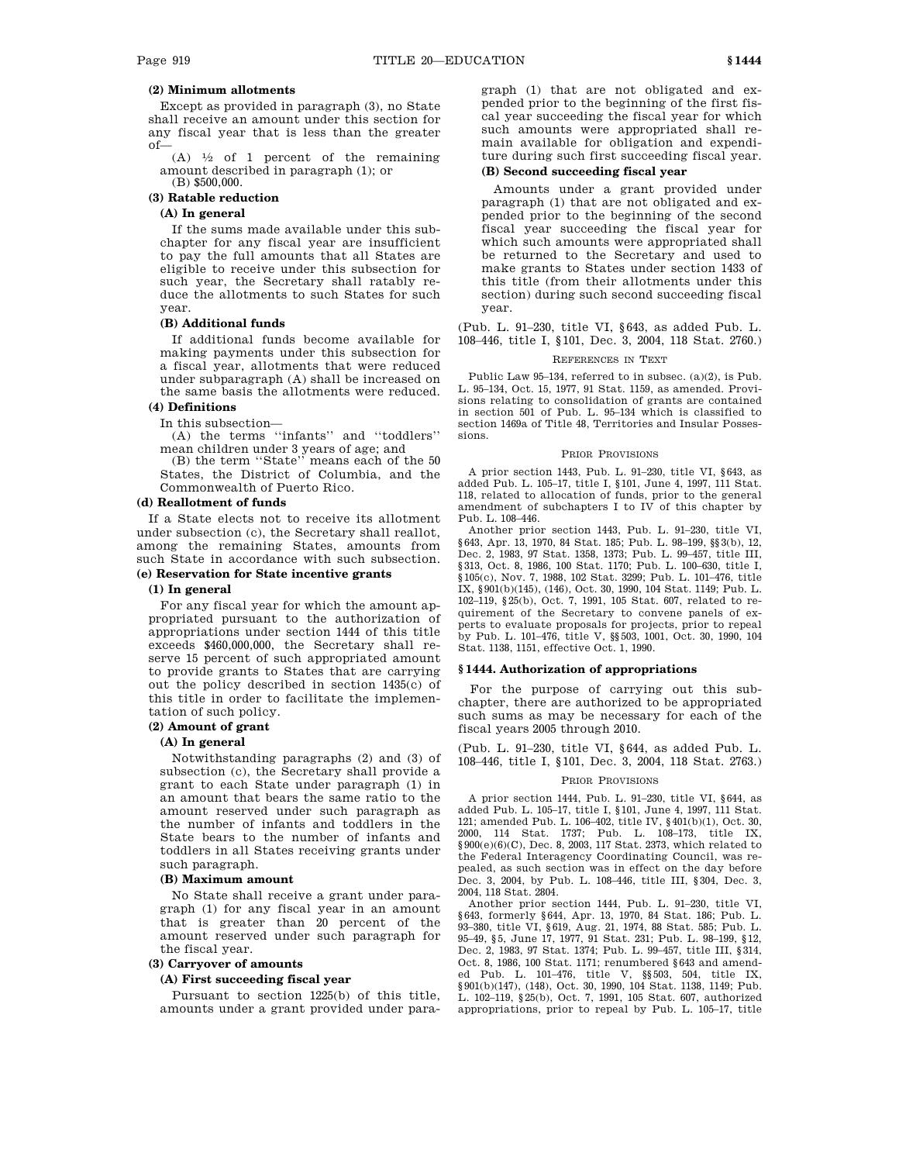# **(2) Minimum allotments**

Except as provided in paragraph (3), no State shall receive an amount under this section for any fiscal year that is less than the greater of—

 $(A)$  <sup>1/2</sup> of 1 percent of the remaining amount described in paragraph (1); or (B) \$500,000.

# **(3) Ratable reduction**

# **(A) In general**

If the sums made available under this subchapter for any fiscal year are insufficient to pay the full amounts that all States are eligible to receive under this subsection for such year, the Secretary shall ratably reduce the allotments to such States for such year.

# **(B) Additional funds**

If additional funds become available for making payments under this subsection for a fiscal year, allotments that were reduced under subparagraph (A) shall be increased on the same basis the allotments were reduced.

# **(4) Definitions**

In this subsection—

(A) the terms ''infants'' and ''toddlers'' mean children under 3 years of age; and

(B) the term ''State'' means each of the 50 States, the District of Columbia, and the Commonwealth of Puerto Rico.

# **(d) Reallotment of funds**

If a State elects not to receive its allotment under subsection (c), the Secretary shall reallot, among the remaining States, amounts from such State in accordance with such subsection.

# **(e) Reservation for State incentive grants**

# **(1) In general**

For any fiscal year for which the amount appropriated pursuant to the authorization of appropriations under section 1444 of this title exceeds \$460,000,000, the Secretary shall reserve 15 percent of such appropriated amount to provide grants to States that are carrying out the policy described in section 1435(c) of this title in order to facilitate the implementation of such policy.

#### **(2) Amount of grant**

# **(A) In general**

Notwithstanding paragraphs (2) and (3) of subsection (c), the Secretary shall provide a grant to each State under paragraph (1) in an amount that bears the same ratio to the amount reserved under such paragraph as the number of infants and toddlers in the State bears to the number of infants and toddlers in all States receiving grants under such paragraph.

### **(B) Maximum amount**

No State shall receive a grant under paragraph (1) for any fiscal year in an amount that is greater than 20 percent of the amount reserved under such paragraph for the fiscal year.

#### **(3) Carryover of amounts**

#### **(A) First succeeding fiscal year**

Pursuant to section 1225(b) of this title, amounts under a grant provided under paragraph (1) that are not obligated and expended prior to the beginning of the first fiscal year succeeding the fiscal year for which such amounts were appropriated shall remain available for obligation and expenditure during such first succeeding fiscal year. **(B) Second succeeding fiscal year**

Amounts under a grant provided under paragraph (1) that are not obligated and expended prior to the beginning of the second fiscal year succeeding the fiscal year for which such amounts were appropriated shall be returned to the Secretary and used to make grants to States under section 1433 of this title (from their allotments under this section) during such second succeeding fiscal year.

(Pub. L. 91–230, title VI, §643, as added Pub. L. 108–446, title I, §101, Dec. 3, 2004, 118 Stat. 2760.)

#### REFERENCES IN TEXT

Public Law 95–134, referred to in subsec. (a)(2), is Pub. L. 95–134, Oct. 15, 1977, 91 Stat. 1159, as amended. Provisions relating to consolidation of grants are contained in section 501 of Pub. L. 95–134 which is classified to section 1469a of Title 48, Territories and Insular Possessions.

#### PRIOR PROVISIONS

A prior section 1443, Pub. L. 91–230, title VI, §643, as added Pub. L. 105–17, title I, §101, June 4, 1997, 111 Stat. 118, related to allocation of funds, prior to the general amendment of subchapters I to IV of this chapter by Pub. L. 108–446.

Another prior section 1443, Pub. L. 91–230, title VI, §643, Apr. 13, 1970, 84 Stat. 185; Pub. L. 98–199, §§3(b), 12, Dec. 2, 1983, 97 Stat. 1358, 1373; Pub. L. 99–457, title III, §313, Oct. 8, 1986, 100 Stat. 1170; Pub. L. 100–630, title I, §105(c), Nov. 7, 1988, 102 Stat. 3299; Pub. L. 101–476, title IX, §901(b)(145), (146), Oct. 30, 1990, 104 Stat. 1149; Pub. L. 102–119, §25(b), Oct. 7, 1991, 105 Stat. 607, related to requirement of the Secretary to convene panels of experts to evaluate proposals for projects, prior to repeal by Pub. L. 101–476, title V, §§503, 1001, Oct. 30, 1990, 104 Stat. 1138, 1151, effective Oct. 1, 1990.

#### **§ 1444. Authorization of appropriations**

For the purpose of carrying out this subchapter, there are authorized to be appropriated such sums as may be necessary for each of the fiscal years 2005 through 2010.

(Pub. L. 91–230, title VI, §644, as added Pub. L. 108–446, title I, §101, Dec. 3, 2004, 118 Stat. 2763.)

#### PRIOR PROVISIONS

A prior section 1444, Pub. L. 91–230, title VI, §644, as added Pub. L. 105–17, title I, §101, June 4, 1997, 111 Stat. 121; amended Pub. L. 106–402, title IV, §401(b)(1), Oct. 30, 2000, 114 Stat. 1737; Pub. L. 108–173, title IX, §900(e)(6)(C), Dec. 8, 2003, 117 Stat. 2373, which related to the Federal Interagency Coordinating Council, was repealed, as such section was in effect on the day before Dec. 3, 2004, by Pub. L. 108–446, title III, §304, Dec. 3, 2004, 118 Stat. 2804.

Another prior section 1444, Pub. L. 91–230, title VI, §643, formerly §644, Apr. 13, 1970, 84 Stat. 186; Pub. L. 93–380, title VI, §619, Aug. 21, 1974, 88 Stat. 585; Pub. L. 95–49, §5, June 17, 1977, 91 Stat. 231; Pub. L. 98–199, §12, Dec. 2, 1983, 97 Stat. 1374; Pub. L. 99–457, title III, §314, Oct. 8, 1986, 100 Stat. 1171; renumbered §643 and amended Pub. L. 101–476, title V, §§503, 504, title IX, §901(b)(147), (148), Oct. 30, 1990, 104 Stat. 1138, 1149; Pub. L. 102–119, §25(b), Oct. 7, 1991, 105 Stat. 607, authorized appropriations, prior to repeal by Pub. L. 105–17, title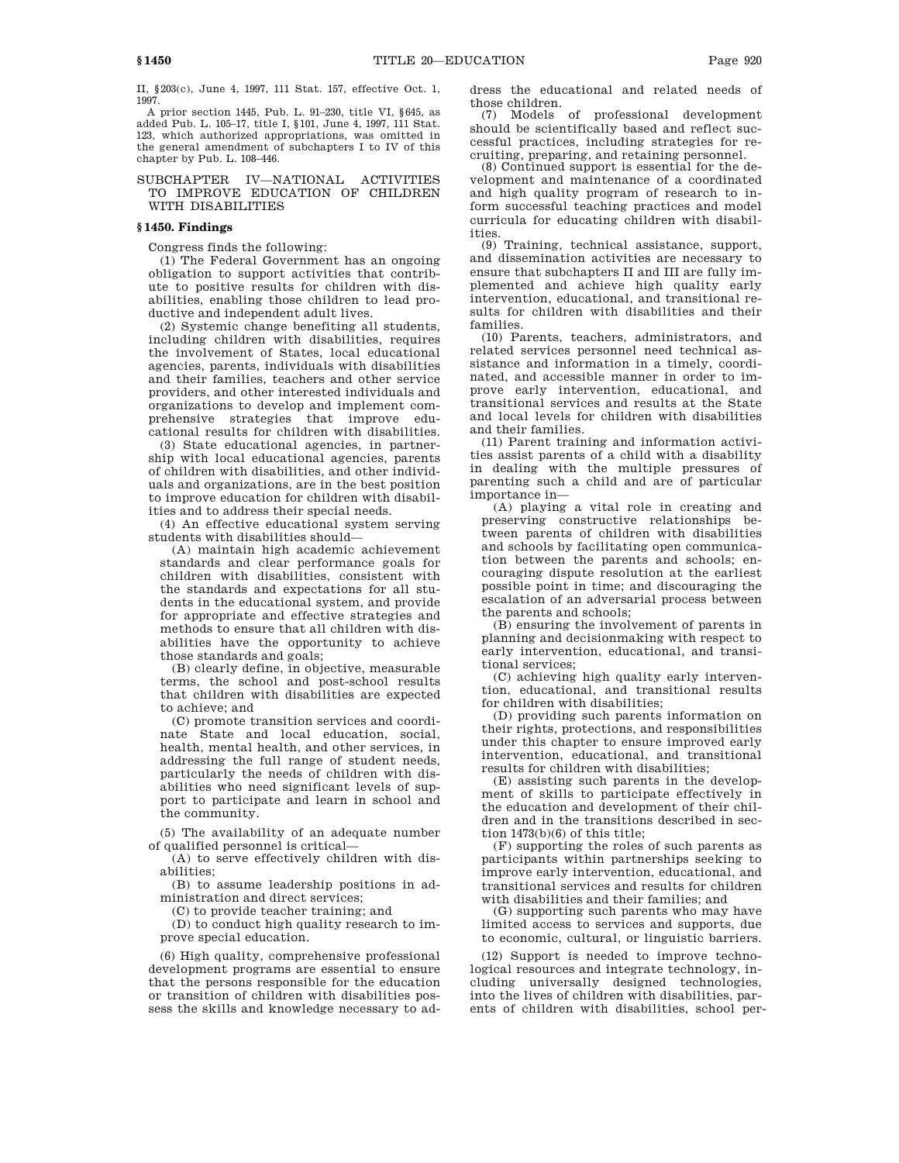II, §203(c), June 4, 1997, 111 Stat. 157, effective Oct. 1, 1997.

A prior section 1445, Pub. L. 91–230, title VI, §645, as added Pub. L. 105–17, title I, §101, June 4, 1997, 111 Stat. 123, which authorized appropriations, was omitted in the general amendment of subchapters I to IV of this chapter by Pub. L. 108–446.

SUBCHAPTER IV—NATIONAL ACTIVITIES TO IMPROVE EDUCATION OF CHILDREN WITH DISABILITIES

### **§ 1450. Findings**

Congress finds the following:

(1) The Federal Government has an ongoing obligation to support activities that contribute to positive results for children with disabilities, enabling those children to lead productive and independent adult lives.

(2) Systemic change benefiting all students, including children with disabilities, requires the involvement of States, local educational agencies, parents, individuals with disabilities and their families, teachers and other service providers, and other interested individuals and organizations to develop and implement comprehensive strategies that improve educational results for children with disabilities.

(3) State educational agencies, in partnership with local educational agencies, parents of children with disabilities, and other individuals and organizations, are in the best position to improve education for children with disabilities and to address their special needs.

(4) An effective educational system serving students with disabilities should—

(A) maintain high academic achievement standards and clear performance goals for children with disabilities, consistent with the standards and expectations for all students in the educational system, and provide for appropriate and effective strategies and methods to ensure that all children with disabilities have the opportunity to achieve those standards and goals;

(B) clearly define, in objective, measurable terms, the school and post-school results that children with disabilities are expected to achieve; and

(C) promote transition services and coordinate State and local education, social, health, mental health, and other services, in addressing the full range of student needs, particularly the needs of children with disabilities who need significant levels of support to participate and learn in school and the community.

(5) The availability of an adequate number of qualified personnel is critical—

(A) to serve effectively children with disabilities;

(B) to assume leadership positions in administration and direct services;

(C) to provide teacher training; and

(D) to conduct high quality research to improve special education.

(6) High quality, comprehensive professional development programs are essential to ensure that the persons responsible for the education or transition of children with disabilities possess the skills and knowledge necessary to address the educational and related needs of those children.

(7) Models of professional development should be scientifically based and reflect successful practices, including strategies for recruiting, preparing, and retaining personnel.

(8) Continued support is essential for the development and maintenance of a coordinated and high quality program of research to inform successful teaching practices and model curricula for educating children with disabilities.

(9) Training, technical assistance, support, and dissemination activities are necessary to ensure that subchapters II and III are fully implemented and achieve high quality early intervention, educational, and transitional results for children with disabilities and their families.

(10) Parents, teachers, administrators, and related services personnel need technical assistance and information in a timely, coordinated, and accessible manner in order to improve early intervention, educational, and transitional services and results at the State and local levels for children with disabilities and their families.

(11) Parent training and information activities assist parents of a child with a disability in dealing with the multiple pressures of parenting such a child and are of particular importance in—

(A) playing a vital role in creating and preserving constructive relationships between parents of children with disabilities and schools by facilitating open communication between the parents and schools; encouraging dispute resolution at the earliest possible point in time; and discouraging the escalation of an adversarial process between the parents and schools;

(B) ensuring the involvement of parents in planning and decisionmaking with respect to early intervention, educational, and transitional services;

(C) achieving high quality early intervention, educational, and transitional results for children with disabilities;

(D) providing such parents information on their rights, protections, and responsibilities under this chapter to ensure improved early intervention, educational, and transitional results for children with disabilities;

(E) assisting such parents in the development of skills to participate effectively in the education and development of their children and in the transitions described in section 1473(b)(6) of this title;

(F) supporting the roles of such parents as participants within partnerships seeking to improve early intervention, educational, and transitional services and results for children with disabilities and their families; and

(G) supporting such parents who may have limited access to services and supports, due to economic, cultural, or linguistic barriers.

(12) Support is needed to improve technological resources and integrate technology, including universally designed technologies, into the lives of children with disabilities, parents of children with disabilities, school per-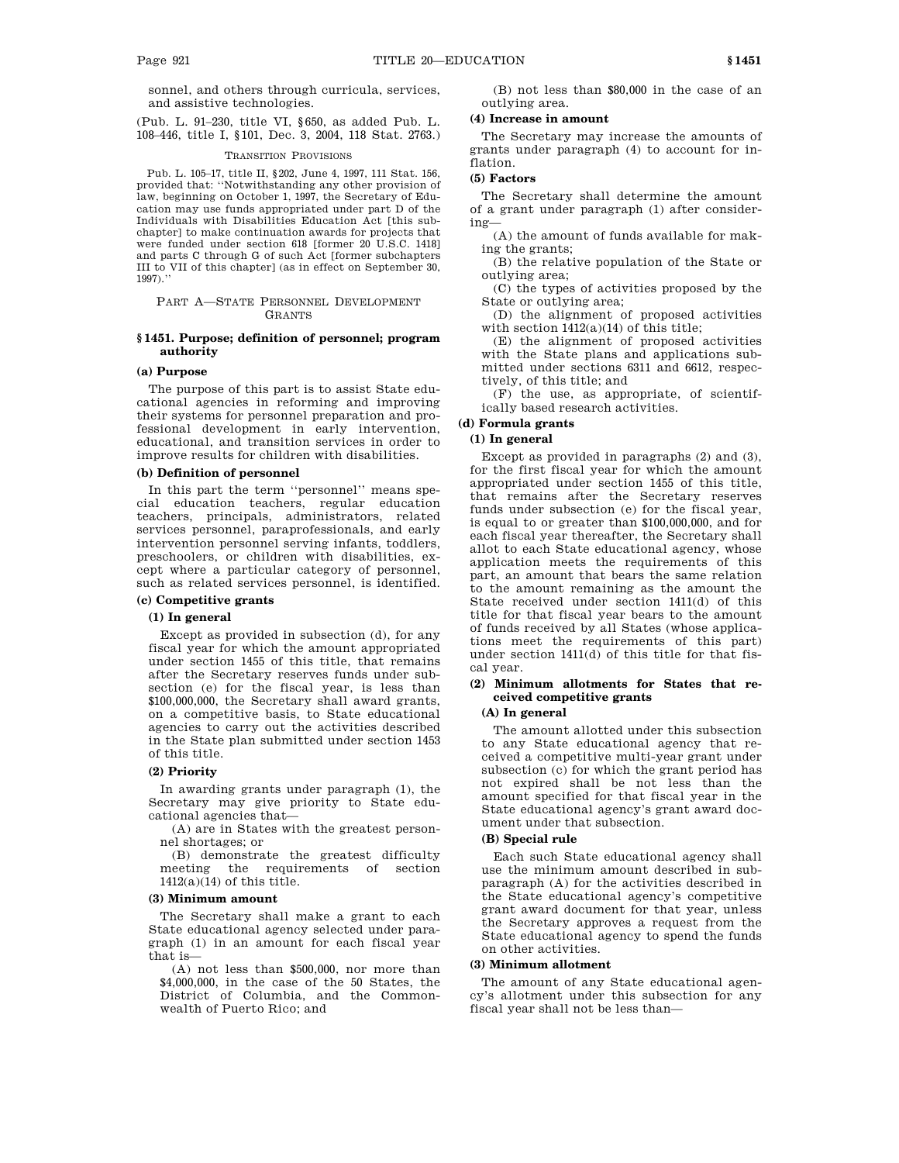(Pub. L. 91–230, title VI, §650, as added Pub. L. 108–446, title I, §101, Dec. 3, 2004, 118 Stat. 2763.)

#### TRANSITION PROVISIONS

Pub. L. 105–17, title II, §202, June 4, 1997, 111 Stat. 156, provided that: ''Notwithstanding any other provision of law, beginning on October 1, 1997, the Secretary of Education may use funds appropriated under part D of the Individuals with Disabilities Education Act [this subchapter] to make continuation awards for projects that were funded under section 618 [former 20 U.S.C. 1418] and parts C through G of such Act [former subchapters III to VII of this chapter] (as in effect on September 30, 1997).''

### PART A—STATE PERSONNEL DEVELOPMENT **GRANTS**

### **§ 1451. Purpose; definition of personnel; program authority**

#### **(a) Purpose**

The purpose of this part is to assist State educational agencies in reforming and improving their systems for personnel preparation and professional development in early intervention, educational, and transition services in order to improve results for children with disabilities.

### **(b) Definition of personnel**

In this part the term ''personnel'' means special education teachers, regular education teachers, principals, administrators, related services personnel, paraprofessionals, and early intervention personnel serving infants, toddlers, preschoolers, or children with disabilities, except where a particular category of personnel, such as related services personnel, is identified.

# **(c) Competitive grants**

# **(1) In general**

Except as provided in subsection (d), for any fiscal year for which the amount appropriated under section 1455 of this title, that remains after the Secretary reserves funds under subsection (e) for the fiscal year, is less than \$100,000,000, the Secretary shall award grants, on a competitive basis, to State educational agencies to carry out the activities described in the State plan submitted under section 1453 of this title.

#### **(2) Priority**

In awarding grants under paragraph (1), the Secretary may give priority to State educational agencies that—

(A) are in States with the greatest personnel shortages; or

(B) demonstrate the greatest difficulty<br>eeting the requirements of section meeting the requirements  $1412(a)(14)$  of this title.

#### **(3) Minimum amount**

The Secretary shall make a grant to each State educational agency selected under paragraph (1) in an amount for each fiscal year that is—

(A) not less than \$500,000, nor more than \$4,000,000, in the case of the 50 States, the District of Columbia, and the Commonwealth of Puerto Rico; and

(B) not less than \$80,000 in the case of an outlying area.

### **(4) Increase in amount**

The Secretary may increase the amounts of grants under paragraph (4) to account for inflation.

## **(5) Factors**

The Secretary shall determine the amount of a grant under paragraph (1) after considering—

(A) the amount of funds available for making the grants;

(B) the relative population of the State or outlying area;

(C) the types of activities proposed by the State or outlying area;

(D) the alignment of proposed activities with section 1412(a)(14) of this title;

(E) the alignment of proposed activities with the State plans and applications submitted under sections 6311 and 6612, respectively, of this title; and

(F) the use, as appropriate, of scientifically based research activities.

# **(d) Formula grants**

# **(1) In general**

Except as provided in paragraphs (2) and (3), for the first fiscal year for which the amount appropriated under section 1455 of this title, that remains after the Secretary reserves funds under subsection (e) for the fiscal year, is equal to or greater than \$100,000,000, and for each fiscal year thereafter, the Secretary shall allot to each State educational agency, whose application meets the requirements of this part, an amount that bears the same relation to the amount remaining as the amount the State received under section 1411(d) of this title for that fiscal year bears to the amount of funds received by all States (whose applications meet the requirements of this part) under section 1411(d) of this title for that fiscal year.

# **(2) Minimum allotments for States that received competitive grants**

### **(A) In general**

The amount allotted under this subsection to any State educational agency that received a competitive multi-year grant under subsection (c) for which the grant period has not expired shall be not less than the amount specified for that fiscal year in the State educational agency's grant award document under that subsection.

#### **(B) Special rule**

Each such State educational agency shall use the minimum amount described in subparagraph (A) for the activities described in the State educational agency's competitive grant award document for that year, unless the Secretary approves a request from the State educational agency to spend the funds on other activities.

#### **(3) Minimum allotment**

The amount of any State educational agency's allotment under this subsection for any fiscal year shall not be less than—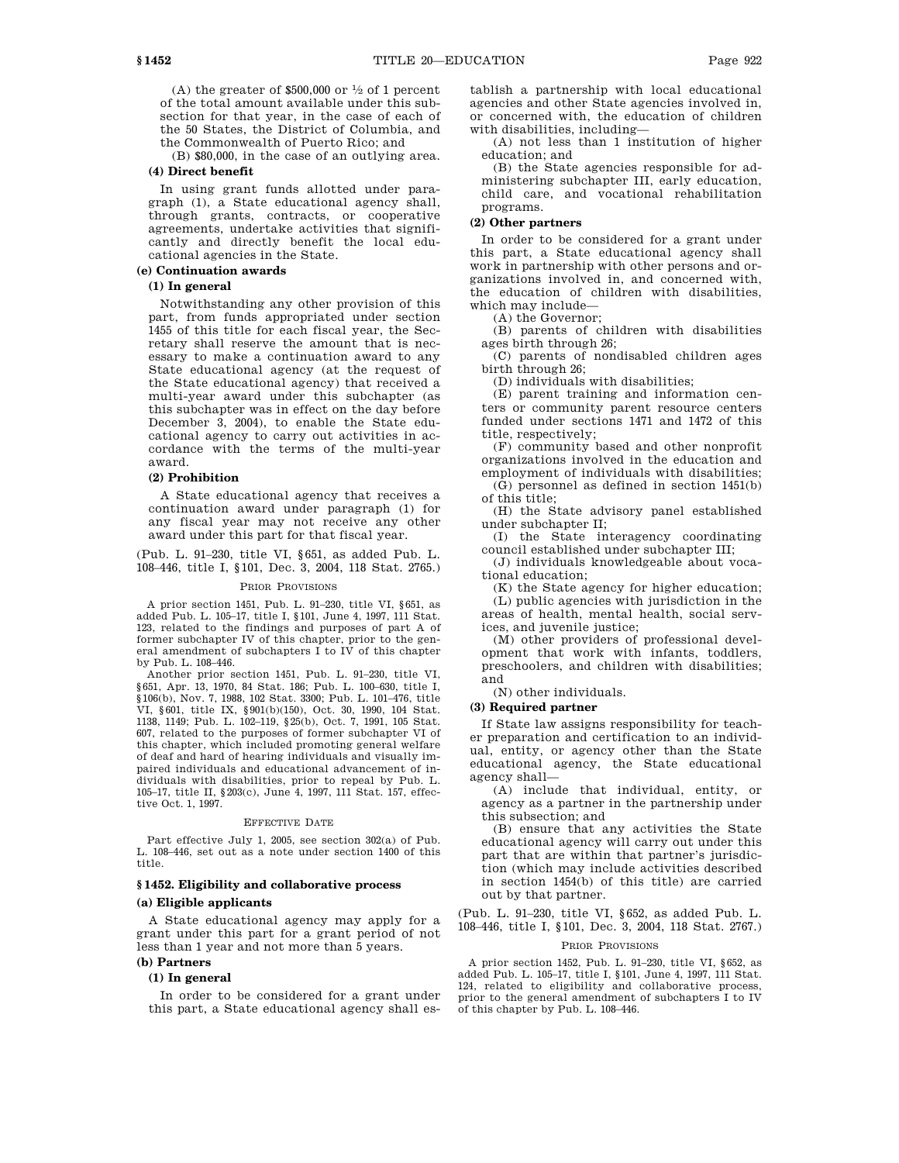(A) the greater of \$500,000 or  $\frac{1}{2}$  of 1 percent of the total amount available under this subsection for that year, in the case of each of the 50 States, the District of Columbia, and the Commonwealth of Puerto Rico; and

(B) \$80,000, in the case of an outlying area.

# **(4) Direct benefit**

In using grant funds allotted under paragraph (1), a State educational agency shall, through grants, contracts, or cooperative agreements, undertake activities that significantly and directly benefit the local educational agencies in the State.

### **(e) Continuation awards**

### **(1) In general**

Notwithstanding any other provision of this part, from funds appropriated under section 1455 of this title for each fiscal year, the Secretary shall reserve the amount that is necessary to make a continuation award to any State educational agency (at the request of the State educational agency) that received a multi-year award under this subchapter (as this subchapter was in effect on the day before December 3, 2004), to enable the State educational agency to carry out activities in accordance with the terms of the multi-year award.

### **(2) Prohibition**

A State educational agency that receives a continuation award under paragraph (1) for any fiscal year may not receive any other award under this part for that fiscal year.

(Pub. L. 91–230, title VI, §651, as added Pub. L. 108–446, title I, §101, Dec. 3, 2004, 118 Stat. 2765.)

#### PRIOR PROVISIONS

A prior section 1451, Pub. L. 91–230, title VI, §651, as added Pub. L. 105–17, title I, §101, June 4, 1997, 111 Stat. 123, related to the findings and purposes of part A of former subchapter IV of this chapter, prior to the general amendment of subchapters I to IV of this chapter by Pub. L. 108–446.

Another prior section 1451, Pub. L. 91–230, title VI, §651, Apr. 13, 1970, 84 Stat. 186; Pub. L. 100–630, title I, §106(b), Nov. 7, 1988, 102 Stat. 3300; Pub. L. 101–476, title VI, §601, title IX, §901(b)(150), Oct. 30, 1990, 104 Stat. 1138, 1149; Pub. L. 102–119, §25(b), Oct. 7, 1991, 105 Stat. 607, related to the purposes of former subchapter VI of this chapter, which included promoting general welfare of deaf and hard of hearing individuals and visually impaired individuals and educational advancement of individuals with disabilities, prior to repeal by Pub. L. 105–17, title II, §203(c), June 4, 1997, 111 Stat. 157, effective Oct. 1, 1997.

### EFFECTIVE DATE

Part effective July 1, 2005, see section 302(a) of Pub. L. 108–446, set out as a note under section 1400 of this title.

#### **§ 1452. Eligibility and collaborative process**

#### **(a) Eligible applicants**

A State educational agency may apply for a grant under this part for a grant period of not less than 1 year and not more than 5 years.

# **(b) Partners**

# **(1) In general**

In order to be considered for a grant under this part, a State educational agency shall establish a partnership with local educational agencies and other State agencies involved in, or concerned with, the education of children with disabilities, including—

(A) not less than 1 institution of higher education; and

(B) the State agencies responsible for administering subchapter III, early education, child care, and vocational rehabilitation programs.

# **(2) Other partners**

In order to be considered for a grant under this part, a State educational agency shall work in partnership with other persons and organizations involved in, and concerned with, the education of children with disabilities, which may include—

(A) the Governor;

(B) parents of children with disabilities ages birth through 26;

(C) parents of nondisabled children ages birth through 26;

(D) individuals with disabilities;

(E) parent training and information centers or community parent resource centers funded under sections 1471 and 1472 of this title, respectively;

(F) community based and other nonprofit organizations involved in the education and employment of individuals with disabilities; (G) personnel as defined in section 1451(b)

of this title; (H) the State advisory panel established

under subchapter II; (I) the State interagency coordinating

council established under subchapter III; (J) individuals knowledgeable about voca-

tional education;

(K) the State agency for higher education; (L) public agencies with jurisdiction in the areas of health, mental health, social services, and juvenile justice;

(M) other providers of professional development that work with infants, toddlers, preschoolers, and children with disabilities; and

(N) other individuals.

### **(3) Required partner**

If State law assigns responsibility for teacher preparation and certification to an individual, entity, or agency other than the State educational agency, the State educational agency shall—

(A) include that individual, entity, or agency as a partner in the partnership under this subsection; and

(B) ensure that any activities the State educational agency will carry out under this part that are within that partner's jurisdiction (which may include activities described in section 1454(b) of this title) are carried out by that partner.

(Pub. L. 91–230, title VI, §652, as added Pub. L. 108–446, title I, §101, Dec. 3, 2004, 118 Stat. 2767.)

### PRIOR PROVISIONS

A prior section 1452, Pub. L. 91–230, title VI, §652, as added Pub. L. 105–17, title I, §101, June 4, 1997, 111 Stat. 124, related to eligibility and collaborative process, prior to the general amendment of subchapters I to IV of this chapter by Pub. L. 108–446.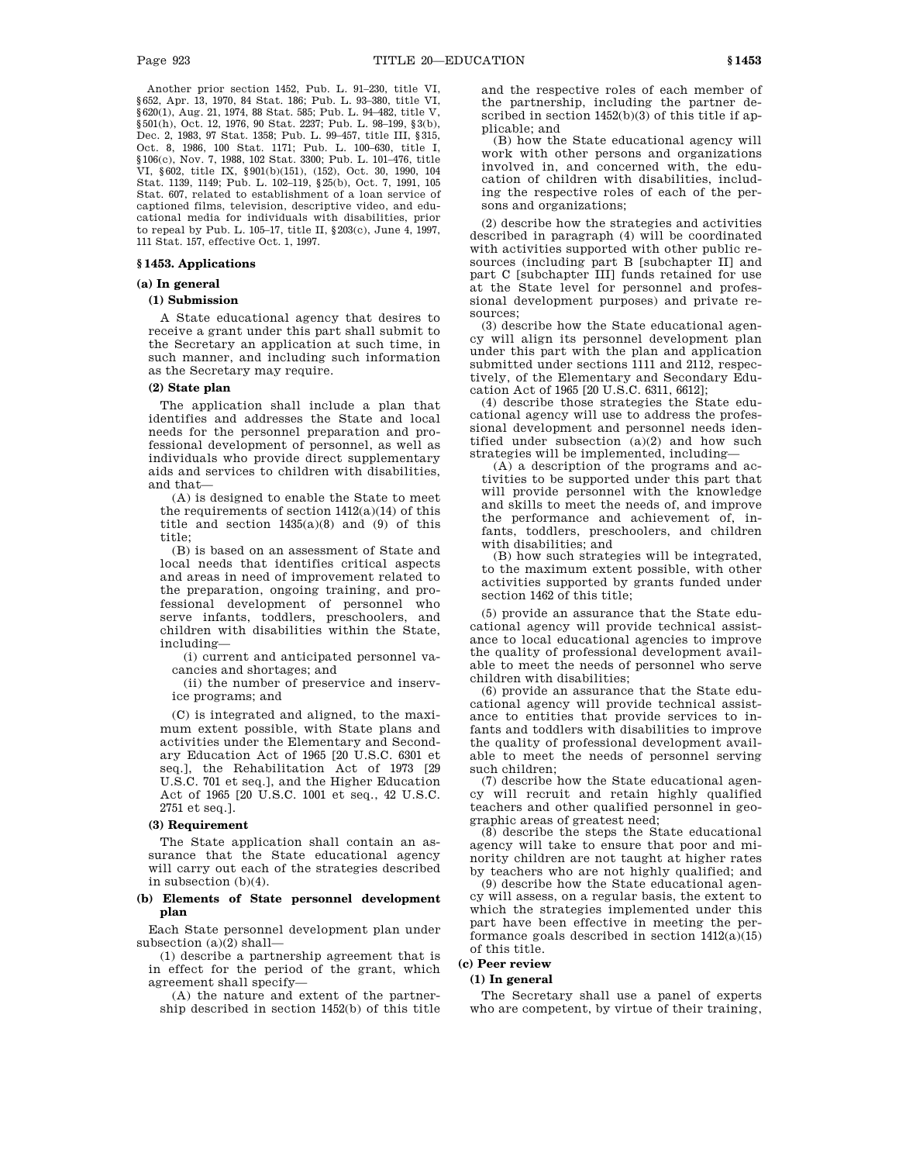Another prior section 1452, Pub. L. 91–230, title VI, §652, Apr. 13, 1970, 84 Stat. 186; Pub. L. 93–380, title VI, §620(1), Aug. 21, 1974, 88 Stat. 585; Pub. L. 94–482, title V, §501(h), Oct. 12, 1976, 90 Stat. 2237; Pub. L. 98–199, §3(b), Dec. 2, 1983, 97 Stat. 1358; Pub. L. 99–457, title III, §315, Oct. 8, 1986, 100 Stat. 1171; Pub. L. 100–630, title I, §106(c), Nov. 7, 1988, 102 Stat. 3300; Pub. L. 101–476, title VI, §602, title IX, §901(b)(151), (152), Oct. 30, 1990, 104 Stat. 1139, 1149; Pub. L. 102–119, §25(b), Oct. 7, 1991, 105 Stat. 607, related to establishment of a loan service of captioned films, television, descriptive video, and educational media for individuals with disabilities, prior to repeal by Pub. L. 105–17, title II, §203(c), June 4, 1997, 111 Stat. 157, effective Oct. 1, 1997.

#### **§ 1453. Applications**

# **(a) In general**

### **(1) Submission**

A State educational agency that desires to receive a grant under this part shall submit to the Secretary an application at such time, in such manner, and including such information as the Secretary may require.

# **(2) State plan**

The application shall include a plan that identifies and addresses the State and local needs for the personnel preparation and professional development of personnel, as well as individuals who provide direct supplementary aids and services to children with disabilities, and that—

(A) is designed to enable the State to meet the requirements of section  $1412(a)(14)$  of this title and section 1435(a)(8) and (9) of this title;

(B) is based on an assessment of State and local needs that identifies critical aspects and areas in need of improvement related to the preparation, ongoing training, and professional development of personnel who serve infants, toddlers, preschoolers, and children with disabilities within the State, including—

(i) current and anticipated personnel vacancies and shortages; and

(ii) the number of preservice and inservice programs; and

(C) is integrated and aligned, to the maximum extent possible, with State plans and activities under the Elementary and Secondary Education Act of 1965 [20 U.S.C. 6301 et seq.], the Rehabilitation Act of 1973 [29 U.S.C. 701 et seq.], and the Higher Education Act of 1965 [20 U.S.C. 1001 et seq., 42 U.S.C. 2751 et seq.].

#### **(3) Requirement**

The State application shall contain an assurance that the State educational agency will carry out each of the strategies described in subsection (b)(4).

#### **(b) Elements of State personnel development plan**

Each State personnel development plan under subsection (a)(2) shall—

(1) describe a partnership agreement that is in effect for the period of the grant, which agreement shall specify—

(A) the nature and extent of the partnership described in section 1452(b) of this title and the respective roles of each member of the partnership, including the partner described in section  $1452(b)(3)$  of this title if applicable; and

(B) how the State educational agency will work with other persons and organizations involved in, and concerned with, the education of children with disabilities, including the respective roles of each of the persons and organizations;

(2) describe how the strategies and activities described in paragraph (4) will be coordinated with activities supported with other public resources (including part B [subchapter II] and part C [subchapter III] funds retained for use at the State level for personnel and professional development purposes) and private resources;

(3) describe how the State educational agency will align its personnel development plan under this part with the plan and application submitted under sections 1111 and 2112, respectively, of the Elementary and Secondary Education Act of 1965 [20 U.S.C. 6311, 6612];

(4) describe those strategies the State educational agency will use to address the professional development and personnel needs identified under subsection (a)(2) and how such strategies will be implemented, including—

(A) a description of the programs and activities to be supported under this part that will provide personnel with the knowledge and skills to meet the needs of, and improve the performance and achievement of, infants, toddlers, preschoolers, and children with disabilities; and

(B) how such strategies will be integrated, to the maximum extent possible, with other activities supported by grants funded under section 1462 of this title;

(5) provide an assurance that the State educational agency will provide technical assistance to local educational agencies to improve the quality of professional development available to meet the needs of personnel who serve children with disabilities;

(6) provide an assurance that the State educational agency will provide technical assistance to entities that provide services to infants and toddlers with disabilities to improve the quality of professional development available to meet the needs of personnel serving such children;

(7) describe how the State educational agency will recruit and retain highly qualified teachers and other qualified personnel in geographic areas of greatest need;

(8) describe the steps the State educational agency will take to ensure that poor and minority children are not taught at higher rates by teachers who are not highly qualified; and

(9) describe how the State educational agency will assess, on a regular basis, the extent to which the strategies implemented under this part have been effective in meeting the performance goals described in section  $1412(a)(15)$ of this title.

### **(c) Peer review**

### **(1) In general**

The Secretary shall use a panel of experts who are competent, by virtue of their training,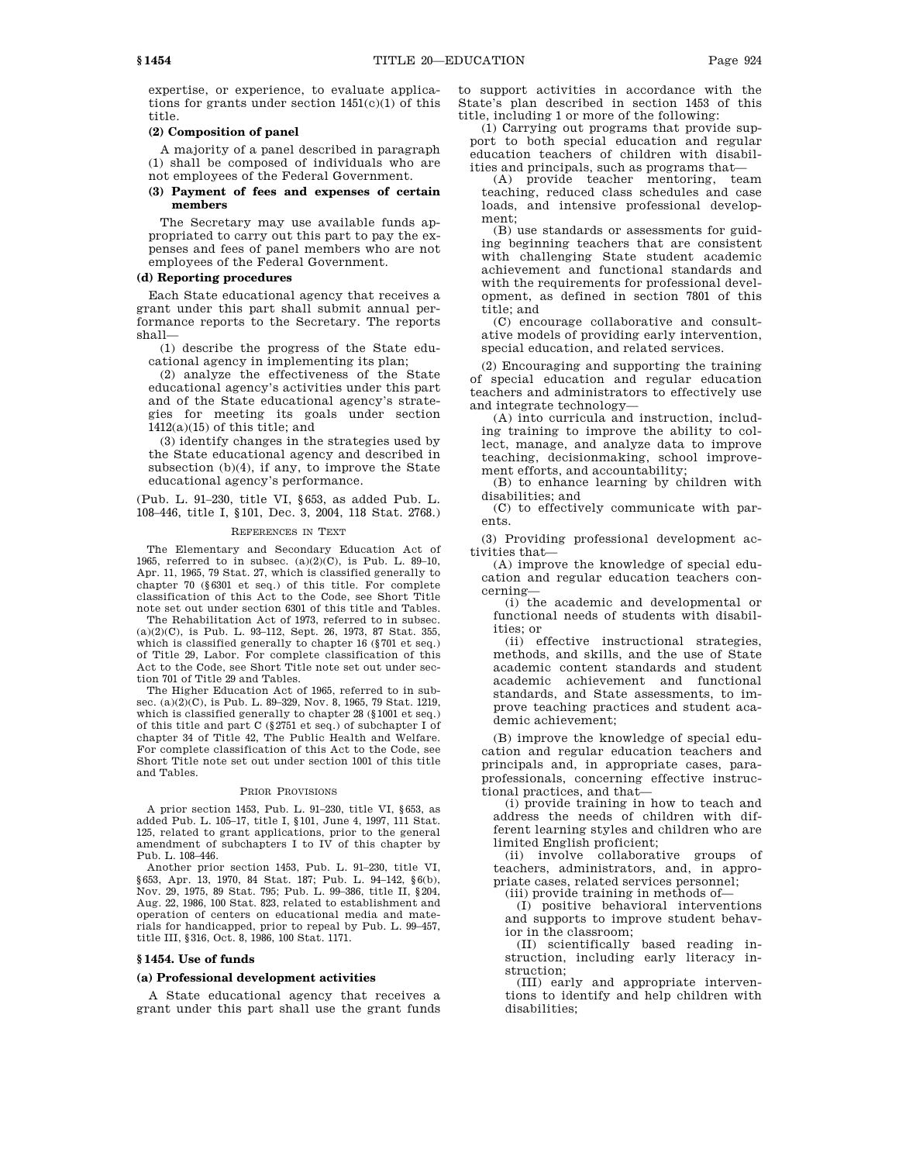expertise, or experience, to evaluate applications for grants under section  $1451(c)(1)$  of this title.

#### **(2) Composition of panel**

A majority of a panel described in paragraph (1) shall be composed of individuals who are not employees of the Federal Government.

### **(3) Payment of fees and expenses of certain members**

The Secretary may use available funds appropriated to carry out this part to pay the expenses and fees of panel members who are not employees of the Federal Government.

#### **(d) Reporting procedures**

Each State educational agency that receives a grant under this part shall submit annual performance reports to the Secretary. The reports shall—

(1) describe the progress of the State educational agency in implementing its plan;

(2) analyze the effectiveness of the State educational agency's activities under this part and of the State educational agency's strategies for meeting its goals under section 1412(a)(15) of this title; and

(3) identify changes in the strategies used by the State educational agency and described in subsection (b)(4), if any, to improve the State educational agency's performance.

(Pub. L. 91–230, title VI, §653, as added Pub. L. 108–446, title I, §101, Dec. 3, 2004, 118 Stat. 2768.)

# REFERENCES IN TEXT

The Elementary and Secondary Education Act of 1965, referred to in subsec.  $(a)(2)(C)$ , is Pub. L. 89-10, Apr. 11, 1965, 79 Stat. 27, which is classified generally to chapter 70 (§6301 et seq.) of this title. For complete classification of this Act to the Code, see Short Title note set out under section 6301 of this title and Tables.

The Rehabilitation Act of 1973, referred to in subsec. (a)(2)(C), is Pub. L. 93–112, Sept. 26, 1973, 87 Stat. 355, which is classified generally to chapter 16 (§701 et seq.) of Title 29, Labor. For complete classification of this Act to the Code, see Short Title note set out under section 701 of Title 29 and Tables.

The Higher Education Act of 1965, referred to in subsec. (a)(2)(C), is Pub. L. 89–329, Nov. 8, 1965, 79 Stat. 1219, which is classified generally to chapter 28 (§1001 et seq.) of this title and part C (§2751 et seq.) of subchapter I of chapter 34 of Title 42, The Public Health and Welfare. For complete classification of this Act to the Code, see Short Title note set out under section 1001 of this title and Tables.

### PRIOR PROVISIONS

A prior section 1453, Pub. L. 91–230, title VI, §653, as added Pub. L. 105–17, title I, §101, June 4, 1997, 111 Stat. 125, related to grant applications, prior to the general amendment of subchapters I to  $I\bar{V}$  of this chapter by Pub. L. 108–446.

Another prior section 1453, Pub. L. 91–230, title VI, §653, Apr. 13, 1970, 84 Stat. 187; Pub. L. 94–142, §6(b), Nov. 29, 1975, 89 Stat. 795; Pub. L. 99–386, title II, §204, Aug. 22, 1986, 100 Stat. 823, related to establishment and operation of centers on educational media and materials for handicapped, prior to repeal by Pub. L. 99–457, title III, §316, Oct. 8, 1986, 100 Stat. 1171.

### **§ 1454. Use of funds**

#### **(a) Professional development activities**

A State educational agency that receives a grant under this part shall use the grant funds to support activities in accordance with the State's plan described in section 1453 of this title, including 1 or more of the following:

(1) Carrying out programs that provide support to both special education and regular education teachers of children with disabilities and principals, such as programs that—

(A) provide teacher mentoring, team teaching, reduced class schedules and case loads, and intensive professional development;

(B) use standards or assessments for guiding beginning teachers that are consistent with challenging State student academic achievement and functional standards and with the requirements for professional development, as defined in section 7801 of this title; and

(C) encourage collaborative and consultative models of providing early intervention, special education, and related services.

(2) Encouraging and supporting the training of special education and regular education teachers and administrators to effectively use and integrate technology—

(A) into curricula and instruction, including training to improve the ability to collect, manage, and analyze data to improve teaching, decisionmaking, school improvement efforts, and accountability;

(B) to enhance learning by children with disabilities; and

(C) to effectively communicate with parents.

(3) Providing professional development activities that—

(A) improve the knowledge of special education and regular education teachers concerning—

(i) the academic and developmental or functional needs of students with disabilities; or

(ii) effective instructional strategies, methods, and skills, and the use of State academic content standards and student academic achievement and functional standards, and State assessments, to improve teaching practices and student academic achievement;

(B) improve the knowledge of special education and regular education teachers and principals and, in appropriate cases, paraprofessionals, concerning effective instructional practices, and that—

(i) provide training in how to teach and address the needs of children with different learning styles and children who are limited English proficient;

(ii) involve collaborative groups of teachers, administrators, and, in appropriate cases, related services personnel;

(iii) provide training in methods of—

(I) positive behavioral interventions and supports to improve student behavior in the classroom;

(II) scientifically based reading instruction, including early literacy instruction;

(III) early and appropriate interventions to identify and help children with disabilities;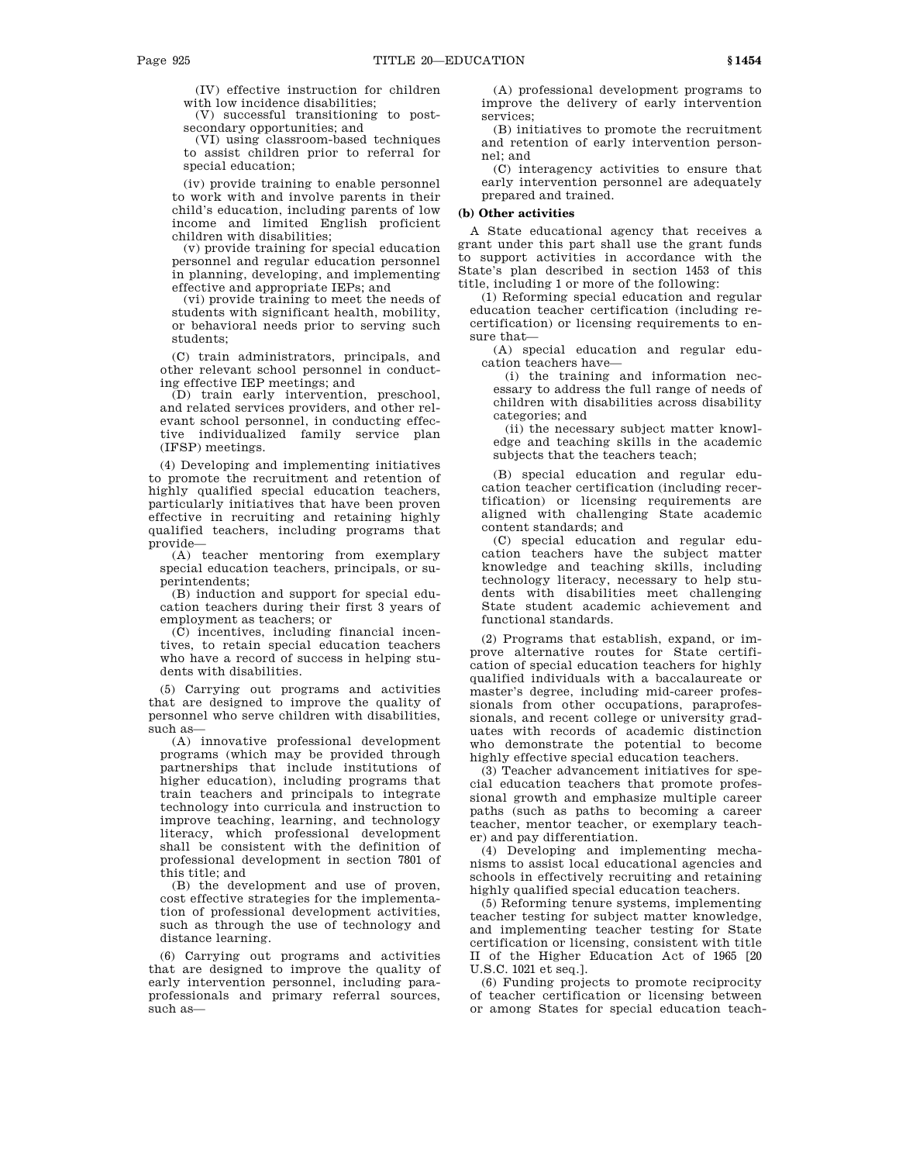(IV) effective instruction for children with low incidence disabilities;

(V) successful transitioning to postsecondary opportunities; and

(VI) using classroom-based techniques to assist children prior to referral for special education;

(iv) provide training to enable personnel to work with and involve parents in their child's education, including parents of low income and limited English proficient children with disabilities;

(v) provide training for special education personnel and regular education personnel in planning, developing, and implementing effective and appropriate IEPs; and

(vi) provide training to meet the needs of students with significant health, mobility, or behavioral needs prior to serving such students;

(C) train administrators, principals, and other relevant school personnel in conducting effective IEP meetings; and

(D) train early intervention, preschool, and related services providers, and other relevant school personnel, in conducting effective individualized family service plan (IFSP) meetings.

(4) Developing and implementing initiatives to promote the recruitment and retention of highly qualified special education teachers, particularly initiatives that have been proven effective in recruiting and retaining highly qualified teachers, including programs that provide—

(A) teacher mentoring from exemplary special education teachers, principals, or superintendents;

(B) induction and support for special education teachers during their first 3 years of employment as teachers; or

(C) incentives, including financial incentives, to retain special education teachers who have a record of success in helping students with disabilities.

(5) Carrying out programs and activities that are designed to improve the quality of personnel who serve children with disabilities, such as—

(A) innovative professional development programs (which may be provided through partnerships that include institutions of higher education), including programs that train teachers and principals to integrate technology into curricula and instruction to improve teaching, learning, and technology literacy, which professional development shall be consistent with the definition of professional development in section 7801 of this title; and

(B) the development and use of proven, cost effective strategies for the implementation of professional development activities, such as through the use of technology and distance learning.

(6) Carrying out programs and activities that are designed to improve the quality of early intervention personnel, including paraprofessionals and primary referral sources, such as—

(A) professional development programs to improve the delivery of early intervention services;

(B) initiatives to promote the recruitment and retention of early intervention personnel; and

(C) interagency activities to ensure that early intervention personnel are adequately prepared and trained.

#### **(b) Other activities**

A State educational agency that receives a grant under this part shall use the grant funds to support activities in accordance with the State's plan described in section 1453 of this title, including 1 or more of the following:

(1) Reforming special education and regular education teacher certification (including recertification) or licensing requirements to ensure that—

(A) special education and regular education teachers have—

(i) the training and information necessary to address the full range of needs of children with disabilities across disability categories; and

(ii) the necessary subject matter knowledge and teaching skills in the academic subjects that the teachers teach;

(B) special education and regular education teacher certification (including recertification) or licensing requirements are aligned with challenging State academic content standards; and

(C) special education and regular education teachers have the subject matter knowledge and teaching skills, including technology literacy, necessary to help students with disabilities meet challenging State student academic achievement and functional standards.

(2) Programs that establish, expand, or improve alternative routes for State certification of special education teachers for highly qualified individuals with a baccalaureate or master's degree, including mid-career professionals from other occupations, paraprofessionals, and recent college or university graduates with records of academic distinction who demonstrate the potential to become highly effective special education teachers.

(3) Teacher advancement initiatives for special education teachers that promote professional growth and emphasize multiple career paths (such as paths to becoming a career teacher, mentor teacher, or exemplary teacher) and pay differentiation.

(4) Developing and implementing mechanisms to assist local educational agencies and schools in effectively recruiting and retaining highly qualified special education teachers.

(5) Reforming tenure systems, implementing teacher testing for subject matter knowledge, and implementing teacher testing for State certification or licensing, consistent with title II of the Higher Education Act of 1965 [20 U.S.C. 1021 et seq.].

(6) Funding projects to promote reciprocity of teacher certification or licensing between or among States for special education teach-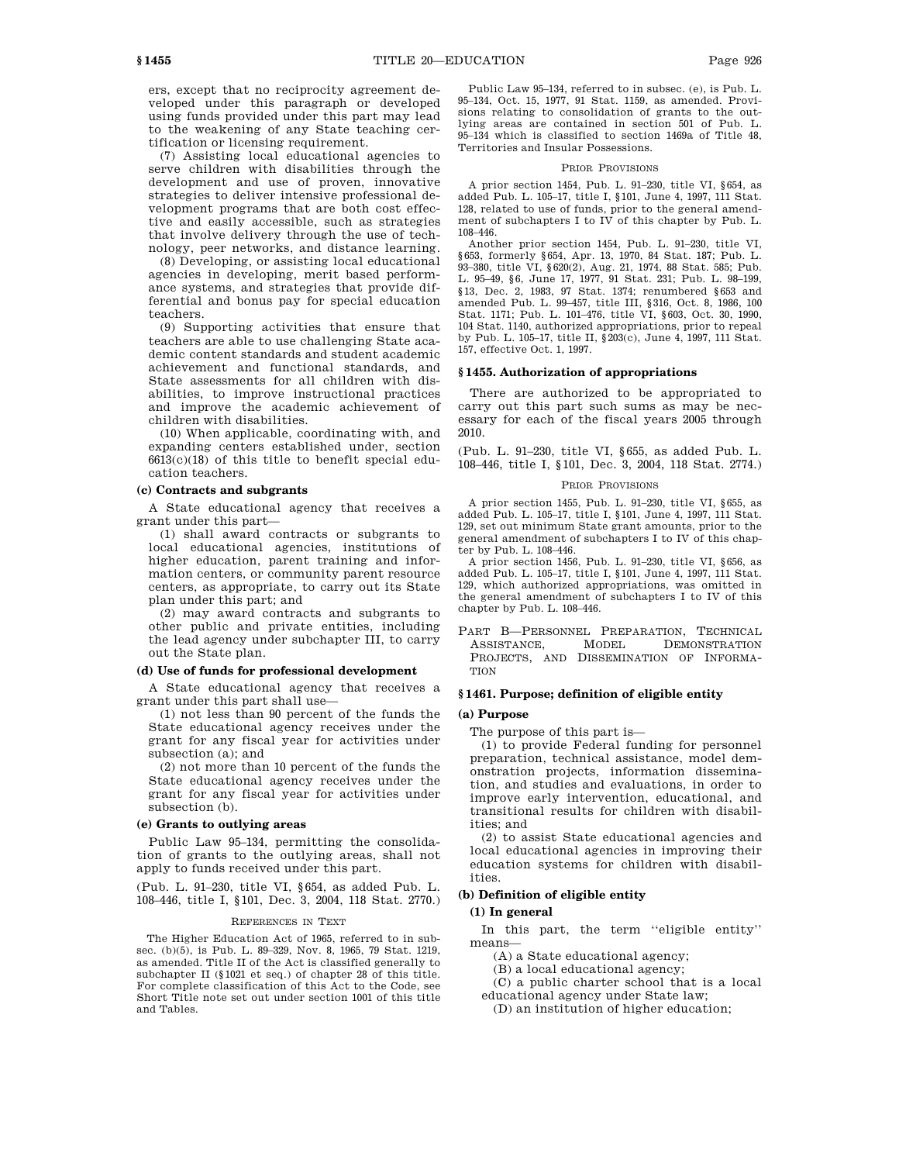ers, except that no reciprocity agreement developed under this paragraph or developed using funds provided under this part may lead to the weakening of any State teaching certification or licensing requirement.

(7) Assisting local educational agencies to serve children with disabilities through the development and use of proven, innovative strategies to deliver intensive professional development programs that are both cost effective and easily accessible, such as strategies that involve delivery through the use of technology, peer networks, and distance learning.

(8) Developing, or assisting local educational agencies in developing, merit based performance systems, and strategies that provide differential and bonus pay for special education teachers.

(9) Supporting activities that ensure that teachers are able to use challenging State academic content standards and student academic achievement and functional standards, and State assessments for all children with disabilities, to improve instructional practices and improve the academic achievement of children with disabilities.

(10) When applicable, coordinating with, and expanding centers established under, section 6613(c)(18) of this title to benefit special education teachers.

#### **(c) Contracts and subgrants**

A State educational agency that receives a grant under this part—

(1) shall award contracts or subgrants to local educational agencies, institutions of higher education, parent training and information centers, or community parent resource centers, as appropriate, to carry out its State plan under this part; and

(2) may award contracts and subgrants to other public and private entities, including the lead agency under subchapter III, to carry out the State plan.

### **(d) Use of funds for professional development**

A State educational agency that receives a grant under this part shall use—

(1) not less than 90 percent of the funds the State educational agency receives under the grant for any fiscal year for activities under subsection (a); and

(2) not more than 10 percent of the funds the State educational agency receives under the grant for any fiscal year for activities under subsection (b).

#### **(e) Grants to outlying areas**

Public Law 95–134, permitting the consolidation of grants to the outlying areas, shall not apply to funds received under this part.

(Pub. L. 91–230, title VI, §654, as added Pub. L. 108–446, title I, §101, Dec. 3, 2004, 118 Stat. 2770.)

#### REFERENCES IN TEXT

The Higher Education Act of 1965, referred to in subsec. (b)(5), is Pub. L. 89–329, Nov. 8, 1965, 79 Stat. 1219, as amended. Title II of the Act is classified generally to subchapter II (§1021 et seq.) of chapter 28 of this title. For complete classification of this Act to the Code, see Short Title note set out under section 1001 of this title and Tables.

Public Law 95–134, referred to in subsec. (e), is Pub. L. 95–134, Oct. 15, 1977, 91 Stat. 1159, as amended. Provisions relating to consolidation of grants to the outlying areas are contained in section 501 of Pub. L. 95–134 which is classified to section 1469a of Title 48, Territories and Insular Possessions.

### PRIOR PROVISIONS

A prior section 1454, Pub. L. 91–230, title VI, §654, as added Pub. L. 105–17, title I, §101, June 4, 1997, 111 Stat. 128, related to use of funds, prior to the general amendment of subchapters I to IV of this chapter by Pub. L. 108–446.

Another prior section 1454, Pub. L. 91–230, title VI, §653, formerly §654, Apr. 13, 1970, 84 Stat. 187; Pub. L. 93–380, title VI, §620(2), Aug. 21, 1974, 88 Stat. 585; Pub. L. 95–49, §6, June 17, 1977, 91 Stat. 231; Pub. L. 98–199, §13, Dec. 2, 1983, 97 Stat. 1374; renumbered §653 and amended Pub. L. 99–457, title III, §316, Oct. 8, 1986, 100 Stat. 1171; Pub. L. 101–476, title VI, §603, Oct. 30, 1990, 104 Stat. 1140, authorized appropriations, prior to repeal by Pub. L. 105–17, title II, §203(c), June 4, 1997, 111 Stat. 157, effective Oct. 1, 1997.

#### **§ 1455. Authorization of appropriations**

There are authorized to be appropriated to carry out this part such sums as may be necessary for each of the fiscal years 2005 through 2010.

(Pub. L. 91–230, title VI, §655, as added Pub. L. 108–446, title I, §101, Dec. 3, 2004, 118 Stat. 2774.)

### PRIOR PROVISIONS

A prior section 1455, Pub. L. 91–230, title VI, §655, as added Pub. L. 105–17, title I, §101, June 4, 1997, 111 Stat. 129, set out minimum State grant amounts, prior to the general amendment of subchapters I to IV of this chapter by Pub. L. 108–446.

A prior section 1456, Pub. L. 91–230, title VI, §656, as added Pub. L. 105–17, title I, §101, June 4, 1997, 111 Stat. 129, which authorized appropriations, was omitted in the general amendment of subchapters I to IV of this chapter by Pub. L. 108–446.

PART B—PERSONNEL PREPARATION, TECHNICAL ASSISTANCE, MODEL DEMONSTRATION PROJECTS, AND DISSEMINATION OF INFORMA-**TION** 

### **§ 1461. Purpose; definition of eligible entity**

#### **(a) Purpose**

The purpose of this part is—

(1) to provide Federal funding for personnel preparation, technical assistance, model demonstration projects, information dissemination, and studies and evaluations, in order to improve early intervention, educational, and transitional results for children with disabilities; and

(2) to assist State educational agencies and local educational agencies in improving their education systems for children with disabilities.

### **(b) Definition of eligible entity**

#### **(1) In general**

In this part, the term ''eligible entity'' means—

(A) a State educational agency;

(B) a local educational agency;

- (C) a public charter school that is a local
- educational agency under State law; (D) an institution of higher education;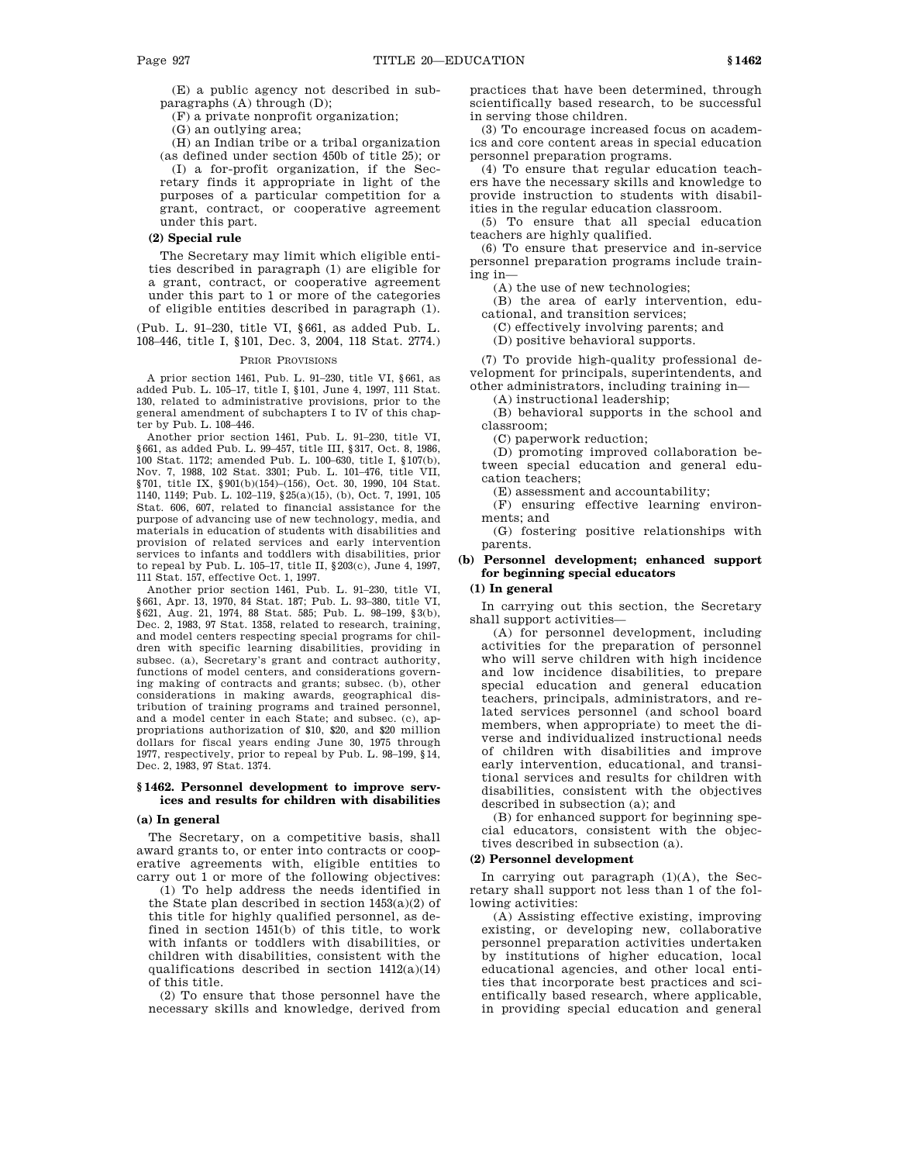(E) a public agency not described in subparagraphs (A) through (D);

(F) a private nonprofit organization;

(G) an outlying area;

(H) an Indian tribe or a tribal organization (as defined under section 450b of title 25); or

(I) a for-profit organization, if the Secretary finds it appropriate in light of the purposes of a particular competition for a grant, contract, or cooperative agreement under this part.

#### **(2) Special rule**

The Secretary may limit which eligible entities described in paragraph (1) are eligible for a grant, contract, or cooperative agreement under this part to 1 or more of the categories of eligible entities described in paragraph (1).

(Pub. L. 91–230, title VI, §661, as added Pub. L. 108–446, title I, §101, Dec. 3, 2004, 118 Stat. 2774.)

# PRIOR PROVISIONS

A prior section 1461, Pub. L. 91–230, title VI, §661, as added Pub. L. 105–17, title I, §101, June 4, 1997, 111 Stat. 130, related to administrative provisions, prior to the general amendment of subchapters I to IV of this chapter by Pub. L. 108–446.

Another prior section 1461, Pub. L. 91–230, title VI, §661, as added Pub. L. 99–457, title III, §317, Oct. 8, 1986, 100 Stat. 1172; amended Pub. L. 100–630, title I, §107(b), Nov. 7, 1988, 102 Stat. 3301; Pub. L. 101–476, title VII, §701, title IX, §901(b)(154)–(156), Oct. 30, 1990, 104 Stat. 1140, 1149; Pub. L. 102–119, §25(a)(15), (b), Oct. 7, 1991, 105 Stat. 606, 607, related to financial assistance for the purpose of advancing use of new technology, media, and materials in education of students with disabilities and provision of related services and early intervention services to infants and toddlers with disabilities, prior to repeal by Pub. L. 105–17, title II, §203(c), June 4, 1997, 111 Stat. 157, effective Oct. 1, 1997.

Another prior section 1461, Pub. L. 91–230, title VI, §661, Apr. 13, 1970, 84 Stat. 187; Pub. L. 93–380, title VI, §621, Aug. 21, 1974, 88 Stat. 585; Pub. L. 98–199, §3(b), Dec. 2, 1983, 97 Stat. 1358, related to research, training, and model centers respecting special programs for children with specific learning disabilities, providing in subsec. (a), Secretary's grant and contract authority, functions of model centers, and considerations governing making of contracts and grants; subsec. (b), other considerations in making awards, geographical distribution of training programs and trained personnel, and a model center in each State; and subsec. (c), appropriations authorization of \$10, \$20, and \$20 million dollars for fiscal years ending June 30, 1975 through 1977, respectively, prior to repeal by Pub. L. 98–199, §14, Dec. 2, 1983, 97 Stat. 1374.

# **§ 1462. Personnel development to improve services and results for children with disabilities**

### **(a) In general**

The Secretary, on a competitive basis, shall award grants to, or enter into contracts or cooperative agreements with, eligible entities to carry out 1 or more of the following objectives:

(1) To help address the needs identified in the State plan described in section 1453(a)(2) of this title for highly qualified personnel, as defined in section 1451(b) of this title, to work with infants or toddlers with disabilities, or children with disabilities, consistent with the qualifications described in section 1412(a)(14) of this title.

(2) To ensure that those personnel have the necessary skills and knowledge, derived from practices that have been determined, through scientifically based research, to be successful in serving those children.

(3) To encourage increased focus on academics and core content areas in special education personnel preparation programs.

(4) To ensure that regular education teachers have the necessary skills and knowledge to provide instruction to students with disabilities in the regular education classroom.

(5) To ensure that all special education teachers are highly qualified.

(6) To ensure that preservice and in-service personnel preparation programs include training in—

(A) the use of new technologies;

(B) the area of early intervention, educational, and transition services;

(C) effectively involving parents; and

(D) positive behavioral supports.

(7) To provide high-quality professional development for principals, superintendents, and other administrators, including training in—

(A) instructional leadership;

(B) behavioral supports in the school and classroom;

(C) paperwork reduction;

(D) promoting improved collaboration between special education and general education teachers;

(E) assessment and accountability;

(F) ensuring effective learning environments; and

(G) fostering positive relationships with parents.

# **(b) Personnel development; enhanced support for beginning special educators**

## **(1) In general**

In carrying out this section, the Secretary shall support activities—

(A) for personnel development, including activities for the preparation of personnel who will serve children with high incidence and low incidence disabilities, to prepare special education and general education teachers, principals, administrators, and related services personnel (and school board members, when appropriate) to meet the diverse and individualized instructional needs of children with disabilities and improve early intervention, educational, and transitional services and results for children with disabilities, consistent with the objectives described in subsection (a); and

(B) for enhanced support for beginning special educators, consistent with the objectives described in subsection (a).

#### **(2) Personnel development**

In carrying out paragraph  $(1)(A)$ , the Secretary shall support not less than 1 of the following activities:

(A) Assisting effective existing, improving existing, or developing new, collaborative personnel preparation activities undertaken by institutions of higher education, local educational agencies, and other local entities that incorporate best practices and scientifically based research, where applicable, in providing special education and general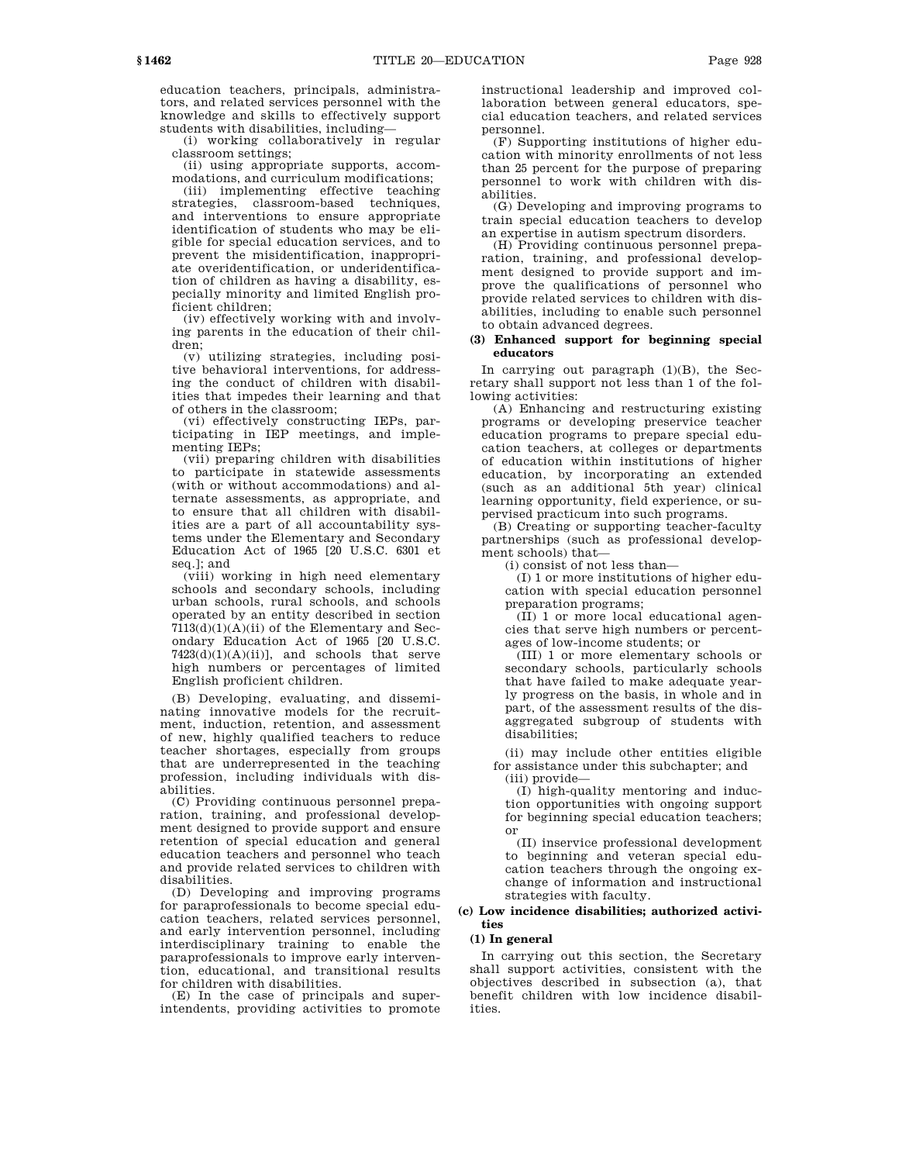education teachers, principals, administrators, and related services personnel with the knowledge and skills to effectively support students with disabilities, including—

(i) working collaboratively in regular classroom settings;

(ii) using appropriate supports, accommodations, and curriculum modifications;

(iii) implementing effective teaching strategies, classroom-based techniques, and interventions to ensure appropriate identification of students who may be eligible for special education services, and to prevent the misidentification, inappropriate overidentification, or underidentification of children as having a disability, especially minority and limited English proficient children;

(iv) effectively working with and involving parents in the education of their children;

(v) utilizing strategies, including positive behavioral interventions, for addressing the conduct of children with disabilities that impedes their learning and that of others in the classroom;

(vi) effectively constructing IEPs, participating in IEP meetings, and implementing IEPs;

(vii) preparing children with disabilities to participate in statewide assessments (with or without accommodations) and alternate assessments, as appropriate, and to ensure that all children with disabilities are a part of all accountability systems under the Elementary and Secondary Education Act of 1965 [20 U.S.C. 6301 et seq.]; and

(viii) working in high need elementary schools and secondary schools, including urban schools, rural schools, and schools operated by an entity described in section  $7113(d)(1)(A)(ii)$  of the Elementary and Secondary Education Act of 1965 [20 U.S.C.  $7423(d)(1)(A)(ii)$ ], and schools that serve high numbers or percentages of limited English proficient children.

(B) Developing, evaluating, and disseminating innovative models for the recruitment, induction, retention, and assessment of new, highly qualified teachers to reduce teacher shortages, especially from groups that are underrepresented in the teaching profession, including individuals with disabilities.

(C) Providing continuous personnel preparation, training, and professional development designed to provide support and ensure retention of special education and general education teachers and personnel who teach and provide related services to children with disabilities.

(D) Developing and improving programs for paraprofessionals to become special education teachers, related services personnel, and early intervention personnel, including interdisciplinary training to enable the paraprofessionals to improve early intervention, educational, and transitional results for children with disabilities.

(E) In the case of principals and superintendents, providing activities to promote instructional leadership and improved collaboration between general educators, special education teachers, and related services personnel.

(F) Supporting institutions of higher education with minority enrollments of not less than 25 percent for the purpose of preparing personnel to work with children with disabilities.

(G) Developing and improving programs to train special education teachers to develop an expertise in autism spectrum disorders.

(H) Providing continuous personnel preparation, training, and professional development designed to provide support and improve the qualifications of personnel who provide related services to children with disabilities, including to enable such personnel to obtain advanced degrees.

### **(3) Enhanced support for beginning special educators**

In carrying out paragraph (1)(B), the Secretary shall support not less than 1 of the following activities:

(A) Enhancing and restructuring existing programs or developing preservice teacher education programs to prepare special education teachers, at colleges or departments of education within institutions of higher education, by incorporating an extended (such as an additional 5th year) clinical learning opportunity, field experience, or supervised practicum into such programs.

(B) Creating or supporting teacher-faculty partnerships (such as professional development schools) that—

(i) consist of not less than—

 $(1)$  1 or more institutions of higher education with special education personnel preparation programs;

(II) 1 or more local educational agencies that serve high numbers or percentages of low-income students; or

(III) 1 or more elementary schools or secondary schools, particularly schools that have failed to make adequate yearly progress on the basis, in whole and in part, of the assessment results of the disaggregated subgroup of students with disabilities;

(ii) may include other entities eligible for assistance under this subchapter; and

(iii) provide—

(I) high-quality mentoring and induction opportunities with ongoing support for beginning special education teachers; or

(II) inservice professional development to beginning and veteran special education teachers through the ongoing exchange of information and instructional strategies with faculty.

### **(c) Low incidence disabilities; authorized activities**

# **(1) In general**

In carrying out this section, the Secretary shall support activities, consistent with the objectives described in subsection (a), that benefit children with low incidence disabilities.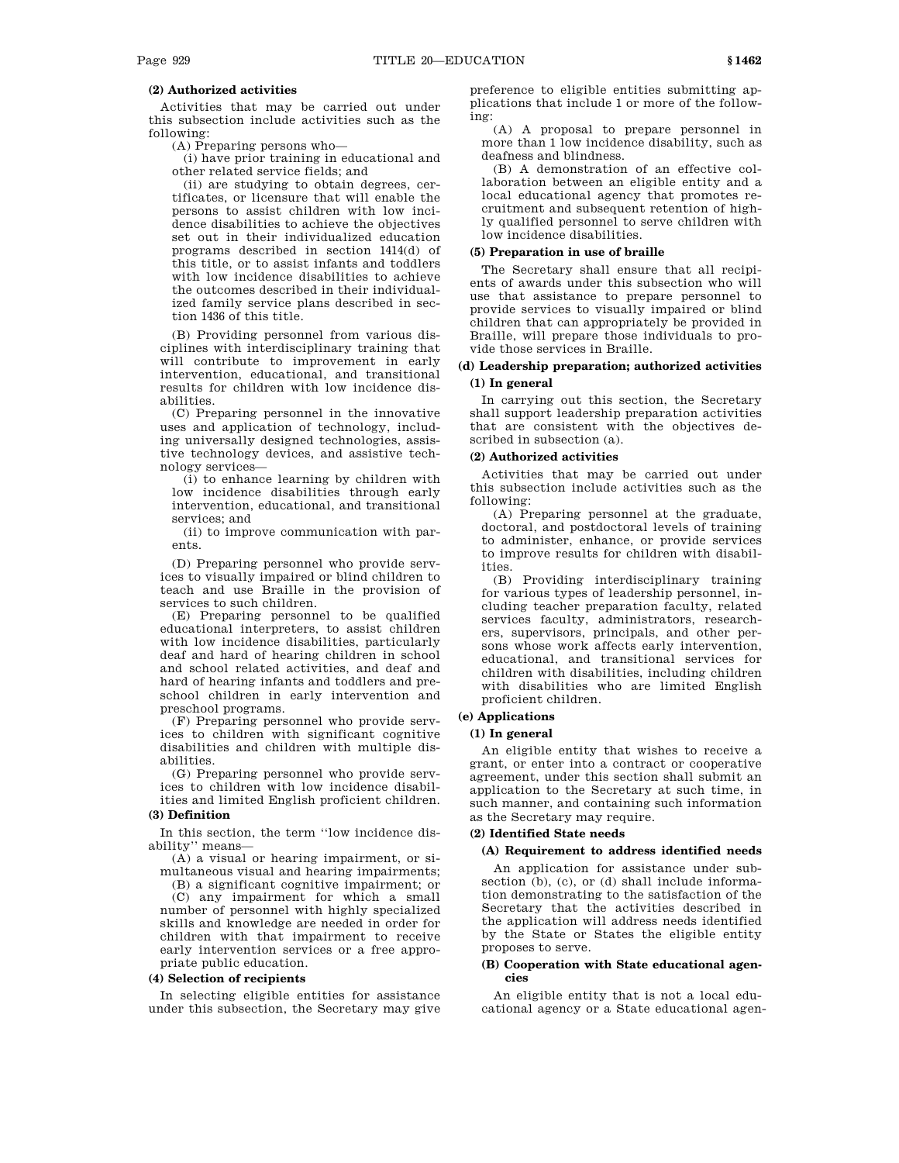# **(2) Authorized activities**

Activities that may be carried out under this subsection include activities such as the following:

(A) Preparing persons who—

(i) have prior training in educational and other related service fields; and

(ii) are studying to obtain degrees, certificates, or licensure that will enable the persons to assist children with low incidence disabilities to achieve the objectives set out in their individualized education programs described in section 1414(d) of this title, or to assist infants and toddlers with low incidence disabilities to achieve the outcomes described in their individualized family service plans described in section 1436 of this title.

(B) Providing personnel from various disciplines with interdisciplinary training that will contribute to improvement in early intervention, educational, and transitional results for children with low incidence disabilities.

(C) Preparing personnel in the innovative uses and application of technology, including universally designed technologies, assistive technology devices, and assistive technology services—

(i) to enhance learning by children with low incidence disabilities through early intervention, educational, and transitional services; and

(ii) to improve communication with parents.

(D) Preparing personnel who provide services to visually impaired or blind children to teach and use Braille in the provision of services to such children.

(E) Preparing personnel to be qualified educational interpreters, to assist children with low incidence disabilities, particularly deaf and hard of hearing children in school and school related activities, and deaf and hard of hearing infants and toddlers and preschool children in early intervention and preschool programs.

(F) Preparing personnel who provide services to children with significant cognitive disabilities and children with multiple disabilities.

(G) Preparing personnel who provide services to children with low incidence disabilities and limited English proficient children.

#### **(3) Definition**

In this section, the term ''low incidence disability'' means—

 $(A)$  a visual or hearing impairment, or simultaneous visual and hearing impairments;

(B) a significant cognitive impairment; or (C) any impairment for which a small number of personnel with highly specialized skills and knowledge are needed in order for children with that impairment to receive early intervention services or a free appropriate public education.

### **(4) Selection of recipients**

In selecting eligible entities for assistance under this subsection, the Secretary may give preference to eligible entities submitting applications that include 1 or more of the following:

(A) A proposal to prepare personnel in more than 1 low incidence disability, such as deafness and blindness.

(B) A demonstration of an effective collaboration between an eligible entity and a local educational agency that promotes recruitment and subsequent retention of highly qualified personnel to serve children with low incidence disabilities.

## **(5) Preparation in use of braille**

The Secretary shall ensure that all recipients of awards under this subsection who will use that assistance to prepare personnel to provide services to visually impaired or blind children that can appropriately be provided in Braille, will prepare those individuals to provide those services in Braille.

# **(d) Leadership preparation; authorized activities (1) In general**

In carrying out this section, the Secretary shall support leadership preparation activities that are consistent with the objectives described in subsection (a).

# **(2) Authorized activities**

Activities that may be carried out under this subsection include activities such as the following:

(A) Preparing personnel at the graduate, doctoral, and postdoctoral levels of training to administer, enhance, or provide services to improve results for children with disabilities.

(B) Providing interdisciplinary training for various types of leadership personnel, including teacher preparation faculty, related services faculty, administrators, researchers, supervisors, principals, and other persons whose work affects early intervention, educational, and transitional services for children with disabilities, including children with disabilities who are limited English proficient children.

## **(e) Applications**

#### **(1) In general**

An eligible entity that wishes to receive a grant, or enter into a contract or cooperative agreement, under this section shall submit an application to the Secretary at such time, in such manner, and containing such information as the Secretary may require.

### **(2) Identified State needs**

### **(A) Requirement to address identified needs**

An application for assistance under subsection (b), (c), or (d) shall include information demonstrating to the satisfaction of the Secretary that the activities described in the application will address needs identified by the State or States the eligible entity proposes to serve.

### **(B) Cooperation with State educational agencies**

An eligible entity that is not a local educational agency or a State educational agen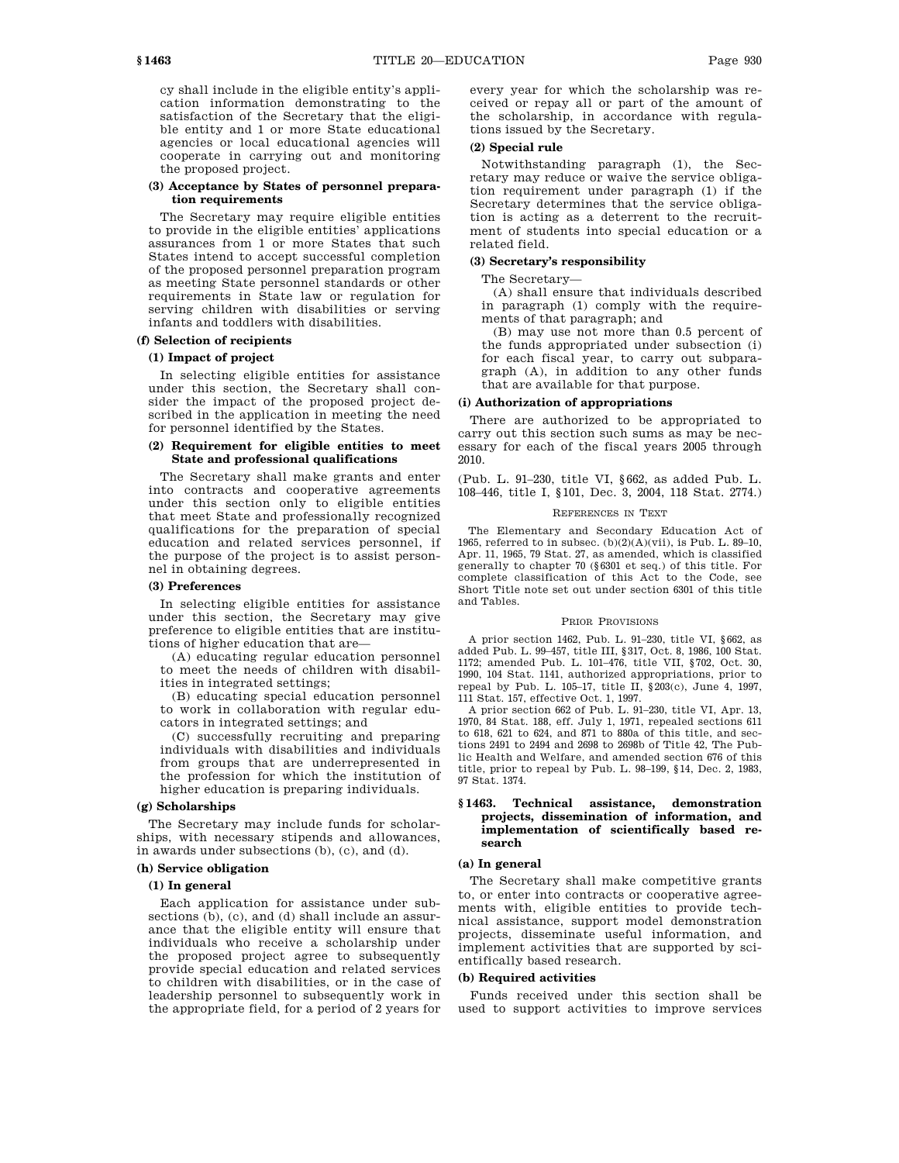cy shall include in the eligible entity's application information demonstrating to the satisfaction of the Secretary that the eligible entity and 1 or more State educational agencies or local educational agencies will cooperate in carrying out and monitoring the proposed project.

### **(3) Acceptance by States of personnel preparation requirements**

The Secretary may require eligible entities to provide in the eligible entities' applications assurances from 1 or more States that such States intend to accept successful completion of the proposed personnel preparation program as meeting State personnel standards or other requirements in State law or regulation for serving children with disabilities or serving infants and toddlers with disabilities.

# **(f) Selection of recipients**

### **(1) Impact of project**

In selecting eligible entities for assistance under this section, the Secretary shall consider the impact of the proposed project described in the application in meeting the need for personnel identified by the States.

### **(2) Requirement for eligible entities to meet State and professional qualifications**

The Secretary shall make grants and enter into contracts and cooperative agreements under this section only to eligible entities that meet State and professionally recognized qualifications for the preparation of special education and related services personnel, if the purpose of the project is to assist personnel in obtaining degrees.

#### **(3) Preferences**

In selecting eligible entities for assistance under this section, the Secretary may give preference to eligible entities that are institutions of higher education that are—

(A) educating regular education personnel to meet the needs of children with disabilities in integrated settings;

(B) educating special education personnel to work in collaboration with regular educators in integrated settings; and

(C) successfully recruiting and preparing individuals with disabilities and individuals from groups that are underrepresented in the profession for which the institution of higher education is preparing individuals.

## **(g) Scholarships**

The Secretary may include funds for scholarships, with necessary stipends and allowances, in awards under subsections (b), (c), and (d).

### **(h) Service obligation**

### **(1) In general**

Each application for assistance under subsections (b), (c), and (d) shall include an assurance that the eligible entity will ensure that individuals who receive a scholarship under the proposed project agree to subsequently provide special education and related services to children with disabilities, or in the case of leadership personnel to subsequently work in the appropriate field, for a period of 2 years for

every year for which the scholarship was received or repay all or part of the amount of the scholarship, in accordance with regulations issued by the Secretary.

### **(2) Special rule**

Notwithstanding paragraph (1), the Secretary may reduce or waive the service obligation requirement under paragraph (1) if the Secretary determines that the service obligation is acting as a deterrent to the recruitment of students into special education or a related field.

#### **(3) Secretary's responsibility**

The Secretary—

(A) shall ensure that individuals described in paragraph (1) comply with the requirements of that paragraph; and

(B) may use not more than 0.5 percent of the funds appropriated under subsection (i) for each fiscal year, to carry out subparagraph (A), in addition to any other funds that are available for that purpose.

### **(i) Authorization of appropriations**

There are authorized to be appropriated to carry out this section such sums as may be necessary for each of the fiscal years 2005 through 2010.

(Pub. L. 91–230, title VI, §662, as added Pub. L. 108–446, title I, §101, Dec. 3, 2004, 118 Stat. 2774.)

#### REFERENCES IN TEXT

The Elementary and Secondary Education Act of 1965, referred to in subsec.  $(b)(2)(A)(vii)$ , is Pub. L. 89-10, Apr. 11, 1965, 79 Stat. 27, as amended, which is classified generally to chapter 70 (§6301 et seq.) of this title. For complete classification of this Act to the Code, see Short Title note set out under section 6301 of this title and Tables.

#### PRIOR PROVISIONS

A prior section 1462, Pub. L. 91–230, title VI, §662, as added Pub. L. 99–457, title III, §317, Oct. 8, 1986, 100 Stat. 1172; amended Pub. L. 101–476, title VII, §702, Oct. 30, 1990, 104 Stat. 1141, authorized appropriations, prior to repeal by Pub. L. 105–17, title II, §203(c), June 4, 1997, 111 Stat. 157, effective Oct. 1, 1997.

A prior section 662 of Pub. L. 91–230, title VI, Apr. 13, 1970, 84 Stat. 188, eff. July 1, 1971, repealed sections 611 to 618, 621 to 624, and 871 to 880a of this title, and sections 2491 to 2494 and 2698 to 2698b of Title 42, The Public Health and Welfare, and amended section 676 of this title, prior to repeal by Pub. L. 98–199, §14, Dec. 2, 1983, 97 Stat. 1374.

### **§ 1463. Technical assistance, demonstration projects, dissemination of information, and implementation of scientifically based research**

## **(a) In general**

The Secretary shall make competitive grants to, or enter into contracts or cooperative agreements with, eligible entities to provide technical assistance, support model demonstration projects, disseminate useful information, and implement activities that are supported by scientifically based research.

#### **(b) Required activities**

Funds received under this section shall be used to support activities to improve services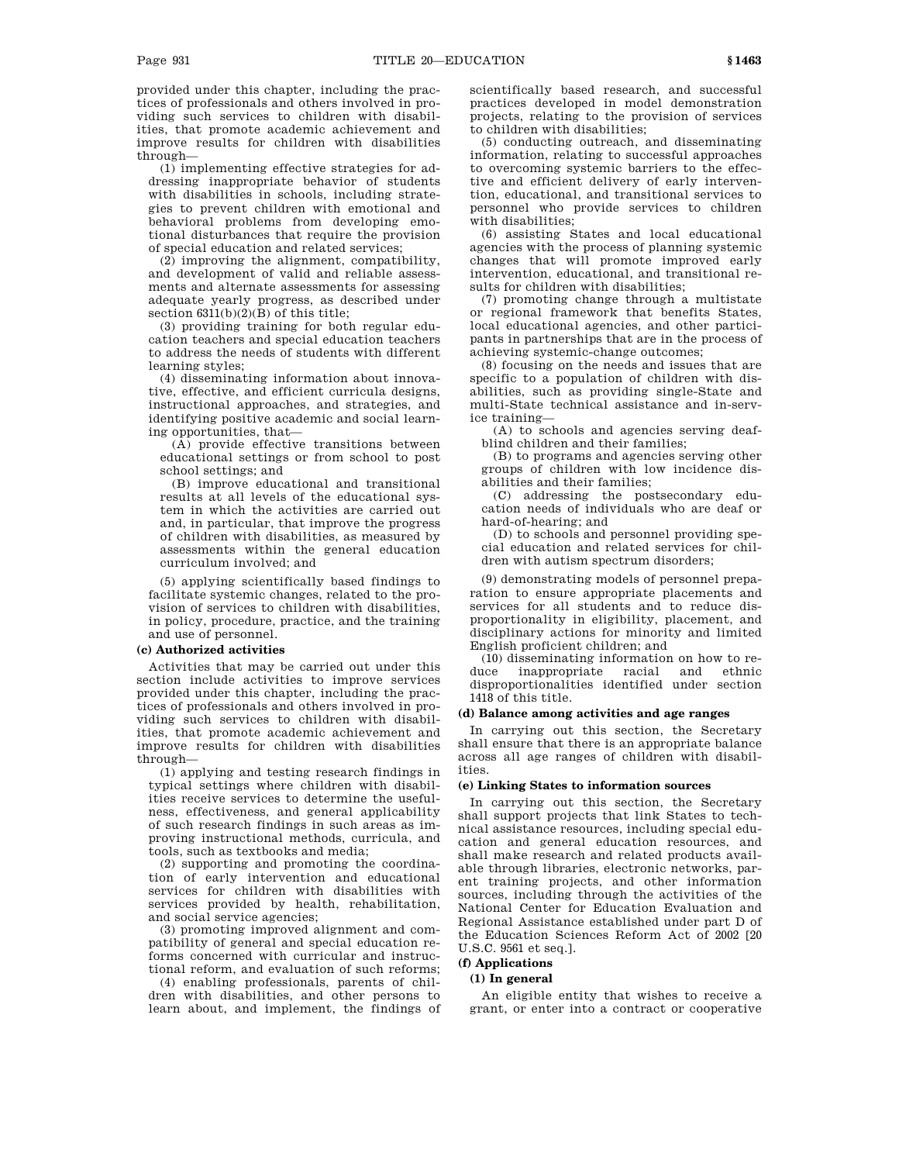provided under this chapter, including the practices of professionals and others involved in providing such services to children with disabilities, that promote academic achievement and improve results for children with disabilities through—

(1) implementing effective strategies for addressing inappropriate behavior of students with disabilities in schools, including strategies to prevent children with emotional and behavioral problems from developing emotional disturbances that require the provision of special education and related services;

(2) improving the alignment, compatibility, and development of valid and reliable assessments and alternate assessments for assessing adequate yearly progress, as described under section  $6311(b)(2)(B)$  of this title;

(3) providing training for both regular education teachers and special education teachers to address the needs of students with different learning styles;

(4) disseminating information about innovative, effective, and efficient curricula designs, instructional approaches, and strategies, and identifying positive academic and social learning opportunities, that—

(A) provide effective transitions between educational settings or from school to post school settings; and

(B) improve educational and transitional results at all levels of the educational system in which the activities are carried out and, in particular, that improve the progress of children with disabilities, as measured by assessments within the general education curriculum involved; and

(5) applying scientifically based findings to facilitate systemic changes, related to the provision of services to children with disabilities, in policy, procedure, practice, and the training and use of personnel.

#### **(c) Authorized activities**

Activities that may be carried out under this section include activities to improve services provided under this chapter, including the practices of professionals and others involved in providing such services to children with disabilities, that promote academic achievement and improve results for children with disabilities through—

(1) applying and testing research findings in typical settings where children with disabilities receive services to determine the usefulness, effectiveness, and general applicability of such research findings in such areas as improving instructional methods, curricula, and tools, such as textbooks and media;

(2) supporting and promoting the coordination of early intervention and educational services for children with disabilities with services provided by health, rehabilitation, and social service agencies;

(3) promoting improved alignment and compatibility of general and special education reforms concerned with curricular and instructional reform, and evaluation of such reforms;

(4) enabling professionals, parents of children with disabilities, and other persons to learn about, and implement, the findings of scientifically based research, and successful practices developed in model demonstration projects, relating to the provision of services to children with disabilities;

(5) conducting outreach, and disseminating information, relating to successful approaches to overcoming systemic barriers to the effective and efficient delivery of early intervention, educational, and transitional services to personnel who provide services to children with disabilities;

(6) assisting States and local educational agencies with the process of planning systemic changes that will promote improved early intervention, educational, and transitional results for children with disabilities;

(7) promoting change through a multistate or regional framework that benefits States, local educational agencies, and other participants in partnerships that are in the process of achieving systemic-change outcomes;

(8) focusing on the needs and issues that are specific to a population of children with disabilities, such as providing single-State and multi-State technical assistance and in-service training—

(A) to schools and agencies serving deafblind children and their families;

(B) to programs and agencies serving other groups of children with low incidence disabilities and their families;

(C) addressing the postsecondary education needs of individuals who are deaf or hard-of-hearing; and

(D) to schools and personnel providing special education and related services for children with autism spectrum disorders;

(9) demonstrating models of personnel preparation to ensure appropriate placements and services for all students and to reduce disproportionality in eligibility, placement, and disciplinary actions for minority and limited English proficient children; and

(10) disseminating information on how to reduce inappropriate racial and ethnic disproportionalities identified under section 1418 of this title.

#### **(d) Balance among activities and age ranges**

In carrying out this section, the Secretary shall ensure that there is an appropriate balance across all age ranges of children with disabilities.

#### **(e) Linking States to information sources**

In carrying out this section, the Secretary shall support projects that link States to technical assistance resources, including special education and general education resources, and shall make research and related products available through libraries, electronic networks, parent training projects, and other information sources, including through the activities of the National Center for Education Evaluation and Regional Assistance established under part D of the Education Sciences Reform Act of 2002 [20 U.S.C. 9561 et seq.].

### **(f) Applications**

# **(1) In general**

An eligible entity that wishes to receive a grant, or enter into a contract or cooperative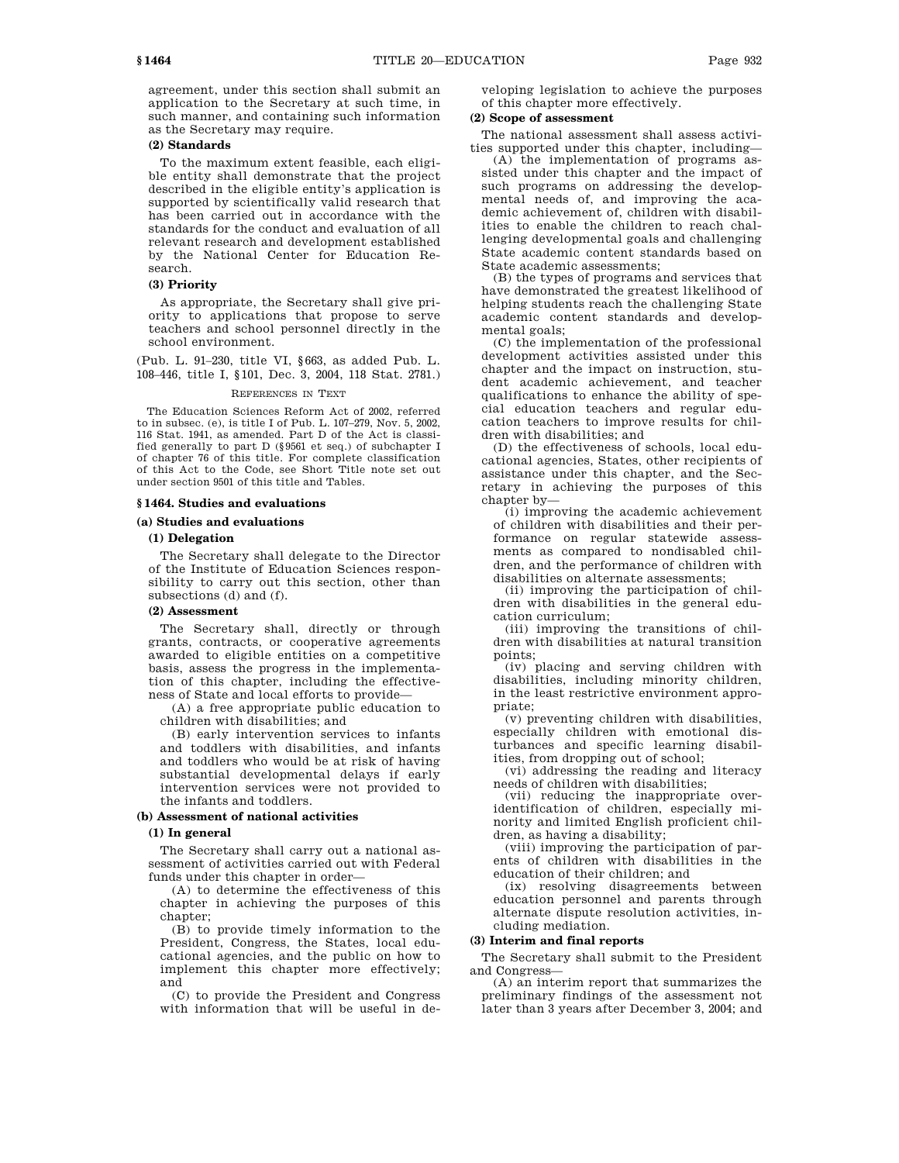agreement, under this section shall submit an application to the Secretary at such time, in such manner, and containing such information as the Secretary may require.

### **(2) Standards**

To the maximum extent feasible, each eligible entity shall demonstrate that the project described in the eligible entity's application is supported by scientifically valid research that has been carried out in accordance with the standards for the conduct and evaluation of all relevant research and development established by the National Center for Education Research.

# **(3) Priority**

As appropriate, the Secretary shall give priority to applications that propose to serve teachers and school personnel directly in the school environment.

(Pub. L. 91–230, title VI, §663, as added Pub. L. 108–446, title I, §101, Dec. 3, 2004, 118 Stat. 2781.)

#### REFERENCES IN TEXT

The Education Sciences Reform Act of 2002, referred to in subsec. (e), is title I of Pub. L. 107–279, Nov. 5, 2002, 116 Stat. 1941, as amended. Part D of the Act is classified generally to part D (§9561 et seq.) of subchapter I of chapter 76 of this title. For complete classification of this Act to the Code, see Short Title note set out under section 9501 of this title and Tables.

#### **§ 1464. Studies and evaluations**

### **(a) Studies and evaluations**

### **(1) Delegation**

The Secretary shall delegate to the Director of the Institute of Education Sciences responsibility to carry out this section, other than subsections (d) and (f).

#### **(2) Assessment**

The Secretary shall, directly or through grants, contracts, or cooperative agreements awarded to eligible entities on a competitive basis, assess the progress in the implementation of this chapter, including the effectiveness of State and local efforts to provide—

(A) a free appropriate public education to children with disabilities; and

(B) early intervention services to infants and toddlers with disabilities, and infants and toddlers who would be at risk of having substantial developmental delays if early intervention services were not provided to the infants and toddlers.

#### **(b) Assessment of national activities**

### **(1) In general**

The Secretary shall carry out a national assessment of activities carried out with Federal funds under this chapter in order—

(A) to determine the effectiveness of this chapter in achieving the purposes of this chapter;

(B) to provide timely information to the President, Congress, the States, local educational agencies, and the public on how to implement this chapter more effectively; and

(C) to provide the President and Congress with information that will be useful in developing legislation to achieve the purposes of this chapter more effectively.

### **(2) Scope of assessment**

The national assessment shall assess activities supported under this chapter, including—

(A) the implementation of programs assisted under this chapter and the impact of such programs on addressing the developmental needs of, and improving the academic achievement of, children with disabilities to enable the children to reach challenging developmental goals and challenging State academic content standards based on State academic assessments;

(B) the types of programs and services that have demonstrated the greatest likelihood of helping students reach the challenging State academic content standards and developmental goals;

(C) the implementation of the professional development activities assisted under this chapter and the impact on instruction, student academic achievement, and teacher qualifications to enhance the ability of special education teachers and regular education teachers to improve results for children with disabilities; and

(D) the effectiveness of schools, local educational agencies, States, other recipients of assistance under this chapter, and the Secretary in achieving the purposes of this chapter by—

(i) improving the academic achievement of children with disabilities and their performance on regular statewide assessments as compared to nondisabled children, and the performance of children with disabilities on alternate assessments;

(ii) improving the participation of children with disabilities in the general education curriculum;

(iii) improving the transitions of children with disabilities at natural transition points;

(iv) placing and serving children with disabilities, including minority children, in the least restrictive environment appropriate;

(v) preventing children with disabilities, especially children with emotional disturbances and specific learning disabilities, from dropping out of school;

(vi) addressing the reading and literacy needs of children with disabilities;

(vii) reducing the inappropriate overidentification of children, especially minority and limited English proficient children, as having a disability;

(viii) improving the participation of parents of children with disabilities in the education of their children; and

(ix) resolving disagreements between education personnel and parents through alternate dispute resolution activities, including mediation.

#### **(3) Interim and final reports**

The Secretary shall submit to the President and Congress—

(A) an interim report that summarizes the preliminary findings of the assessment not later than 3 years after December 3, 2004; and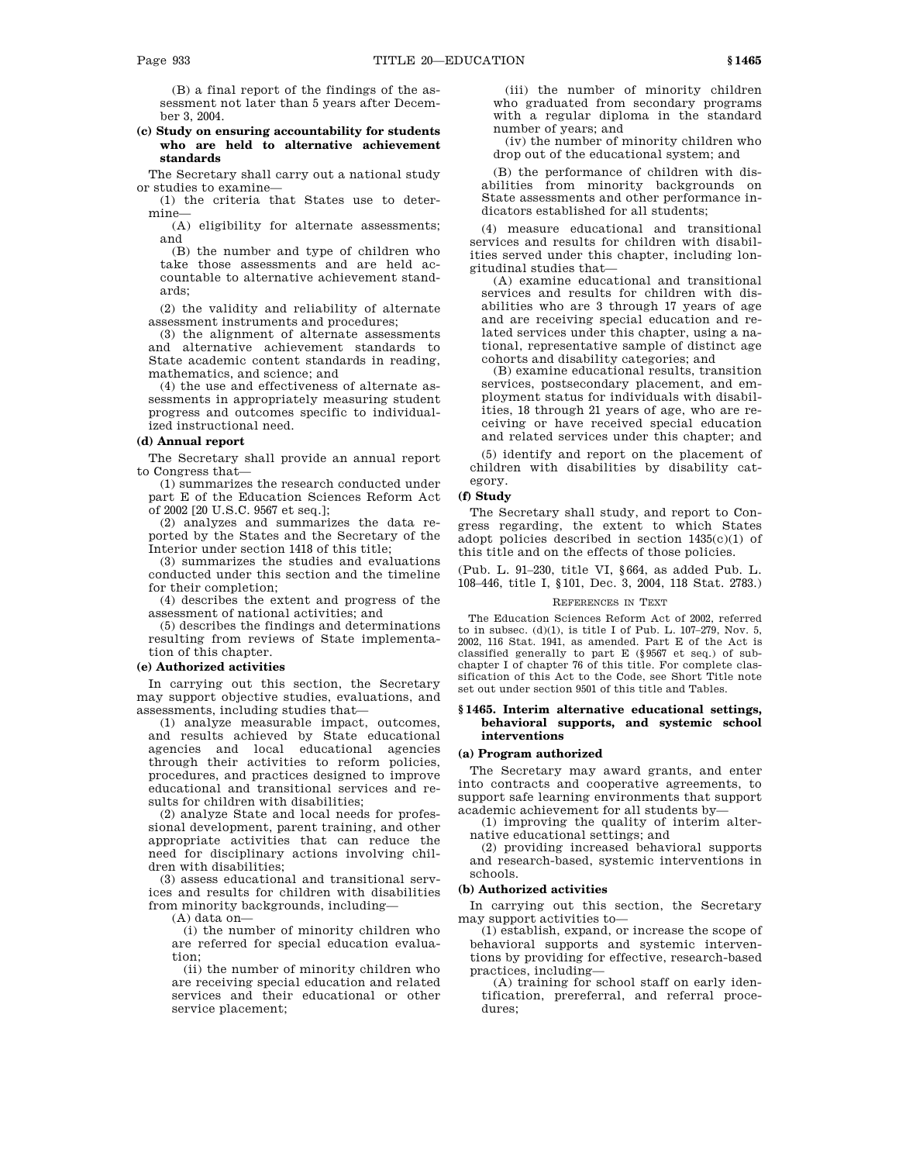(B) a final report of the findings of the assessment not later than 5 years after December 3, 2004.

### **(c) Study on ensuring accountability for students who are held to alternative achievement standards**

The Secretary shall carry out a national study or studies to examine—

(1) the criteria that States use to determine—

(A) eligibility for alternate assessments; and

(B) the number and type of children who take those assessments and are held accountable to alternative achievement standards;

(2) the validity and reliability of alternate assessment instruments and procedures;

(3) the alignment of alternate assessments and alternative achievement standards to State academic content standards in reading, mathematics, and science; and

(4) the use and effectiveness of alternate assessments in appropriately measuring student progress and outcomes specific to individualized instructional need.

## **(d) Annual report**

The Secretary shall provide an annual report to Congress that—

(1) summarizes the research conducted under part E of the Education Sciences Reform Act of 2002 [20 U.S.C. 9567 et seq.];

(2) analyzes and summarizes the data reported by the States and the Secretary of the Interior under section 1418 of this title;

(3) summarizes the studies and evaluations conducted under this section and the timeline for their completion;

(4) describes the extent and progress of the assessment of national activities; and

(5) describes the findings and determinations resulting from reviews of State implementation of this chapter.

### **(e) Authorized activities**

In carrying out this section, the Secretary may support objective studies, evaluations, and assessments, including studies that—

(1) analyze measurable impact, outcomes, and results achieved by State educational agencies and local educational agencies through their activities to reform policies, procedures, and practices designed to improve educational and transitional services and results for children with disabilities;

(2) analyze State and local needs for professional development, parent training, and other appropriate activities that can reduce the need for disciplinary actions involving children with disabilities;

(3) assess educational and transitional services and results for children with disabilities from minority backgrounds, including—

(A) data on—

(i) the number of minority children who are referred for special education evaluation;

(ii) the number of minority children who are receiving special education and related services and their educational or other service placement;

(iii) the number of minority children who graduated from secondary programs with a regular diploma in the standard number of years; and

(iv) the number of minority children who drop out of the educational system; and

(B) the performance of children with disabilities from minority backgrounds on State assessments and other performance indicators established for all students;

(4) measure educational and transitional services and results for children with disabilities served under this chapter, including longitudinal studies that—

(A) examine educational and transitional services and results for children with disabilities who are 3 through 17 years of age and are receiving special education and related services under this chapter, using a national, representative sample of distinct age cohorts and disability categories; and

(B) examine educational results, transition services, postsecondary placement, and employment status for individuals with disabilities, 18 through 21 years of age, who are receiving or have received special education and related services under this chapter; and

(5) identify and report on the placement of children with disabilities by disability category.

#### **(f) Study**

The Secretary shall study, and report to Congress regarding, the extent to which States adopt policies described in section 1435(c)(1) of this title and on the effects of those policies.

(Pub. L. 91–230, title VI, §664, as added Pub. L. 108–446, title I, §101, Dec. 3, 2004, 118 Stat. 2783.)

#### REFERENCES IN TEXT

The Education Sciences Reform Act of 2002, referred to in subsec.  $(d)(1)$ , is title I of Pub. L. 107-279, Nov. 5, 2002, 116 Stat. 1941, as amended. Part E of the Act is classified generally to part E (§9567 et seq.) of subchapter I of chapter 76 of this title. For complete classification of this Act to the Code, see Short Title note set out under section 9501 of this title and Tables.

### **§ 1465. Interim alternative educational settings, behavioral supports, and systemic school interventions**

### **(a) Program authorized**

The Secretary may award grants, and enter into contracts and cooperative agreements, to support safe learning environments that support academic achievement for all students by—

(1) improving the quality of interim alternative educational settings; and

(2) providing increased behavioral supports and research-based, systemic interventions in schools.

#### **(b) Authorized activities**

In carrying out this section, the Secretary may support activities to—

(1) establish, expand, or increase the scope of behavioral supports and systemic interventions by providing for effective, research-based practices, including—

(A) training for school staff on early identification, prereferral, and referral procedures;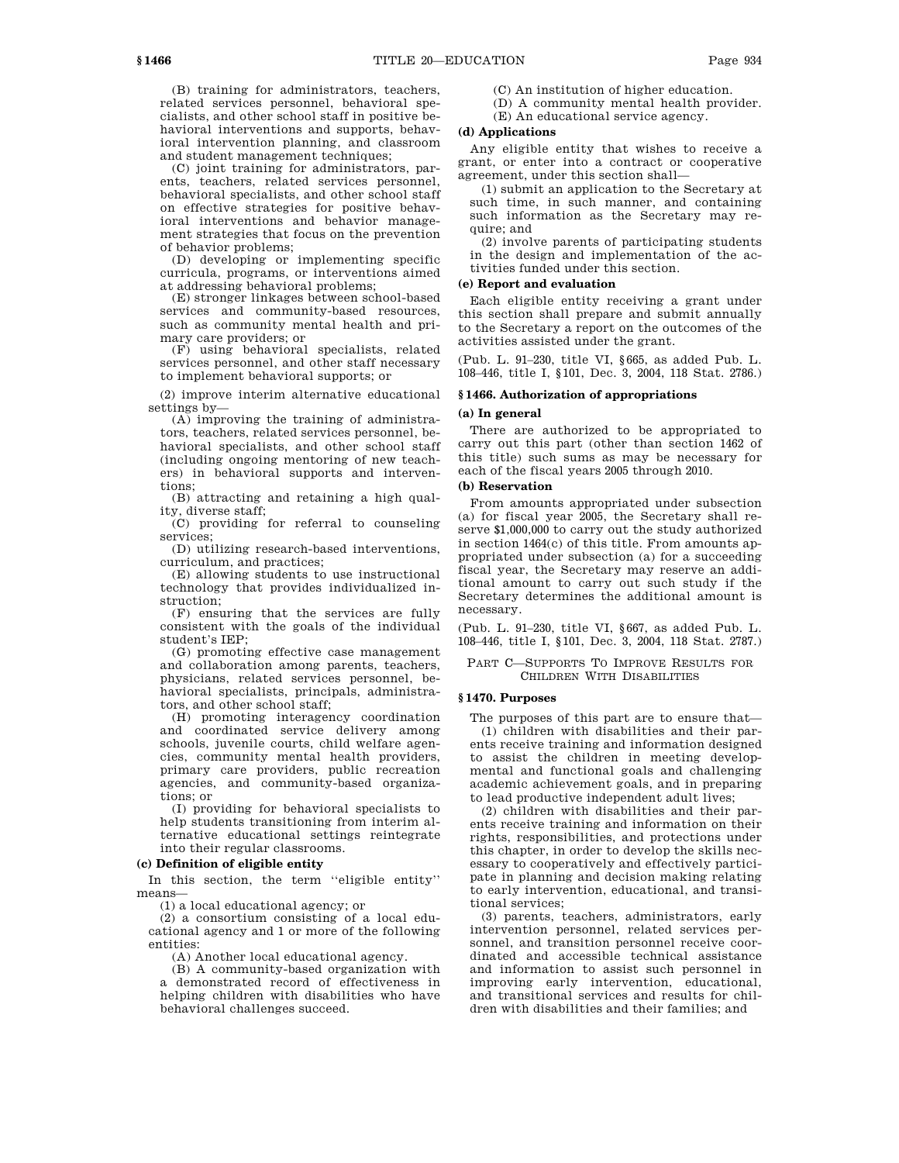(B) training for administrators, teachers, related services personnel, behavioral specialists, and other school staff in positive behavioral interventions and supports, behavioral intervention planning, and classroom and student management techniques;

(C) joint training for administrators, parents, teachers, related services personnel, behavioral specialists, and other school staff on effective strategies for positive behavioral interventions and behavior management strategies that focus on the prevention of behavior problems;

(D) developing or implementing specific curricula, programs, or interventions aimed at addressing behavioral problems;

(E) stronger linkages between school-based services and community-based resources, such as community mental health and primary care providers; or

(F) using behavioral specialists, related services personnel, and other staff necessary to implement behavioral supports; or

(2) improve interim alternative educational settings by—

(A) improving the training of administrators, teachers, related services personnel, behavioral specialists, and other school staff (including ongoing mentoring of new teachers) in behavioral supports and interventions;

(B) attracting and retaining a high quality, diverse staff;

(C) providing for referral to counseling services;

(D) utilizing research-based interventions, curriculum, and practices;

(E) allowing students to use instructional technology that provides individualized instruction;

(F) ensuring that the services are fully consistent with the goals of the individual student's IEP;

(G) promoting effective case management and collaboration among parents, teachers, physicians, related services personnel, behavioral specialists, principals, administrators, and other school staff;

(H) promoting interagency coordination and coordinated service delivery among schools, juvenile courts, child welfare agencies, community mental health providers, primary care providers, public recreation agencies, and community-based organizations; or

(I) providing for behavioral specialists to help students transitioning from interim alternative educational settings reintegrate into their regular classrooms.

## **(c) Definition of eligible entity**

In this section, the term ''eligible entity'' means—

(1) a local educational agency; or

(2) a consortium consisting of a local educational agency and 1 or more of the following entities:

(A) Another local educational agency.

(B) A community-based organization with a demonstrated record of effectiveness in helping children with disabilities who have behavioral challenges succeed.

(C) An institution of higher education.

(D) A community mental health provider.

(E) An educational service agency.

# **(d) Applications**

Any eligible entity that wishes to receive a grant, or enter into a contract or cooperative agreement, under this section shall—

(1) submit an application to the Secretary at such time, in such manner, and containing such information as the Secretary may require; and

(2) involve parents of participating students in the design and implementation of the activities funded under this section.

### **(e) Report and evaluation**

Each eligible entity receiving a grant under this section shall prepare and submit annually to the Secretary a report on the outcomes of the activities assisted under the grant.

(Pub. L. 91–230, title VI, §665, as added Pub. L. 108–446, title I, §101, Dec. 3, 2004, 118 Stat. 2786.)

### **§ 1466. Authorization of appropriations**

#### **(a) In general**

There are authorized to be appropriated to carry out this part (other than section 1462 of this title) such sums as may be necessary for each of the fiscal years 2005 through 2010.

#### **(b) Reservation**

From amounts appropriated under subsection (a) for fiscal year 2005, the Secretary shall reserve \$1,000,000 to carry out the study authorized in section 1464(c) of this title. From amounts appropriated under subsection (a) for a succeeding fiscal year, the Secretary may reserve an additional amount to carry out such study if the Secretary determines the additional amount is necessary.

(Pub. L. 91–230, title VI, §667, as added Pub. L. 108–446, title I, §101, Dec. 3, 2004, 118 Stat. 2787.)

PART C—SUPPORTS TO IMPROVE RESULTS FOR CHILDREN WITH DISABILITIES

### **§ 1470. Purposes**

The purposes of this part are to ensure that—

(1) children with disabilities and their parents receive training and information designed to assist the children in meeting developmental and functional goals and challenging academic achievement goals, and in preparing to lead productive independent adult lives;

(2) children with disabilities and their parents receive training and information on their rights, responsibilities, and protections under this chapter, in order to develop the skills necessary to cooperatively and effectively participate in planning and decision making relating to early intervention, educational, and transitional services;

(3) parents, teachers, administrators, early intervention personnel, related services personnel, and transition personnel receive coordinated and accessible technical assistance and information to assist such personnel in improving early intervention, educational, and transitional services and results for children with disabilities and their families; and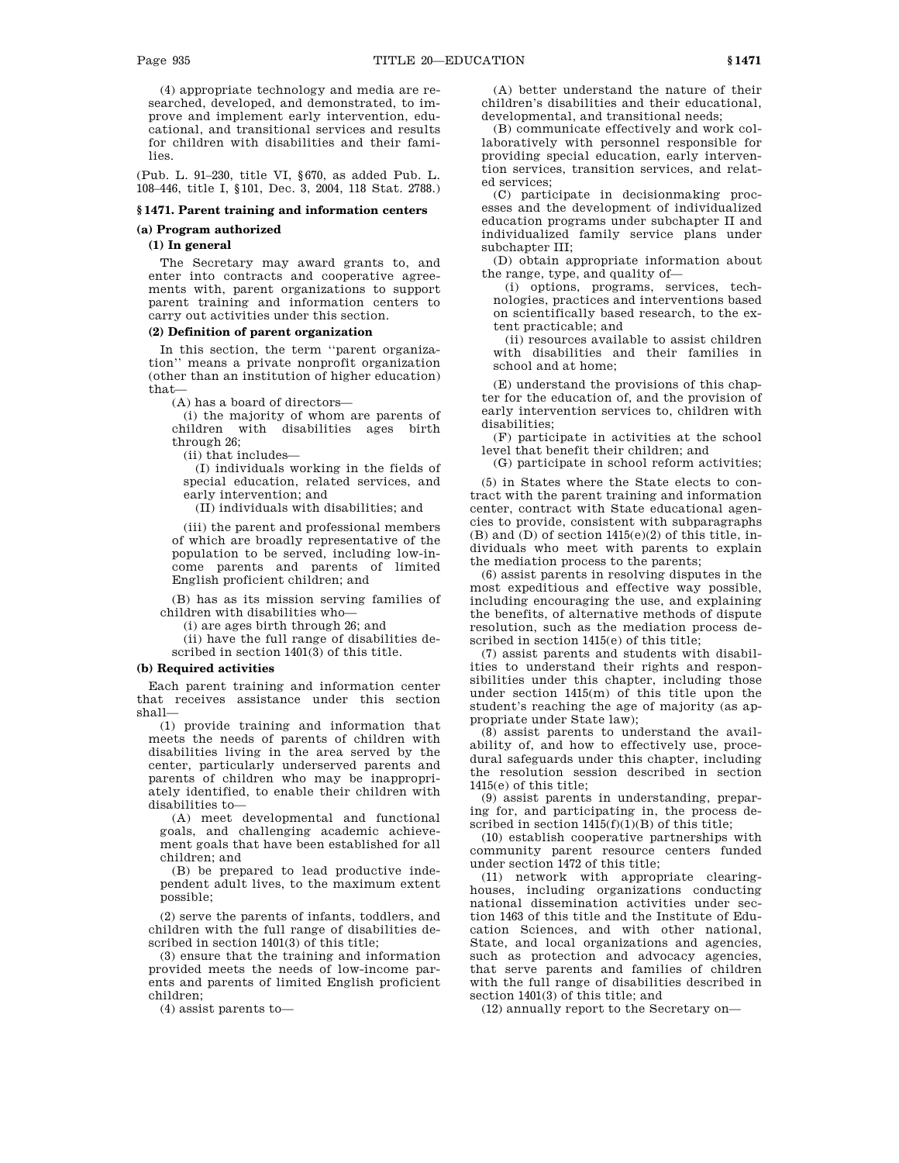(4) appropriate technology and media are researched, developed, and demonstrated, to improve and implement early intervention, educational, and transitional services and results for children with disabilities and their families.

(Pub. L. 91–230, title VI, §670, as added Pub. L. 108–446, title I, §101, Dec. 3, 2004, 118 Stat. 2788.)

### **§ 1471. Parent training and information centers**

# **(a) Program authorized**

# **(1) In general**

The Secretary may award grants to, and enter into contracts and cooperative agreements with, parent organizations to support parent training and information centers to carry out activities under this section.

### **(2) Definition of parent organization**

In this section, the term ''parent organization'' means a private nonprofit organization (other than an institution of higher education) that—

(A) has a board of directors—

(i) the majority of whom are parents of children with disabilities ages birth through 26;

(ii) that includes—

(I) individuals working in the fields of special education, related services, and early intervention; and

(II) individuals with disabilities; and

(iii) the parent and professional members of which are broadly representative of the population to be served, including low-income parents and parents of limited English proficient children; and

(B) has as its mission serving families of children with disabilities who—

(i) are ages birth through 26; and

(ii) have the full range of disabilities de-

scribed in section 1401(3) of this title.

### **(b) Required activities**

Each parent training and information center that receives assistance under this section shall—

(1) provide training and information that meets the needs of parents of children with disabilities living in the area served by the center, particularly underserved parents and parents of children who may be inappropriately identified, to enable their children with disabilities to—

(A) meet developmental and functional goals, and challenging academic achievement goals that have been established for all children; and

(B) be prepared to lead productive independent adult lives, to the maximum extent possible;

(2) serve the parents of infants, toddlers, and children with the full range of disabilities described in section 1401(3) of this title;

(3) ensure that the training and information provided meets the needs of low-income parents and parents of limited English proficient children;

(4) assist parents to—

(A) better understand the nature of their children's disabilities and their educational, developmental, and transitional needs;

(B) communicate effectively and work collaboratively with personnel responsible for providing special education, early intervention services, transition services, and related services;

(C) participate in decisionmaking processes and the development of individualized education programs under subchapter II and individualized family service plans under subchapter III;

(D) obtain appropriate information about the range, type, and quality of—

(i) options, programs, services, technologies, practices and interventions based on scientifically based research, to the extent practicable; and

(ii) resources available to assist children with disabilities and their families in school and at home;

(E) understand the provisions of this chapter for the education of, and the provision of early intervention services to, children with disabilities;

(F) participate in activities at the school level that benefit their children; and

(G) participate in school reform activities;

(5) in States where the State elects to contract with the parent training and information center, contract with State educational agencies to provide, consistent with subparagraphs (B) and (D) of section 1415(e)(2) of this title, individuals who meet with parents to explain the mediation process to the parents;

(6) assist parents in resolving disputes in the most expeditious and effective way possible, including encouraging the use, and explaining the benefits, of alternative methods of dispute resolution, such as the mediation process described in section 1415(e) of this title;

(7) assist parents and students with disabilities to understand their rights and responsibilities under this chapter, including those under section 1415(m) of this title upon the student's reaching the age of majority (as appropriate under State law);

(8) assist parents to understand the availability of, and how to effectively use, procedural safeguards under this chapter, including the resolution session described in section 1415(e) of this title;

(9) assist parents in understanding, preparing for, and participating in, the process described in section  $1415(f)(1)(B)$  of this title;

(10) establish cooperative partnerships with community parent resource centers funded under section 1472 of this title;

(11) network with appropriate clearinghouses, including organizations conducting national dissemination activities under section 1463 of this title and the Institute of Education Sciences, and with other national, State, and local organizations and agencies, such as protection and advocacy agencies, that serve parents and families of children with the full range of disabilities described in section 1401(3) of this title; and

(12) annually report to the Secretary on—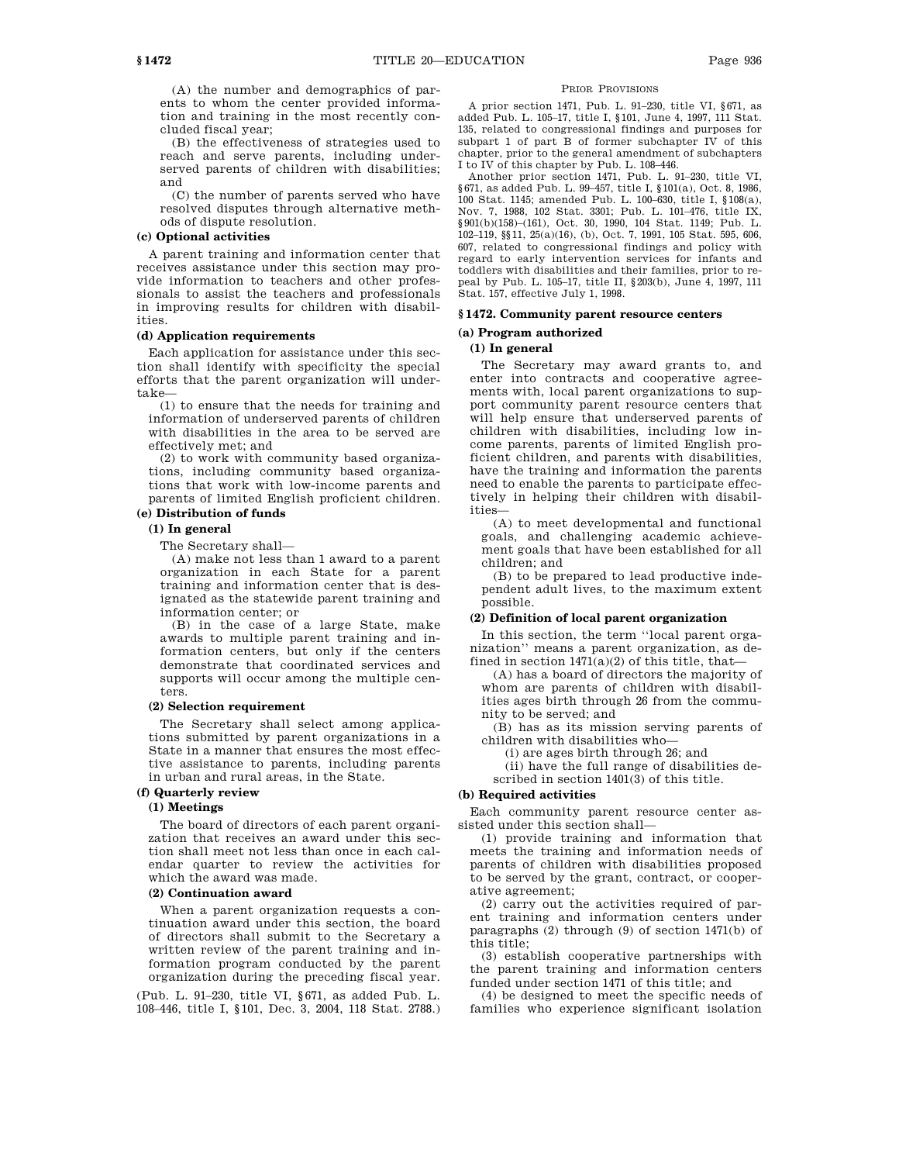(A) the number and demographics of parents to whom the center provided information and training in the most recently concluded fiscal year;

(B) the effectiveness of strategies used to reach and serve parents, including underserved parents of children with disabilities; and

(C) the number of parents served who have resolved disputes through alternative methods of dispute resolution.

### **(c) Optional activities**

A parent training and information center that receives assistance under this section may provide information to teachers and other professionals to assist the teachers and professionals in improving results for children with disabilities.

### **(d) Application requirements**

Each application for assistance under this section shall identify with specificity the special efforts that the parent organization will undertake—

(1) to ensure that the needs for training and information of underserved parents of children with disabilities in the area to be served are effectively met; and

(2) to work with community based organizations, including community based organizations that work with low-income parents and parents of limited English proficient children.

# **(e) Distribution of funds**

**(1) In general**

The Secretary shall—

(A) make not less than 1 award to a parent organization in each State for a parent training and information center that is designated as the statewide parent training and information center; or

(B) in the case of a large State, make awards to multiple parent training and information centers, but only if the centers demonstrate that coordinated services and supports will occur among the multiple centers.

### **(2) Selection requirement**

The Secretary shall select among applications submitted by parent organizations in a State in a manner that ensures the most effective assistance to parents, including parents in urban and rural areas, in the State.

# **(f) Quarterly review**

# **(1) Meetings**

The board of directors of each parent organization that receives an award under this section shall meet not less than once in each calendar quarter to review the activities for which the award was made.

### **(2) Continuation award**

When a parent organization requests a continuation award under this section, the board of directors shall submit to the Secretary a written review of the parent training and information program conducted by the parent organization during the preceding fiscal year.

(Pub. L. 91–230, title VI, §671, as added Pub. L. 108–446, title I, §101, Dec. 3, 2004, 118 Stat. 2788.)

### PRIOR PROVISIONS

A prior section 1471, Pub. L. 91–230, title VI, §671, as added Pub. L. 105–17, title I, §101, June 4, 1997, 111 Stat. 135, related to congressional findings and purposes for subpart 1 of part B of former subchapter IV of this chapter, prior to the general amendment of subchapters I to IV of this chapter by Pub. L. 108–446.

Another prior section 1471, Pub. L. 91–230, title VI, §671, as added Pub. L. 99–457, title I, §101(a), Oct. 8, 1986, 100 Stat. 1145; amended Pub. L. 100–630, title I, §108(a), Nov. 7, 1988, 102 Stat. 3301; Pub. L. 101–476, title IX, §901(b)(158)–(161), Oct. 30, 1990, 104 Stat. 1149; Pub. L. 102–119, §§11, 25(a)(16), (b), Oct. 7, 1991, 105 Stat. 595, 606, 607, related to congressional findings and policy with regard to early intervention services for infants and toddlers with disabilities and their families, prior to repeal by Pub. L. 105–17, title II, §203(b), June 4, 1997, 111 Stat. 157, effective July 1, 1998.

# **§ 1472. Community parent resource centers**

#### **(a) Program authorized**

#### **(1) In general**

The Secretary may award grants to, and enter into contracts and cooperative agreements with, local parent organizations to support community parent resource centers that will help ensure that underserved parents of children with disabilities, including low income parents, parents of limited English proficient children, and parents with disabilities, have the training and information the parents need to enable the parents to participate effectively in helping their children with disabilities—

(A) to meet developmental and functional goals, and challenging academic achievement goals that have been established for all children; and

(B) to be prepared to lead productive independent adult lives, to the maximum extent possible.

#### **(2) Definition of local parent organization**

In this section, the term ''local parent organization'' means a parent organization, as defined in section  $1471(a)(2)$  of this title, that-

(A) has a board of directors the majority of whom are parents of children with disabilities ages birth through 26 from the community to be served; and

(B) has as its mission serving parents of children with disabilities who—

(i) are ages birth through 26; and

(ii) have the full range of disabilities described in section 1401(3) of this title.

#### **(b) Required activities**

Each community parent resource center assisted under this section shall—

(1) provide training and information that meets the training and information needs of parents of children with disabilities proposed to be served by the grant, contract, or cooperative agreement;

(2) carry out the activities required of parent training and information centers under paragraphs (2) through (9) of section 1471(b) of this title;

(3) establish cooperative partnerships with the parent training and information centers funded under section 1471 of this title; and

(4) be designed to meet the specific needs of families who experience significant isolation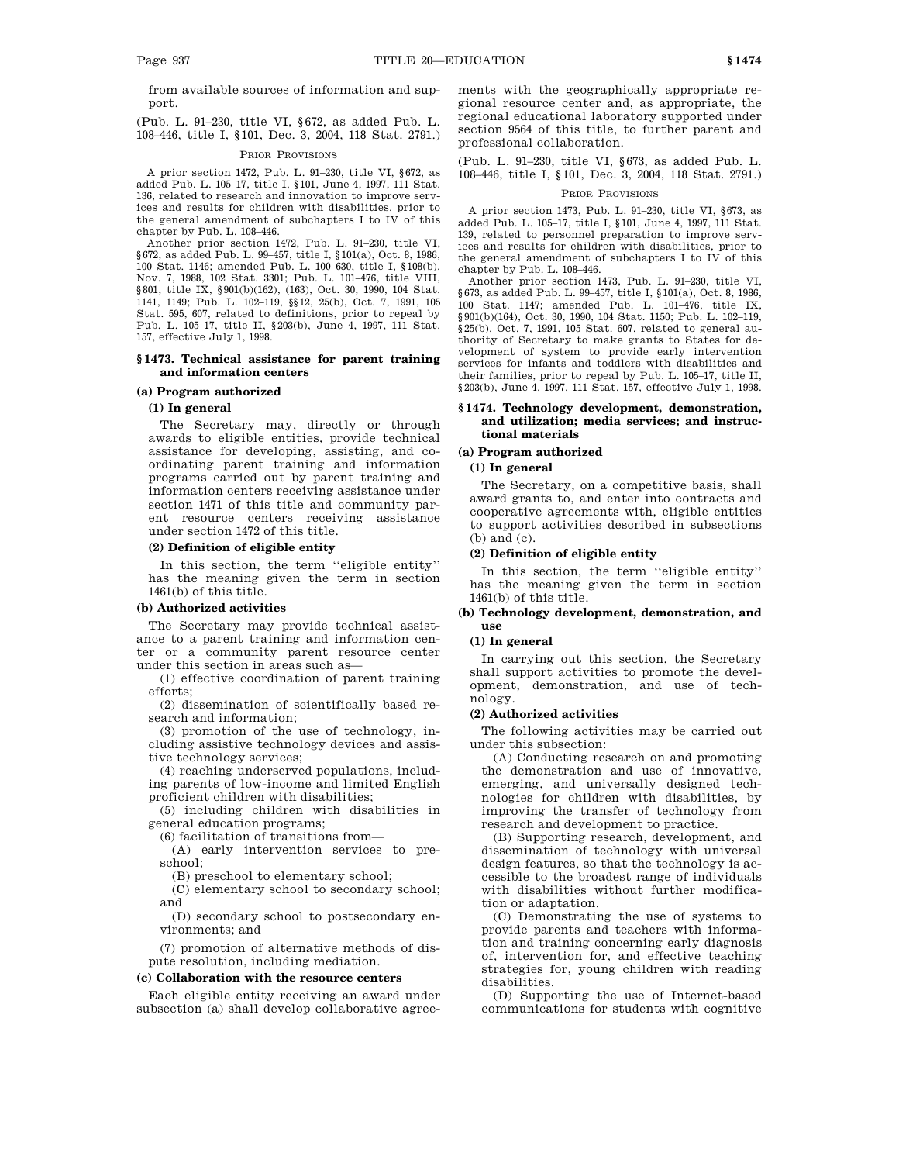from available sources of information and support.

(Pub. L. 91–230, title VI, §672, as added Pub. L. 108–446, title I, §101, Dec. 3, 2004, 118 Stat. 2791.)

#### PRIOR PROVISIONS

A prior section 1472, Pub. L. 91–230, title VI, §672, as added Pub. L. 105–17, title I, §101, June 4, 1997, 111 Stat. 136, related to research and innovation to improve services and results for children with disabilities, prior to the general amendment of subchapters I to IV of this chapter by Pub. L. 108–446.

Another prior section 1472, Pub. L. 91–230, title VI, §672, as added Pub. L. 99–457, title I, §101(a), Oct. 8, 1986, 100 Stat. 1146; amended Pub. L. 100–630, title I, §108(b), Nov. 7, 1988, 102 Stat. 3301; Pub. L. 101–476, title VIII, §801, title IX, §901(b)(162), (163), Oct. 30, 1990, 104 Stat. 1141, 1149; Pub. L. 102–119, §§12, 25(b), Oct. 7, 1991, 105 Stat. 595, 607, related to definitions, prior to repeal by Pub. L. 105–17, title II, §203(b), June 4, 1997, 111 Stat. 157, effective July 1, 1998.

### **§ 1473. Technical assistance for parent training and information centers**

#### **(a) Program authorized**

### **(1) In general**

The Secretary may, directly or through awards to eligible entities, provide technical assistance for developing, assisting, and coordinating parent training and information programs carried out by parent training and information centers receiving assistance under section 1471 of this title and community parent resource centers receiving assistance under section 1472 of this title.

#### **(2) Definition of eligible entity**

In this section, the term ''eligible entity'' has the meaning given the term in section 1461(b) of this title.

#### **(b) Authorized activities**

The Secretary may provide technical assistance to a parent training and information center or a community parent resource center under this section in areas such as—

(1) effective coordination of parent training efforts;

(2) dissemination of scientifically based research and information;

(3) promotion of the use of technology, including assistive technology devices and assistive technology services;

(4) reaching underserved populations, including parents of low-income and limited English proficient children with disabilities;

(5) including children with disabilities in general education programs;

(6) facilitation of transitions from—

(A) early intervention services to preschool;

(B) preschool to elementary school;

(C) elementary school to secondary school;

and (D) secondary school to postsecondary environments; and

(7) promotion of alternative methods of dispute resolution, including mediation.

### **(c) Collaboration with the resource centers**

Each eligible entity receiving an award under subsection (a) shall develop collaborative agreements with the geographically appropriate regional resource center and, as appropriate, the regional educational laboratory supported under section 9564 of this title, to further parent and professional collaboration.

(Pub. L. 91–230, title VI, §673, as added Pub. L. 108–446, title I, §101, Dec. 3, 2004, 118 Stat. 2791.)

#### PRIOR PROVISIONS

A prior section 1473, Pub. L. 91–230, title VI, §673, as added Pub. L. 105–17, title I, §101, June 4, 1997, 111 Stat. 139, related to personnel preparation to improve services and results for children with disabilities, prior to the general amendment of subchapters I to IV of this chapter by Pub. L. 108–446.

Another prior section 1473, Pub. L. 91–230, title VI, §673, as added Pub. L. 99–457, title I, §101(a), Oct. 8, 1986, 100 Stat. 1147; amended Pub. L. 101–476, title IX, §901(b)(164), Oct. 30, 1990, 104 Stat. 1150; Pub. L. 102–119, §25(b), Oct. 7, 1991, 105 Stat. 607, related to general authority of Secretary to make grants to States for development of system to provide early intervention services for infants and toddlers with disabilities and their families, prior to repeal by Pub. L. 105–17, title II, §203(b), June 4, 1997, 111 Stat. 157, effective July 1, 1998.

#### **§ 1474. Technology development, demonstration, and utilization; media services; and instructional materials**

### **(a) Program authorized**

### **(1) In general**

The Secretary, on a competitive basis, shall award grants to, and enter into contracts and cooperative agreements with, eligible entities to support activities described in subsections (b) and (c).

#### **(2) Definition of eligible entity**

In this section, the term ''eligible entity'' has the meaning given the term in section 1461(b) of this title.

## **(b) Technology development, demonstration, and use**

#### **(1) In general**

In carrying out this section, the Secretary shall support activities to promote the development, demonstration, and use of technology.

#### **(2) Authorized activities**

The following activities may be carried out under this subsection:

(A) Conducting research on and promoting the demonstration and use of innovative, emerging, and universally designed technologies for children with disabilities, by improving the transfer of technology from research and development to practice.

(B) Supporting research, development, and dissemination of technology with universal design features, so that the technology is accessible to the broadest range of individuals with disabilities without further modification or adaptation.

(C) Demonstrating the use of systems to provide parents and teachers with information and training concerning early diagnosis of, intervention for, and effective teaching strategies for, young children with reading disabilities.

(D) Supporting the use of Internet-based communications for students with cognitive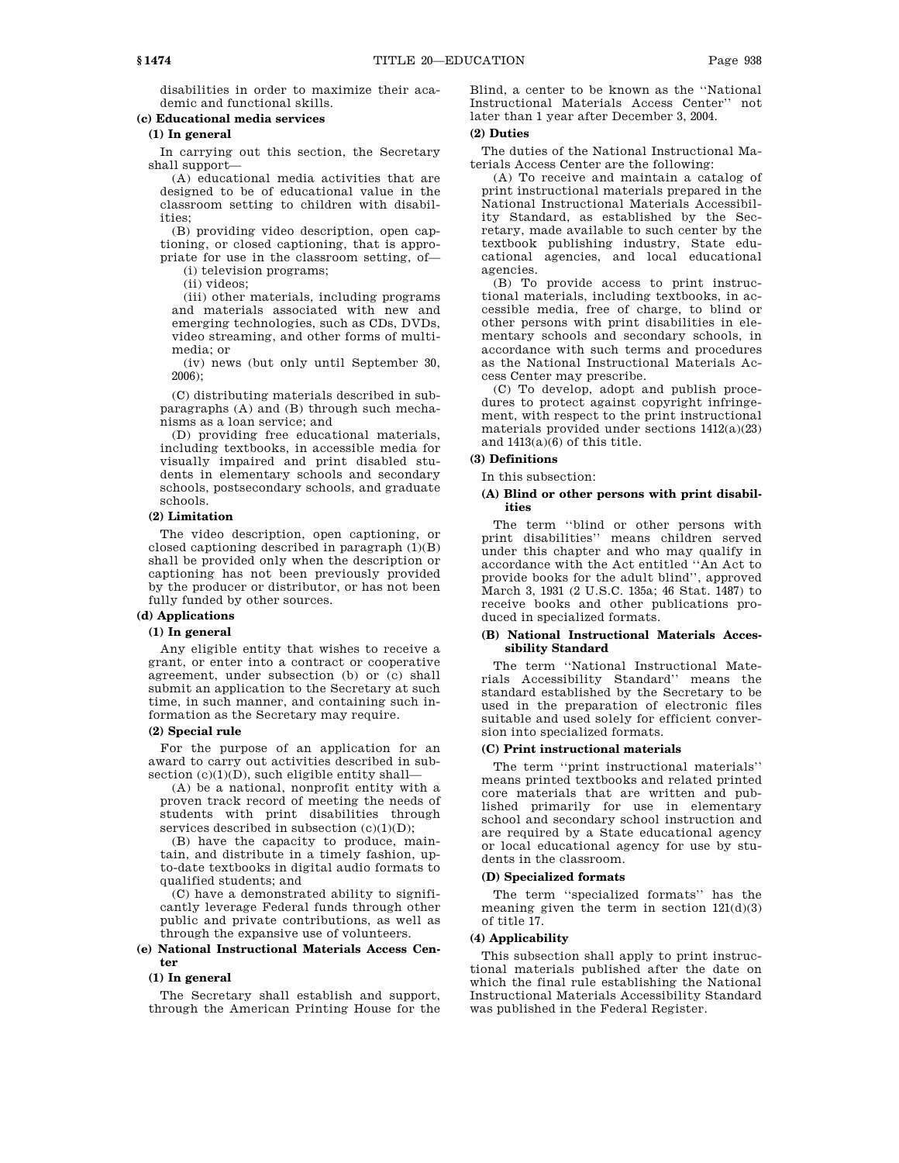disabilities in order to maximize their academic and functional skills.

# **(c) Educational media services**

# **(1) In general**

In carrying out this section, the Secretary shall support—

(A) educational media activities that are designed to be of educational value in the classroom setting to children with disabilities;

(B) providing video description, open captioning, or closed captioning, that is appropriate for use in the classroom setting, of—

(i) television programs;

(ii) videos;

(iii) other materials, including programs and materials associated with new and emerging technologies, such as CDs, DVDs, video streaming, and other forms of multimedia; or

(iv) news (but only until September 30, 2006);

(C) distributing materials described in subparagraphs (A) and (B) through such mechanisms as a loan service; and

(D) providing free educational materials, including textbooks, in accessible media for visually impaired and print disabled students in elementary schools and secondary schools, postsecondary schools, and graduate schools.

### **(2) Limitation**

The video description, open captioning, or closed captioning described in paragraph (1)(B) shall be provided only when the description or captioning has not been previously provided by the producer or distributor, or has not been fully funded by other sources.

### **(d) Applications**

### **(1) In general**

Any eligible entity that wishes to receive a grant, or enter into a contract or cooperative agreement, under subsection (b) or (c) shall submit an application to the Secretary at such time, in such manner, and containing such information as the Secretary may require.

#### **(2) Special rule**

For the purpose of an application for an award to carry out activities described in subsection  $(c)(1)(D)$ , such eligible entity shall-

(A) be a national, nonprofit entity with a proven track record of meeting the needs of students with print disabilities through services described in subsection  $(c)(1)(D)$ ;

(B) have the capacity to produce, maintain, and distribute in a timely fashion, upto-date textbooks in digital audio formats to qualified students; and

(C) have a demonstrated ability to significantly leverage Federal funds through other public and private contributions, as well as through the expansive use of volunteers.

#### **(e) National Instructional Materials Access Center**

### **(1) In general**

The Secretary shall establish and support, through the American Printing House for the Blind, a center to be known as the ''National Instructional Materials Access Center'' not later than 1 year after December 3, 2004.

#### **(2) Duties**

The duties of the National Instructional Materials Access Center are the following:

(A) To receive and maintain a catalog of print instructional materials prepared in the National Instructional Materials Accessibility Standard, as established by the Secretary, made available to such center by the textbook publishing industry, State educational agencies, and local educational agencies.

(B) To provide access to print instructional materials, including textbooks, in accessible media, free of charge, to blind or other persons with print disabilities in elementary schools and secondary schools, in accordance with such terms and procedures as the National Instructional Materials Access Center may prescribe.

(C) To develop, adopt and publish procedures to protect against copyright infringement, with respect to the print instructional materials provided under sections 1412(a)(23) and  $1413(a)(6)$  of this title.

#### **(3) Definitions**

In this subsection:

# **(A) Blind or other persons with print disabilities**

The term ''blind or other persons with print disabilities'' means children served under this chapter and who may qualify in accordance with the Act entitled ''An Act to provide books for the adult blind'', approved March 3, 1931 (2 U.S.C. 135a; 46 Stat. 1487) to receive books and other publications produced in specialized formats.

### **(B) National Instructional Materials Accessibility Standard**

The term ''National Instructional Materials Accessibility Standard'' means the standard established by the Secretary to be used in the preparation of electronic files suitable and used solely for efficient conversion into specialized formats.

# **(C) Print instructional materials**

The term ''print instructional materials'' means printed textbooks and related printed core materials that are written and published primarily for use in elementary school and secondary school instruction and are required by a State educational agency or local educational agency for use by students in the classroom.

#### **(D) Specialized formats**

The term ''specialized formats'' has the meaning given the term in section  $121(d)(3)$ of title 17.

## **(4) Applicability**

This subsection shall apply to print instructional materials published after the date on which the final rule establishing the National Instructional Materials Accessibility Standard was published in the Federal Register.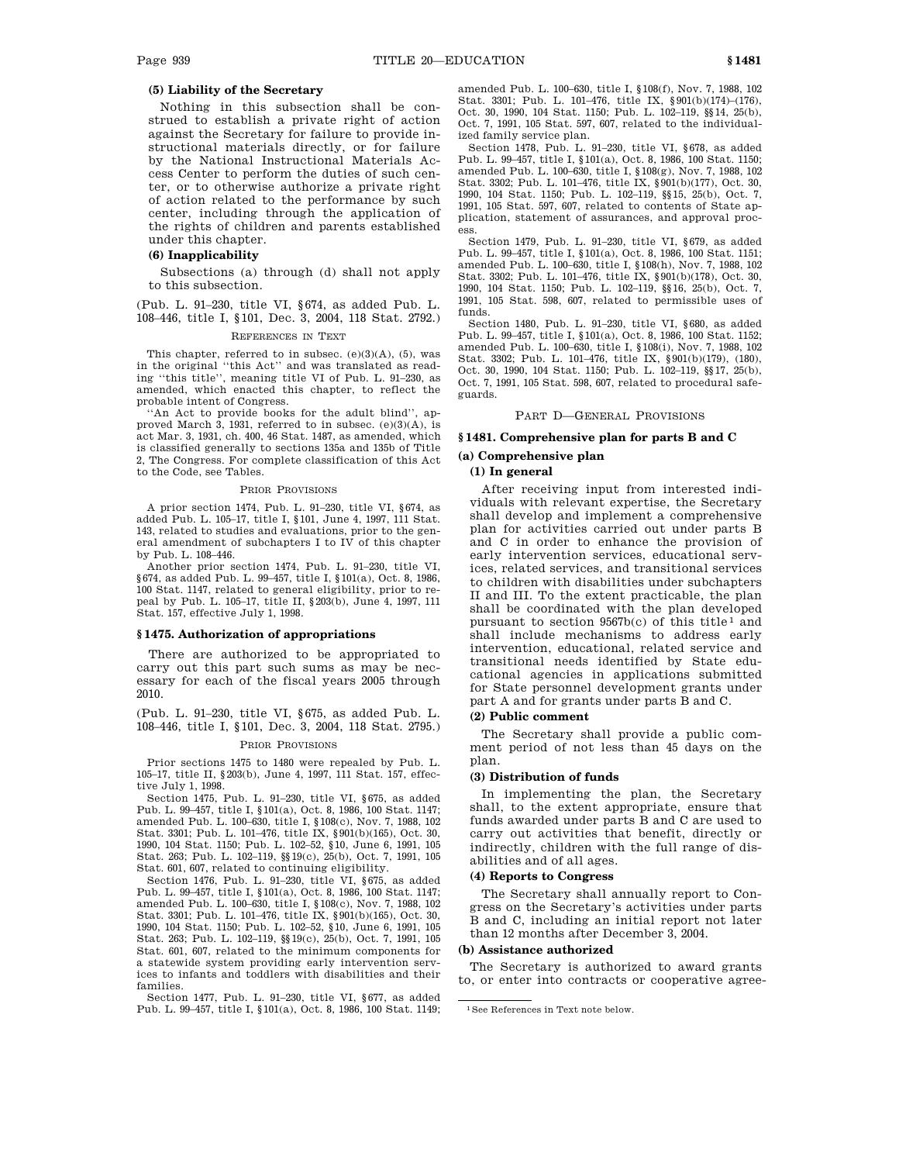# **(5) Liability of the Secretary**

Nothing in this subsection shall be construed to establish a private right of action against the Secretary for failure to provide instructional materials directly, or for failure by the National Instructional Materials Access Center to perform the duties of such center, or to otherwise authorize a private right of action related to the performance by such center, including through the application of the rights of children and parents established under this chapter.

#### **(6) Inapplicability**

Subsections (a) through (d) shall not apply to this subsection.

(Pub. L. 91–230, title VI, §674, as added Pub. L. 108–446, title I, §101, Dec. 3, 2004, 118 Stat. 2792.)

# REFERENCES IN TEXT

This chapter, referred to in subsec. (e)(3)(A), (5), was in the original ''this Act'' and was translated as reading ''this title'', meaning title VI of Pub. L. 91–230, as amended, which enacted this chapter, to reflect the probable intent of Congress.

''An Act to provide books for the adult blind'', approved March 3, 1931, referred to in subsec. (e)(3)(A), is act Mar. 3, 1931, ch. 400, 46 Stat. 1487, as amended, which is classified generally to sections 135a and 135b of Title 2, The Congress. For complete classification of this Act to the Code, see Tables.

#### PRIOR PROVISIONS

A prior section 1474, Pub. L. 91–230, title VI, §674, as added Pub. L. 105–17, title I, §101, June 4, 1997, 111 Stat. 143, related to studies and evaluations, prior to the general amendment of subchapters I to IV of this chapter by Pub. L. 108–446.

Another prior section 1474, Pub. L. 91–230, title VI, §674, as added Pub. L. 99–457, title I, §101(a), Oct. 8, 1986, 100 Stat. 1147, related to general eligibility, prior to repeal by Pub. L. 105–17, title II, §203(b), June 4, 1997, 111 Stat. 157, effective July 1, 1998.

# **§ 1475. Authorization of appropriations**

There are authorized to be appropriated to carry out this part such sums as may be necessary for each of the fiscal years 2005 through 2010.

(Pub. L. 91–230, title VI, §675, as added Pub. L. 108–446, title I, §101, Dec. 3, 2004, 118 Stat. 2795.)

#### PRIOR PROVISIONS

Prior sections 1475 to 1480 were repealed by Pub. L. 105–17, title II, §203(b), June 4, 1997, 111 Stat. 157, effective July 1, 1998.

Section 1475, Pub. L. 91–230, title VI, §675, as added Pub. L. 99–457, title I, §101(a), Oct. 8, 1986, 100 Stat. 1147; amended Pub. L. 100–630, title I, §108(c), Nov. 7, 1988, 102 Stat. 3301; Pub. L. 101–476, title IX, §901(b)(165), Oct. 30, 1990, 104 Stat. 1150; Pub. L. 102–52, §10, June 6, 1991, 105 Stat. 263; Pub. L. 102–119, §§19(c), 25(b), Oct. 7, 1991, 105 Stat. 601, 607, related to continuing eligibility.

Section 1476, Pub. L. 91–230, title VI, §675, as added Pub. L. 99–457, title I, §101(a), Oct. 8, 1986, 100 Stat. 1147; amended Pub. L. 100–630, title I, §108(c), Nov. 7, 1988, 102 Stat. 3301; Pub. L. 101–476, title IX, §901(b)(165), Oct. 30, 1990, 104 Stat. 1150; Pub. L. 102–52, §10, June 6, 1991, 105 Stat. 263; Pub. L. 102–119, §§19(c), 25(b), Oct. 7, 1991, 105 Stat. 601, 607, related to the minimum components for a statewide system providing early intervention services to infants and toddlers with disabilities and their families.

Section 1477, Pub. L. 91–230, title VI, §677, as added Pub. L. 99–457, title I, §101(a), Oct. 8, 1986, 100 Stat. 1149; amended Pub. L. 100–630, title I, §108(f), Nov. 7, 1988, 102 Stat. 3301; Pub. L. 101–476, title IX, §901(b)(174)–(176), Oct. 30, 1990, 104 Stat. 1150; Pub. L. 102–119, §§14, 25(b), Oct. 7, 1991, 105 Stat. 597, 607, related to the individualized family service plan.

Section 1478, Pub. L. 91–230, title VI, §678, as added Pub. L. 99–457, title I, §101(a), Oct. 8, 1986, 100 Stat. 1150; amended Pub. L. 100–630, title I, §108(g), Nov. 7, 1988, 102 Stat. 3302; Pub. L. 101–476, title IX, §901(b)(177), Oct. 30, 1990, 104 Stat. 1150; Pub. L. 102–119, §§15, 25(b), Oct. 7, 1991, 105 Stat. 597, 607, related to contents of State application, statement of assurances, and approval process.

Section 1479, Pub. L. 91–230, title VI, §679, as added Pub. L. 99–457, title I, §101(a), Oct. 8, 1986, 100 Stat. 1151; amended Pub. L. 100–630, title I, §108(h), Nov. 7, 1988, 102 Stat. 3302; Pub. L. 101–476, title IX, §901(b)(178), Oct. 30, 1990, 104 Stat. 1150; Pub. L. 102–119, §§16, 25(b), Oct. 7, 1991, 105 Stat. 598, 607, related to permissible uses of funds.

Section 1480, Pub. L. 91–230, title VI, §680, as added Pub. L. 99–457, title I, §101(a), Oct. 8, 1986, 100 Stat. 1152; amended Pub. L. 100–630, title I, §108(i), Nov. 7, 1988, 102 Stat. 3302; Pub. L. 101–476, title IX, §901(b)(179), (180), Oct. 30, 1990, 104 Stat. 1150; Pub. L. 102–119, §§17, 25(b), Oct. 7, 1991, 105 Stat. 598, 607, related to procedural safeguards.

PART D—GENERAL PROVISIONS

# **§ 1481. Comprehensive plan for parts B and C (a) Comprehensive plan**

# **(1) In general**

After receiving input from interested individuals with relevant expertise, the Secretary shall develop and implement a comprehensive plan for activities carried out under parts B and C in order to enhance the provision of early intervention services, educational services, related services, and transitional services to children with disabilities under subchapters II and III. To the extent practicable, the plan shall be coordinated with the plan developed pursuant to section  $9567b(c)$  of this title<sup>1</sup> and shall include mechanisms to address early intervention, educational, related service and transitional needs identified by State educational agencies in applications submitted for State personnel development grants under part A and for grants under parts B and C.

### **(2) Public comment**

The Secretary shall provide a public comment period of not less than 45 days on the plan.

#### **(3) Distribution of funds**

In implementing the plan, the Secretary shall, to the extent appropriate, ensure that funds awarded under parts B and C are used to carry out activities that benefit, directly or indirectly, children with the full range of disabilities and of all ages.

#### **(4) Reports to Congress**

The Secretary shall annually report to Congress on the Secretary's activities under parts B and C, including an initial report not later than 12 months after December 3, 2004.

#### **(b) Assistance authorized**

The Secretary is authorized to award grants to, or enter into contracts or cooperative agree-

<sup>1</sup>See References in Text note below.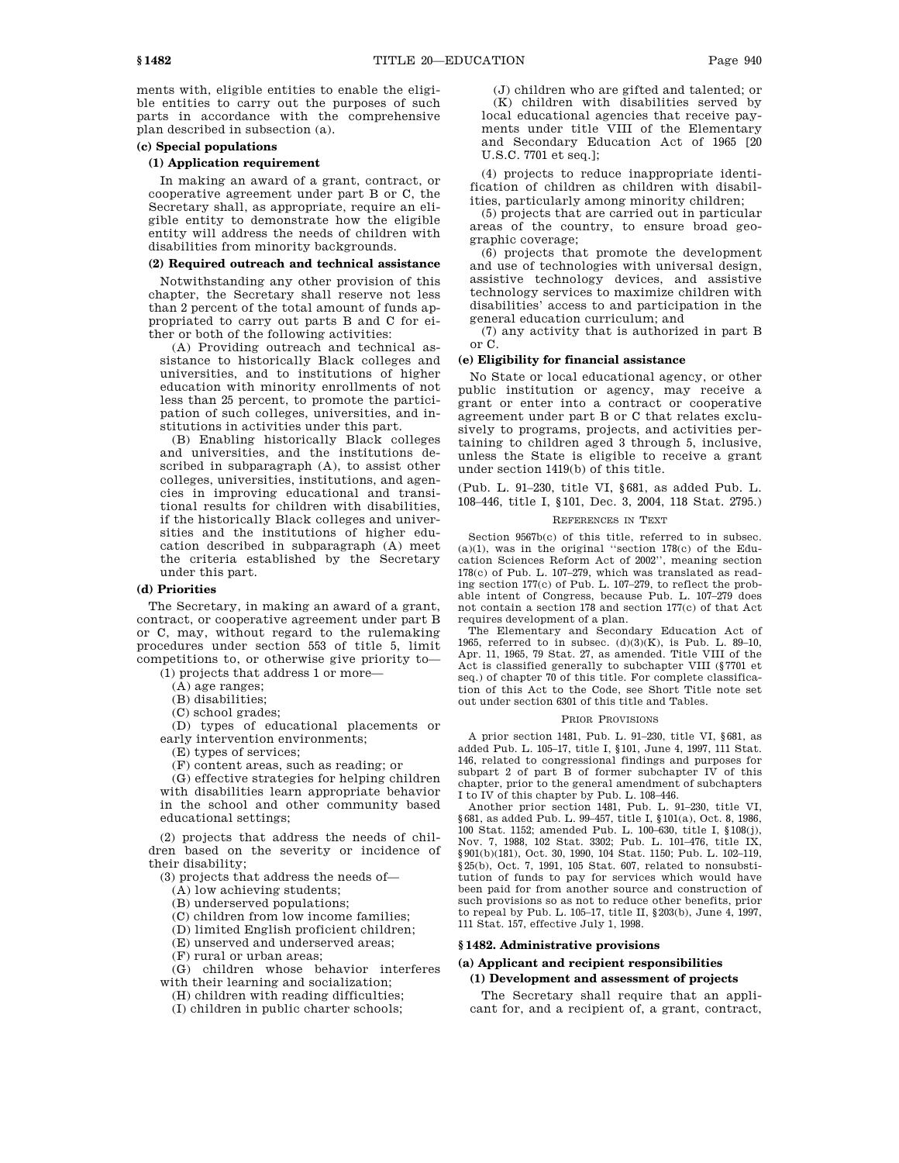ments with, eligible entities to enable the eligible entities to carry out the purposes of such parts in accordance with the comprehensive plan described in subsection (a).

# **(c) Special populations**

# **(1) Application requirement**

In making an award of a grant, contract, or cooperative agreement under part B or C, the Secretary shall, as appropriate, require an eligible entity to demonstrate how the eligible entity will address the needs of children with disabilities from minority backgrounds.

### **(2) Required outreach and technical assistance**

Notwithstanding any other provision of this chapter, the Secretary shall reserve not less than 2 percent of the total amount of funds appropriated to carry out parts B and C for either or both of the following activities:

(A) Providing outreach and technical assistance to historically Black colleges and universities, and to institutions of higher education with minority enrollments of not less than 25 percent, to promote the participation of such colleges, universities, and institutions in activities under this part.

(B) Enabling historically Black colleges and universities, and the institutions described in subparagraph (A), to assist other colleges, universities, institutions, and agencies in improving educational and transitional results for children with disabilities, if the historically Black colleges and universities and the institutions of higher education described in subparagraph (A) meet the criteria established by the Secretary under this part.

## **(d) Priorities**

The Secretary, in making an award of a grant, contract, or cooperative agreement under part B or C, may, without regard to the rulemaking procedures under section 553 of title 5, limit competitions to, or otherwise give priority to—

- (1) projects that address 1 or more—
	- (A) age ranges;
	- (B) disabilities;
	- (C) school grades;

(D) types of educational placements or early intervention environments;

- (E) types of services;
- (F) content areas, such as reading; or

(G) effective strategies for helping children with disabilities learn appropriate behavior in the school and other community based educational settings;

(2) projects that address the needs of children based on the severity or incidence of their disability;

(3) projects that address the needs of—

- (A) low achieving students;
- (B) underserved populations;
- (C) children from low income families;
- (D) limited English proficient children;
- (E) unserved and underserved areas;
- (F) rural or urban areas;
- (G) children whose behavior interferes with their learning and socialization;
- (H) children with reading difficulties;
- (I) children in public charter schools;

(J) children who are gifted and talented; or (K) children with disabilities served by local educational agencies that receive payments under title VIII of the Elementary and Secondary Education Act of 1965 [20 U.S.C. 7701 et seq.];

(4) projects to reduce inappropriate identification of children as children with disabilities, particularly among minority children;

(5) projects that are carried out in particular areas of the country, to ensure broad geographic coverage;

(6) projects that promote the development and use of technologies with universal design, assistive technology devices, and assistive technology services to maximize children with disabilities' access to and participation in the general education curriculum; and

(7) any activity that is authorized in part B or C.

# **(e) Eligibility for financial assistance**

No State or local educational agency, or other public institution or agency, may receive a grant or enter into a contract or cooperative agreement under part B or C that relates exclusively to programs, projects, and activities pertaining to children aged 3 through 5, inclusive, unless the State is eligible to receive a grant under section 1419(b) of this title.

(Pub. L. 91–230, title VI, §681, as added Pub. L. 108–446, title I, §101, Dec. 3, 2004, 118 Stat. 2795.)

#### REFERENCES IN TEXT

Section 9567b(c) of this title, referred to in subsec.  $(a)(1)$ , was in the original "section 178 $(c)$  of the Education Sciences Reform Act of 2002'', meaning section 178(c) of Pub. L. 107–279, which was translated as reading section 177(c) of Pub. L. 107–279, to reflect the probable intent of Congress, because Pub. L. 107–279 does not contain a section 178 and section 177(c) of that Act requires development of a plan.

The Elementary and Secondary Education Act of 1965, referred to in subsec.  $(d)(3)(K)$ , is Pub. L. 89-10, Apr. 11, 1965, 79 Stat. 27, as amended. Title VIII of the Act is classified generally to subchapter VIII (§7701 et seq.) of chapter 70 of this title. For complete classification of this Act to the Code, see Short Title note set out under section 6301 of this title and Tables.

#### PRIOR PROVISIONS

A prior section 1481, Pub. L. 91–230, title VI, §681, as added Pub. L. 105–17, title I, §101, June 4, 1997, 111 Stat. 146, related to congressional findings and purposes for subpart 2 of part B of former subchapter IV of this chapter, prior to the general amendment of subchapters I to IV of this chapter by Pub. L. 108–446.

Another prior section 1481, Pub. L. 91–230, title VI, §681, as added Pub. L. 99–457, title I, §101(a), Oct. 8, 1986, 100 Stat. 1152; amended Pub. L. 100–630, title I, §108(j), Nov. 7, 1988, 102 Stat. 3302; Pub. L. 101–476, title IX, §901(b)(181), Oct. 30, 1990, 104 Stat. 1150; Pub. L. 102-119, §25(b), Oct. 7, 1991, 105 Stat. 607, related to nonsubstitution of funds to pay for services which would have been paid for from another source and construction of such provisions so as not to reduce other benefits, prior to repeal by Pub. L. 105–17, title II, §203(b), June 4, 1997, 111 Stat. 157, effective July 1, 1998.

#### **§ 1482. Administrative provisions**

### **(a) Applicant and recipient responsibilities**

### **(1) Development and assessment of projects**

The Secretary shall require that an applicant for, and a recipient of, a grant, contract,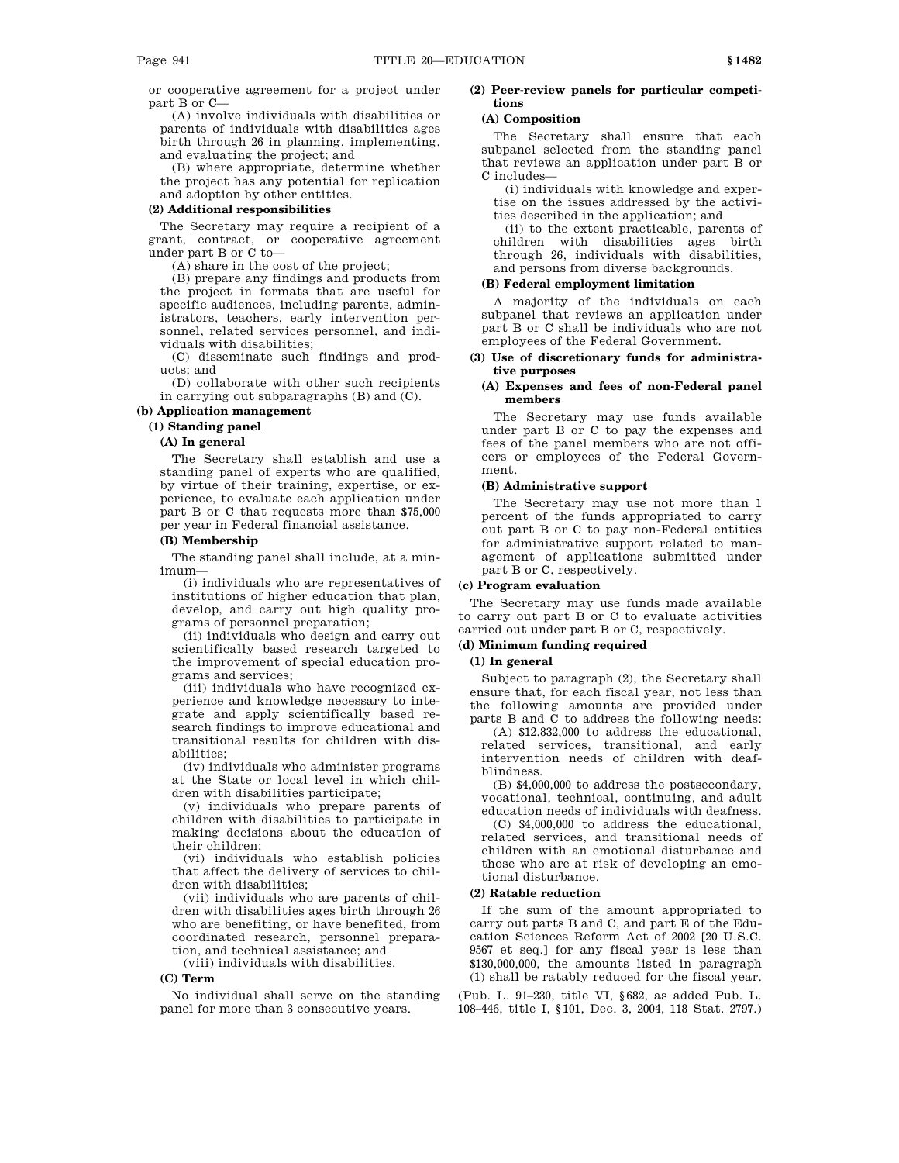or cooperative agreement for a project under part B or C—

(A) involve individuals with disabilities or parents of individuals with disabilities ages birth through 26 in planning, implementing, and evaluating the project; and

(B) where appropriate, determine whether the project has any potential for replication and adoption by other entities.

#### **(2) Additional responsibilities**

The Secretary may require a recipient of a grant, contract, or cooperative agreement under part B or C to—

(A) share in the cost of the project;

(B) prepare any findings and products from the project in formats that are useful for specific audiences, including parents, administrators, teachers, early intervention personnel, related services personnel, and individuals with disabilities;

(C) disseminate such findings and products; and

(D) collaborate with other such recipients in carrying out subparagraphs (B) and (C).

# **(b) Application management**

### **(1) Standing panel**

## **(A) In general**

The Secretary shall establish and use a standing panel of experts who are qualified, by virtue of their training, expertise, or experience, to evaluate each application under part B or C that requests more than \$75,000 per year in Federal financial assistance.

# **(B) Membership**

The standing panel shall include, at a minimum—

(i) individuals who are representatives of institutions of higher education that plan, develop, and carry out high quality programs of personnel preparation;

(ii) individuals who design and carry out scientifically based research targeted to the improvement of special education programs and services;

(iii) individuals who have recognized experience and knowledge necessary to integrate and apply scientifically based research findings to improve educational and transitional results for children with disabilities;

(iv) individuals who administer programs at the State or local level in which children with disabilities participate;

(v) individuals who prepare parents of children with disabilities to participate in making decisions about the education of their children;

(vi) individuals who establish policies that affect the delivery of services to children with disabilities;

(vii) individuals who are parents of children with disabilities ages birth through 26 who are benefiting, or have benefited, from coordinated research, personnel preparation, and technical assistance; and

(viii) individuals with disabilities.

# **(C) Term**

No individual shall serve on the standing panel for more than 3 consecutive years.

### **(2) Peer-review panels for particular competitions**

# **(A) Composition**

The Secretary shall ensure that each subpanel selected from the standing panel that reviews an application under part B or C includes—

(i) individuals with knowledge and expertise on the issues addressed by the activities described in the application; and

(ii) to the extent practicable, parents of children with disabilities ages birth through 26, individuals with disabilities, and persons from diverse backgrounds.

### **(B) Federal employment limitation**

A majority of the individuals on each subpanel that reviews an application under part B or C shall be individuals who are not employees of the Federal Government.

### **(3) Use of discretionary funds for administrative purposes**

### **(A) Expenses and fees of non-Federal panel members**

The Secretary may use funds available under part B or C to pay the expenses and fees of the panel members who are not officers or employees of the Federal Government.

### **(B) Administrative support**

The Secretary may use not more than 1 percent of the funds appropriated to carry out part B or C to pay non-Federal entities for administrative support related to management of applications submitted under part B or C, respectively.

### **(c) Program evaluation**

The Secretary may use funds made available to carry out part B or C to evaluate activities carried out under part B or C, respectively.

### **(d) Minimum funding required**

## **(1) In general**

Subject to paragraph (2), the Secretary shall ensure that, for each fiscal year, not less than the following amounts are provided under parts B and C to address the following needs:

(A) \$12,832,000 to address the educational, related services, transitional, and early intervention needs of children with deafblindness.

(B) \$4,000,000 to address the postsecondary, vocational, technical, continuing, and adult education needs of individuals with deafness.

(C) \$4,000,000 to address the educational, related services, and transitional needs of children with an emotional disturbance and those who are at risk of developing an emotional disturbance.

#### **(2) Ratable reduction**

If the sum of the amount appropriated to carry out parts B and C, and part E of the Education Sciences Reform Act of 2002 [20 U.S.C. 9567 et seq.] for any fiscal year is less than \$130,000,000, the amounts listed in paragraph (1) shall be ratably reduced for the fiscal year.

(Pub. L. 91–230, title VI, §682, as added Pub. L. 108–446, title I, §101, Dec. 3, 2004, 118 Stat. 2797.)